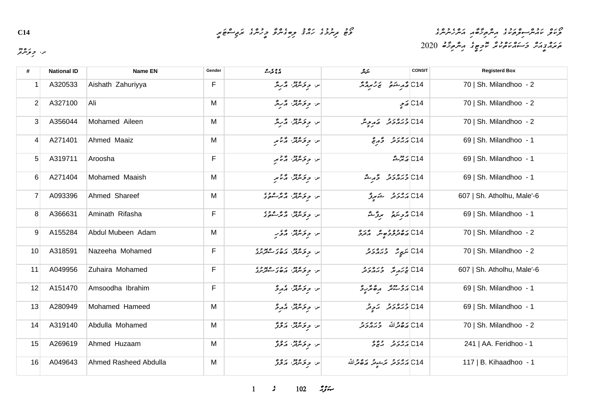*sCw7q7s5w7m< o<n9nOoAw7o< sCq;mAwBoEw7q<m; wBm;vB 2020*<br>*په ټومن د سوم پوره پورې پر سوم د سره پره و*لا

| ر ه دد   |     |
|----------|-----|
| و وسر در | مر. |
|          |     |

| #              | <b>National ID</b> | Name EN               | Gender      | ړ دیکر ک                                     | ىتربىر                                                                                                         | <b>CONSIT</b>            | <b>Registerd Box</b>       |
|----------------|--------------------|-----------------------|-------------|----------------------------------------------|----------------------------------------------------------------------------------------------------------------|--------------------------|----------------------------|
|                | A320533            | Aishath Zahuriyya     | $\mathsf F$ | المرا وكالكريش أوراكر                        | C14 مەم ئىقق ئى <i>ئىرە مە</i>                                                                                 |                          | 70   Sh. Milandhoo - 2     |
| $\vert$ 2      | A327100            | Ali                   | M           | ىر. ئەقەتلەرگە ئەر                           |                                                                                                                | C14   پ <del>ر</del> مبر | 70   Sh. Milandhoo - 2     |
| 3              | A356044            | Mohamed Aileen        | M           | ىر، ئەقەشقۇ، ئەرىگە                          | C14 <i>دېرونته خ</i> مرم <i>چ</i> ش                                                                            |                          | 70   Sh. Milandhoo - 2     |
| $\overline{4}$ | A271401            | Ahmed Maaiz           | M           | ىر. جەنگەنگە، ئەتمامبر                       | C14 <i>مَدْدَوْرْ</i> دُّمِيْ                                                                                  |                          | 69   Sh. Milandhoo - 1     |
| 5 <sup>5</sup> | A319711            | Aroosha               | F           | ىر، جەڭرىقى، ئەرىمىي                         | 22/14                                                                                                          |                          | 69   Sh. Milandhoo - 1     |
| 6              | A271404            | Mohamed Maaish        | M           | ىر. جەنگەنگە ئەتماس                          | C14 <i>جەنگە جۇم</i> ش                                                                                         |                          | 69   Sh. Milandhoo - 1     |
| 7              | A093396            | Ahmed Shareef         | M           | ىن ئەخرىرى ئەنگەر دە                         | C14 كەندى قىرىقىسى ئىستىدى ئىستان بىر ئىستان ئىستان ئىستان ئىستان ئىستان ئىستان ئىستان ئىستان ئىستان ئىستان ئى |                          | 607   Sh. Atholhu, Male'-6 |
| 8              | A366631            | Aminath Rifasha       | F           | بر وتوسير، مجرد دوه                          | C14 مٌرجِسَمٌ مِرَدَّةٌ                                                                                        |                          | 69   Sh. Milandhoo - 1     |
| 9              | A155284            | Abdul Mubeen Adam     | M           | ر وتر مرده دی .                              | C14 مەھىر <i>جەدە مەد</i> ە                                                                                    |                          | 70   Sh. Milandhoo - 2     |
| 10             | A318591            | Nazeeha Mohamed       | $\mathsf F$ | د و وه د وړه ده.<br>د ونوس های سنرمر         | C14 ىترىپ <i>ەر 25مەم</i> تر                                                                                   |                          | 70   Sh. Milandhoo - 2     |
| 11             | A049956            | Zuhaira Mohamed       | $\mathsf F$ | د و توسیل اروز ۲۵ وی.<br>د و توسیل اره د سپس | C14 يح <i>ترم بكل حيد مرد و</i> ر                                                                              |                          | 607   Sh. Atholhu, Male'-6 |
| 12             | A151470            | Amsoodha Ibrahim      | $\mathsf F$ | أأرا وتحاملا أورو                            | C14 <sub>مە</sub> جبىق مەھ <i>مگرى</i> د                                                                       |                          | 69   Sh. Milandhoo - 1     |
| 13             | A280949            | Mohamed Hameed        | M           | ر وترکرد کرده                                | C14 <i>\$222 كرونز</i>                                                                                         |                          | 69   Sh. Milandhoo - 1     |
| 14             | A319140            | Abdulla Mohamed       | M           | ىر. ئەنگەنگە ئەبەر                           | C14 مَصْعَرْاللَّهُ وَبَرْمُرْمَّرْ                                                                            |                          | 70   Sh. Milandhoo - 2     |
| 15             | A269619            | Ahmed Huzaam          | M           | ىر. بەنزىق ئەۋۋ                              | C14 كەبروتىر بە <i>بۇ</i> 9                                                                                    |                          | 241   AA. Feridhoo - 1     |
| 16             | A049643            | Ahmed Rasheed Abdulla | M           | أأرا وتحاملك أرومي                           | C14 كەبرى تەخسىر كەھەراللە                                                                                     |                          | 117   B. Kihaadhoo - 1     |

 $1$  *s*  $102$  *n***<sub>s</sub>** $\frac{2}{3}$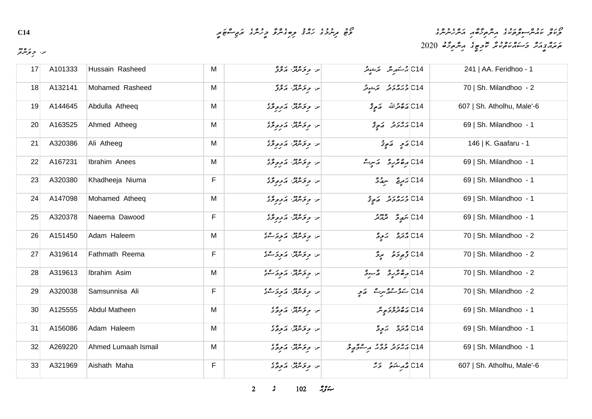*sCw7q7s5w7m< o<n9nOoAw7o< sCq;mAwBoEw7q<m; wBm;vB* م من المرة المرة المرة المرجع المرجع في المركبة 2020<br>مجم*د المريض المربوط المربع المرجع في المراجع المركبة* 

| 17 | A101333 | Hussain Rasheed     | M           | ىر. ئەنگەنگە ئەبەر            | C14 پرستمبر مگر میں مقرر ایک مقدم میں مقدم ایک ایک مقدم میں ایک ایک مقدم کے ان کے مقدم کے مقدم کے مقد<br>مقدم ایک مقدم مقدم مقدم مقدم مقدم کے ساتھ مقدم کے ساتھ مقدم کے ساتھ مقدم کے مقدم کے ساتھ کی ایک مقدم کے ساتھ ک | 241   AA. Feridhoo - 1     |
|----|---------|---------------------|-------------|-------------------------------|-------------------------------------------------------------------------------------------------------------------------------------------------------------------------------------------------------------------------|----------------------------|
| 18 | A132141 | Mohamed Rasheed     | M           | ر وترميز، روم                 | C14 <i>\$222 مَرْ</i> خومَر                                                                                                                                                                                             | 70   Sh. Milandhoo - 2     |
| 19 | A144645 | Abdulla Atheeq      | M           | أأرا وقرارهم وكالمواويج       | C14 مَەھْمَراللە مَەم <u>ِ</u> تْر                                                                                                                                                                                      | 607   Sh. Atholhu, Male'-6 |
| 20 | A163525 | Ahmed Atheeg        | M           | ىن بەنزىكەن كەندەپمۇتى        | C14 كەشكەتقى كەم <sub>ۇ</sub> تى                                                                                                                                                                                        | 69   Sh. Milandhoo - 1     |
| 21 | A320386 | Ali Atheeg          | M           | أأرا وتحاملك أروونجى          | C14 <i>۾َجِ چَمِيِّ</i>                                                                                                                                                                                                 | 146   K. Gaafaru - 1       |
| 22 | A167231 | Ibrahim Anees       | M           | أأرا وتحاملك أروونجى          | C14 <sub>مر</sub> ھ بڑے میں ہے۔                                                                                                                                                                                         | 69   Sh. Milandhoo - 1     |
| 23 | A320380 | Khadheeja Niuma     | F           | أأرا وتحاملك أروونجى          | C14 بَرْمِيعٌ مُمِيمٌرٌ                                                                                                                                                                                                 | 69   Sh. Milandhoo - 1     |
| 24 | A147098 | Mohamed Atheeq      | M           | أأرا وترجيل أروه تروث         | C14 <i>جنہ جو جو چ</i>                                                                                                                                                                                                  | 69   Sh. Milandhoo - 1     |
| 25 | A320378 | Naeema Dawood       | $\mathsf F$ | یں برقر وہ کھیلی کا کام       | C14 سَمِيرَ مَنْ مَشَرَّمَتْ                                                                                                                                                                                            | 69   Sh. Milandhoo - 1     |
| 26 | A151450 | Adam Haleem         | M           | ىن ئەقەتلەر مەركىسى           | C14 مُحَمَّدٌ   مَعِرْدٌ                                                                                                                                                                                                | 70   Sh. Milandhoo - 2     |
| 27 | A319614 | Fathmath Reema      | F           | أأرا وتحاملها أتروك ومحا      | C14 تُرجوحَمُ بِرِحٌ                                                                                                                                                                                                    | 70   Sh. Milandhoo - 2     |
| 28 | A319613 | Ibrahim Asim        | M           | أأرا وتحاملك أكافروسي         | C14 م <i>وڭ ئۇرۇ ھەج</i> و                                                                                                                                                                                              | 70   Sh. Milandhoo - 2     |
| 29 | A320038 | Samsunnisa Ali      | $\mathsf F$ | ىن ئەقەتلەر مەركىسى           | C14 كەبۇر شەرىبەت كەمبە                                                                                                                                                                                                 | 70   Sh. Milandhoo - 2     |
| 30 | A125555 | Abdul Matheen       | M           | ر. وِ وَسُرْتُوْ، مَ وِ وَ وَ | C14 مەھىر <i>خىرى بىر</i>                                                                                                                                                                                               | 69   Sh. Milandhoo - 1     |
| 31 | A156086 | Adam Haleem         | M           | ر وی گڼې ټروگانگ              | C14 مُرتر <i>و ب</i> َعِرو                                                                                                                                                                                              | 69   Sh. Milandhoo - 1     |
| 32 | A269220 | Ahmed Lumaah Ismail | M           | مرا تو تورگران از تروگر       | C14 كەندى قارىم مەھم بىرى ئىندى.<br>14. مەندى قارىم قارىرى بىرىدى.                                                                                                                                                      | 69   Sh. Milandhoo - 1     |
| 33 | A321969 | Aishath Maha        | F           | ىر. بەنزىكى، مەنزەتمى         | C14 مەم شەھ كەڭ                                                                                                                                                                                                         | 607   Sh. Atholhu, Male'-6 |

 $2$  *s*  $102$  *z***<sub>3</sub>** *z***<sub>3</sub>**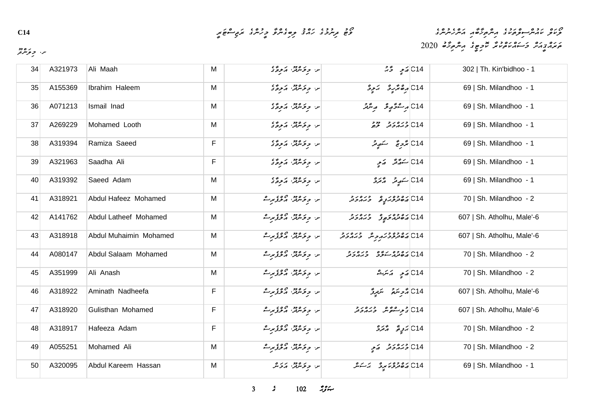*sCw7q7s5w7m< o<n9nOoAw7o< sCq;mAwBoEw7q<m; wBm;vB 2020<sup>, م</sup>وجدة المصرورة المجموعة المستورجة والم*جموعة والمجموعة والمجموعة والمجموعة والمجموعة والمجموعة والمجموعة

| 34 | A321973 | Ali Maah               | M           | ىر. بەنگەنگە: ئەنزەڭ  | C14] ر <sub>َم</sub> ح وَرُ                     | 302   Th. Kin'bidhoo - 1   |
|----|---------|------------------------|-------------|-----------------------|-------------------------------------------------|----------------------------|
| 35 | A155369 | Ibrahim Haleem         | M           | ر وی گرده کرده که     | C14 <sub>مر</sub> ھ تژر پھر تاریخ               | 69   Sh. Milandhoo - 1     |
| 36 | A071213 | Ismail Inad            | M           | ر. وترکردهی کرونره    | C14 م <i>ېرىشۇمې</i> ئۇ مېرى <i>گە</i> ر        | 69   Sh. Milandhoo - 1     |
| 37 | A269229 | Mohamed Looth          | M           | ر وی گڼل کروگای       | C14 وبرە بو دوم                                 | 69   Sh. Milandhoo - 1     |
| 38 | A319394 | Ramiza Saeed           | $\mathsf F$ | ر و د کرده کرده د     | C14 بَرْدِيَّ سَمَدٍ مِّرْ                      | 69   Sh. Milandhoo - 1     |
| 39 | A321963 | Saadha Ali             | $\mathsf F$ | ر ویکریژ، ټروگانی     | C14 سَتَمَدَّقَّہ صَعِ                          | 69   Sh. Milandhoo - 1     |
| 40 | A319392 | Saeed Adam             | M           | ر ویکریژ، ټروگانی     | C14 سَم <i>وِمْہ مُ</i> تَعَرَّدُ               | 69   Sh. Milandhoo - 1     |
| 41 | A318921 | Abdul Hafeez Mohamed   | M           | ما و توسيق الروز مرت  | C14 كەھىرى بول دىرەر د                          | 70   Sh. Milandhoo - 2     |
| 42 | A141762 | Abdul Latheef Mohamed  | M           | بر وتوسيق موزير م     | C14 كەھەرمۇم دىرەرد                             | 607   Sh. Atholhu, Male'-6 |
| 43 | A318918 | Abdul Muhaimin Mohamed | M           | ر و د وده مورد د ع    | C14 رەپروترىرچە ئەرەربە                         | 607   Sh. Atholhu, Male'-6 |
| 44 | A080147 | Abdul Salaam Mohamed   | M           | بر وتوسيق موريده      | C14 <sub>مەھ</sub> ىرە بەرە جەمەدىر             | 70   Sh. Milandhoo - 2     |
| 45 | A351999 | Ali Anash              | M           | ىر. بەندىق، مەھۋىرى   | C14 كەي كەنترىشە                                | 70   Sh. Milandhoo - 2     |
| 46 | A318922 | Aminath Nadheefa       | $\mathsf F$ | ىر. بەندىق، مەقرىم بە | C14 مٌّ <i>جِسَعْةَ</i> سَمَبِرِدٌّ             | 607   Sh. Atholhu, Male'-6 |
| 47 | A318920 | Gulisthan Mohamed      | F           | ما و توسيق الروز مرت  | C14 <sub>ج</sub> ې د مگه د محمد د محمد د محمد ا | 607   Sh. Atholhu, Male'-6 |
| 48 | A318917 | Hafeeza Adam           | $\mathsf F$ | بر وتوسير، موزير ه    | C14 بَرَرٍ <i>مَحْ</i> مَسْرَدَّ                | 70   Sh. Milandhoo - 2     |
| 49 | A055251 | Mohamed Ali            | M           | بر وتوسير، موزير ه    | C14 <i>جەنگە خەر مەي</i>                        | 70   Sh. Milandhoo - 2     |
| 50 | A320095 | Abdul Kareem Hassan    | M           | أأرا وتحامدها أركاش   | C14 كەھە <i>ترىۋىزىرى بەسكى</i> ر               | 69   Sh. Milandhoo - 1     |

*3 <i>s s* **102** *z z*<sub></sub>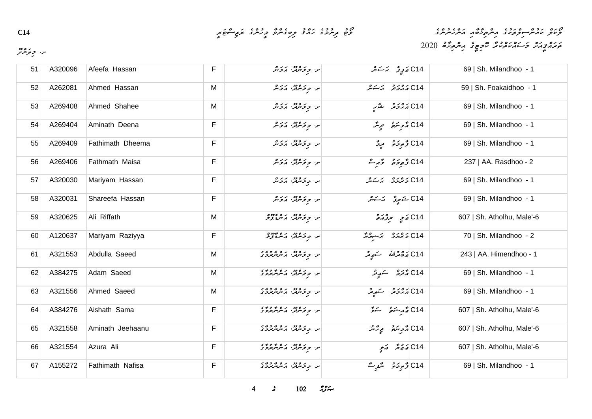*sCw7q7s5w7m< o<n9nOoAw7o< sCq;mAwBoEw7q<m; wBm;vB 2020<sup>, م</sup>وجدة المصرورة المجموعة المستورجة والم*جموعة والمجموعة والمجموعة والمجموعة والمجموعة والمجموعة والمجموعة

| 51 | A320096 | Afeefa Hassan    | $\mathsf{F}$ | ىر. دېگىرىقى، ئەڭ ئىر                          | C14 <i>ھَ پِ</i> وَ – سَ <sup>س</sup> ر | 69   Sh. Milandhoo - 1     |
|----|---------|------------------|--------------|------------------------------------------------|-----------------------------------------|----------------------------|
| 52 | A262081 | Ahmed Hassan     | M            | أأرا وإقرارهم أركاش                            | C14  كەبر <i>ۇ قەسى</i> مىتىكى          | 59   Sh. Foakaidhoo - 1    |
| 53 | A269408 | Ahmed Shahee     | M            | الرا ويحاكمك أركاش                             | C14 كەنزى قىرىيەتقىر يىلىپ              | 69   Sh. Milandhoo - 1     |
| 54 | A269404 | Aminath Deena    | F            | ىر. جۇنگۇن كەرگە                               | C14 مَّ حِسَمَ <sub>ة في</sub> سَّ      | 69   Sh. Milandhoo - 1     |
| 55 | A269409 | Fathimath Dheema | $\mathsf F$  | ىر. ئەبەتلەر ئەركىر                            | C14 تَرْجِ حَمَّى مَرِحَّ               | 69   Sh. Milandhoo - 1     |
| 56 | A269406 | Fathmath Maisa   | $\mathsf F$  | ىر. جۇنگەنگە كەتكە                             | C14 ز <sub>نجو</sub> ځو ځېرگ            | 237   AA. Rasdhoo - 2      |
| 57 | A320030 | Mariyam Hassan   | F            | ىر. بەنزىكى، ئەنزىك                            | C14 كۈچۈرى ئەسەمىر                      | 69   Sh. Milandhoo - 1     |
| 58 | A320031 | Shareefa Hassan  | $\mathsf F$  | ر وتحسن المحس                                  | C14 شىمب <i>وگە بەستى</i> ر             | 69   Sh. Milandhoo - 1     |
| 59 | A320625 | Ali Riffath      | M            | ر و بر وده در و دوه و                          | C14 <i>جَرِجِي بروْجَ</i> تَح           | 607   Sh. Atholhu, Male'-6 |
| 60 | A120637 | Mariyam Raziyya  | F            | بر و و ده د مورده                              | C14 ك <i>رىدۇ ترىندى</i> گە             | 70   Sh. Milandhoo - 2     |
| 61 | A321553 | Abdulla Saeed    | M            | برا وتحسير المترشدون                           | C14 مَەھىراللە س <i>ەم</i> بىتر         | 243   AA. Himendhoo - 1    |
| 62 | A384275 | Adam Saeed       | M            | ىر، ئەخرىرى بەر ئەھمەدە ئ                      | C14 مُرترى سَم <i>وِينْ</i>             | 69   Sh. Milandhoo - 1     |
| 63 | A321556 | Ahmed Saeed      | M            | ىر ەھەدىر ئەھمەدە».<br>س-ئومۇسى ئەس ئىس ئىرىرى | C14 كەبرى قىر سىمب <i>و</i> تر          | 69   Sh. Milandhoo - 1     |
| 64 | A384276 | Aishath Sama     | F            | س ونوسري پرچروه وه                             | C14 مەمرىش <i>ەق سەۋ</i>                | 607   Sh. Atholhu, Male'-6 |
| 65 | A321558 | Aminath Jeehaanu | $\mathsf F$  | برا وتحسين كالمرشدون                           | C14 مَّ حِسَعَ مِعِ شَتَر               | 607   Sh. Atholhu, Male'-6 |
| 66 | A321554 | Azura Ali        | F            | ىر. جەنگەنگەر كەش <i>كەن ئە</i> ر              | C14 كەيج <i>مىڭ ھې</i>                  | 607   Sh. Atholhu, Male'-6 |
| 67 | A155272 | Fathimath Nafisa | F            | ىر. ئەقەشلى، مەسىر بىرىدى                      | C14 رَّجِوحَة مُسَّرِسَّة               | 69   Sh. Milandhoo - 1     |

*4 s* 102 *i*<sub>s</sub> $\approx$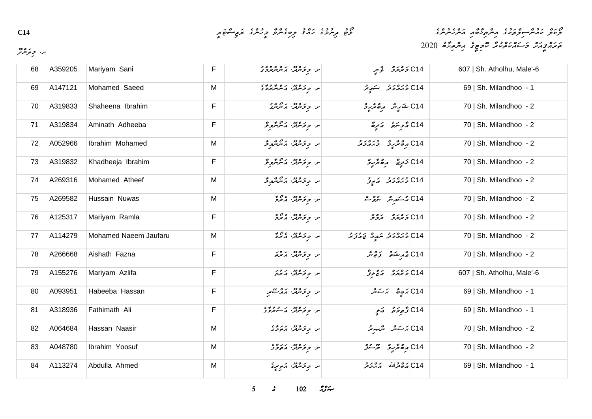*sCw7q7s5w7m< o<n9nOoAw7o< sCq;mAwBoEw7q<m; wBm;vB 2020*<br>*په پوهر وسوډيرونو لومو د موجو د مرمونه* 2020

| 68 | A359205 | Mariyam Sani          | F | المستحصر والمتحد المسترجري       | C14 ك <i>ر بردۇ</i> قۇمېر              | 607   Sh. Atholhu, Male'-6 |
|----|---------|-----------------------|---|----------------------------------|----------------------------------------|----------------------------|
| 69 | A147121 | Mohamed Saeed         | M | برا وتحسيرا الاستعداد            | C14 <i>\$222 مكوفر</i>                 | 69   Sh. Milandhoo - 1     |
| 70 | A319833 | Shaheena Ibrahim      | F | ىر. جۇنگۇنى ئەتكىگە              | C14 ڪ <sub>يپ</sub> ير م <i>چين</i> پو | 70   Sh. Milandhoo - 2     |
| 71 | A319834 | Aminath Adheeba       | F | ر ونوس پر مگر شروع               | C14 مُزْحِسَمُ مَسِرَّةً               | 70   Sh. Milandhoo - 2     |
| 72 | A052966 | Ibrahim Mohamed       | M | س وِ وَسْرَبْرٌ، وَسْرَسَّوِ وَّ | C14 مەھەر بەرەردە دېرىدىن              | 70   Sh. Milandhoo - 2     |
| 73 | A319832 | Khadheeja Ibrahim     | F | أأرا وتحارقها أركاكه ومحر        | C14 كَتَعِيقَ - مِنْ صُحَّرِ فِي       | 70   Sh. Milandhoo - 2     |
| 74 | A269316 | Mohamed Atheef        | M | ىر. جەنبەت كەشگەنگە              | C14 <i>3222 مَهورْ</i>                 | 70   Sh. Milandhoo - 2     |
| 75 | A269582 | Hussain Nuwas         | M | ر وتوسطا به دو                   | C14 ترسىمبە مەرگە ئىس                  | 70   Sh. Milandhoo - 2     |
| 76 | A125317 | Mariyam Ramla         | F | س تر تر شرق المرکز               | C14 كەبىر بىر ئىرگە ئىر                | 70   Sh. Milandhoo - 2     |
| 77 | A114279 | Mohamed Naeem Jaufaru | M | ما أو تو مدين المركز             | C14 ديرەرد ئىھەد ئەھەدىر               | 70   Sh. Milandhoo - 2     |
| 78 | A266668 | Aishath Fazna         | F | ر وتحسن معدد                     | C14 مۇم شىم ئىق ئىش                    | 70   Sh. Milandhoo - 2     |
| 79 | A155276 | Mariyam Azlifa        | F | أأرا وتحاملك أرجره               | C14 كى يىرتى ھىنى مۇقى                 | 607   Sh. Atholhu, Male'-6 |
| 80 | A093951 | Habeeba Hassan        | F | المزاح والمروري أتراه الشجامي    | C14 بَرَصِرَة بَرَسَدَ <i>سَ</i> ر     | 69   Sh. Milandhoo - 1     |
| 81 | A318936 | Fathimath Ali         | F | المزاح وكلافة الاستعروى          | C14 وَج <i>وحَ</i> هُ صَعِي            | 69   Sh. Milandhoo - 1     |
| 82 | A064684 | Hassan Naasir         | M | ر و وگري پروه                    | C14 برسەيى گەسەير                      | 70   Sh. Milandhoo - 2     |
| 83 | A048780 | Ibrahim Yoosuf        | M | ر وتحسين معدود                   | C14 مەھەمگەيدى مەسىر <i>ۇ</i>          | 70   Sh. Milandhoo - 2     |
| 84 | A113274 | Abdulla Ahmed         | M | ىر. بەنگەنگە، ئەھ بېرى           | C14 مَەھْتَراللە مَەرقىر               | 69   Sh. Milandhoo - 1     |

 $5$   $5$   $102$   $25$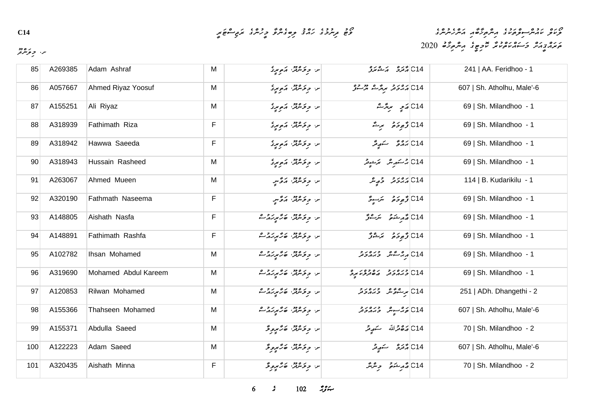*sCw7q7s5w7m< o<n9nOoAw7o< sCq;mAwBoEw7q<m; wBm;vB 2020*<br>*په پوهر وسوډيرونو لومو د موجو د مرمونه* 2020

| 85  | A269385 | Adam Ashraf               | M           | ىر. ئۆچۈشى كەھمىرى                 | C14 مرترد مرشورو                             | 241   AA. Feridhoo - 1     |
|-----|---------|---------------------------|-------------|------------------------------------|----------------------------------------------|----------------------------|
| 86  | A057667 | <b>Ahmed Riyaz Yoosuf</b> | M           | ر ویکریژ، رکم برد                  | C14 كەبۇر تەر بىر بىر بىر مەدر دە            | 607   Sh. Atholhu, Male'-6 |
| 87  | A155251 | Ali Riyaz                 | M           | ر ویکریژ، رکوبرد                   | C14 کیے میٹر می <sub>ہ</sub>                 | 69   Sh. Milandhoo - 1     |
| 88  | A318939 | Fathimath Riza            | $\mathsf F$ | ىر. بەنگەنىڭ، ئەھ بېرى             | C14 تۇم <sub>ۇ</sub> خۇ مېت                  | 69   Sh. Milandhoo - 1     |
| 89  | A318942 | Hawwa Saeeda              | $\mathsf F$ | ىر. بەنگەنىڭ، ئەھ بېرى             | C14 ئەبۇق س <i>تەم</i> ەتتى                  | 69   Sh. Milandhoo - 1     |
| 90  | A318943 | Hussain Rasheed           | M           | ىر. جەڭرىق، مەم بىرى               | C14 پرستمبر مگر میں مقرر مقرر مقرر ا         | 69   Sh. Milandhoo - 1     |
| 91  | A263067 | Ahmed Mueen               | M           | ىر. بەيھەتلەر كەڭ بىر              | C14 كەبۇ ئۇم قەم بىر                         | 114   B. Kudarikilu - 1    |
| 92  | A320190 | Fathmath Naseema          | $\mathsf F$ | الرا و د کرده. م گرامبر            | C14 <i>وُّهِ دَمَ</i> مَرَسِودً              | 69   Sh. Milandhoo - 1     |
| 93  | A148805 | Aishath Nasfa             | $\mathsf F$ | ىر. بە ئەرەر ئەر ئەر ئە            | C14 مەم يىشقى ئىس ئىستىرىگە                  | 69   Sh. Milandhoo - 1     |
| 94  | A148891 | Fathimath Rashfa          | F           | ر و و مهر المرد و ه                | C14 تۇ <sub>ج</sub> وخ <sup>ى</sup> بىر شۇتى | 69   Sh. Milandhoo - 1     |
| 95  | A102782 | Ihsan Mohamed             | M           | المرا وكالمرتد فأرجح بركار والمحمد | C14 <sub>مە</sub> رمىسى <i>دىنەدى</i> ر      | 69   Sh. Milandhoo - 1     |
| 96  | A319690 | Mohamed Abdul Kareem      | M           | المرا وكالمرتد فأرجح بركار والمحمد | C14 ديره در ده دور ده د                      | 69   Sh. Milandhoo - 1     |
| 97  | A120853 | Rilwan Mohamed            | M           | ىن جەنگە ھەممەردە ھ                | C14 ىرىش <i>ۇنلى دېمم</i> ۇنر                | 251   ADh. Dhangethi - 2   |
| 98  | A155366 | Thahseen Mohamed          | M           | ىن جەنگە ھەممەردە                  | C14 <i>ەنگى</i> سى قىرە دىر                  | 607   Sh. Atholhu, Male'-6 |
| 99  | A155371 | Abdulla Saeed             | M           | ىر: بەنەشىرە ئەترىپرە ئ            | C14 مَەھْتَراللە سَىمِيقْر                   | 70   Sh. Milandhoo - 2     |
| 100 | A122223 | Adam Saeed                | M           | ر وزمین کاربروژ                    | C14 ۾ <i>ترو ڪوپ</i> ور                      | 607   Sh. Atholhu, Male'-6 |
| 101 | A320435 | Aishath Minna             | F           | ىر. بەنزىكرى قائايرى ئ             | C14 مەمرىشى مەيگە                            | 70   Sh. Milandhoo - 2     |

 $6$  *s*  $102$  *z*  $25$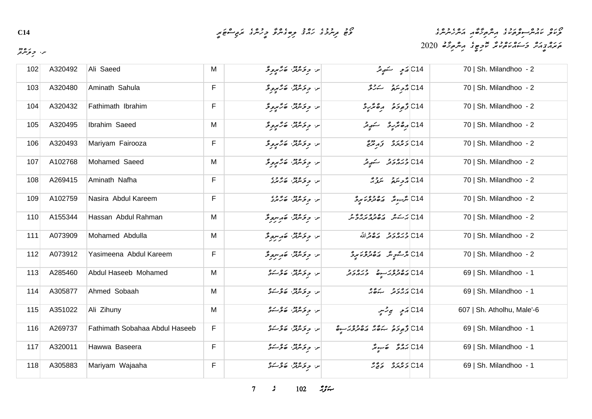*sCw7q7s5w7m< o<n9nOoAw7o< sCq;mAwBoEw7q<m; wBm;vB* م من المرة المرة المرة المرجع المرجع في المركبة 2020<br>مجم*د المريض المربوط المربع المرجع في المراجع المركبة* 

| 102 | A320492 | Ali Saeed                      | M           | ىر. بەندىقر، ھەتىمبونى      | C14 <i>ھَ جِ</i> سَم <i>وِيْرٌ</i>                                                                   | 70   Sh. Milandhoo - 2     |
|-----|---------|--------------------------------|-------------|-----------------------------|------------------------------------------------------------------------------------------------------|----------------------------|
| 103 | A320480 | Aminath Sahula                 | F           | ىر. بەندىق قائىرىدۇ.        | C14 مُوسَعْدِ سَنَدْنَدُ                                                                             | 70   Sh. Milandhoo - 2     |
| 104 | A320432 | Fathimath Ibrahim              | F           | ىر بەللەش ئەرگىرىدۇ.        | C14 تۇ <sub>ج</sub> وخۇ مەھە <i>ترى</i> رى                                                           | 70   Sh. Milandhoo - 2     |
| 105 | A320495 | Ibrahim Saeed                  | M           | ىر. بەندىق قائىرىدۇ.        | C14 م <i>وڭ ئۇر</i> بۇ سىمپىتر                                                                       | 70   Sh. Milandhoo - 2     |
| 106 | A320493 | Mariyam Fairooza               | F           | ىر. بەندىق قائىرىدۇ.        | C14 كر جرير محمد محمد المحمد المحمد المحمد المحمد المحمد المحمد المحمد المحمد المحمد المحمد المحمد ا | 70   Sh. Milandhoo - 2     |
| 107 | A102768 | Mohamed Saeed                  | M           | أأرا وتركيبن كالمجروق       | C14 <i>\$222 كوم</i> تر                                                                              | 70   Sh. Milandhoo - 2     |
| 108 | A269415 | Aminath Nafha                  | F           | ىر. ئەنۇشى <i>كەن ئە</i> رە | C14 مُرْحِسَمُ مَسْتَرْبَّهُ                                                                         | 70   Sh. Milandhoo - 2     |
| 109 | A102759 | Nasira Abdul Kareem            | $\mathsf F$ | ر وتوسطا ورود               | C14 مگرسو <i>مگر مقافر فرند م</i> رد                                                                 | 70   Sh. Milandhoo - 2     |
| 110 | A155344 | Hassan Abdul Rahman            | M           | ىر. جەنبەتر، ھەسمەتى        | C14 ئەسەمىر مەھ <i>وم مەمەر ۋى</i> ر                                                                 | 70   Sh. Milandhoo - 2     |
| 111 | A073909 | Mohamed Abdulla                | M           | ر. وتحسن كەسمى تحم          | C14 وتره و به محدد الله                                                                              | 70   Sh. Milandhoo - 2     |
| 112 | A073912 | Yasimeena Abdul Kareem         | F           | ر. وتحسن كەسمى تحم          | C14 تر شوپى <i>گە مەھەر دىن</i> مېرى                                                                 | 70   Sh. Milandhoo - 2     |
| 113 | A285460 | Abdul Haseeb Mohamed           | M           | ىر بەللەر ھۆسى              | C14 مەھەرى سوھ دىمەددىر                                                                              | 69   Sh. Milandhoo - 1     |
| 114 | A305877 | Ahmed Sobaah                   | M           | بر بروده روره               | C14 كەبروتر س <i>ەھ</i> ر                                                                            | 69   Sh. Milandhoo - 1     |
| 115 | A351022 | Ali Zihuny                     | M           | أأرا وتوسيق كالوسكو         | C14 کمبر ہو <sup>2</sup> س <sub>ر</sub>                                                              | 607   Sh. Atholhu, Male'-6 |
| 116 | A269737 | Fathimath Sobahaa Abdul Haseeb | $\mathsf F$ | بر وتوسير، ھوسکو            | C14 توجوج جن مصر مودي ده                                                                             | 69   Sh. Milandhoo - 1     |
| 117 | A320011 | Hawwa Baseera                  | F           | ىر بەللەر ھۆسىمى            | C14 <i>بَدْهُدٌ</i> صَبِيمٌ                                                                          | 69   Sh. Milandhoo - 1     |
| 118 | A305883 | Mariyam Wajaaha                | F           | ىر. بەيجەنلەرگە ئەسىر       | C14 كەبىر <i>بىر ئى</i> مىتى ئى                                                                      | 69   Sh. Milandhoo - 1     |

 $7$  *s*  $102$  *i*<sub>s</sub>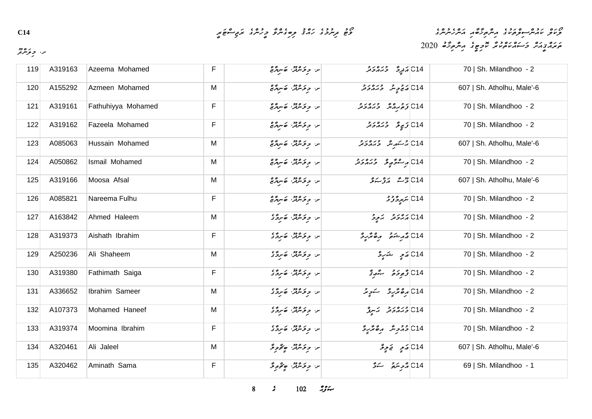*sCw7q7s5w7m< o<n9nOoAw7o< sCq;mAwBoEw7q<m; wBm;vB 2020<sup>, م</sup>وجدة المصرورة المجموعة المستورجة والم*جموعة والمجموعة والمجموعة والمجموعة والمجموعة والمجموعة والمجموعة

| 119 | A319163 | Azeema Mohamed     | $\mathsf F$ | الرا وكرمرين كالبرمرج      | C14 كەنوپى ق <i>ەمم</i> ەتىر                                                                                                                                                                                                     | 70   Sh. Milandhoo - 2     |
|-----|---------|--------------------|-------------|----------------------------|----------------------------------------------------------------------------------------------------------------------------------------------------------------------------------------------------------------------------------|----------------------------|
| 120 | A155292 | Azmeen Mohamed     | M           | الرا وكرمرين كالبرمرج      | C14 كەيم <i>چىگە مىمكەم</i> تىر                                                                                                                                                                                                  | 607   Sh. Atholhu, Male'-6 |
| 121 | A319161 | Fathuhiyya Mohamed | $\mathsf F$ | الرا وكرمرين كالبرمرج      | C14 كوخرىدىگە كەندى ئەرەپ                                                                                                                                                                                                        | 70   Sh. Milandhoo - 2     |
| 122 | A319162 | Fazeela Mohamed    | F           | ر و د سرټر، ځېرمرغ         | C14 تۇي <sub>م</sub> ۇ ئە <i>مەدى</i> ر                                                                                                                                                                                          | 70   Sh. Milandhoo - 2     |
| 123 | A085063 | Hussain Mohamed    | M           | ر و د سرټر، ځېرمرغ         | C14 يُرَسَمبِ شَرِ وَبَرَ وَجَعَدَ                                                                                                                                                                                               | 607   Sh. Atholhu, Male'-6 |
| 124 | A050862 | Ismail Mohamed     | M           | الرا وكرمرين كالبرمرج      | C14 م سىر <i>ۇم بىر ئەزەر د</i> ىر                                                                                                                                                                                               | 70   Sh. Milandhoo - 2     |
| 125 | A319166 | Moosa Afsal        | M           | ر. و د سرگر، ځېرمرگو       | C14 جو پروت                                                                                                                                                                                                                      | 607   Sh. Atholhu, Male'-6 |
| 126 | A085821 | Nareema Fulhu      | $\mathsf F$ | ر. و د کردن ځېرمر د        | C14 سَرِرِدَّ تَرْتَ                                                                                                                                                                                                             | 70   Sh. Milandhoo - 2     |
| 127 | A163842 | Ahmed Haleem       | M           | ر وی گردنی کاروژگی         | C14 <i>مَدْدَوْرْ بَ</i> حِوْدَ                                                                                                                                                                                                  | 70   Sh. Milandhoo - 2     |
| 128 | A319373 | Aishath Ibrahim    | $\mathsf F$ | ر وی گڼل ځېروگ             | C14 مەم شىم مەھەر يە                                                                                                                                                                                                             | 70   Sh. Milandhoo - 2     |
| 129 | A250236 | Ali Shaheem        | M           | ر ویکریژ، ځېروگ            | C14] ر <sub>َم</sub> ح حَد <i>ي</i> دُ                                                                                                                                                                                           | 70   Sh. Milandhoo - 2     |
| 130 | A319380 | Fathimath Saiga    | F           | من تر تر شرق که مرد دی     | C14 ز <sub>ىم ئ</sub> وخۇ سەمبۇ                                                                                                                                                                                                  | 70   Sh. Milandhoo - 2     |
| 131 | A336652 | Ibrahim Sameer     | M           | ر وی گردنی کاروژگی         | C14 مەھەر ئەر ئىسىمىتى ئىسىمىتى ئىسىمىتى ئىسىمىتى ئىسىمىتى ئىسىمىتى ئىسىمىتى ئىسىمىتى ئىسىمىتى ئىستى ئىستى ئىس<br>ئىسىمىتى ئىسىمىتى ئىسىمىتى ئىسىمىتى ئىسىمىتى ئىسىمىتى ئىسىمىتى ئىسىمىتى ئىسىمىتى ئىسىمىتى ئىسىمىتى ئىستىدىن ئى | 70   Sh. Milandhoo - 2     |
| 132 | A107373 | Mohamed Haneef     | M           | ىر. بەنگەنگە، ھەبەدى       | C14 <i>\$222 كەيدى</i>                                                                                                                                                                                                           | 70   Sh. Milandhoo - 2     |
| 133 | A319374 | Moomina Ibrahim    | $\mathsf F$ | ر ویکریژ، ځېروگ            | C14 دَمَرْمِتَرَ مِنْ مَمْرِدْ                                                                                                                                                                                                   | 70   Sh. Milandhoo - 2     |
| 134 | A320461 | Ali Jaleel         | M           | الرا و و کرکر کا جاگرو و گ | C14] ر <sub>َم</sub> حٍ کے پی                                                                                                                                                                                                    | 607   Sh. Atholhu, Male'-6 |
| 135 | A320462 | Aminath Sama       | F           | ىر. بە ئەشقۇ، ھەكھ بەڭ     | C14 مُتَّحِسَّعَ سَنَرَّ                                                                                                                                                                                                         | 69   Sh. Milandhoo - 1     |

*r@w7mBo> .6*

**8** *s* **102** *rg*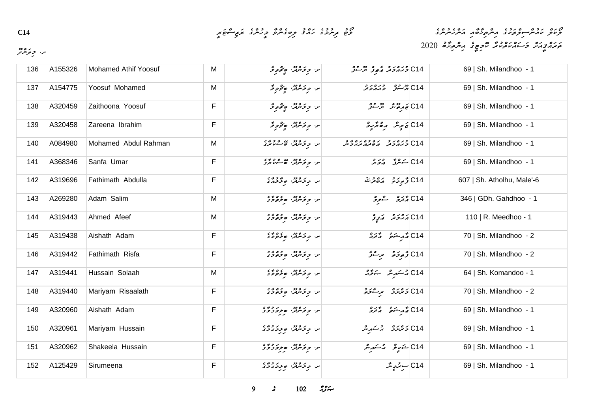*sCw7q7s5w7m< o<n9nOoAw7o< sCq;mAwBoEw7q<m; wBm;vB* م من المرة المرة المرة المرجع المرجع في المركبة 2020<br>مجم*د المريض المربوط المربع المرجع في المراجع المركبة* 

| 136 | A155326 | <b>Mohamed Athif Yoosuf</b> | M           | ىر. جۇشۇقى ھەھمىگە                         | C14 <i>دېم ده چې</i> وگر مرسو             | 69   Sh. Milandhoo - 1     |
|-----|---------|-----------------------------|-------------|--------------------------------------------|-------------------------------------------|----------------------------|
| 137 | A154775 | Yoosuf Mohamed              | M           | ىر. ئەقەتلەرگە ھەھمۇقە                     | C14 تېر <i>ده د ده</i> در                 | 69   Sh. Milandhoo - 1     |
| 138 | A320459 | Zaithoona Yoosuf            | F           | ىر. جۇ ئىرلىق ھەقبۇ ئى                     | C14 ئىم مەھمىر بىر مەدرە                  | 69   Sh. Milandhoo - 1     |
| 139 | A320458 | Zareena Ibrahim             | F           | الرا و ئوسرتى ھەم ئى                       | C14 ئ <sub>ى</sub> رىتر ب <i>ەھترې</i> ۋ  | 69   Sh. Milandhoo - 1     |
| 140 | A084980 | Mohamed Abdul Rahman        | M           | ر د ده ده په ۲۶۵۰ و                        | C14 درورد رودوروده                        | 69   Sh. Milandhoo - 1     |
| 141 | A368346 | Sanfa Umar                  | $\mathsf F$ | س و وسربو ای و و د ه                       | C14 سەندىق ھ <sup>ى</sup> رىم             | 69   Sh. Milandhoo - 1     |
| 142 | A319696 | Fathimath Abdulla           | $\mathsf F$ | ىر. بەنگەنگە ئەھمەتلەر                     | C14 قَەب <i>وخۇ مەھى</i> راللە            | 607   Sh. Atholhu, Male'-6 |
| 143 | A269280 | Adam Salim                  | M           | س ونوسهن ھوگوی                             | C14 مُحَمَّدٌ سُمَّحِرْ                   | 346   GDh. Gahdhoo - 1     |
| 144 | A319443 | Ahmed Afeef                 | M           | یں تر تر مرکزی صر تر ہی ت                  | C14 <i>ټرې ترو</i> و                      | 110   R. Meedhoo - 1       |
| 145 | A319438 | Aishath Adam                | F           | ىن ئۆشۈش ھۆھۈرى                            | C14 مەم شىم مەمرى                         | 70   Sh. Milandhoo - 2     |
| 146 | A319442 | Fathimath Risfa             | F           | س وتوسيل ھۆھۈى                             | C14 رَّ <sub>جِ ح</sub> َمَّ مِنْ شَرَّ   | 70   Sh. Milandhoo - 2     |
| 147 | A319441 | Hussain Solaah              | M           | ىر. ئەنگەرى ئەنگەرى<br>مەن ئەنگەرى ئەنگەرى | C14 ير <i>شهر شهر بندو بن</i>             | 64   Sh. Komandoo - 1      |
| 148 | A319440 | Mariyam Risaalath           | $\mathsf F$ | س و وسربر المعده و د                       | C14 <i>وَبُرْمَرْ وَبِرْجُوَمُ</i>        | 70   Sh. Milandhoo - 2     |
| 149 | A320960 | Aishath Adam                | $\mathsf F$ | ین و و شور او در دره و                     | C14 مَ <sub>م</sub> ْ مِسْمَعْ مُمْتَرَدْ | 69   Sh. Milandhoo - 1     |
| 150 | A320961 | Mariyam Hussain             | $\mathsf F$ | برا و و سرفرا ، مورد و دا                  | C14 كەبىر بىر يەسىر بىر                   | 69   Sh. Milandhoo - 1     |
| 151 | A320962 | Shakeela Hussain            | F           | ین و ویروژه گروه و در د                    | C14 خىرى <i>گە باشىرى</i> گە              | 69   Sh. Milandhoo - 1     |
| 152 | A125429 | Sirumeena                   | F           | ىر. ئەخرىكى ھۆكەت ئ                        | C14 سويڅر <sub>ىچى</sub> نگه              | 69   Sh. Milandhoo - 1     |

*9 s* 102 *i*<sub>s</sub> $\rightarrow$ </sub>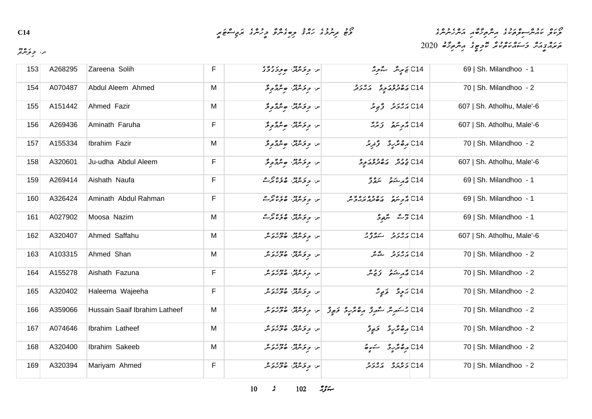*sCw7q7s5w7m< o<n9nOoAw7o< sCq;mAwBoEw7q<m; wBm;vB* م من المرة المرة المرة المرجع المرجع في المركبة 2020<br>مجم*د المريض المربوط المربع المرجع في المراجع المركبة* 

| 153 | A268295 | Zareena Solih                 | F            | در وتحسن صور دور                                                                                   | C14 تج مریٹر گے <i>ج</i> ویر                                                                         | 69   Sh. Milandhoo - 1     |
|-----|---------|-------------------------------|--------------|----------------------------------------------------------------------------------------------------|------------------------------------------------------------------------------------------------------|----------------------------|
| 154 | A070487 | Abdul Aleem Ahmed             | M            | من تر تر وجه من تر تر تر تر                                                                        | C14 كەھەم <i>رى بوھىدە بەر د</i> ېر                                                                  | 70   Sh. Milandhoo - 2     |
| 155 | A151442 | Ahmed Fazir                   | M            | الرا وكرمين والرؤولة                                                                               | C14 كەش <sup>ى</sup> تىرى تىرى بىر                                                                   | 607   Sh. Atholhu, Male'-6 |
| 156 | A269436 | Aminath Faruha                | F            | الرا وكرمين والرؤولة                                                                               | C14 مَّ <i>جِينَهُ وَبَدْ</i> نَهُ                                                                   | 607   Sh. Atholhu, Male'-6 |
| 157 | A155334 | Ibrahim Fazir                 | M            | مر بالا ترکیبر الله جنگر میگردید                                                                   | C14 م <i>وڭ بگرى</i> ئۇنوپتر                                                                         | 70   Sh. Milandhoo - 2     |
| 158 | A320601 | Ju-udha Abdul Aleem           | F            |                                                                                                    | C14 <i>ف<sub>ُ</sub>مِثَرَ مُ</i> ھت <i>ر دُومَ وِ</i> دَ                                            | 607   Sh. Atholhu, Male'-6 |
| 159 | A269414 | Aishath Naufa                 | $\mathsf{F}$ | ر به دورو ۵٬۵۰۵ و.                                                                                 | C14 مەم شىم سى <i>مى ئى</i>                                                                          | 69   Sh. Milandhoo - 1     |
| 160 | A326424 | Aminath Abdul Rahman          | $\mathsf F$  | ر و د سرده و د د د ه                                                                               | C14 مُرْحِسَمُ مُصْرِمُ مُرْدِوَسُ                                                                   | 69   Sh. Milandhoo - 1     |
| 161 | A027902 | Moosa Nazim                   | M            | ىر بەللەر ئەمەر ئ                                                                                  | C14 جي شمبي شهور شمبي                                                                                | 69   Sh. Milandhoo - 1     |
| 162 | A320407 | Ahmed Saffahu                 | M            | من توفر سرور ۱۵۶۶ و ۲۰<br>  من توفر سرقر ۱۵۶۷ و سر                                                 | C14 كەبروتر سى <i>مۇنى</i>                                                                           | 607   Sh. Atholhu, Male'-6 |
| 163 | A103315 | Ahmed Shan                    | M            | در وده دوده ده                                                                                     |                                                                                                      | 70   Sh. Milandhoo - 2     |
| 164 | A155278 | Aishath Fazuna                | F            | بر و وسوره دروسی                                                                                   | C14 مۇم <i>رىشقۇ    ق</i> ۇيم ئىر                                                                    | 70   Sh. Milandhoo - 2     |
| 165 | A320402 | Haleema Wajeeha               | $\mathsf F$  | ر د ده دود دود ده                                                                                  |                                                                                                      | 70   Sh. Milandhoo - 2     |
| 166 | A359066 | Hussain Saaif Ibrahim Latheef | M            |                                                                                                    | 014 جُستهر مل مستهوفة مركز من الله الله المحمد الله مع المستقرر من المستقرر المحمد الله من الله من ا | 70   Sh. Milandhoo - 2     |
| 167 | A074646 | Ibrahim Latheef               | M            | من توفر ملل المعرض من المحدد المحدد المحدد المحدد المحدد المحدد المحدد المحدد المحدد المحدد المحدد | C14 <sub>مو</sub> ھ <i>مگرچ</i> کی کی دی                                                             | 70   Sh. Milandhoo - 2     |
| 168 | A320400 | Ibrahim Sakeeb                | M            | ا در وجود دوده ده                                                                                  | C14 مەھمەر يەھ سىرىھ                                                                                 | 70   Sh. Milandhoo - 2     |
| 169 | A320394 | Mariyam Ahmed                 | F            | ر د ه دو وووه ده.<br>د او و مربو استان                                                             | C14 ك <i>روره مردون</i> د                                                                            | 70   Sh. Milandhoo - 2     |

 $10$  *s*  $102$  *n***<sub>s</sub>**  $\frac{2}{3}$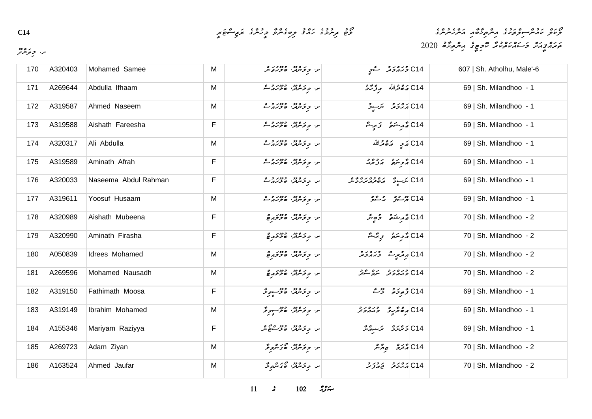*sCw7q7s5w7m< o<n9nOoAw7o< sCq;mAwBoEw7q<m; wBm;vB* م من المرة المرة المرة المرجع المرجع في المركبة 2020<br>مجم*د المريض المربوط المربع المرجع في المراجع المركبة* 

| ر ه دد<br>ىر، ترىرىر |  |
|----------------------|--|
|----------------------|--|

| 170 | A320403 | Mohamed Samee        | M            | ىر. ئەخرىرى ئەدەبەر ئ | C14 <i>2222 مگ</i> و                          | 607   Sh. Atholhu, Male'-6 |
|-----|---------|----------------------|--------------|-----------------------|-----------------------------------------------|----------------------------|
| 171 | A269644 | Abdulla Ifhaam       | M            | ر و و مهر و در و ه    | C14 مَەھْمَراللە م <i>ورْد</i> َد             | 69   Sh. Milandhoo - 1     |
| 172 | A319587 | Ahmed Naseem         | M            | ر د ده دور ده د       | C14 كەبرى كىلى ئىسىدى ئىسىدى ئىس              | 69   Sh. Milandhoo - 1     |
| 173 | A319588 | Aishath Fareesha     | F            | ر د ده دور ده و       | C14 مَگرمشمو كرموشة                           | 69   Sh. Milandhoo - 1     |
| 174 | A320317 | Ali Abdulla          | M            | بر و وسرور و در دره   | C14 <i>مَتِجِ مَنْ قَمَّ</i> اللَّه           | 69   Sh. Milandhoo - 1     |
| 175 | A319589 | Aminath Afrah        | $\mathsf F$  | ر و و مهر و در و ه    | C14 مُتَّحِسَمَةُ مَوْتَمَّةُ                 | 69   Sh. Milandhoo - 1     |
| 176 | A320033 | Naseema Abdul Rahman | F            | ر د ده دور ده و       | C14 م <i>ىر بىرى مەدەبرە بو</i> م             | 69   Sh. Milandhoo - 1     |
| 177 | A319611 | Yoosuf Husaam        | M            | س و وسرور و در دره    | C14 پريزو برگړو                               | 69   Sh. Milandhoo - 1     |
| 178 | A320989 | Aishath Mubeena      | $\mathsf{F}$ | ر و و و و و در ه      | C14 مَگرېشمۇ ئۇھ <sub>ى</sub> گر              | 70   Sh. Milandhoo - 2     |
| 179 | A320990 | Aminath Firasha      | F            | ر و وسربر موتوره      | C14 مۇج <sup>ىتى</sup> قىرىتىگە               | 70   Sh. Milandhoo - 2     |
| 180 | A050839 | Idrees Mohamed       | M            | ر و و مربر موتوره     | C14 <sub>م</sub> وترىرىش ئ <i>ىمكەن</i> دىر   | 70   Sh. Milandhoo - 2     |
| 181 | A269596 | Mohamed Nausadh      | M            | ر. وتوسيق ودوره       | C14 دېم د ده سره مشمر                         | 70   Sh. Milandhoo - 2     |
| 182 | A319150 | Fathimath Moosa      | $\mathsf F$  | ىر. ئەنگەن ھۆسىمەنچ   | C14 تۇم <sup>چە</sup> ھەم ئ <sup>ى</sup> رىگە | 69   Sh. Milandhoo - 1     |
| 183 | A319149 | Ibrahim Mohamed      | M            | ىر. بەندىق، ھۆسىمەنچ  | C14 مەھەر بولىم دىكتىر دىنلەر ئىس             | 69   Sh. Milandhoo - 1     |
| 184 | A155346 | Mariyam Raziyya      | $\mathsf{F}$ | ر و د مور دو ده می    | C14 كەبىر كەرگە كەرگە                         | 69   Sh. Milandhoo - 1     |
| 185 | A269723 | Adam Ziyan           | M            | ر وتوسين گار هو گر    | C14 مَرْتَرَدَّ بِمَرَّسْ                     | 70   Sh. Milandhoo - 2     |
| 186 | A163524 | Ahmed Jaufar         | M            | ىر: ئەنەھەر 20 شھۇنخە | C14 كەبرو يەدىرو                              | 70   Sh. Milandhoo - 2     |

 $11$  *s*  $102$  *i*<sub>s</sub>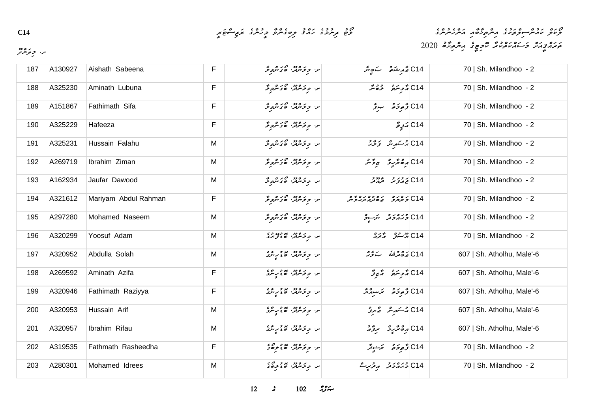*sCw7q7s5w7m< o<n9nOoAw7o< sCq;mAwBoEw7q<m; wBm;vB* م من المرة المرة المرة المرجع المرجع في المركبة 2020<br>مجم*د المريض المربوط المربع المرجع في المراجع المركبة* 

| ر ه دد<br>ىر، ترىرىر |  |
|----------------------|--|
|----------------------|--|

| 187 | A130927 | Aishath Sabeena      | $\mathsf{F}$ | ر و و ده مر هم شهر                         | C14 مَگْرِسْتَمْ سَنَ سِنَ مِ           | 70   Sh. Milandhoo - 2     |
|-----|---------|----------------------|--------------|--------------------------------------------|-----------------------------------------|----------------------------|
| 188 | A325230 | Aminath Lubuna       | $\mathsf{F}$ | ر وتوسيق ھي شھر گھر                        | C14 مَّ <i>جِسَعَة خَ</i> صَمَّد        | 70   Sh. Milandhoo - 2     |
| 189 | A151867 | Fathimath Sifa       | $\mathsf F$  | ر وتوسين گار هو گر                         | C14 رَّ <sub>ج</sub> ودَة ب             | 70   Sh. Milandhoo - 2     |
| 190 | A325229 | Hafeeza              | $\mathsf{F}$ | ر وتوسين گار هو گر                         | C14 بزوگر                               | 70   Sh. Milandhoo - 2     |
| 191 | A325231 | Hussain Falahu       | M            | ر. وتوسري، صي شروتم                        | C14 برسكىرىتى ئىرتىرتى                  | 70   Sh. Milandhoo - 2     |
| 192 | A269719 | Ibrahim Ziman        | M            | ر وتوسيق ھي شھر گھر                        | C14 مەھەرىپى بىرگىر                     | 70   Sh. Milandhoo - 2     |
| 193 | A162934 | Jaufar Dawood        | M            | ر وتوسين گار هو گر                         | C14 يوموکر په دوم                       | 70   Sh. Milandhoo - 2     |
| 194 | A321612 | Mariyam Abdul Rahman | $\mathsf F$  | ر وتوسين گار هو گر                         | C14 كومره برە دەبرە بور                 | 70   Sh. Milandhoo - 2     |
| 195 | A297280 | Mohamed Naseem       | M            | ر وتوسين گار هو گر                         | C14  <i>وټرونو پرېدو</i>                | 70   Sh. Milandhoo - 2     |
| 196 | A320299 | Yoosuf Adam          | M            | ر و ده دو به دوه ده<br>د و ترسربر ۱۵۶۰ ترس | C14 جزیے محمد محمد اللہ ا               | 70   Sh. Milandhoo - 2     |
| 197 | A320952 | Abdulla Solah        | M            | س بەن بەدە بەدە بەر                        | C14 مَەڤەراللە جۇمجە                    | 607   Sh. Atholhu, Male'-6 |
| 198 | A269592 | Aminath Azifa        | F            | س بەن بەھ بەدە بەر                         | C14 مُرْحِسَمُ مُرَبِّي                 | 607   Sh. Atholhu, Male'-6 |
| 199 | A320946 | Fathimath Raziyya    | $\mathsf F$  | س و وسربر الدور ده د                       | C14 ۇ <sub>ج</sub> وڭ ئىرىنىدە ئىر      | 607   Sh. Atholhu, Male'-6 |
| 200 | A320953 | Hussain Arif         | M            | س و وسربر الدور ده د                       | C14 بر <i>کے ہر</i> شریق کے بروژ        | 607   Sh. Atholhu, Male'-6 |
| 201 | A320957 | Ibrahim Rifau        | M            | ابر وتوسطر مود بده                         | C14 مەھەمگەر ئىس مىردە ئە               | 607   Sh. Atholhu, Male'-6 |
| 202 | A319535 | Fathmath Rasheedha   | $\mathsf F$  | س و ورود بدد ۵۶                            | C14 تَ <i>وْجِ</i> وَحَمَّ سَمَسْبِعَّد | 70   Sh. Milandhoo - 2     |
| 203 | A280301 | Mohamed Idrees       | M            | ٢- و و مرور مود ٥-٥                        | C14  <i>وبرو دو م</i> وترمړے            | 70   Sh. Milandhoo - 2     |

 $12$  *s*  $102$  *i*<sub>s</sub>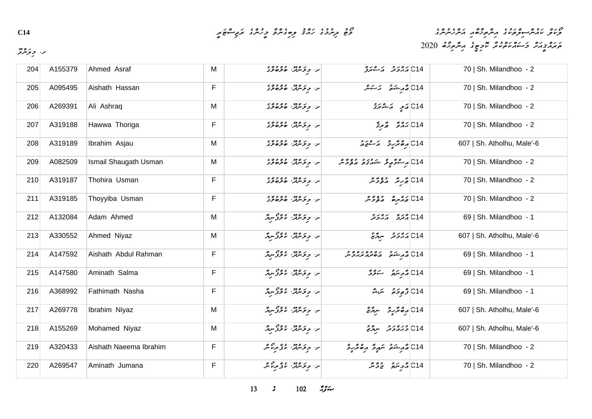*sCw7q7s5w7m< o<n9nOoAw7o< sCq;mAwBoEw7q<m; wBm;vB* م من المرة المرة المرة المرجع المرجع في المركبة 2020<br>مجم*د المريض المربوط المربع المرجع في المراجع المركبة* 

| 204 | A155379 | Ahmed Asraf                  | M | ر د دود. دود ده                              | C14 كەبرىق كەسىر <i>ۇ</i>                      | 70   Sh. Milandhoo - 2     |
|-----|---------|------------------------------|---|----------------------------------------------|------------------------------------------------|----------------------------|
| 205 | A095495 | Aishath Hassan               | F | ر و وده وووده                                | C14 مۇم يىغۇ بەسكەنلە                          | 70   Sh. Milandhoo - 2     |
| 206 | A269391 | Ali Ashraq                   | M | ر د ده د دود ده                              | C14 كەمچە كەشقىر <i>ى</i> ج                    | 70   Sh. Milandhoo - 2     |
| 207 | A319188 | Hawwa Thoriga                | F | د ه ده ده ده ده<br>د ونوس ه نوه نود          | C14 يَہْرَمَّ بِجَمَدَّ                        | 70   Sh. Milandhoo - 2     |
| 208 | A319189 | Ibrahim Asjau                | M | در ودور دود ده                               | C14 مەھەرىپە ئەسىم يەھ                         | 607   Sh. Atholhu, Male'-6 |
| 209 | A082509 | <b>Ismail Shaugath Usman</b> | M | در وتوسر در وه و ده و                        |                                                | 70   Sh. Milandhoo - 2     |
| 210 | A319187 | Thohira Usman                | F | در وتوسربی الله دوره                         | C14 ې <sub>ج</sub> ې تېر ش <sub>ەھ</sub> مەشىر | 70   Sh. Milandhoo - 2     |
| 211 | A319185 | Thoyyiba Usman               | F | د و ده ده ده ده.<br>د ونوس هوه ده            | C14 بروبرڭ مەۋرىس                              | 70   Sh. Milandhoo - 2     |
| 212 | A132084 | Adam Ahmed                   | M | ر - موسر من مورد مسر<br>- موسر مورد مورد مسر | C14 څر <i>ه پې</i> څونه                        | 69   Sh. Milandhoo - 1     |
| 213 | A330552 | Ahmed Niyaz                  | M | بر وترميز، موژنينگر                          | C14 كەندى قىرىمىتى تىرىپى                      | 607   Sh. Atholhu, Male'-6 |
| 214 | A147592 | Aishath Abdul Rahman         | F | ر و و ده ده موژنتهگ                          | C14 مەم ئىس مەم مەم بولىق بىر                  | 69   Sh. Milandhoo - 1     |
| 215 | A147580 | Aminath Salma                | F | ر. ئەقەرىق ئامۇرىسىد                         | C14 مَّ حِسَمَّة مُسَوَّدَّ                    | 69   Sh. Milandhoo - 1     |
| 216 | A368992 | Fathimath Nasha              | F | ىر. جەنئىرلىقى ئەمۇسىگە                      | C14 تۇم <sub>ب</sub> وقى سىش                   | 69   Sh. Milandhoo - 1     |
| 217 | A269778 | Ibrahim Niyaz                | M | ر. ئەقەرى مەدەسىر                            | C14 م <i>وڭ ئۈر ئى سىندى</i>                   | 607   Sh. Atholhu, Male'-6 |
| 218 | A155269 | Mohamed Niyaz                | M | بر وتوسطا الموثوسط                           | C14 <i>3222 سرمرگ</i> ي                        | 607   Sh. Atholhu, Male'-6 |
| 219 | A320433 | Aishath Naeema Ibrahim       | F | بر و و مرود ، و مړين کر                      |                                                | 70   Sh. Milandhoo - 2     |
| 220 | A269547 | Aminath Jumana               | F | ما المحافظة المعجمة والمحمد من محمد المعظمة  | C14 مَّ حِسَمَ قَوَّ مَّ                       | 70   Sh. Milandhoo - 2     |

 $13$  *s*  $102$  *n***<sub>s</sub>**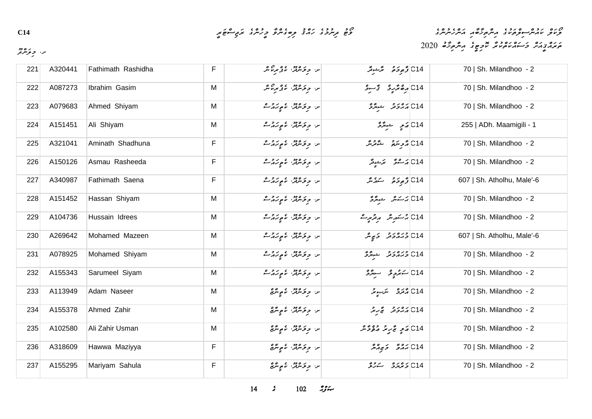*sCw7q7s5w7m< o<n9nOoAw7o< sCq;mAwBoEw7q<m; wBm;vB* م من المرة المرة المرة المرجع المرجع في المركبة 2020<br>مجم*د المريض المربوط المربع المرجع في المراجع المركبة* 

| 221 | A320441 | Fathimath Rashidha | $\mathsf{F}$ | یں جائیں تھی تھی تھی             | C14 تۇم <sub>ۇ</sub> خۇ ئ <sup>ې</sup> رىسى <i>دى</i> گە | 70   Sh. Milandhoo - 2     |
|-----|---------|--------------------|--------------|----------------------------------|----------------------------------------------------------|----------------------------|
| 222 | A087273 | Ibrahim Gasim      | M            | ین ویخترنش عرو می ش              | C14 م <i>وھ مگرچ</i> و گھرين ک                           | 70   Sh. Milandhoo - 2     |
| 223 | A079683 | Ahmed Shiyam       | M            | ىر. جەنبىرى ئام ئەرجى            | $5.525$ $\sim$ $0.14$                                    | 70   Sh. Milandhoo - 2     |
| 224 | A151451 | Ali Shiyam         | M            | ىر. جەنبىرى ئام ئەرجى            | C14 <i>جَ</i> عِ حَقِيمَ مَحْ                            | 255   ADh. Maamigili - 1   |
| 225 | A321041 | Aminath Shadhuna   | F            | الرا و و مروره المعرف المرور الم | C14 مَرْحِ سَمَّ مِسْتَمَرْ سَمَّ                        | 70   Sh. Milandhoo - 2     |
| 226 | A150126 | Asmau Rasheeda     | $\mathsf F$  | بر وی عرف عمورته م               | C14 كەشىرى - ئىمىش <sub>ى</sub> مىگە                     | 70   Sh. Milandhoo - 2     |
| 227 | A340987 | Fathimath Saena    | F            | بر وی عرف عمر دو ه               | C14 ۇ <sub>جو</sub> رَى ئىرگىر                           | 607   Sh. Atholhu, Male'-6 |
| 228 | A151452 | Hassan Shiyam      | M            | الرا ولمحمد والمعجمة والمحمد     | C14 كەسكە ھەم <i>گ</i> ۇ                                 | 70   Sh. Milandhoo - 2     |
| 229 | A104736 | Hussain Idrees     | M            | الرا وكوسري المتجار والمحمد      | C14 ٿر <i>شهر شهر م</i> وٽرمير شه                        | 70   Sh. Milandhoo - 2     |
| 230 | A269642 | Mohamed Mazeen     | M            | الرا و و مروره المعرف المرور الم | C14 <i>دېمه دې ځ</i> ې ش                                 | 607   Sh. Atholhu, Male'-6 |
| 231 | A078925 | Mohamed Shiyam     | M            | الرا وتحسن المعج ترورا           | $5.525$ $2.5025$ $C14$                                   | 70   Sh. Milandhoo - 2     |
| 232 | A155343 | Sarumeel Siyam     | M            | الرا وتحسن المتجارون             | C14 سەبۇرى ئىس <i>بۇ</i> 3                               | 70   Sh. Milandhoo - 2     |
| 233 | A113949 | Adam Naseer        | M            | ىر. جەنجىلىرى، ئام يىرى          | C14 م <i>مَّة مَّة مَّاسِية مِّ</i>                      | 70   Sh. Milandhoo - 2     |
| 234 | A155378 | Ahmed Zahir        | M            | ىر. جۇنىرلىر، ئامچىترى           | C14 <i>مَدْدْدَ</i> مَمْ سِمْر                           | 70   Sh. Milandhoo - 2     |
| 235 | A102580 | Ali Zahir Usman    | M            | ىر. بەيھەتكە ئام ئىگە            | C14 كەبىر بۇرىز كەن <sub>م</sub> ۇش                      | 70   Sh. Milandhoo - 2     |
| 236 | A318609 | Hawwa Maziyya      | F            | س تر تر شرقز، الأمريكي           | C14 <i>بَدْهُ 5 دَ بِهُمَّ</i>                           | 70   Sh. Milandhoo - 2     |
| 237 | A155295 | Mariyam Sahula     | F            | ىر. بە ئەشقە، ئام ئىگىج          | $5.22$ $5.25$ C14                                        | 70   Sh. Milandhoo - 2     |

 $14$  *s*  $102$  *i*<sub>s</sub>  $\frac{2}{3}$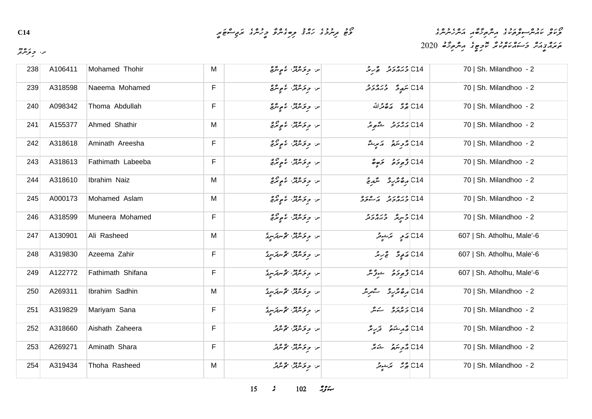*sCw7q7s5w7m< o<n9nOoAw7o< sCq;mAwBoEw7q<m; wBm;vB* م من المرة المرة المرة المرجع المرجع في المركبة 2020<br>مجم*د المريض المربوط المربع المرجع في المراجع المركبة* 

| 238 | A106411 | Mohamed Thohir    | M | ىر. بەيھەتكە، ئام ئىگە     | C14 <i>3222 جُرِير</i>                      | 70   Sh. Milandhoo - 2     |
|-----|---------|-------------------|---|----------------------------|---------------------------------------------|----------------------------|
| 239 | A318598 | Naeema Mohamed    | F | الرا و کر مرکز، انامو مرکز | C14 ىترى <sub>م</sub> ۇ ئ <i>ەتەۋەت</i> ر   | 70   Sh. Milandhoo - 2     |
| 240 | A098342 | Thoma Abdullah    | F | ىر. جۇ ئىرلىق، ئاموشى      | C14 يُجوَّر مَرْكَ قَدَاللَّه               | 70   Sh. Milandhoo - 2     |
| 241 | A155377 | Ahmed Shathir     | M | بر و د مرده عمومی          | C14 كەش <b>كەتتى</b> سىگەمچەتتى             | 70   Sh. Milandhoo - 2     |
| 242 | A318618 | Aminath Areesha   | F | ر و دراود ، موره           | C14 مٌوِسَمَ مَهِيشَ                        | 70   Sh. Milandhoo - 2     |
| 243 | A318613 | Fathimath Labeeba | F | ىر. جۇ ئىرلار، ئامچەتكى    | C14 وَجِعَةً تَحَصِّ                        | 70   Sh. Milandhoo - 2     |
| 244 | A318610 | Ibrahim Naiz      | M | ر ویکریز، نام پرچ          | C14 مەھەرىپى ئىمرىتى                        | 70   Sh. Milandhoo - 2     |
| 245 | A000173 | Mohamed Aslam     | M | بر و د اور ، مورج          | C14 ديره د د مشوره                          | 70   Sh. Milandhoo - 2     |
| 246 | A318599 | Muneera Mohamed   | F | ر و دراود ، موره           | C14 دُسِعٌ دِبَرْدُدَتَر                    | 70   Sh. Milandhoo - 2     |
| 247 | A130901 | Ali Rasheed       | M | س و و کرمرټر، گاسرټرسری    | C14 كەمچە    ئەسىمىتە                       | 607   Sh. Atholhu, Male'-6 |
| 248 | A319830 | Azeema Zahir      | F | ر. وتحميض گاريوسي          | C14 كەنب <sub>و</sub> گە ئ <sup>ى</sup> بەر | 607   Sh. Atholhu, Male'-6 |
| 249 | A122772 | Fathimath Shifana | F | ر. وتحسن گەرىرىنى          | C14 تۇ <sub>جو</sub> خۇ سو <i>تى</i> تر     | 607   Sh. Atholhu, Male'-6 |
| 250 | A269311 | Ibrahim Sadhin    | M | س و و مردد گرمه مرس        | C14 مەھمگەيى ئىستىمبىتىر                    | 70   Sh. Milandhoo - 2     |
| 251 | A319829 | Mariyam Sana      | F | الرا وكركادور المحاليلاتين | C14 كۈچر <i>ىۋە</i> سەيگە                   | 70   Sh. Milandhoo - 2     |
| 252 | A318660 | Aishath Zaheera   | F | س <i>و قرنگرق گا</i> ئیرلر | C14 مەم ئىشقى ئىق ئىرىپىتىر                 | 70   Sh. Milandhoo - 2     |
| 253 | A269271 | Aminath Shara     | F | ر وتوسير محمد              | C14 مرَّح سَوَ سَدَمَّدَ                    | 70   Sh. Milandhoo - 2     |
| 254 | A319434 | Thoha Rasheed     | M | س <i>و قرنگرق گا</i> نگر   | C14 ۾ًڙ - بَرَشوِيرُ                        | 70   Sh. Milandhoo - 2     |

*r@w7mBo> .6*

 $15$  *s*  $102$  *i*<sub>s</sub>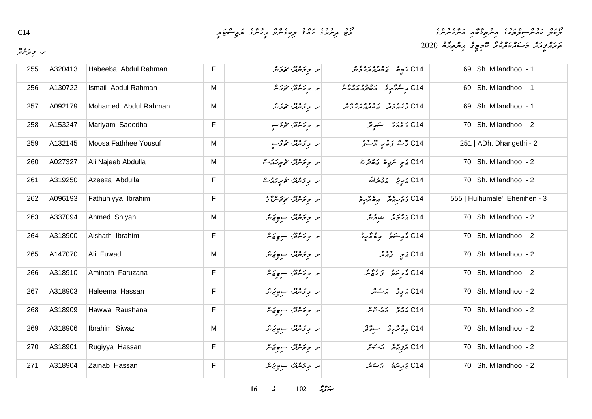*sCw7q7s5w7m< o<n9nOoAw7o< sCq;mAwBoEw7q<m; wBm;vB* م من المرة المرة المرة المرجع المرجع في المركبة 2020<br>مجم*د المريض المربوط المربع المرجع في المراجع المركبة* 

| 255 | A320413 | Habeeba Abdul Rahman | F            | ر وتحكيم محركر                  | C14 كەھ ھەقىدە بولىقى بىر                  | 69   Sh. Milandhoo - 1         |
|-----|---------|----------------------|--------------|---------------------------------|--------------------------------------------|--------------------------------|
| 256 | A130722 | Ismail Abdul Rahman  | M            | مرا بر ترکیزی کارکرد            | C14 م <i>ېشتۇم بىر مەمەدە بو</i> ر         | 69   Sh. Milandhoo - 1         |
| 257 | A092179 | Mohamed Abdul Rahman | M            | ىر. ئەنگەنگەن كەر بىر           | C14 כנסנכ נסכסנסים                         | 69   Sh. Milandhoo - 1         |
| 258 | A153247 | Mariyam Saeedha      | $\mathsf F$  | برا وتخلفكا كالخرسو             | C14 كەبىر بىر سىمبەتگە                     | 70   Sh. Milandhoo - 2         |
| 259 | A132145 | Moosa Fathhee Yousuf | M            | ر وی گرفته کالوب                | C14 تۇشە ئەھ <sub>ەب</sub> ە مەسىردە       | 251   ADh. Dhangethi - 2       |
| 260 | A027327 | Ali Najeeb Abdulla   | M            | ىر. ئەخسىلە ئەمدىر ئەر          | C14 كەيچ س <i>ىرى كەھ</i> تراللە           | 70   Sh. Milandhoo - 2         |
| 261 | A319250 | Azeeza Abdulla       | F            | ر و وسره محمد در د              | C14 <i>مَنْ مِيعٌ مَنْ قَ</i> مَّرَاللَّهُ | 70   Sh. Milandhoo - 2         |
| 262 | A096193 | Fathuhiyya Ibrahim   | $\mathsf{F}$ | ىر. جەنگەرى ئەركەشكەر           | C14 زَمَ <i>دِ م</i> ُمَّرٌ مِصْنَرِ دُ    | 555   Hulhumale', Ehenihen - 3 |
| 263 | A337094 | Ahmed Shiyan         | M            | ر و و مرد سوم کر                | C14 <i>م برۇق</i> ر ھې <i>رگىر</i>         | 70   Sh. Milandhoo - 2         |
| 264 | A318900 | Aishath Ibrahim      | F            | ىر. بە ئەرەدە سوھ كەنگر         | C14 مەم ئىقى مەھەر ي                       | 70   Sh. Milandhoo - 2         |
| 265 | A147070 | Ali Fuwad            | M            | ىر. ئەخرىكى، سوھىمىگە           | C14 كەير تەم <sup>5</sup> ى                | 70   Sh. Milandhoo - 2         |
| 266 | A318910 | Aminath Faruzana     | F            | ىر. ئەخرىكى، سوھىمىگە           | C14 مَّ <i>حِسَمَ قَسْرَةً م</i> َّدَ      | 70   Sh. Milandhoo - 2         |
| 267 | A318903 | Haleema Hassan       | $\mathsf{F}$ | ىر. ئەخرىكى، سوھىمىگە           | C14 ټر <sub>م</sub> وگ ټرخپل               | 70   Sh. Milandhoo - 2         |
| 268 | A318909 | Hawwa Raushana       | F            | ىر. بە ئەرەدە سوھ كەنگر         | C14 <i>بَدْهُ مَّ</i> بَرْمُتْشَ           | 70   Sh. Milandhoo - 2         |
| 269 | A318906 | Ibrahim Siwaz        | M            | ر وتوسيق سيھيءَ س               | C14 مەھەمگەر ھەسىمە ئىر                    | 70   Sh. Milandhoo - 2         |
| 270 | A318901 | Rugiyya Hassan       | F            | س دِ دَمَرْتَرْ، سوءِ پَمَ مَرْ | C14 ىز <sub>تو</sub> رىگە كەسكەنلە         | 70   Sh. Milandhoo - 2         |
| 271 | A318904 | Zainab Hassan        | F            | ىر. برىگەنگە سوھىمىگە           | C14ع مرسّعة ست <del>سك</del> شر            | 70   Sh. Milandhoo - 2         |

 $16$  *s*  $102$  *z***<sub>3</sub>**  $\frac{2}{3}$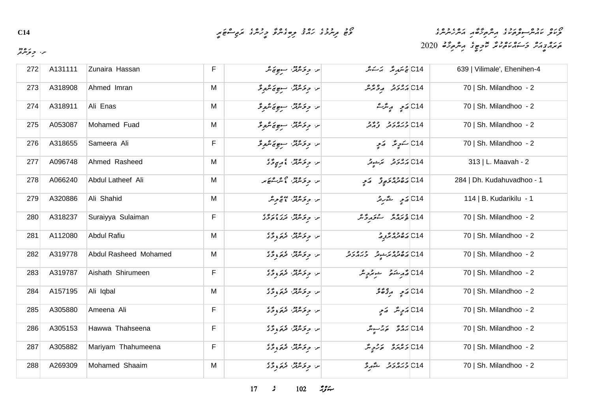*sCw7q7s5w7m< o<n9nOoAw7o< sCq;mAwBoEw7q<m; wBm;vB* م من المرة المرة المرة المرجع المرجع في المركبة 2020<br>مجم*د المريض المربوط المربع المرجع في المراجع المركبة* 

| 272 | A131111 | Zunaira Hassan        | F           | ىر. بەنجەش سوھەتكە                                      | C14 تج <i>سَمدٍ بمَّتَ</i> بِرَسَتَ مَ <i>تَّ</i> | 639   Vilimale', Ehenihen-4 |
|-----|---------|-----------------------|-------------|---------------------------------------------------------|---------------------------------------------------|-----------------------------|
| 273 | A318908 | Ahmed Imran           | M           | الرا و و مرتزا السوم محمد مرد و محمد                    | C14 <i>م.دونر م</i> ونمبر                         | 70   Sh. Milandhoo - 2      |
| 274 | A318911 | Ali Enas              | M           | ىر. بەنزلىرلى. سوغ ئىرونۇ                               | C14 کھ پہ میں شرکت ا                              | 70   Sh. Milandhoo - 2      |
| 275 | A053087 | Mohamed Fuad          | M           | الرا وتوسيق سيع تكره تحر                                | C14 <i>3222 وي</i> مبر                            | 70   Sh. Milandhoo - 2      |
| 276 | A318655 | Sameera Ali           | F           | ىر. ئۆچۈش، سوھىم ئىروگ                                  | C14 ڪوپٽر ڪيو                                     | 70   Sh. Milandhoo - 2      |
| 277 | A096748 | Ahmed Rasheed         | M           | ىر. جۇشۇق ؟ مەنچ گەن                                    | C14 <i>مَدْوَمْہ مَرْحِ</i> مِ <i>دْ</i>          | 313   L. Maavah - 2         |
| 278 | A066240 | Abdul Latheef Ali     | M           | س و و مرورد مهم عاصر                                    | C14 <i>مەھەمەمۇمۇ ھې</i> ر                        | 284   Dh. Kudahuvadhoo - 1  |
| 279 | A320886 | Ali Shahid            | M           | ىر. جۇشلار، قام جىش                                     | C14 كەير مە <i>مرىتى</i>                          | 114   B. Kudarikilu - 1     |
| 280 | A318237 | Suraiyya Sulaiman     | F           | مزاح بوجود الرکرد و دره با<br>مزاح بوکس بل کاری و بولوی | C14 <sub>قۇ</sub> ىرو ئەسىم ئىرگە ئىر             | 70   Sh. Milandhoo - 2      |
| 281 | A112080 | Abdul Rafiu           | M           | س وتوسيق مردوء                                          | C14 كەھىر مەمۇرى                                  | 70   Sh. Milandhoo - 2      |
| 282 | A319778 | Abdul Rasheed Mohamed | M           | ر وترمین مرکز وی                                        | C14 كەھەرمەشوىر مەرمەمە                           | 70   Sh. Milandhoo - 2      |
| 283 | A319787 | Aishath Shirumeen     | $\mathsf F$ | ىر. ئەترىش ئەرەپىي                                      | C14 م <i>ۇم شۇمۇ</i> سىمگىرچىگە                   | 70   Sh. Milandhoo - 2      |
| 284 | A157195 | Ali Iqbal             | M           | ىر. ئەھەملەر، ئەرەبە ئ                                  | C14 <i>جَرِي دِڏَهُ مُ</i>                        | 70   Sh. Milandhoo - 2      |
| 285 | A305880 | Ameena Ali            | $\mathsf F$ | ىر. ئەترىش ئەرەپىي                                      | C14 کم <i>چ</i> ونگر کھیے                         | 70   Sh. Milandhoo - 2      |
| 286 | A305153 | Hawwa Thahseena       | $\mathsf F$ | ر. وتوسيق ترة وتحد                                      | C14 ئەۋرق مۇي <sub>م</sub> ىسىدىگە                | 70   Sh. Milandhoo - 2      |
| 287 | A305882 | Mariyam Thahumeena    | $\mathsf F$ | ر وترميم مرد ده                                         | C14 ك <i>روبرد مركب</i> ويتر                      | 70   Sh. Milandhoo - 2      |
| 288 | A269309 | Mohamed Shaaim        | M           | ىر. ئەخرىق ئەم ئەنج                                     | C14 <i>دېمم</i> وتر څمړو                          | 70   Sh. Milandhoo - 2      |

 $17$  *s*  $102$  *i*<sub>s</sub>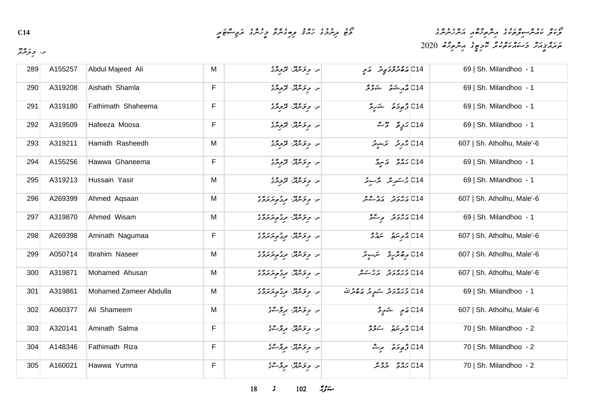*sCw7q7s5w7m< o<n9nOoAw7o< sCq;mAwBoEw7q<m; wBm;vB* م من المرة المرة المرة المرجع المرجع في المركبة 2020<br>مجم*د المريض المربوط المربع المرجع في المراجع المركبة* 

| 289 | A155257 | Abdul Majeed Ali       | M           | ىر. ئەقەتلەر ئەرلەر                                        | C14  رەۋەۋە ئەتقى كەمچە              | 69   Sh. Milandhoo - 1     |
|-----|---------|------------------------|-------------|------------------------------------------------------------|--------------------------------------|----------------------------|
| 290 | A319208 | Aishath Shamla         | $\mathsf F$ | ىر. جەڭرىق، ترجەڭرى                                        | C14 مەم يىكى ئىكەنگە                 | 69   Sh. Milandhoo - 1     |
| 291 | A319180 | Fathimath Shaheema     | $\mathsf F$ | ىر. جەڭرىق، قرچەرى                                         | C14 تَ <i>وْجِوَة</i> شَرِيحَ        | 69   Sh. Milandhoo - 1     |
| 292 | A319509 | Hafeeza Moosa          | $\mathsf F$ | ر و و شرقر، ترویز د                                        | C14 بَرَمٍ حَمَّ حَمَّ مَ            | 69   Sh. Milandhoo - 1     |
| 293 | A319211 | Hamidh Rasheedh        | M           | ىر. ئەخرىق ئەرمەت                                          | C14 بَرْحِ مْرَ سَمَسِيْرَ           | 607   Sh. Atholhu, Male'-6 |
| 294 | A155256 | Hawwa Ghaneema         | F           | ر. وتحسن تروش                                              | C14 بَرْدُمَّ       بَرْسِرَّ        | 69   Sh. Milandhoo - 1     |
| 295 | A319213 | Hussain Yasir          | M           | ىر. جەڭرىق، قرچەرى                                         | C14 بڑے م <i>ر</i> یش گ <i>ڑے بڑ</i> | 69   Sh. Milandhoo - 1     |
| 296 | A269399 | Ahmed Aqsaan           | M           | ىر. ئەتمەنگە، ئېرىم ئەرىرى<br>س. ئەتمەنگە، ئېرىم ئەتمەنگەن | C14 كەبرو كەرجىسى                    | 607   Sh. Atholhu, Male'-6 |
| 297 | A319870 | Ahmed Wisam            | M           | یں ویکس میں میں مرد دی                                     | C14 <i>مُمْدَوَمْ وِسُمَّ</i> وْ     | 69   Sh. Milandhoo - 1     |
| 298 | A269398 | Aminath Nagumaa        | $\mathsf F$ | ىر. ئەترىكى، ئېرىم ئېرىرى ئ                                | C14 مُجِسَعَ مَنْهُ مَحَ             | 607   Sh. Atholhu, Male'-6 |
| 299 | A050714 | Ibrahim Naseer         | M           | س وتحسين مردور ده                                          | C14 مەھەرىپە ھەسپەتمە                | 607   Sh. Atholhu, Male'-6 |
| 300 | A319871 | Mohamed Ahusan         | M           | س وتحسين مردور ده                                          | C14 <i>جەممەدىرىكى</i> گىر           | 607   Sh. Atholhu, Male'-6 |
| 301 | A319861 | Mohamed Zameer Abdulla | M           | ىر. ئەتمەنگە، ئېرىم ئەرىرى<br>س. ئەتمەنگە، ئېرىم ئەتمەنگەن | C14 <i>وبرو دو خوبر م</i> َ صَداللّه | 69   Sh. Milandhoo - 1     |
| 302 | A060377 | Ali Shameem            | M           | ىر. ئەقەتلەش. ئەقرىشى                                      | C14] ر <sub>َم</sub> حٍ شَيْءٍ وُ    | 607   Sh. Atholhu, Male'-6 |
| 303 | A320141 | Aminath Salma          | F           | ىر. بەنزىكەن، بەنزىسكى                                     | C14 مٌ <i>جِسَعْهِ سَوْدَةُ</i>      | 70   Sh. Milandhoo - 2     |
| 304 | A148346 | Fathimath Riza         | F           | ىر. بەنزىكەنى، بەنزىسكى                                    | C14 تۇموقۇ مېش                       | 70   Sh. Milandhoo - 2     |
| 305 | A160021 | Hawwa Yumna            | F           | ىر. بەنگەنگە، بەنگەنگەنگە                                  | C14 بَرْدْعٌ مِّرْحَسَّر             | 70   Sh. Milandhoo - 2     |

 $18$  *s*  $102$  *n***<sub>s</sub>**  $\frac{2}{3}$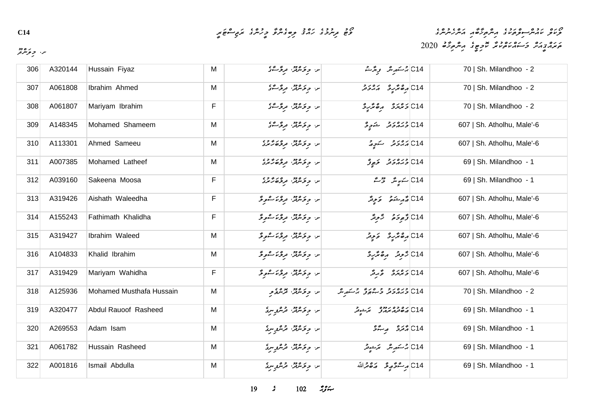*sCw7q7s5w7m< o<n9nOoAw7o< sCq;mAwBoEw7q<m; wBm;vB* م من المرة المرة المرة المرجع المرجع في المركبة 2020<br>مجم*د المريض المربوط المربع المرجع في المراجع المركبة* 

| 306 | A320144 | Hussain Fiyaz            | M | مرا تر تر تروگر میگر                                                                                         | C14 پرستمبریش پوتک بیشتر                               | 70   Sh. Milandhoo - 2     |
|-----|---------|--------------------------|---|--------------------------------------------------------------------------------------------------------------|--------------------------------------------------------|----------------------------|
| 307 | A061808 | Ibrahim Ahmed            | M |                                                                                                              | C14 مەھم <i>گىي</i> ھەر مەردىر                         | 70   Sh. Milandhoo - 2     |
| 308 | A061807 | Mariyam Ibrahim          | F | ر. دِنَوْسْرُ، دِنَوْسُنَ                                                                                    | C14 <i>دېمبرو م</i> ېگېږو                              | 70   Sh. Milandhoo - 2     |
| 309 | A148345 | Mohamed Shameem          | M | ىر. بەنزىتىرى بىرى ئەي                                                                                       | C14 <i>وَبَرْوُوَتَرْ</i> سُوَوِرْ                     | 607   Sh. Atholhu, Male'-6 |
| 310 | A113301 | Ahmed Sameeu             | M | من تحریر میں اس کا دور ہے کہ اس کا اس کے اس کا اس کے اس کا اس کا اس کا اس کا اس کا اس کا اس کا اس کا اس کا ا | C14 كەبۇبۇقىر سە <i>م</i> وك                           | 607   Sh. Atholhu, Male'-6 |
| 311 | A007385 | Mohamed Latheef          | M | بر و وسرفر او ده و د                                                                                         | C14 <i>32825 كرو</i> ر                                 | 69   Sh. Milandhoo - 1     |
| 312 | A039160 | Sakeena Moosa            | F | ر و ورود. د و د و د و و                                                                                      | C14 سەمبەتتى تۇش                                       | 69   Sh. Milandhoo - 1     |
| 313 | A319426 | Aishath Waleedha         | F | ىر. جەنگەنگە ئېرىجەنمەت ھەرىچە                                                                               | C14 مَەرشىق ق <i>وچ</i> ىگە                            | 607   Sh. Atholhu, Male'-6 |
| 314 | A155243 | Fathimath Khalidha       | F | ىر. بەنگەنگە، بەبۇتەسىمۇ ئ                                                                                   | C14 وَّجِرَة مَّ تَرْمِتَرُ                            | 607   Sh. Atholhu, Male'-6 |
| 315 | A319427 | Ibrahim Waleed           | M | ىر. بەنزىترى بېرىمىت ئىم ئ                                                                                   | C14 <sub>مر</sub> ھ مُّر <sub>ْبِ</sub> وْ کَ مِرْمَّر | 607   Sh. Atholhu, Male'-6 |
| 316 | A104833 | Khalid Ibrahim           | M | ىر. جەڭلىرى، يېزىما سىمباش                                                                                   | C14 تَرْمِتْر ب <i>رە مَّرْرِ</i> دْ                   | 607   Sh. Atholhu, Male'-6 |
| 317 | A319429 | Mariyam Wahidha          | F | الرا وكرمرين وكركر كالموثر                                                                                   | C14 <i>5 كەيىر ئى</i> ر ئ <i>ەر بىر</i>                | 607   Sh. Atholhu, Male'-6 |
| 318 | A125936 | Mohamed Musthafa Hussain | M | من تر تر شرق محرم معرض معر                                                                                   | C14 ورورو و وروبر جائبهر                               | 70   Sh. Milandhoo - 2     |
| 319 | A320477 | Abdul Rauoof Rasheed     | M | الرا وتحارض فراكز ببركي                                                                                      | C14 مەھ <i>ىرمەمەدە</i> مەش <sub>و</sub> تر            | 69   Sh. Milandhoo - 1     |
| 320 | A269553 | Adam Isam                | M | مرا تر تر مردور الرسمبر مرد ع                                                                                | C14 مُحَمَّدٌ مِبْدَّدٌ                                | 69   Sh. Milandhoo - 1     |
| 321 | A061782 | Hussain Rasheed          | M | الرا وتحارض فراكز ببركي                                                                                      | C14 بر سکوپٹر کر سوٹر                                  | 69   Sh. Milandhoo - 1     |
| 322 | A001816 | Ismail Abdulla           | M | الرا وكرمروز الرمروسرة                                                                                       | C14 مرشومح مرد مركز مقدالله                            | 69   Sh. Milandhoo - 1     |

*19 sC 102 nNw?mS*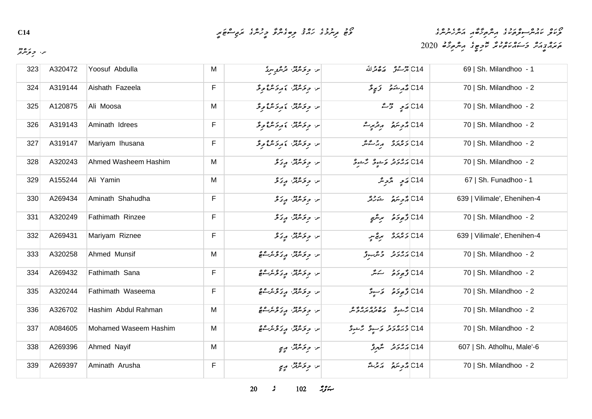*sCw7q7s5w7m< o<n9nOoAw7o< sCq;mAwBoEw7q<m; wBm;vB* م من المرة المرة المرة المرجع المرجع في المركبة 2020<br>مجم*د المريض المربوط المربع المرجع في المراجع المركبة* 

| 323 | A320472 | Yoosuf Abdulla        | M | ىر. جۇنىرلىر، ئۇنىرتوپىرىگ            | C14 ترتو مەھىراللە                                      | 69   Sh. Milandhoo - 1      |
|-----|---------|-----------------------|---|---------------------------------------|---------------------------------------------------------|-----------------------------|
| 324 | A319144 | Aishath Fazeela       | F | أأرا وكاللغل الممركة والملاوق         | C14 مۇم <i>رىشتۇ    ق<sup>ى</sup>م</i> وگە              | 70   Sh. Milandhoo - 2      |
| 325 | A120875 | Ali Moosa             | M | الرا وكاللكل الممركة مروه وكل         | C14 أُرَمِي حَرْبٌ                                      | 70   Sh. Milandhoo - 2      |
| 326 | A319143 | Aminath Idrees        | F | الرا وكاللكل المادكان وكلا وكل        | C14 مَرْحِ سَمَعَ مِقْرَمِي <sup>ت</sup> ْ              | 70   Sh. Milandhoo - 2      |
| 327 | A319147 | Mariyam Ihusana       | F | من المحافظة الملاحظة المحافظة المحركة | C14 كەبىر بىر بەر ئىگەنگە                               | 70   Sh. Milandhoo - 2      |
| 328 | A320243 | Ahmed Washeem Hashim  | M | أأمزا ويحامدني أولاقى                 | C14 كەبرو تەخەر گەجو                                    | 70   Sh. Milandhoo - 2      |
| 329 | A155244 | Ali Yamin             | M | أأرا وقرمرهن أردقاها                  | C14 کړې گر <i>ونگ</i> ر                                 | 67   Sh. Funadhoo - 1       |
| 330 | A269434 | Aminath Shahudha      | F | الرا ويحاكمة أأوى وركا                | C14 مَرْحِبَتَهُمْ شَوَرْتَنَّ                          | 639   Vilimale', Ehenihen-4 |
| 331 | A320249 | Fathimath Rinzee      | F | ىر، بەنگەنگە، بەنگ                    | C14 <i>وُّهِ دَمَّة</i> مِرْسْمَىِّ                     | 70   Sh. Milandhoo - 2      |
| 332 | A269431 | Mariyam Riznee        | F | ر وترکرده دیگر                        | C14 كەبرىرى مەيج بىر                                    | 639   Vilimale', Ehenihen-4 |
| 333 | A320258 | Ahmed Munsif          | M | الرا وتحسن المحكومين وه               | C14 <i>كەندى قىرىبى</i> ر                               | 70   Sh. Milandhoo - 2      |
| 334 | A269432 | Fathimath Sana        | F | أأرا وتحارقها أركافه والمعافي         | C14 ۇ <sub>جو</sub> رۇ ئەنگە                            | 70   Sh. Milandhoo - 2      |
| 335 | A320244 | Fathimath Waseema     | F | المرا وتحسين المحاوضين وه             | C14 تۇم <sub>ب</sub> وخۇ ھ <sup>ەس</sup> ب <sup>ى</sup> | 70   Sh. Milandhoo - 2      |
| 336 | A326702 | Hashim Abdul Rahman   | M | الرا وتحسن المحموش وه                 | C14 گشور مەمەمەرە بور                                   | 70   Sh. Milandhoo - 2      |
| 337 | A084605 | Mohamed Waseem Hashim | M | الرا وتحارقها أرى وللرسائع            | C14 <i>ويزه دو و پ</i> وتو گېغوی                        | 70   Sh. Milandhoo - 2      |
| 338 | A269396 | Ahmed Nayif           | M | ر وترميز، ريږ                         | C14 كەندى تىر ئىگەر <i>ۇ</i>                            | 607   Sh. Atholhu, Male'-6  |
| 339 | A269397 | Aminath Arusha        | F | ر. وترکوفر، رپې                       | C14 مَّ حِسَمَة مَ مَرْشَّ                              | 70   Sh. Milandhoo - 2      |

*r@w7mBo> .6*

 $20$  *s*  $102$  *z***<sub>3</sub>** $\approx$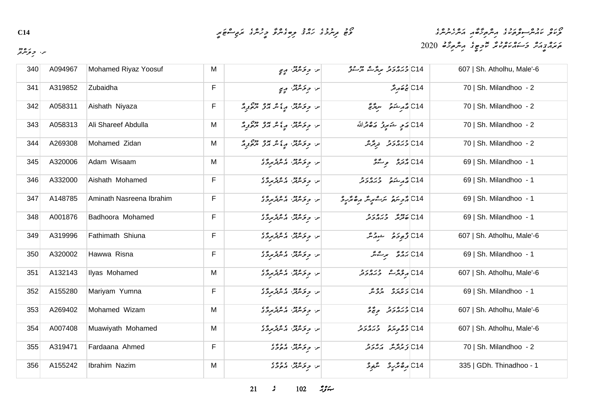*sCw7q7s5w7m< o<n9nOoAw7o< sCq;mAwBoEw7q<m; wBm;vB* م من المرة المرة المرة المرجع المرجع في المركبة 2020<br>مجم*د المريض المربوط المربع المرجع في المراجع المركبة* 

| ر ه دد<br>ىر، بەلومىزىر |  |
|-------------------------|--|
|-------------------------|--|

| 340 | A094967 | Mohamed Riyaz Yoosuf     | M           | ر و د هند د پا                                                                                                                                                                                                         | C14 ديره د د برگريه مرسو                                | 607   Sh. Atholhu, Male'-6 |
|-----|---------|--------------------------|-------------|------------------------------------------------------------------------------------------------------------------------------------------------------------------------------------------------------------------------|---------------------------------------------------------|----------------------------|
| 341 | A319852 | Zubaidha                 | F           | ر وترکوفر دی                                                                                                                                                                                                           | C14 تج <b>ءَ</b> مرمثر                                  | 70   Sh. Milandhoo - 2     |
| 342 | A058311 | Aishath Niyaza           | F           |                                                                                                                                                                                                                        | C14 مەم شىق سېتىرىتى                                    | 70   Sh. Milandhoo - 2     |
| 343 | A058313 | Ali Shareef Abdulla      | M           | س و محمد من الله عليه الله من الله من الله من الله من الله من الله من الله من الله من الله من الله م<br>الله من الله من الله من الله من الله من الله من الله من الله من الله من الله من الله من الله من الله من الله م | C14 صَعِي ڪَمَعِي <i>وَ صَ</i> صْحَراللّه               | 70   Sh. Milandhoo - 2     |
| 344 | A269308 | Mohamed Zidan            | M           |                                                                                                                                                                                                                        | C14 <i>2222 فرق</i> گىر                                 | 70   Sh. Milandhoo - 2     |
| 345 | A320006 | Adam Wisaam              | M           | ر و د ورد د و و و و و و                                                                                                                                                                                                | C14 جۇنزى م <i>وسى</i> ۋ                                | 69   Sh. Milandhoo - 1     |
| 346 | A332000 | Aishath Mohamed          | F           | ر و د ورو د و و و و و و                                                                                                                                                                                                |                                                         | 69   Sh. Milandhoo - 1     |
| 347 | A148785 | Aminath Nasreena Ibrahim | $\mathsf F$ | ر و د ورو د و و و و و و                                                                                                                                                                                                | C14 مَّ <i>جِ سَمَعْ</i> سَرَ مُشْعِيشَ مِنْ مَّرْبِ حْ | 69   Sh. Milandhoo - 1     |
| 348 | A001876 | Badhoora Mohamed         | $\mathsf F$ | ر و د ورو د و و و و و و                                                                                                                                                                                                | C14 كەنتىر بەردە بەر                                    | 69   Sh. Milandhoo - 1     |
| 349 | A319996 | Fathimath Shiuna         | F           | در وتحسن المستقر دارد و د                                                                                                                                                                                              | C14 <i>وَّجِوحَةْ</i> سِبْر <i>ةْ</i> مَّرْ             | 607   Sh. Atholhu, Male'-6 |
| 350 | A320002 | Hawwa Risna              | $\mathsf F$ | ر و و ده ده ده و د و د                                                                                                                                                                                                 | C14 ئەۋ <sub>ە</sub> مىسى ئىرگىنگە                      | 69   Sh. Milandhoo - 1     |
| 351 | A132143 | Ilyas Mohamed            | M           | ر و وسر او ده ده د                                                                                                                                                                                                     | C14 مۇنزىقە <i>مەم</i> ەم                               | 607   Sh. Atholhu, Male'-6 |
| 352 | A155280 | Mariyam Yumna            | $\mathsf F$ | د و وده ده ده ده.<br>د و وسربل ارسربربرد د                                                                                                                                                                             | C14 كەبىر بىر بىرىگە                                    | 69   Sh. Milandhoo - 1     |
| 353 | A269402 | Mohamed Wizam            | M           | ر و د ورو د و و و و و و                                                                                                                                                                                                | C14 <i>جنہ جو جو جو ج</i>                               | 607   Sh. Atholhu, Male'-6 |
| 354 | A007408 | Muawiyath Mohamed        | M           | ر و د ورو د و و و و و و                                                                                                                                                                                                | C14 <i>وَهُوِمَوْهِ وَبَهُوَمُ</i> وْ                   | 607   Sh. Atholhu, Male'-6 |
| 355 | A319471 | Fardaana Ahmed           | $\mathsf F$ | ر وی شود ، دوء                                                                                                                                                                                                         | C14 ۇىرتى <i>رىڭ مەدە</i> تر                            | 70   Sh. Milandhoo - 2     |
| 356 | A155242 | Ibrahim Nazim            | M           | ىر. جەنگىرى مەدە ي                                                                                                                                                                                                     | C14 م <i>رھ مُرْرِدْ مُرْمُ</i> وِدْ                    | 335   GDh. Thinadhoo - 1   |

 $21$  *s*  $102$  *z***<sub>3</sub>** $\approx$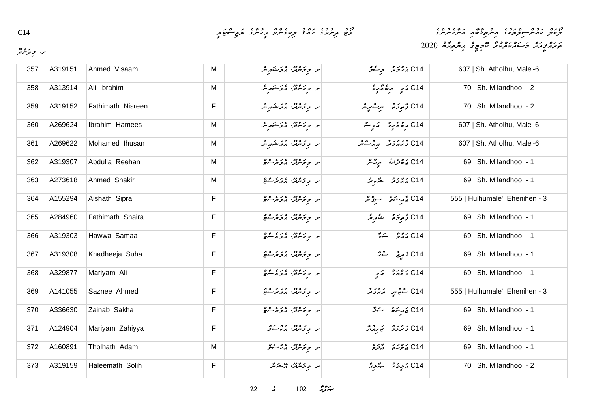*sCw7q7s5w7m< o<n9nOoAw7o< sCq;mAwBoEw7q<m; wBm;vB* م من المرة المرة المرة المرجع المرجع في المركبة 2020<br>مجم*د المريض المربوط المربع المرجع في المراجع المركبة* 

| 357 | A319151 | Ahmed Visaam      | M           | أأرا وتحارقها أوكاك والمراكل | C14 كەبۇ <i>قىر مەسەۋ</i>                  | 607   Sh. Atholhu, Male'-6     |
|-----|---------|-------------------|-------------|------------------------------|--------------------------------------------|--------------------------------|
| 358 | A313914 | Ali Ibrahim       | M           | الرا وتحسين أروشهرس          | C14 <i>مَرِ م</i> ِ مُ <i>مَرْرِ \$</i>    | 70   Sh. Milandhoo - 2         |
| 359 | A319152 | Fathimath Nisreen | $\mathsf F$ | ر وتحسين أو شهر ش            | C14 ۇ <sub>ج</sub> وڭ مېرىشمېرىش           | 70   Sh. Milandhoo - 2         |
| 360 | A269624 | Ibrahim Hamees    | M           | ر و وسرهر از دو شور ش        | C14 مەھمگەيى ئىم يەھ                       | 607   Sh. Atholhu, Male'-6     |
| 361 | A269622 | Mohamed Ihusan    | M           | ر وتحسين أو شهر ش            | C14 <i>ۋېزودو مې</i> رگىگى                 | 607   Sh. Atholhu, Male'-6     |
| 362 | A319307 | Abdulla Reehan    | M           | بر وتحسن موتر عم             | C14 مَەھىراللە م <sub>ى</sub> گىر          | 69   Sh. Milandhoo - 1         |
| 363 | A273618 | Ahmed Shakir      | M           | س و وسره در ده ده            | C14 <i>مەشەقىر</i> مەھمىي تە               | 69   Sh. Milandhoo - 1         |
| 364 | A155294 | Aishath Sipra     | F           | س و وسربر المروس و و         | C14 مەمرىشقى سوبۇنتى                       | 555   Hulhumale', Ehenihen - 3 |
| 365 | A284960 | Fathimath Shaira  | F           | س و وسربر المروس و و         | C14 تۇم <sub>ۇ</sub> خۇ ش <sup>ې</sup> مەش | 69   Sh. Milandhoo - 1         |
| 366 | A319303 | Hawwa Samaa       | F           | س و وسربور، مرد ده           | $52.202$ $53.2$ C14                        | 69   Sh. Milandhoo - 1         |
| 367 | A319308 | Khadheeja Suha    | $\mathsf F$ | س و ودو عدد ٥٥               | C14 كَرْمِيعٌ مُسْتَرَكَّهُ مُسَارِكًا     | 69   Sh. Milandhoo - 1         |
| 368 | A329877 | Mariyam Ali       | F           | س و وسره در ده ده            | C14 كەبھە <i>كى كەب</i>                    | 69   Sh. Milandhoo - 1         |
| 369 | A141055 | Saznee Ahmed      | F           | بر وتوسير، موترسي            | C14 ڪيٽي مير <i>مذڪ</i> تر                 | 555   Hulhumale', Ehenihen - 3 |
| 370 | A336630 | Zainab Sakha      | F           | س و وسربر، دوبر سو           | C14 ئىم مىتى ئىستىگ                        | 69   Sh. Milandhoo - 1         |
| 371 | A124904 | Mariyam Zahiyya   | F           | بر وی پره وه ده ک            | C14 <i>كا برويز في بارديز</i>              | 69   Sh. Milandhoo - 1         |
| 372 | A160891 | Tholhath Adam     | M           | ىر. بەنزىرىق كەم سىر         | C14 يَوْبَرُ ۾ مُعَرَّدِ                   | 69   Sh. Milandhoo - 1         |
| 373 | A319159 | Haleemath Solih   | F           | ىر. بەنۇشۇش كەشكەش           | C14]ټر <sub>م</sub> چری جگوب <sup>9</sup>  | 70   Sh. Milandhoo - 2         |

*22 sC 102 nNw?mS*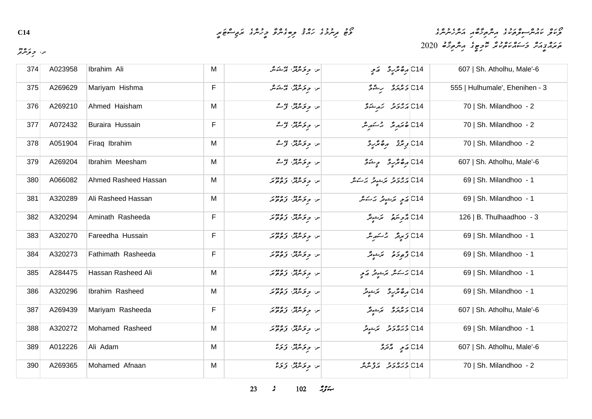*sCw7q7s5w7m< o<n9nOoAw7o< sCq;mAwBoEw7q<m; wBm;vB* م من المرة المرة المرة المرجع المرجع في المركبة 2020<br>مجم*د المريض المربوط المربع المرجع في المراجع المركبة* 

| 374 | A023958 | Ibrahim Ali          | M            | س تر تر شرقه الر شکر شر               | C14 مەھم <i>گىي</i> ھەمچە              | 607   Sh. Atholhu, Male'-6     |
|-----|---------|----------------------|--------------|---------------------------------------|----------------------------------------|--------------------------------|
| 375 | A269629 | Mariyam Hishma       | F            | الرا المركوبين أكرك مكار              | C14 <i>5 بر بر</i> ه شور بر            | 555   Hulhumale', Ehenihen - 3 |
| 376 | A269210 | Ahmed Haisham        | M            | مر تر تر قریب می می                   | C14   <i>د ب</i> حق که که              | 70   Sh. Milandhoo - 2         |
| 377 | A072432 | Buraira Hussain      | $\mathsf{F}$ | ىر. جەنگەنگەن تۈگ                     | C14 <i>ھىندىقە</i> جەسئە <i>رى</i> تىر | 70   Sh. Milandhoo - 2         |
| 378 | A051904 | Firaq Ibrahim        | M            | ىر، بەيزىللاش بۇ ھ                    | C14 <i>وبرڈ م</i> ی میرے               | 70   Sh. Milandhoo - 2         |
| 379 | A269204 | Ibrahim Meesham      | M            | بر وی عربی می ه                       | C14 مەھەر بەر بەر يەر                  | 607   Sh. Atholhu, Male'-6     |
| 380 | A066082 | Ahmed Rasheed Hassan | M            | من تر تر قرار دور م                   | C14 كەندى قىر ئىر كىرىدىش              | 69   Sh. Milandhoo - 1         |
| 381 | A320289 | Ali Rasheed Hassan   | M            | بر وتحسين توه ودر                     | C14 كەي ترىنوپر تەس <i>ەش</i>          | 69   Sh. Milandhoo - 1         |
| 382 | A320294 | Aminath Rasheeda     | $\mathsf{F}$ | برا وتحسن وهمد                        | C14 مَرْحِ سَمَعْ سَمَسْبِعْدَ         | 126   B. Thulhaadhoo - 3       |
| 383 | A320270 | Fareedha Hussain     | F            | برا وترتكزا كأهامير                   | C14 تۇم <sub>ي</sub> ىتى - ش-ئىرىتى    | 69   Sh. Milandhoo - 1         |
| 384 | A320273 | Fathimath Rasheeda   | $\mathsf F$  | س و وسر و و دور<br>س و توسرش و و و مر | C14 ۇ <sub>جو</sub> رَى ئېرىئېدىگە     | 69   Sh. Milandhoo - 1         |
| 385 | A284475 | Hassan Rasheed Ali   | M            | برا وترتكزا كأهامير                   | C14 كەسەنلا بۇيەيدۇ كەي <sub>چ</sub>   | 69   Sh. Milandhoo - 1         |
| 386 | A320296 | Ibrahim Rasheed      | M            | بر وترترين وه ودر                     | C14 مەھەمگەر تەرەپ تەرەپلىرىد          | 69   Sh. Milandhoo - 1         |
| 387 | A269439 | Mariyam Rasheeda     | F            | برا وتحسن وهمد                        | C14 كەبرىرى - بەرجەنگر                 | 607   Sh. Atholhu, Male'-6     |
| 388 | A320272 | Mohamed Rasheed      | M            | یں ویکس وہ دور                        | C14 <i>5&gt;25 كرش</i> وتر             | 69   Sh. Milandhoo - 1         |
| 389 | A012226 | Ali Adam             | M            | ىر. بەنزىكى، ئەبرە                    | C14] رَمِ گ <sup>5</sup> رو            | 607   Sh. Atholhu, Male'-6     |
| 390 | A269365 | Mohamed Afnaan       | M            | ىر. بەنزىكى ئەنزە                     | C14 <i>ۋېرم</i> روتر م <i>رو</i> شر    | 70   Sh. Milandhoo - 2         |

 $23$  *s*  $102$  *n***<sub>s</sub>** $\frac{2}{3}$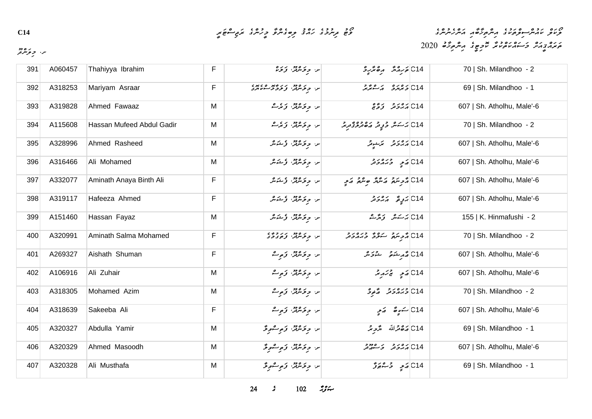*sCw7q7s5w7m< o<n9nOoAw7o< sCq;mAwBoEw7q<m; wBm;vB* م من المرة المرة المرة المرجع المرجع في المركبة 2020<br>مجم*د المريض المربوط المربع المرجع في المراجع المركبة* 

| 391 | A060457 | Thahiyya Ibrahim          | $\mathsf{F}$ | ىر. بەنزىرىق، ئەنزىر         | C14  <i>ھَرِمْہُدَ م</i> ِھْتَر <i>ُرٍ</i> دُ    | 70   Sh. Milandhoo - 2     |
|-----|---------|---------------------------|--------------|------------------------------|--------------------------------------------------|----------------------------|
| 392 | A318253 | Mariyam Asraar            | F            | ر و و مهر در در در در        | C14 كەبىر بىر يەر يېزىر                          | 69   Sh. Milandhoo - 1     |
| 393 | A319828 | Ahmed Fawaaz              | M            | مر بر تر تر تر تر ش          | C14 كەبروتىر ئ <i>وغ</i> ى                       | 607   Sh. Atholhu, Male'-6 |
| 394 | A115608 | Hassan Mufeed Abdul Gadir | M            | مرا برنوروژي کوتکر ک         | C14) بَرَـــَمَّرْ وَُرٍيمْ   رَەقْرُوَدَّورِيْر | 70   Sh. Milandhoo - 2     |
| 395 | A328996 | Ahmed Rasheed             | M            | ىر. بەيگەنگە كۆشكە           | C14 <i>مەندى مى</i> ر مىر                        | 607   Sh. Atholhu, Male'-6 |
| 396 | A316466 | Ali Mohamed               | M            | ىر. بەيگەنگە كەشكە           | C14 <i>مَرِ وَبَهُ</i> وَمَرُ                    | 607   Sh. Atholhu, Male'-6 |
| 397 | A332077 | Aminath Anaya Binth Ali   | $\mathsf{F}$ | ألرا وتوسين وكشاش            |                                                  | 607   Sh. Atholhu, Male'-6 |
| 398 | A319117 | Hafeeza Ahmed             | $\mathsf{F}$ | س ئۆتەتلەش كۆشكە             | C14 <i>بَرْدٍ بِنَ مَدْوَنْدُ</i>                | 607   Sh. Atholhu, Male'-6 |
| 399 | A151460 | Hassan Fayaz              | M            | ىر. بەي ئەنگە ئۇ شەھر        | C14 ئەسەئىش ئەيۇش                                | 155   K. Hinmafushi - 2    |
| 400 | A320991 | Aminath Salma Mohamed     | F            | ر و ده در ده د               | C14 مُجِسَعَةِ سَعُوَّةَ وَيَرْمُحَمَّد          | 70   Sh. Milandhoo - 2     |
| 401 | A269327 | Aishath Shuman            | F            | مر با تورگور می شود.         | C14 مۇم <i>رىشقۇ</i> شۇ <i>كى بىر</i>            | 607   Sh. Atholhu, Male'-6 |
| 402 | A106916 | Ali Zuhair                | M            | ىر، بەنزىكەش، ئەمەت          | C14 <i>ھَ۔ چ</i> ئەرىمە                          | 607   Sh. Atholhu, Male'-6 |
| 403 | A318305 | Mohamed Azim              | M            | ىر، بەنزىكەش، ئەمەت          | C14 <i>جنہ جو جھ چ</i>                           | 70   Sh. Milandhoo - 2     |
| 404 | A318639 | Sakeeba Ali               | $\mathsf{F}$ | ىر. بەيھەتلەر تۇمۇش          | C14 سنوڭ م <i>ەي</i> ج                           | 607   Sh. Atholhu, Male'-6 |
| 405 | A320327 | Abdulla Yamir             | M            | ىر. بەنزىكەن، ئەمەسەم ئ      | C14 مَەھىراللە مۇج <i>ى</i> ر                    | 69   Sh. Milandhoo - 1     |
| 406 | A320329 | Ahmed Masoodh             | M            | ىر. بەنزىتىللىقى ئەرب ئىم ئى | C14 كەبروتر كەسىرتىر                             | 607   Sh. Atholhu, Male'-6 |
| 407 | A320328 | Ali Musthafa              | M            | ىر، بەندىق، نەمەسەمەتى       | C14 <i>ڇَيِ - جُڪورَ</i>                         | 69   Sh. Milandhoo - 1     |

 $24$  *s*  $102$  *z***<sub>3</sub>** $\approx$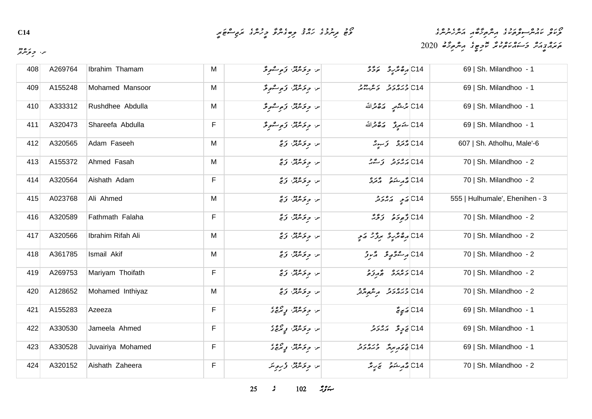*sCw7q7s5w7m< o<n9nOoAw7o< sCq;mAwBoEw7q<m; wBm;vB* م من المرة المرة المرة المرجع المرجع في المركبة 2020<br>مجم*د المريض المربوط المربع المرجع في المراجع المركبة* 

| ر ه دد<br>ىر، بەلومىزىر |  |
|-------------------------|--|
|-------------------------|--|

| 408 | A269764 | Ibrahim Thamam    | M            | ىر: ئۆچۈش كەم سەھ گە      | C14 مەھ <i>مگىي</i> ۇ مۇ <i>ۋ</i> ۇ                        | 69   Sh. Milandhoo - 1         |
|-----|---------|-------------------|--------------|---------------------------|------------------------------------------------------------|--------------------------------|
| 409 | A155248 | Mohamed Mansoor   | M            | أأرا وقرارهم وكالمحصوص    | C14 در در در در در در                                      | 69   Sh. Milandhoo - 1         |
| 410 | A333312 | Rushdhee Abdulla  | M            | ىر: ئەنگەنلەر كەم سەئەنگە | C14 بمرشوس كەھەمراللە                                      | 69   Sh. Milandhoo - 1         |
| 411 | A320473 | Shareefa Abdulla  | $\mathsf F$  | ىر، بەنزىكەن، ئەمەسەمەتى  |                                                            | 69   Sh. Milandhoo - 1         |
| 412 | A320565 | Adam Faseeh       | M            | ىن جەنگەنگە ئەنج          | C14 مەترى تەس <u>بە</u> ر                                  | 607   Sh. Atholhu, Male'-6     |
| 413 | A155372 | Ahmed Fasah       | M            | ىر، جەنگىرى ئەنج          | C14 كەندى ئەستەن                                           | 70   Sh. Milandhoo - 2         |
| 414 | A320564 | Aishath Adam      | F            | ىر، بەنزىللىكى ئەنج       | C14 مەم شەم ئەمەر 25                                       | 70   Sh. Milandhoo - 2         |
| 415 | A023768 | Ali Ahmed         | M            | ىر. بەنزىقلار تۇنج        | C14 كەبىي كەبرى قىر                                        | 555   Hulhumale', Ehenihen - 3 |
| 416 | A320589 | Fathmath Falaha   | F            | ىر. بەنزىقلار ئەنج        | C14 تَ <i>وْجِرَةْ تَرَخَّدُ</i> ّ                         | 70   Sh. Milandhoo - 2         |
| 417 | A320566 | Ibrahim Rifah Ali | M            | ىر. جەنگەنگەن ئۇنج        | C14 <sub>م</sub> ەنگرى <sub>د</sub> ى برز <i>گە كەي</i>    | 70   Sh. Milandhoo - 2         |
| 418 | A361785 | Ismail Akif       | M            | ىر، بەنزىللىكى ئەنج       | C14 م <sub>و</sub> شۇم <sub>ۇ</sub> بۇ م <sup>ە</sup> بىرۇ | 70   Sh. Milandhoo - 2         |
| 419 | A269753 | Mariyam Thoifath  | F            | من توفر علم المرجح        | C14 كى ئىرىق ھەر ئىھ                                       | 70   Sh. Milandhoo - 2         |
| 420 | A128652 | Mohamed Inthiyaz  | M            | ىر. بەنزىقلار ئەنج        | C14 <i>ۋىدە دەر مەشھەر ئۆ</i>                              | 70   Sh. Milandhoo - 2         |
| 421 | A155283 | Azeeza            | $\mathsf{F}$ | ىر. جۇ ئوقۇ، بولمىيى      | C14 ڪيو پچ                                                 | 69   Sh. Milandhoo - 1         |
| 422 | A330530 | Jameela Ahmed     | F            | بر و و شرقه و ۲۵۵         | C14 <sub>قىچ</sub> ۇ كەبر <i>ى</i> تىر                     | 69   Sh. Milandhoo - 1         |
| 423 | A330528 | Juvairiya Mohamed | $\mathsf F$  | ر و د کرده. د ۲۵۵         | C14 في <i>ق</i> دير بير تر محمد تر دير 19                  | 69   Sh. Milandhoo - 1         |
| 424 | A320152 | Aishath Zaheera   | F            | ىر. جەڭرىق، ۋىرەپتر       | C14 مەمرىشمۇ سىم پەتتىر                                    | 70   Sh. Milandhoo - 2         |

 $25$  *s*  $102$  *z*  $25$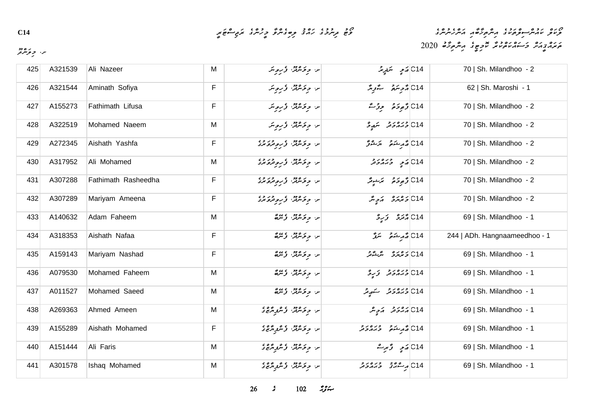*sCw7q7s5w7m< o<n9nOoAw7o< sCq;mAwBoEw7q<m; wBm;vB* م من المرة المرة المرة المرجع المرجع في المركبة 2020<br>مجم*د المريض المربوط المربع المرجع في المراجع المركبة* 

| 425 | A321539 | Ali Nazeer          | M           | أأرا وتحامدهما كرباويتر | C14 کمبر سنږيمه                              | 70   Sh. Milandhoo - 2        |
|-----|---------|---------------------|-------------|-------------------------|----------------------------------------------|-------------------------------|
| 426 | A321544 | Aminath Sofiya      | F           | ىر. ئەقەتلىقى، قەرئەتتە | C14 مەھ بىر ئىسىن بەر ئىر                    | 62   Sh. Maroshi - 1          |
| 427 | A155273 | Fathimath Lifusa    | F           | أبرا وتخالفك كربرويتر   | C14 رَّجِ دَمَّةَ مِنْ مُّتَّ                | 70   Sh. Milandhoo - 2        |
| 428 | A322519 | Mohamed Naeem       | M           | أأما أوقر بقره وكرويتر  | C14 <i>3222 سَمِي</i> <sup>و</sup>           | 70   Sh. Milandhoo - 2        |
| 429 | A272345 | Aishath Yashfa      | $\mathsf F$ | ر و و مهم و دور و ،     | C14 مَدْمِرْ مِشْمَرَّةً مَرْ مِشْمَرَّ      | 70   Sh. Milandhoo - 2        |
| 430 | A317952 | Ali Mohamed         | M           | ىن بەن ھەر ئەرەپرە      | C14 كەير بەردە ئىر                           | 70   Sh. Milandhoo - 2        |
| 431 | A307288 | Fathimath Rasheedha | F           | أأرا وتحسرها وروده بروا | C14 ۇ <sub>جو</sub> رَمْ م <sub>ىكتو</sub> ر | 70   Sh. Milandhoo - 2        |
| 432 | A307289 | Mariyam Ameena      | F           | ىر. ئەنھەش كەرلەردە ئا  | C14 <i>خەندى مۇم</i> بىگە                    | 70   Sh. Milandhoo - 2        |
| 433 | A140632 | Adam Faheem         | M           | ىر. جۇشۇر، ۋىتھ         | C14 مەترى تەرىج                              | 69   Sh. Milandhoo - 1        |
| 434 | A318353 | Aishath Nafaa       | $\mathsf F$ | ىر. جۇشۇر، ۋىتھ         | C14 مەم ئىسقىمە ئىستىگە                      | 244   ADh. Hangnaameedhoo - 1 |
| 435 | A159143 | Mariyam Nashad      | $\mathsf F$ | ىر. جەنگىرى ئۇنىۋە      | C14 كەبەد ھەر ئىگەنى                         | 69   Sh. Milandhoo - 1        |
| 436 | A079530 | Mohamed Faheem      | M           | ىر. جەنگىلار، ئۇسھ      | C14 <i>5 شەمىھە</i> ت <i>ور</i> ى            | 69   Sh. Milandhoo - 1        |
| 437 | A011527 | Mohamed Saeed       | M           | بر و و سربر، و سره      | C14 <i>\$222 سكوم</i> تر                     | 69   Sh. Milandhoo - 1        |
| 438 | A269363 | Ahmed Ameen         | M           | ر وتحسين وعربر          | C14 كەبرى قىر كەرچىلى                        | 69   Sh. Milandhoo - 1        |
| 439 | A155289 | Aishath Mohamed     | F           | ر وی گورد و مرکز آن     | C14 مُمْ مِسْتَمْعَ حَمْدُونَدْ              | 69   Sh. Milandhoo - 1        |
| 440 | A151444 | Ali Faris           | M           | برا وتحسين وعربهما      | C14] رَمِ تَوَمِرِ شَ                        | 69   Sh. Milandhoo - 1        |
| 441 | A301578 | Ishaq Mohamed       | M           | ىر. ئەقەتلەر، كەنلەش ئ  | C14 م <i>ېر مونځ ته څخه د ق</i> ر            | 69   Sh. Milandhoo - 1        |

 $26$  *s*  $102$  *z*  $25$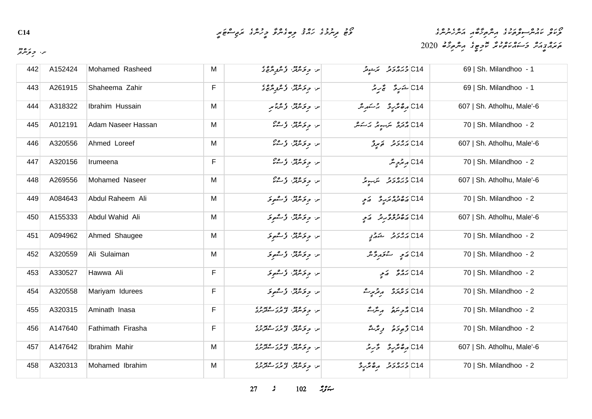*sCw7q7s5w7m< o<n9nOoAw7o< sCq;mAwBoEw7q<m; wBm;vB* م من المسجد المسجد المسجد المسجد المسجد العام 2020<br>مسجد المسجد المسجد المسجد المسجد المسجد المسجد المسجد المسجد ال

| 442 | A152424 | Mohamed Rasheed    | M | برا وتحسين كالعرضي                                                                                                                                          | C14 <i>32828 بمرش</i> وتر                       | 69   Sh. Milandhoo - 1     |
|-----|---------|--------------------|---|-------------------------------------------------------------------------------------------------------------------------------------------------------------|-------------------------------------------------|----------------------------|
| 443 | A261915 | Shaheema Zahir     | F | سر تر تر مرد بره بر بره بر                                                                                                                                  | C14 ڪرچ گ <sub>ي پ</sub> ر                      | 69   Sh. Milandhoo - 1     |
| 444 | A318322 | Ibrahim Hussain    | M | من تر تر عرض و عرض من                                                                                                                                       | C14 مەھەر بەلىكى ئەسكەر بىر                     | 607   Sh. Atholhu, Male'-6 |
| 445 | A012191 | Adam Naseer Hassan | M | مر جەنگەنگە ئۇسىما                                                                                                                                          | C14 <i>مُحَدَّدٌ</i> مَرَسِوِيْرَ بَرَسَمَسُ    | 70   Sh. Milandhoo - 2     |
| 446 | A320556 | Ahmed Loreef       | M | بر وتوسطا وه                                                                                                                                                | C14 كەش <sup>ى</sup> قىرىقى ئىچە ئىراق          | 607   Sh. Atholhu, Male'-6 |
| 447 | A320156 | Irumeena           | F | ىن جۇشقۇر، ۋېتىم                                                                                                                                            | C14 م <i>و پٽرچ</i> مٿر                         | 70   Sh. Milandhoo - 2     |
| 448 | A269556 | Mohamed Naseer     | M | بر و و سر و ده و م                                                                                                                                          | C14 <i>ۇنەم دۇ</i> س <i>ربى</i> رىم             | 607   Sh. Atholhu, Male'-6 |
| 449 | A084643 | Abdul Raheem Ali   | M | أأرا وقرمرهن وكسروق                                                                                                                                         | C14 <i>مەھەمەمىي</i> - مەمم                     | 70   Sh. Milandhoo - 2     |
| 450 | A155333 | Abdul Wahid Ali    | M | أبرا وترتدهما كركتموتى                                                                                                                                      | C14 مەھىرى ھەر مەر                              | 607   Sh. Atholhu, Male'-6 |
| 451 | A094962 | Ahmed Shaugee      | M | أأرا وتركاه والمساوي                                                                                                                                        | C14 <i>كەنگەنقى</i> ئىش <i>مۇت</i> ىي           | 70   Sh. Milandhoo - 2     |
| 452 | A320559 | Ali Sulaiman       | M | ىر. بەنزىكەنى، ئۇستىمۇتى                                                                                                                                    | C14 كەب <sub>چە</sub> سە <i>خەر</i> ۇنىر        | 70   Sh. Milandhoo - 2     |
| 453 | A330527 | Hawwa Ali          | F | أأرا وتركاه والمساوي                                                                                                                                        | C14 بَرْدُوَّ   مَرِ                            | 70   Sh. Milandhoo - 2     |
| 454 | A320558 | Mariyam Idurees    | F | أأرا وقرمرهن وكسفوقر                                                                                                                                        | C14 كەبھە <i>كى مەقرىپ</i>                      | 70   Sh. Milandhoo - 2     |
| 455 | A320315 | Aminath Inasa      | F | در او خود در ۱۶۵۵ ورو در ۲۶۵۵<br>در او خود در بود کاربرد کرد در او در او در او در او در او در او در او در او در ا                                           | C14 مَّ حِبِّرَةٌ مِتَّرَبَّةٌ                  | 70   Sh. Milandhoo - 2     |
| 456 | A147640 | Fathimath Firasha  | F | در او توکنده او به ۱۶۵ و در ۲۶۵<br>در او توکنده او مرد سافربرد                                                                                              | C14 ۇ <sub>جو</sub> رَة <sub>ُ وِ</sub> تَرْتَّ | 70   Sh. Milandhoo - 2     |
| 457 | A147642 | Ibrahim Mahir      | M | ا در ان موجود است و در ۱۵ در ۲۵ در و در ان<br>این انتخاب می کنیم و می کنیم و می کنیم و در انتخاب در کنیم و در انتخاب و در انتخاب کنیم و در انتخاب کنیم و در | C14 مەھمى <i>گە بىر ئىلى</i> ر                  | 607   Sh. Atholhu, Male'-6 |
| 458 | A320313 | Mohamed Ibrahim    | M | ا در از جانور می در ۲۵ در ۲۵ در ۲۵<br>امرار جانویس بر کاری سوتوروی                                                                                          | C14 ديرورو م <i>ھٽرو</i>                        | 70   Sh. Milandhoo - 2     |

*27 sC 102 nNw?mS*

مر، بر *ج*و بير<br>مر، بر بر بير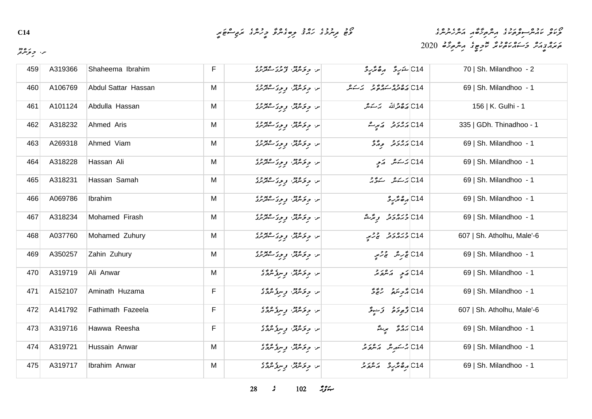*sCw7q7s5w7m< o<n9nOoAw7o< sCq;mAwBoEw7q<m; wBm;vB* م من المرة المرة المرة المرجع المرجع في المركبة 2020<br>مجم*د المريض المربوط المربع المرجع في المراجع المركبة* 

| ر ه دد<br>ىر، ترىرىر |  |
|----------------------|--|
|----------------------|--|

| 459 | A319366 | Shaheema Ibrahim    | F | در ورود در در ورود.<br>در ونوس و در سهردد                                                                    | C14 ڪرير <i>آهن جي پ</i> و              | 70   Sh. Milandhoo - 2     |
|-----|---------|---------------------|---|--------------------------------------------------------------------------------------------------------------|-----------------------------------------|----------------------------|
| 460 | A106769 | Abdul Sattar Hassan | M | من تحریر میں اسلام دیکھیے تھے کہ اس کا ان کے میں اس کا ان کے ان کا ان کا ان کا ان کا ان کا ان کا ان کا ان کا | C14 مەھ <i>رە ئىممۇنىڭ بەسكى</i> ر      | 69   Sh. Milandhoo - 1     |
| 461 | A101124 | Abdulla Hassan      | M | ىن ئۆتۈشى ۋە ئەسەرى                                                                                          | C14 مَەڤەراللە بەسەر                    | 156   K. Gulhi - 1         |
| 462 | A318232 | Ahmed Aris          | M | ىن ئۆتۈشى ۋېچە ئەھلارى                                                                                       | C14 كەبۇبۇقى كەيرىشى                    | 335   GDh. Thinadhoo - 1   |
| 463 | A269318 | Ahmed Viam          | M | ىر. ئەقەتلەش. يەنەر ئەتەرىرى                                                                                 | C14 كەبرى قىر بەرگە                     | 69   Sh. Milandhoo - 1     |
| 464 | A318228 | Hassan Ali          | M | ىر. ئەتمەنگە، تەبەر ئەتەرى                                                                                   | C14 ئەسەھرىمى <del>س</del> ى            | 69   Sh. Milandhoo - 1     |
| 465 | A318231 | Hassan Samah        | M | ىر. ئەقەتلەش. يەنەر ئەتەرىرى                                                                                 | C14 كەستەش سى <i>ۋ</i> چ                | 69   Sh. Milandhoo - 1     |
| 466 | A069786 | Ibrahim             | M | ىر. ئەتمەنگە، ت <sub>و</sub> لوپە <i>ئەرەپە</i>                                                              | C14 مەھم <i>گى</i> رى                   | 69   Sh. Milandhoo - 1     |
| 467 | A318234 | Mohamed Firash      | M | ىر. ئەقەتلەش. يەنەر ئەتەرىرى                                                                                 | C14 <i>\$ بَهُ دُوَ</i> تَر و بِرَّتْ و | 69   Sh. Milandhoo - 1     |
| 468 | A037760 | Mohamed Zuhury      | M | ىر. ئەقەتلەش. يەنەر ئەتەرىرى                                                                                 | C14 <i>322 كارونى</i> تورىخ             | 607   Sh. Atholhu, Male'-6 |
| 469 | A350257 | Zahin Zuhury        | M | ىر. ئەنجەشرى كۆلەت مەدەرى<br>ئەر ئەنجەشرى كۆلۈش مەدىرى                                                       | C14 يج سِش جي حسيب                      | 69   Sh. Milandhoo - 1     |
| 470 | A319719 | Ali Anwar           | M | ىر. بەندىق ۋىندىقى                                                                                           | C14 <i>مَنْجِهِ مَتَّعْفَ</i> مْهِ      | 69   Sh. Milandhoo - 1     |
| 471 | A152107 | Aminath Huzama      | F | ىر. بەندىق ۋىترلىقلا                                                                                         | C14 مُجْرِسَمُ حَيَّجَ                  | 69   Sh. Milandhoo - 1     |
| 472 | A141792 | Fathimath Fazeela   | F | ىر. بەلگەنگەر بەلگەنگەنگەنگە                                                                                 | C14 وَمِوَدَة وَسِرْدً                  | 607   Sh. Atholhu, Male'-6 |
| 473 | A319716 | Hawwa Reesha        | F | ىر. بەنگەنگە، بەسلامگەنگە                                                                                    | C14 كەندۇ موڭ                           | 69   Sh. Milandhoo - 1     |
| 474 | A319721 | Hussain Anwar       | M | ىر. بەلۇمەت بەسلامدۇر                                                                                        |                                         | 69   Sh. Milandhoo - 1     |
| 475 | A319717 | Ibrahim Anwar       | M | ىر. بەنگەنگە، بەسلامگەنگە                                                                                    | C14 مەھە <i>تگەي</i> ر ئەشھەتمە         | 69   Sh. Milandhoo - 1     |

 $28$  *s*  $\cancel{102}$  *n***<sub>3</sub>** *n*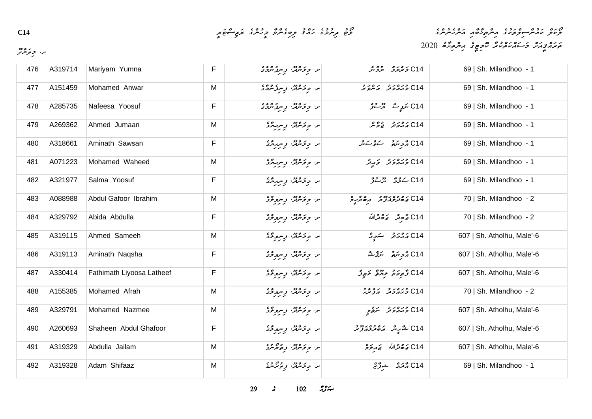*sCw7q7s5w7m< o<n9nOoAw7o< sCq;mAwBoEw7q<m; wBm;vB* م من المرة المرة المرة المرجع المرجع في المركبة 2020<br>مجم*د المريض المربوط المربع المرجع في المراجع المركبة* 

| 476 | A319714 | Mariyam Yumna             | F | ىر. بەلۇش ۋىترومۇلا       | C14 كەمەم ھەمگە                   | 69   Sh. Milandhoo - 1     |
|-----|---------|---------------------------|---|---------------------------|-----------------------------------|----------------------------|
| 477 | A151459 | Mohamed Anwar             | M | ىر. بەلۇش ۋىترلىقگە       | C14 <i>32022</i> كرموند           | 69   Sh. Milandhoo - 1     |
| 478 | A285735 | Nafeesa Yoosuf            | F | ىر. بەندىق ۋىترلىقلار     | C14 سَمَدِ شَہْ مَرْتَّسُو        | 69   Sh. Milandhoo - 1     |
| 479 | A269362 | Ahmed Jumaan              | M | یں ویکھی وسرگری           | C14 <i>كەندى قى</i> قىلى          | 69   Sh. Milandhoo - 1     |
| 480 | A318661 | Aminath Sawsan            | F | أأرا وكرمريش والرباري     | C14 مۇجەنىھ سە <i>ھ سەملە</i>     | 69   Sh. Milandhoo - 1     |
| 481 | A071223 | Mohamed Waheed            | M | ىر. جەڭلىكى، بەس ئەنج     | C14 <i>وُبَرْدُوَنْ وَبِ</i> نْدُ | 69   Sh. Milandhoo - 1     |
| 482 | A321977 | Salma Yoosuf              | F | ىر. جەڭلىكى، بەس ئەنج     | C14 كەنزى تەرىپۇ                  | 69   Sh. Milandhoo - 1     |
| 483 | A088988 | Abdul Gafoor Ibrahim      | M | ىر. ئەقەتلەر كۆسمەتچە     | C14 مەھىر مەدەم مەھەر د           | 70   Sh. Milandhoo - 2     |
| 484 | A329792 | Abida Abdulla             | F | ىر. ئەقەتلەر كۆسمەتچە     | C14 مُتَّصِعَّر مَتَّصَمَّراللَّه | 70   Sh. Milandhoo - 2     |
| 485 | A319115 | Ahmed Sameeh              | M | ىر. جەڭلىقى، بەسمەنگەنى   | C14 <i>مَدْوَمْ سَوِدْ</i>        | 607   Sh. Atholhu, Male'-6 |
| 486 | A319113 | Aminath Naqsha            | F | الرا وتركره وسعرترة       | C14 مَّ حِ سَمَّ سَنَّةٌ حَسَّ    | 607   Sh. Atholhu, Male'-6 |
| 487 | A330414 | Fathimath Liyoosa Latheef | F | ىر. بەندىقى، بەسمەنگە     | C14 وَجِوحَمَ مِرْجَمَّةً مَجِودً | 607   Sh. Atholhu, Male'-6 |
| 488 | A155385 | Mohamed Afrah             | M | ىر. ئەقەتلەر كۆسمەتچە     | C14 <i>32923</i> مۇمۇم            | 70   Sh. Milandhoo - 2     |
| 489 | A329791 | Mohamed Nazmee            | M | ىر. بەنگەنگە، بەسمەنگەنگە | C14 <i>وبروونز سَهْوِ</i>         | 607   Sh. Atholhu, Male'-6 |
| 490 | A260693 | Shaheen Abdul Ghafoor     | F | ىر. ئەقەتلەر كۆسمەتچە     | C14 شریر مەھىر <i>دە د</i>        | 607   Sh. Atholhu, Male'-6 |
| 491 | A319329 | Abdulla Jailam            | M | ر و وسرفر اوه وه و و      | C14 كەھىراللە <i>قەمەمى</i>       | 607   Sh. Atholhu, Male'-6 |
| 492 | A319328 | Adam Shifaaz              | M | ر. و د سره. وه ور.        | C14 مەترى ھەر <i>گى</i>           | 69   Sh. Milandhoo - 1     |

*29 sC 102 nNw?mS*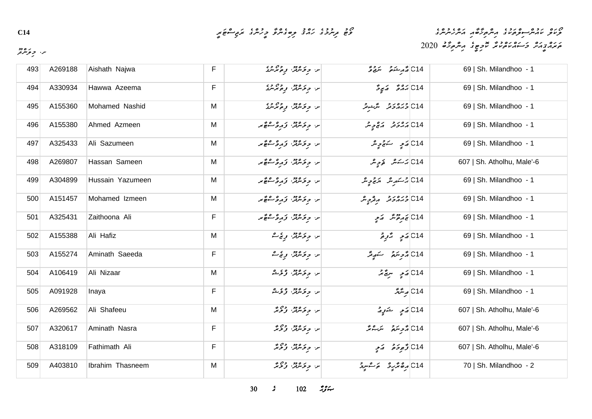*sCw7q7s5w7m< o<n9nOoAw7o< sCq;mAwBoEw7q<m; wBm;vB 2020<sup>, م</sup>وسوق المسجد التحقيق وسرمونية والم*جمع المسجد المسجد المسجد المسجد المسجد المسجد المسجد المسجد المسجد ال

| 493 | A269188 | Aishath Najwa    | F | بن و و سرچر وه وه و                                        | C14 مەم يىسىم قىرى <i>مۇ ھ</i>          | 69   Sh. Milandhoo - 1     |
|-----|---------|------------------|---|------------------------------------------------------------|-----------------------------------------|----------------------------|
| 494 | A330934 | Hawwa Azeema     | F | ىر. ئەخرىكى بەلەي ئەنگەندى.<br>مەن ئوخرىكى بەلەي ئەنگەندى. | C14 ئەبر <i>ۇ</i> كەيبى ئ               | 69   Sh. Milandhoo - 1     |
| 495 | A155360 | Mohamed Nashid   | M | ىر، جەنبەتە بەلدەرە<br>س جەنبەتەر بەلەيمەس                 | C14 <i>دېم دې گرېنې</i> متر             | 69   Sh. Milandhoo - 1     |
| 496 | A155380 | Ahmed Azmeen     | M | ىن ئەقەدە كەرەسىۋىم                                        | C14 <i>م جو جو م جو ج</i> ر             | 69   Sh. Milandhoo - 1     |
| 497 | A325433 | Ali Sazumeen     | M | ىر. بەنزىللاش ئۇم ھەسىم ئىس                                | C14 <i>ھَ۔</i> سَنھ <i>چ</i> ھ          | 69   Sh. Milandhoo - 1     |
| 498 | A269807 | Hassan Sameen    | M | ىر. ئەنگەنلەر ئەرەب ئەنقاس                                 | C14 ئەسەنلەر ئ <sub>ۇجو</sub> بلە       | 607   Sh. Atholhu, Male'-6 |
| 499 | A304899 | Hussain Yazumeen | M | ىر. ئەترىش، ئەرەب ھەر                                      | C14 ٿر <i>ڪمبر</i> مگر سرچ جي مگر       | 69   Sh. Milandhoo - 1     |
| 500 | A151457 | Mohamed Izmeen   | M | ىر. ئەترىش، ئەرەب ھەر                                      | C14 <i>2222 م</i> قر <i>م</i> حی        | 69   Sh. Milandhoo - 1     |
| 501 | A325431 | Zaithoona Ali    | F | ىن ئەقەدە كەرەسىۋىم                                        | C14 ئىمرچوتىش مەمب <u>ە</u>             | 69   Sh. Milandhoo - 1     |
| 502 | A155388 | Ali Hafiz        | M | یں وِیَرمین وِیُ ے                                         | C14 کرم په برگرن <sub>م</sub>           | 69   Sh. Milandhoo - 1     |
| 503 | A155274 | Aminath Saeeda   | F | ىر. بەيھەتلەر بولغات                                       | C14 مَرْحِبَتَهُ ۖ سَهِيقَر             | 69   Sh. Milandhoo - 1     |
| 504 | A106419 | Ali Nizaar       | M | أأرا وقرمرهن ووعاها                                        | C14 کھ میں جگ مگر                       | 69   Sh. Milandhoo - 1     |
| 505 | A091928 | Inaya            | F | ىر. بەنزىتىرى ۋىزىش                                        | C14 مەش <del>م</del> گە                 | 69   Sh. Milandhoo - 1     |
| 506 | A269562 | Ali Shafeeu      | м | ىر. بەنزىكەن ۋىزىگە                                        | C14 <i>۾َ جِ</i> حَ <i>وِيةُ</i>        | 607   Sh. Atholhu, Male'-6 |
| 507 | A320617 | Aminath Nasra    | F | ىر. جەنگەنلەر قانۇنىگە                                     | C14 مَّ <i>حِيدَ مَعْ مَدَ مَّة مَّ</i> | 607   Sh. Atholhu, Male'-6 |
| 508 | A318109 | Fathimath Ali    | F | الرا وتختلف وهمد                                           | C14 و <i>گ</i> و <i>خ</i> و گرم         | 607   Sh. Atholhu, Male'-6 |
| 509 | A403810 | Ibrahim Thasneem | M | ىن ئەقەتلەش كەن ئە                                         | C14 مەھەرىرى ھەسىرىتى<br>               | 70   Sh. Milandhoo - 2     |

*30 sC 102 nNw?mS*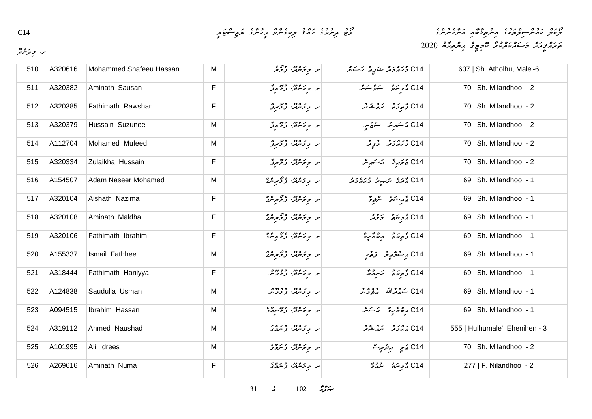*sCw7q7s5w7m< o<n9nOoAw7o< sCq;mAwBoEw7q<m; wBm;vB* م من المرة المرة المرة المرجع المرجع في المركبة 2020<br>مجم*د المريض المربوط المربع المرجع في المراجع المركبة* 

| ر ه دد<br>ىر، ترىرىر |  |
|----------------------|--|
|----------------------|--|

| 510 | A320616 | Mohammed Shafeeu Hassan | M            | أيرا ويحاكمكما وحويم   | C14 <i>وبروباوتر خوړ پر ش</i> مر                          | 607   Sh. Atholhu, Male'-6     |
|-----|---------|-------------------------|--------------|------------------------|-----------------------------------------------------------|--------------------------------|
| 511 | A320382 | Aminath Sausan          | F            | الرا وقراري ومجرو      | C14 م <sup>ې</sup> رمېتىق سىۋىسكىلىر                      | 70   Sh. Milandhoo - 2         |
| 512 | A320385 | Fathimath Rawshan       | $\mathsf F$  | ىر. بەنگەنلەر ۋىيىمىڭ  | C14 ۇ <sub>ج</sub> وخ <sub>ى</sub> ئەرشىئەنىر             | 70   Sh. Milandhoo - 2         |
| 513 | A320379 | Hussain Suzunee         | M            | الرا وقرارها وتخيرة    | C14 برڪو <i>پير شوچي</i> ر                                | 70   Sh. Milandhoo - 2         |
| 514 | A112704 | Mohamed Mufeed          | M            | الرا وكالكرثة ومخبرة   | C14 <i>5 3 3 3 3 و پ</i> ر                                | 70   Sh. Milandhoo - 2         |
| 515 | A320334 | Zulaikha Hussain        | $\mathsf{F}$ | الرا ولحاظهن ومخبرة    | C14 يحترم بحر بم شهر بالد                                 | 70   Sh. Milandhoo - 2         |
| 516 | A154507 | Adam Naseer Mohamed     | M            | أأرا وترتبص وتحبرننى   | C14 تُرْتَرَدُ ۖ سَرَ- بِهِ تَرَ تَرَ تَرَ تَرَ بِهِ مَسَ | 69   Sh. Milandhoo - 1         |
| 517 | A320104 | Aishath Nazima          | $\mathsf F$  | برا وتحسين وتحبيشى     | C14 م <i>ەمبىشى مەمبۇ</i> ئ                               | 69   Sh. Milandhoo - 1         |
| 518 | A320108 | Aminath Maldha          | $\mathsf F$  | بر وتحسين وتحبيب       | C14 مَّ <i>حِسَمَ حَوْمَ</i> ّ                            | 69   Sh. Milandhoo - 1         |
| 519 | A320106 | Fathimath Ibrahim       | $\mathsf{F}$ | برا وتحسين وتحبيب      | C14 تَ <sub>مُ</sub> وحَمَّةَ مُصَمَّرِةَ                 | 69   Sh. Milandhoo - 1         |
| 520 | A155337 | Ismail Fathhee          | M            | برا وتحسين وتحبيب      | C14 مرشۇم <i>ۇ دۇم</i> ېر                                 | 69   Sh. Milandhoo - 1         |
| 521 | A318444 | Fathimath Haniyya       | F            | بر برود دوده.          | C14 ز <sub>ىم</sub> ورۇ ئەمدىگە                           | 69   Sh. Milandhoo - 1         |
| 522 | A124838 | Saudulla Usman          | M            | بر وتحسن وه ده و       | C14 كەچمەتراللە ج <sub>ە</sub> چمەترىر                    | 69   Sh. Milandhoo - 1         |
| 523 | A094515 | Ibrahim Hassan          | M            | ر و و ده دو دو ده      | C14 مەھ <i>مگىي</i> تەسكىش                                | 69   Sh. Milandhoo - 1         |
| 524 | A319112 | Ahmed Naushad           | M            | ما تر تر شرق و مرد ه م | C14 كەبروتر سەھ ش <sup>ە</sup> تر                         | 555   Hulhumale', Ehenihen - 3 |
| 525 | A101995 | Ali Idrees              | M            | أأرا وتحارقها والرواء  | C14 کړې پوترېږے                                           | 70   Sh. Milandhoo - 2         |
| 526 | A269616 | Aminath Numa            | F            | أأرا وتحارقهما والرواء | C14 مُتَّحِسَمُ مُتَمَكَّدُ                               | 277   F. Nilandhoo - 2         |

 $31$  *s*  $102$  *n***<sub>s</sub>**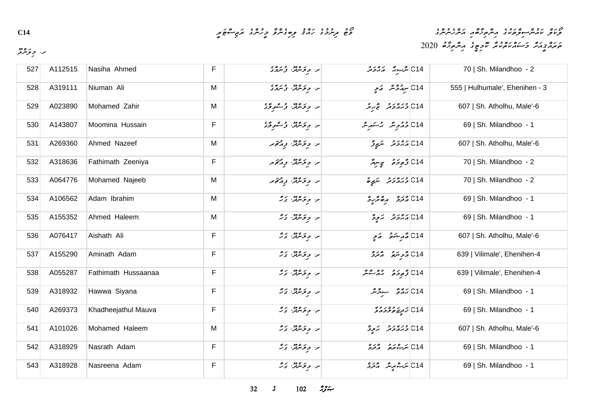*sCw7q7s5w7m< o<n9nOoAw7o< sCq;mAwBoEw7q<m; wBm;vB* م من المسجد المسجد المسجد المسجد المسجد العام 2020<br>مسجد المسجد المسجد المسجد المسجد المسجد المسجد المسجد المسجد ال

| 527 | A112515 | Nasiha Ahmed        | $\mathsf F$ | أأأدا وتؤثيرها والرواء        | C14 سَّرْسِيمَ - مَدْحَمْد                                                                                               | 70   Sh. Milandhoo - 2         |
|-----|---------|---------------------|-------------|-------------------------------|--------------------------------------------------------------------------------------------------------------------------|--------------------------------|
| 528 | A319111 | Niuman Ali          | M           | ما تر تر شرق و مرد ده ا       | C14 سرچ محمد کا کالی<br>پ                                                                                                | 555   Hulhumale', Ehenihen - 3 |
| 529 | A023890 | Mohamed Zahir       | M           | ىر. بەلۇش ۋە بەلەي            | C14 <i>جەنە جى جى بى</i> ر                                                                                               | 607   Sh. Atholhu, Male'-6     |
| 530 | A143807 | Moomina Hussain     | $\mathsf F$ | ىر. بەندىق ۋە يە،             | C14 ۇر <sub>ۇچ</sub> ىگە كەسكەپلىر                                                                                       | 69   Sh. Milandhoo - 1         |
| 531 | A269360 | Ahmed Nazeef        | M           | ىن جۇشكى ۋەڭمىر               | C14 كەش <sup>ى</sup> كەش ئىس ئىس ئىس ئىس ئىس ئىس ئىس ئىستى ئىستان ئىستان ئىستان ئىستان ئىستان ئىستان ئىستان ئىستان ئىستا | 607   Sh. Atholhu, Male'-6     |
| 532 | A318636 | Fathimath Zeeniya   | $\mathsf F$ | ىن جۇشۇش بەرگەند              | C14 تۇ <sub>م</sub> وخ <sup>ى</sup> ر بېرى <i>د</i>                                                                      | 70   Sh. Milandhoo - 2         |
| 533 | A064776 | Mohamed Najeeb      | M           | ىن جەنگەنگە ۋەممى             | C14 <i>وبروبرو</i> سَر <sub>ْمٍ ص</sub>                                                                                  | 70   Sh. Milandhoo - 2         |
| 534 | A106562 | Adam Ibrahim        | M           | من المحافظة المحافظة المحافظة | C14 مُقرَّد مِنْ مُحَمَّدٍ فِي                                                                                           | 69   Sh. Milandhoo - 1         |
| 535 | A155352 | Ahmed Haleem        | M           | المزاح بحاشرهن المحارث        | C14 <i>ټرې</i> وتر ټر <i>ي</i> و                                                                                         | 69   Sh. Milandhoo - 1         |
| 536 | A076417 | Aishath Ali         | F           | ىر، جەنگەنگە ئەرم             | C14 مُگرِسْدَة كَرَمِ                                                                                                    | 607   Sh. Atholhu, Male'-6     |
| 537 | A155290 | Aminath Adam        | $\mathsf F$ | المزاح فرجوهما المحارض        | C14 مُجِسِعُ مُعَرِدُ                                                                                                    | 639   Vilimale', Ehenihen-4    |
| 538 | A055287 | Fathimath Hussaanaa | $\mathsf F$ | ما تونوکلنگ او ل              | C14 ئۇ <sub>جۇ</sub> خ <sub>ەم</sub> بىرگە شەر                                                                           | 639   Vilimale', Ehenihen-4    |
| 539 | A318932 | Hawwa Siyana        | $\mathsf F$ | من الموقوعين الأمر            | C14 ئەمگە ئىسبە ئىگەنگە                                                                                                  | 69   Sh. Milandhoo - 1         |
| 540 | A269373 | Khadheejathul Mauva | $\mathsf F$ | الرا وتركري الأمج             | C14 كَتَمْرِيجَ <i>مُوَجَدَةً</i> وَ                                                                                     | 69   Sh. Milandhoo - 1         |
| 541 | A101026 | Mohamed Haleem      | M           | من تونو معرض الاثر            | C14 <i>وَبَهُ دَوَدٌ بَرَوِ</i> دُ                                                                                       | 607   Sh. Atholhu, Male'-6     |
| 542 | A318929 | Nasrath Adam        | $\mathsf F$ | من تونوکلون کارنخ             | C14 سَرَجْهُ مَعْرُوْ مُسَرَّد                                                                                           | 69   Sh. Milandhoo - 1         |
| 543 | A318928 | Nasreena Adam       | $\mathsf F$ | المزا وتحاملك المحاجج         | C14 سَ <i>رَ-جُمِيسَ مُنْ قَرْ</i> حَ                                                                                    | 69   Sh. Milandhoo - 1         |

 $32$  *s*  $102$  *z***<sub>3</sub>** $\approx$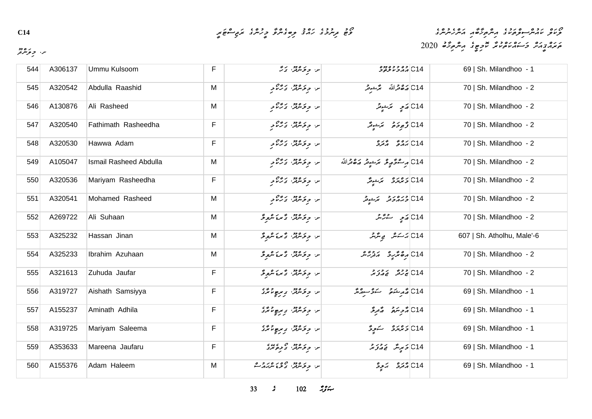*sCw7q7s5w7m< o<n9nOoAw7o< sCq;mAwBoEw7q<m; wBm;vB* م من المرة المرة المرة المرجع المرجع في المركبة 2020<br>مجم*د المريض المربوط المربع المرجع في المراجع المركبة* 

| 544 | A306137 | <b>Ummu Kulsoom</b>           | $\mathsf{F}$ | من تحويج محركة المحارثة      |                                          | 69   Sh. Milandhoo - 1     |
|-----|---------|-------------------------------|--------------|------------------------------|------------------------------------------|----------------------------|
| 545 | A320542 | Abdulla Raashid               | M            | ىر. ئەبۇشى ئەركەتلەر         | C14 مَەھْتَراللە مَحْرَىشى <i>م</i> ْر   | 70   Sh. Milandhoo - 2     |
| 546 | A130876 | Ali Rasheed                   | M            | أأرا وتحارقها أوراثا والمحمد | C14 <i>مَرْمٍ بَرَحْ</i> مِثْرِ          | 70   Sh. Milandhoo - 2     |
| 547 | A320540 | Fathimath Rasheedha           | $\mathsf F$  | ىر. جەنگەنگەر ئەركىمى        | C14 وَّجِرَةَ مَرَ <sub>ّسُو</sub> نَّزَ | 70   Sh. Milandhoo - 2     |
| 548 | A320530 | Hawwa Adam                    | F            | ىر. ئەبۇشى ئەركەتلەر         | C14 بَرْدَةَ مَرْمَرَّد                  | 70   Sh. Milandhoo - 2     |
| 549 | A105047 | <b>Ismail Rasheed Abdulla</b> | M            | ىر. جەنگەنگە ئەركەنگە بە     | C14 مرحوح محتصر محدد الله                | 70   Sh. Milandhoo - 2     |
| 550 | A320536 | Mariyam Rasheedha             | F            | یں وتحسین تحصی               | C14 ك <i>رىمى كى تى</i> شىمىگە           | 70   Sh. Milandhoo - 2     |
| 551 | A320541 | Mohamed Rasheed               | M            | ىر. ئەنگەنگەر ئەرەپ          | C14 <i>وُبَرُوْدَ تَرَ مُوَمَّرٍ</i>     | 70   Sh. Milandhoo - 2     |
| 552 | A269722 | Ali Suhaan                    | M            | ىن بەن ھەر ئەيرە ئىرەن       | C14 کھ جو سے شک                          | 70   Sh. Milandhoo - 2     |
| 553 | A325232 | Hassan Jinan                  | M            | الرا وقرشرش كالرباش ومحر     | C14   بَرْسَة مَّثَرَّ مَّ مِیْثَرَّدَّ  | 607   Sh. Atholhu, Male'-6 |
| 554 | A325233 | Ibrahim Azuhaan               | M            | ىر، بەنزىكرى، ئەيرە ئىربەنز  | C14 مەھە <i>تگەي</i> ھەمەمەتىرىتىلىر     | 70   Sh. Milandhoo - 2     |
| 555 | A321613 | Zuhuda Jaufar                 | F            | ىر، بەنزىكرى، ئەيرە ئىربەنز  | C14 يحر <sub>م</sub> محمد تريمر          | 70   Sh. Milandhoo - 2     |
| 556 | A319727 | Aishath Samsiyya              | F            | ر و و مرد د برج د بر         | C14 مەم ئىقتى سىكى سو <i>رى</i> گە       | 69   Sh. Milandhoo - 1     |
| 557 | A155237 | Aminath Adhila                | F            | ر و و سرفر و برج دی          | C14 مَّ <i>حِ سَعَىٰ مَ</i> ّ مِرْحَ     | 69   Sh. Milandhoo - 1     |
| 558 | A319725 | Mariyam Saleema               | F            | ر و درود. د برج انگری        | C14 ك <i>رچرى سكو</i> گ                  | 69   Sh. Milandhoo - 1     |
| 559 | A353633 | Mareena Jaufaru               | $\mathsf F$  | س وتحسين ويومره              | C14 كۈمىرىش ئ <i>ۆھەتى</i> تىر           | 69   Sh. Milandhoo - 1     |
| 560 | A155376 | Adam Haleem                   | M            | ر و و ده مه ده د ده و        | C14 جۇ <i>نىۋە بەي</i> چ                 | 69   Sh. Milandhoo - 1     |

**33** *s* **102** *n***<sub>s</sub>***n***<sub>s</sub>**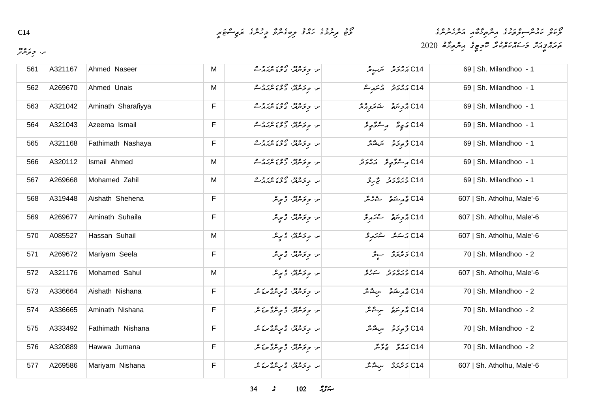*sCw7q7s5w7m< o<n9nOoAw7o< sCq;mAwBoEw7q<m; wBm;vB* م من المرة المرة المرة المرجع المرجع في المركبة 2020<br>مجم*د المريض المربوط المربع المرجع في المراجع المركبة* 

| 561 | A321167 | Ahmed Naseer       | M           | س وتحسين تحقيق المدارون         | C14 <i>مُرْدَى مَّة مَرْسِ</i> مِرَّ         | 69   Sh. Milandhoo - 1     |
|-----|---------|--------------------|-------------|---------------------------------|----------------------------------------------|----------------------------|
| 562 | A269670 | Ahmed Unais        | M           | س وتحسن ود ودوره                | C14 كەبرى قىر قىسىمبە ئىس                    | 69   Sh. Milandhoo - 1     |
| 563 | A321042 | Aminath Sharafiyya | F           | س وتحسين تحقيق المردف           | C14 مەھ بىرىمە ھەمئىر بورىم                  | 69   Sh. Milandhoo - 1     |
| 564 | A321043 | Azeema Ismail      | F           | ر وتوسط معده دوم                | C14 كەيپ <sup>ۇ</sup> بەش <i>ۇم</i> بۇ       | 69   Sh. Milandhoo - 1     |
| 565 | A321168 | Fathimath Nashaya  | F           | س وتوسطان وروروه                | C14 تَ <i>وْجِ</i> وَمَ سَرْشَةَدَّ          | 69   Sh. Milandhoo - 1     |
| 566 | A320112 | Ismail Ahmed       | M           | س وتحسن وروده وروده             | C14 م <i>ېشۇم</i> ۇ مەددىر                   | 69   Sh. Milandhoo - 1     |
| 567 | A269668 | Mohamed Zahil      | M           | بر وتحسن معده مدوره             | C14 <i>3222 تح</i> رقر                       | 69   Sh. Milandhoo - 1     |
| 568 | A319448 | Aishath Shehena    | F           | أبرا ويحامدها الأمريش           | C14 مەم ئىقتىمە ئىش <i>ەر ئىگ</i> ر          | 607   Sh. Atholhu, Male'-6 |
| 569 | A269677 | Aminath Suhaila    | F           | الرا وتخلفكا الحامريكر          | C14 مَّ حِبَّ مَعْ سَنَرْمِ مَحَ             | 607   Sh. Atholhu, Male'-6 |
| 570 | A085527 | Hassan Suhail      | M           | الرا وتخلفكما وترنكر            | C14 يزير ش <i>رتر</i> و                      | 607   Sh. Atholhu, Male'-6 |
| 571 | A269672 | Mariyam Seela      | F           | الرا وتخلفكا الحامريكر          | C14 <i>5 بۇيۇ</i> بەرتى                      | 70   Sh. Milandhoo - 2     |
| 572 | A321176 | Mohamed Sahul      | M           | الرا وتخامص ومرش                | C14 <i>3282 سەردو</i>                        | 607   Sh. Atholhu, Male'-6 |
| 573 | A336664 | Aishath Nishana    | F           | ىر. جەنبەتلەر، ئايرىشكەتلەش     | C14 مَدْمِ مِنْدَمْ مِنْ مِنْدَمَّد          | 70   Sh. Milandhoo - 2     |
| 574 | A336665 | Aminath Nishana    | F           | الأرا وتحاملات والمرمرة المرياس | C14 مَرْحِ سَمَعَ سِيشَتَر                   | 70   Sh. Milandhoo - 2     |
| 575 | A333492 | Fathimath Nishana  | $\mathsf F$ | الرا وقائلاته ولمحامده للمكامل  | C14 تۇم <sub>ۇ</sub> خۇ س <sub>ى</sub> شگىگە | 70   Sh. Milandhoo - 2     |
| 576 | A320889 | Hawwa Jumana       | F           | الرا وقائلاته ولمحامده للمكامل  | C14 بَرْدْءٌ يَوَتَّرَ                       | 70   Sh. Milandhoo - 2     |
| 577 | A269586 | Mariyam Nishana    | $\mathsf F$ | ىر. جەنبەتلەر، ئايرىشكەتلەش     | C14 <i>5 بروگر</i> موسیقاتر                  | 607   Sh. Atholhu, Male'-6 |

 $34$  *s*  $102$  *n***<sub>s</sub>**  $\frac{2}{3}$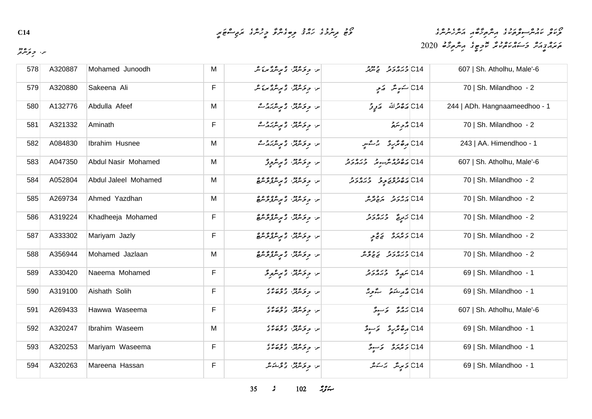*sCw7q7s5w7m< o<n9nOoAw7o< sCq;mAwBoEw7q<m; wBm;vB* م من المرة المرة المرة المرجع المرجع في المركبة 2020<br>مجم*د المريض المربوط المربع المرجع في المراجع المركبة* 

| ر ه دد<br>ىر، ترىرىر |  |
|----------------------|--|
|----------------------|--|

| 578 | A320887 | Mohamed Junoodh      | M            | ىر، بالم ئارەت كە ئارىكى ئارىكى ئار        | C14 وبرەبەر مەدەر                                     | 607   Sh. Atholhu, Male'-6    |
|-----|---------|----------------------|--------------|--------------------------------------------|-------------------------------------------------------|-------------------------------|
| 579 | A320880 | Sakeena Ali          | F            | الرا وتحاملات ولمرسكة للماش                | C14 سنرپٹر ک <i>ے م</i> یر                            | 70   Sh. Milandhoo - 2        |
| 580 | A132776 | Abdulla Afeef        | M            | ىر. جەنگەنگە، ئەمرىرىدىك                   | C14 مَەھىراللە م <i>ەربى</i> ق                        | 244   ADh. Hangnaameedhoo - 1 |
| 581 | A321332 | Aminath              | $\mathsf{F}$ | ىر، جەنگىرى ئاس بار دە                     | C14 مَّ حِبَّعَةً                                     | 70   Sh. Milandhoo - 2        |
| 582 | A084830 | Ibrahim Husnee       | M            | الرا وتحسن ويرشده                          | C14 <sub>مر</sub> ھ م <i>گرچ</i> و جي شي <sub>پ</sub> | 243   AA. Himendhoo - 1       |
| 583 | A047350 | Abdul Nasir Mohamed  | M            | أأرا وتحامله ومرتكزو                       | C14 كەھەركە ئىبرىدى دىر دىر                           | 607   Sh. Atholhu, Male'-6    |
| 584 | A052804 | Abdul Jaleel Mohamed | M            | الرا وتحسن ومسترقه                         | C14 رەدەر درەرد<br>C14 رەدرى بوتى ب                   | 70   Sh. Milandhoo - 2        |
| 585 | A269734 | Ahmed Yazdhan        | M            | الرا وتحسن ومسترقه                         | C14 كەبرو كەرەپىرىتىر                                 | 70   Sh. Milandhoo - 2        |
| 586 | A319224 | Khadheeja Mohamed    | $\mathsf{F}$ | ىر. جەنگەنگە ئام يەر ئەھم                  | C14 كَتَعِيفٌ - <i>حْكَمْ وَقُرْ</i>                  | 70   Sh. Milandhoo - 2        |
| 587 | A333302 | Mariyam Jazly        | F            | ىر. بەنگەنگەن ئامرىكروگەنلىق               | C14 ك <i>ر برگرگى ئى تاج</i> و                        | 70   Sh. Milandhoo - 2        |
| 588 | A356944 | Mohamed Jazlaan      | M            | ىر. بەنگەنگەن كەمپەنلەرگەنلى               | C14 <i>ۋىرە دو</i> ئەنج ئۇنىر                         | 70   Sh. Milandhoo - 2        |
| 589 | A330420 | Naeema Mohamed       | F            | ىر، ئەقەتلەر، كەيرىكرى ئ                   | C14 ىتمەرى ئەمەدىر                                    | 69   Sh. Milandhoo - 1        |
| 590 | A319100 | Aishath Solih        | $\mathsf{F}$ | ر و د ۱۵۶ وه ده.<br>د او و سربر او د ۱۵۶ و | C14 مەم ئىشقى ئىس بەر ئىچە ئىر                        | 69   Sh. Milandhoo - 1        |
| 591 | A269433 | Hawwa Waseema        | $\mathsf{F}$ | س و وسرو ده درون                           | C14 بَرْدُمَّ حَ-ِرَّ                                 | 607   Sh. Atholhu, Male'-6    |
| 592 | A320247 | Ibrahim Waseem       | M            | س وتوسيل ووري                              | C14 مەھەرىپى ئەسىرى                                   | 69   Sh. Milandhoo - 1        |
| 593 | A320253 | Mariyam Waseema      | $\mathsf{F}$ | ر د ده د ده ده.                            | C14 ك <i>ۈچەك قەسىرى</i>                              | 69   Sh. Milandhoo - 1        |
| 594 | A320263 | Mareena Hassan       | F            | ىر: ئۆتىرلىر: ئۆشكەش                       | C14 كەيرىگە كەسكەنلە                                  | 69   Sh. Milandhoo - 1        |

*35 sC 102 nNw?mS*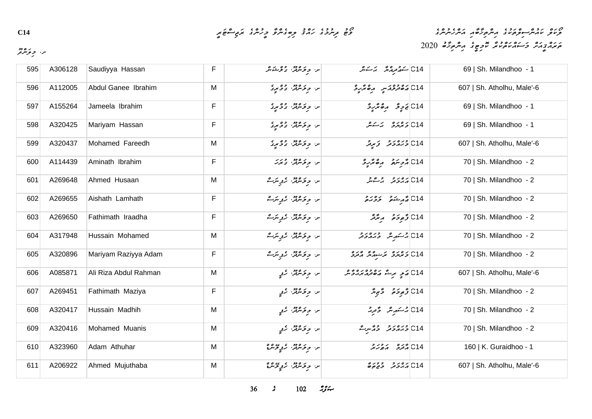*sCw7q7s5w7m< o<n9nOoAw7o< sCq;mAwBoEw7q<m; wBm;vB 2020 محمد من المحمد المحمد المحمد العربية وهو من المحمد المحمد المحمد المحمد المحمد المحمد المحمد المحمد المحمد ال* 

607 | Sh. Atholhu, Male'-6

| 595 | A306128 | Saudiyya Hassan       | F | أأرا أو وهي وه وه وه و المحرم و المحمد المحمد المحمد المحمد المحمد المحمد المحمد المحمد المحمد المحمد | C14 سى <i>مەمبەمگە بەسكى</i> ر                       | 69   Sh. Milandhoo - 1     |
|-----|---------|-----------------------|---|-------------------------------------------------------------------------------------------------------|------------------------------------------------------|----------------------------|
| 596 | A112005 | Abdul Ganee Ibrahim   | M | ر وی گروژ وو دی                                                                                       | C14 مَەھىر <i>قىرىشى مەھىر ب</i> و                   | 607   Sh. Atholhu, Male'-6 |
| 597 | A155264 | Jameela Ibrahim       | F | ىر. ئەترىتى، ئەۋىرى                                                                                   | C14 ك <sub>َ</sub> حِرِ حَدَّ مِنْ مِنْ مِرْدِ حَدَّ | 69   Sh. Milandhoo - 1     |
| 598 | A320425 | Mariyam Hassan        | F | ىر. ئۆچۈشى دومرى                                                                                      | C14 كەبىر بەر بەر يەر بىر                            | 69   Sh. Milandhoo - 1     |
| 599 | A320437 | Mohamed Fareedh       | M | ىر. جۇشگە ئەۋىرى                                                                                      | C14  3 <i>شەھەقەت تى م</i> ېرىتر                     | 607   Sh. Atholhu, Male'-6 |
| 600 | A114439 | Aminath Ibrahim       | F | ىر، ئۆتۈشى ئەتەر                                                                                      | C14 مَّحِسَمَ مِصَمَّرٍ حَ                           | 70   Sh. Milandhoo - 2     |
| 601 | A269648 | Ahmed Husaan          | M | أأرا وتحاملك كرويترك                                                                                  | C14 رژونز برگتر                                      | 70   Sh. Milandhoo - 2     |
| 602 | A269655 | Aishath Lamhath       | F | ىر. بەنجەشى، ئەبەبىرىشە                                                                               | C14 مۇم شەمۇ بىر <i>ۇ ئەۋ</i>                        | 70   Sh. Milandhoo - 2     |
| 603 | A269650 | Fathimath Iraadha     | F | ىر. بەنگەنگەن ئەبەتكەش                                                                                | C14 رَّج <i>وحَةْ دِيمَّةْ</i>                       | 70   Sh. Milandhoo - 2     |
| 604 | A317948 | Hussain Mohamed       | M | ىر. بەنگەنگەن ئەبەتكەش                                                                                | C14 ير <i>شهر مثل 1975 م</i>                         | 70   Sh. Milandhoo - 2     |
| 605 | A320896 | Mariyam Raziyya Adam  | F | مرا بر تر ترکیب مرکز میکرد که                                                                         | C14 كەممەر ئەسىر ئەرە                                | 70   Sh. Milandhoo - 2     |
| 606 | A085871 | Ali Riza Abdul Rahman | M | س وِټورندي ري                                                                                         | C14 كەنچ بىرىشق كەھە <i>تەم ھەم ھەم</i>              | 607   Sh. Atholhu, Male'-6 |
| 607 | A269451 | Fathimath Maziya      | F | من تر تر ترویز، کربر                                                                                  | C14 و <i>ڳوخو چي</i> ر                               | 70   Sh. Milandhoo - 2     |
| 608 | A320417 | Hussain Madhih        | M | من تر تر شرقها الكربي                                                                                 | C14 بر <i>ڪمبر بنگ ڪرير</i> ج                        | 70   Sh. Milandhoo - 2     |
| 609 | A320416 | Mohamed Muanis        | M | ىر. ئۇچەنگە ئەر                                                                                       | C14 <i>ۋېزودو دو</i> گېږے                            | 70   Sh. Milandhoo - 2     |
| 610 | A323960 | Adam Athuhar          | M | ىر. بەيرىش ئېرپۇس                                                                                     | C14 كەنىر <i>ە</i> مەھ <i>رى</i> ر                   | 160   K. Guraidhoo - 1     |
|     |         |                       |   |                                                                                                       |                                                      |                            |

611 A206922 Ahmed Mujuthaba M *cDcnElIpeh ,Udcnwlim .S Wbwtujum udwmcHwa* C14

مر. *و تو*مر<sub>قر</sub>

*36 sC 102 nNw?mS*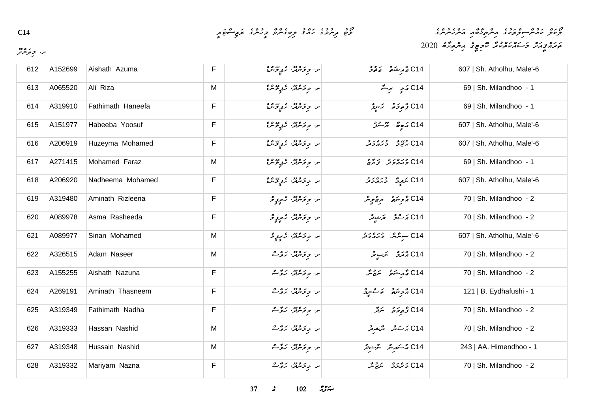*sCw7q7s5w7m< o<n9nOoAw7o< sCq;mAwBoEw7q<m; wBm;vB* م من المرة المرة المرة المرجع المرجع في المركبة 2020<br>مجم*د المريض المربوط المربع المرجع في المراجع المركبة* 

| 612 | A152699 | Aishath Azuma     | F | ىر. جەنبەتە، ئارپۇس           | C14 مەم شىم ھەم 3                           | 607   Sh. Atholhu, Male'-6 |
|-----|---------|-------------------|---|-------------------------------|---------------------------------------------|----------------------------|
| 613 | A065520 | Ali Riza          | M | بر و و مرد عربي وه            | C14 کھیے موت                                | 69   Sh. Milandhoo - 1     |
| 614 | A319910 | Fathimath Haneefa | F | بر. بالمحمد المعرفين المعنى   | C14 ۇ <sub>ج</sub> وڭ ئەيرى <i>د</i> ً      | 69   Sh. Milandhoo - 1     |
| 615 | A151977 | Habeeba Yoosuf    | F | ىر. جەنگىرى ئار يورى          | C14 يَرْجِعُ مَرْسَوْرٌ                     | 607   Sh. Atholhu, Male'-6 |
| 616 | A206919 | Huzeyma Mohamed   | F | ىر. جەڭرىقى، ئاي مەھ          | C14 ريبيو ورورو                             | 607   Sh. Atholhu, Male'-6 |
| 617 | A271415 | Mohamed Faraz     | M | ىر. جەنگەنگەر ئاپرىۋىلىك      | C14 <i>3222 فرتريج</i>                      | 69   Sh. Milandhoo - 1     |
| 618 | A206920 | Nadheema Mohamed  | F | ىر. جەنگەنگەر ئاپرىۋىلىك      | C14 ىترىرى ئەمەر ئىرىدىن                    | 607   Sh. Atholhu, Male'-6 |
| 619 | A319480 | Aminath Rizleena  | F | ىر. بەنگەنگە كەيدۇلى          | C14 مَّ حِسَمَعُ مِنْ حِسَّرَ               | 70   Sh. Milandhoo - 2     |
| 620 | A089978 | Asma Rasheeda     | F | ر ووکرټر، ر <sub>مړنو</sub> و | C14 كەشىرى ئىمىنى <i>مى</i> تى              | 70   Sh. Milandhoo - 2     |
| 621 | A089977 | Sinan Mohamed     | M | ما بالا بروگران كامبروگر      | C14 سویٹریٹر ت <i>حریکر 15</i>              | 607   Sh. Atholhu, Male'-6 |
| 622 | A326515 | Adam Naseer       | M | ىر. جۇشۇش ئەرمى               | C14 مُرْتَزَّةٌ مَرْسِوِيْرٌ                | 70   Sh. Milandhoo - 2     |
| 623 | A155255 | Aishath Nazuna    | F | ىر. بەنزىكى ئەنزىق            | C14 مۇم <sub>ى</sub> شك <i>ۇ بىرى ئى</i> ر  | 70   Sh. Milandhoo - 2     |
| 624 | A269191 | Aminath Thasneem  | F | ىر. بەنزىق ئەۋىس              | C14 مَّ <i>جِسَعَ</i> مَ مُ مُسِرَدُ        | 121   B. Eydhafushi - 1    |
| 625 | A319349 | Fathimath Nadha   | F | ىن بەنزىقىقى ئەھمىش           | C14 تۇ <sub>جو</sub> خ <sup>ى</sup> ئىرتىگە | 70   Sh. Milandhoo - 2     |
| 626 | A319333 | Hassan Nashid     | M | ىر. جۇشقۇ، ئەڭ ھ              | C14 كەس <b>تەش ئ</b> ىرىغونتى               | 70   Sh. Milandhoo - 2     |
| 627 | A319348 | Hussain Nashid    | M | ىر. جۇشقۇ، ئەڭ ھ              | C14 پر <i>کمبر بنگر مگریشونگر</i>           | 243   AA. Himendhoo - 1    |
| 628 | A319332 | Mariyam Nazna     | F | ىر، بەنزىقلىقى، ئەنزىق        | C14 <i>خەمدى ئىنى ئى</i> ر                  | 70   Sh. Milandhoo - 2     |

*37 sC 102 nNw?mS*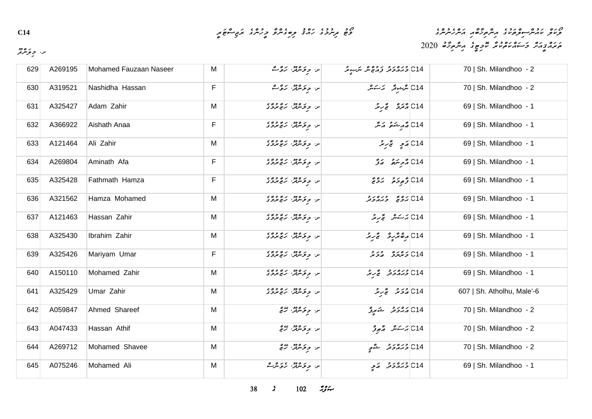*sCw7q7s5w7m< o<n9nOoAw7o< sCq;mAwBoEw7q<m; wBm;vB 2020 q9nOoAw7o< sCpHo>u; n8q;wAm;w<mEm> w6m<pYw<m8mA*

70 | Sh. Milandhoo - 2

70 | Sh. Milandhoo - 2

69 | Sh. Milandhoo - 1

69 | Sh. Milandhoo - 1

69 | Sh. Milandhoo - 1

69 | Sh. Milandhoo - 1

69 | Sh. Milandhoo - 1

69 | Sh. Milandhoo - 1

69 | Sh. Milandhoo - 1

69 | Sh. Milandhoo - 1

69 | Sh. Milandhoo - 1

69 | Sh. Milandhoo - 1

607 | Sh. Atholhu, Male'-6

70 | Sh. Milandhoo - 2

70 | Sh. Milandhoo - 2

70 | Sh. Milandhoo - 2

69 | Sh. Milandhoo - 1

| 629 | A269195 | Mohamed Fauzaan Naseer | M | من ترتوشين، رَحْمَ مَسْ                        | C14 <i>دېم</i> ده ورو شهر س <i>رجه</i>              |  |
|-----|---------|------------------------|---|------------------------------------------------|-----------------------------------------------------|--|
| 630 | A319521 | Nashidha Hassan        | F | ىر. جەنبەتى، ئەۋىش                             | C14 مگرجونگر کرکے <i>مگ</i> ر                       |  |
| 631 | A325427 | Adam Zahir             | M | ر و و ده دره و ده و                            | C14 مُرْمَرْدَ بِمَ <sup>ر</sup> ْمَہ               |  |
| 632 | A366922 | Aishath Anaa           | F | بر وتوسيق ريوووه                               | C14 مەم شىقى مەمىگە                                 |  |
| 633 | A121464 | Ali Zahir              | M | ىر. ئەخرىكى ئەم ئەلەر<br>ئەر ئەخرىكى ئەس ئەلەر | C14 <i>ھَ۔ جِي چَرب</i> ٽر                          |  |
| 634 | A269804 | Aminath Afa            | F | ر و و ده دره و ده و                            | C14 مُحرسَم مَرَ                                    |  |
| 635 | A325428 | Fathmath Hamza         | F | ر و و ده د و و و و و                           | C14 وُجِعَة رَمْعَ                                  |  |
| 636 | A321562 | Hamza Mohamed          | M | ىر بەللەر بەلەر<br>ئەس بەللەر ئىگەندە ئ        | C14 كەن جەمھەر                                      |  |
| 637 | A121463 | Hassan Zahir           | M | س وتحسين رئيس                                  | C14 كەسكەنلەر ئ <mark>ە</mark> رىتى                 |  |
| 638 | A325430 | Ibrahim Zahir          | M | در ه ده.<br>در جام در در کاروی                 | C14 م <i>وھ مگرچ</i> و گھر <i>مگر</i>               |  |
| 639 | A325426 | Mariyam Umar           | F | ىر بەللەر بەلەر<br>ئەس بەللەر ئىگەندە ئ        | C14 كەبەر قىمىسى جەمئى                              |  |
| 640 | A150110 | Mohamed Zahir          | M | بر وتوسيق ريوووه                               | C14 <i>35222 تج</i> ريز                             |  |
| 641 | A325429 | Umar Zahir             | M | در ه ووه در دره ود و                           | C14 مەكەنتىر ئى <i>ج رىتى</i>                       |  |
| 642 | A059847 | Ahmed Shareef          | M | ىر. جەنجىرى مەھ                                | C14 كەش <sup>ى</sup> قىرىققى سىتەمبى <sup>ت</sup> ى |  |

643 A047433 Hassan Athif M *czEh ,Udcnwlim .S cfiYWA cnwswH* C14

644 A269712 Mohamed Shavee M *czEh ,Udcnwlim .S IvWx udwmcawHum* C14

645 A075246 Mohamed Ali M *cscnwveh ,Udcnwlim .S IlwA udwmcawHum* C14

مر. *و تو*مر<sub>قر</sub>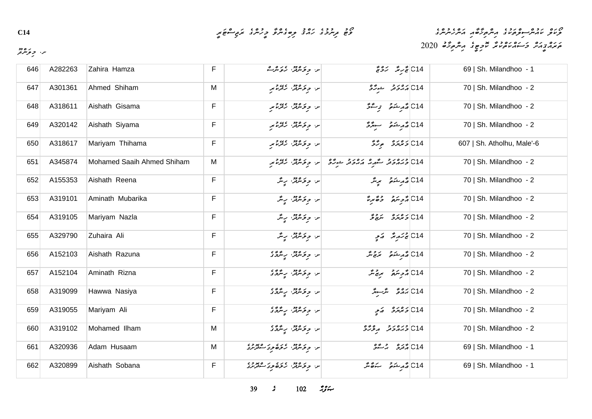*sCw7q7s5w7m< o<n9nOoAw7o< sCq;mAwBoEw7q<m; wBm;vB* م من المسجد المسجد المسجد المسجد المسجد العام 2020<br>مسجد المسجد المسجد المسجد المسجد المسجد المسجد المسجد المسجد ال

| 646 | A282263 | Zahira Hamza               | $\mathsf F$  | ىر. جەنگەنگە ئەھەر                     | C14 يُح بِعَدُ 2 <i>0 يُح</i>                   | 69   Sh. Milandhoo - 1     |
|-----|---------|----------------------------|--------------|----------------------------------------|-------------------------------------------------|----------------------------|
| 647 | A301361 | Ahmed Shiham               | M            | ر وتحسن رور المعر                      | C14 <i>كەندى كى</i> ر ئىبرىتى                   | 70   Sh. Milandhoo - 2     |
| 648 | A318611 | Aishath Gisama             | F            | من المحر عرض المحرم المحرم المحر المحر | C14 مەم ھەم ت <sub>و</sub> سكىۋ                 | 70   Sh. Milandhoo - 2     |
| 649 | A320142 | Aishath Siyama             | $\mathsf F$  | یں وتحسین رقرماتیں                     | C14 مەم ئىقتى ئىس بىر                           | 70   Sh. Milandhoo - 2     |
| 650 | A318617 | Mariyam Thihama            | $\mathsf F$  | ر وتحكيم معدد ب                        | C14 ك <i>ر برگرگر مورگر</i> گر                  | 607   Sh. Atholhu, Male'-6 |
| 651 | A345874 | Mohamed Saaih Ahmed Shiham | M            |                                        | C14 ورورو کورو دورو بے گور اس وتحاملات مقدم میں | 70   Sh. Milandhoo - 2     |
| 652 | A155353 | Aishath Reena              | $\mathsf F$  | الرا وقرعريش الإنثر                    | C14 م <i>ۇم شۇم</i> مېرى <i>گ</i>               | 70   Sh. Milandhoo - 2     |
| 653 | A319101 | Aminath Mubarika           | F            | الرا وقراريش الإنثر                    | C14 مَّ <i>حِسَمَة حَقَّ بِ</i> رَ              | 70   Sh. Milandhoo - 2     |
| 654 | A319105 | Mariyam Nazla              | F            | ىر، جۇنگەنگە، بەنگ                     | C14 كەبىر بىر ئىس ئىس ئىس ئىس ئىس ئىس           | 70   Sh. Milandhoo - 2     |
| 655 | A329790 | Zuhaira Ali                | $\mathsf F$  | ىر، بەيجەنلەش، پەنگ                    | C14 ىن <i>مەيتى ھەي</i> يە                      | 70   Sh. Milandhoo - 2     |
| 656 | A152103 | Aishath Razuna             | $\mathsf F$  | ر. وی گوری ریگری                       | C14 ەڭرىشىق ئىرىنى ئىگە                         | 70   Sh. Milandhoo - 2     |
| 657 | A152104 | Aminath Rizna              | $\mathsf{F}$ | ر وی شده رسمه                          | C14 مُرْحِسَةً مِنْ مُنْ                        | 70   Sh. Milandhoo - 2     |
| 658 | A319099 | Hawwa Nasiya               | F            | ىر. جۇشۇق بەشگە                        | C14 يَرْدُمَّ سَّرْ- <i>مَدَّ</i>               | 70   Sh. Milandhoo - 2     |
| 659 | A319055 | Mariyam Ali                | F            | الرا و ئوسرقرا الرحمزى                 | C14 كاندىكى كەير                                | 70   Sh. Milandhoo - 2     |
| 660 | A319102 | Mohamed Ilham              | M            | ر وی شده رسمه                          | C14 <i>جەممىقى مۇڭ</i> ۇ                        | 70   Sh. Milandhoo - 2     |
| 661 | A320936 | Adam Husaam                | M            | ر و و دوه در در در در در               | C14 جُمْرَى بِرْتَيْتِيْ                        | 69   Sh. Milandhoo - 1     |
| 662 | A320899 | Aishath Sobana             | $\mathsf F$  |                                        | C14 مەم ئىق ئىق ئىق                             | 69   Sh. Milandhoo - 1     |

*39 s 102 <i>n*<sub>s</sub>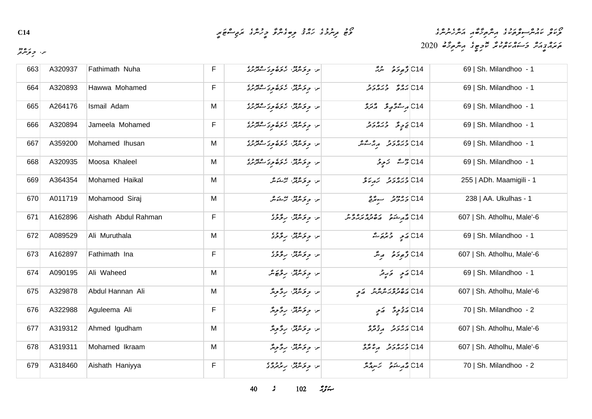*sCw7q7s5w7m< o<n9nOoAw7o< sCq;mAwBoEw7q<m; wBm;vB* م من المرة المرة المرة المرجع المرجع في المركبة 2020<br>مجم*د المريض المربوط المربع المرجع في المراجع المركبة* 

| 663 | A320937 | Fathimath Nuha       | $\mathsf F$  | ىر، ئۆتتۈر، ئەرەپ مەيدە»<br>ئەر ئۆتتۈر، ئەبۇھەيمەسەتەرىرى       | C14 تۇ <sub>جۇ</sub> خۇ بىرگە                  | 69   Sh. Milandhoo - 1     |
|-----|---------|----------------------|--------------|-----------------------------------------------------------------|------------------------------------------------|----------------------------|
| 664 | A320893 | Hawwa Mohamed        | F            | ر و توگیرن روه دی در ۲۶۶۰<br>د و توگیرن روه دی سوربرد           | C14 كەمۇر مەمەمەدىر                            | 69   Sh. Milandhoo - 1     |
| 665 | A264176 | Ismail Adam          | M            | ىن ئۆتۈشىمى ئۆتۈرگە ئۆزى<br>ئىن ئۆتۈشكى ئىكى ئۆتۈشكە ئەسپەتلەرد | C14 م سىمۇمەمى ئەمەر 2                         | 69   Sh. Milandhoo - 1     |
| 666 | A320894 | Jameela Mohamed      | $\mathsf{F}$ | ر و و وه د د د و د و و و و و                                    | C14 <sub>تح</sub> وِرَ وَرَ <sub>مَ</sub> دَرَ | 69   Sh. Milandhoo - 1     |
| 667 | A359200 | Mohamed Ihusan       | M            | ر و و وه د د د د د د د د د د                                    | C14 <i>جەم</i> كى بەر يەستىر                   | 69   Sh. Milandhoo - 1     |
| 668 | A320935 | Moosa Khaleel        | M            |                                                                 | C14] خۇمىق كىموق                               | 69   Sh. Milandhoo - 1     |
| 669 | A364354 | Mohamed Haikal       | M            | ىر. ئەترىشى، كەشكەش                                             | C14 <i>32823</i>                               | 255   ADh. Maamigili - 1   |
| 670 | A011719 | Mohamood Siraj       | M            | أبرا وتخترش كركتكر                                              | C14 كەبرومەسى سىرتىقى                          | 238   AA. Ukulhas - 1      |
| 671 | A162896 | Aishath Abdul Rahman | $\mathsf{F}$ | من ترقيقي برقرقر                                                | C14 مەم ئىق مەھەرەم دەھ د                      | 607   Sh. Atholhu, Male'-6 |
| 672 | A089529 | Ali Muruthala        | M            | ىر. بەيھەتچە، بەيھىمى                                           | C14 <sub>ھ</sub> َ جِي حَمْدَ جَ               | 69   Sh. Milandhoo - 1     |
| 673 | A162897 | Fathimath Ina        | F            | ىر. بەنگەنگە، بەنگەنگە                                          | C14 <i>وُجوحَ</i> هُمِ مِسَّر                  | 607   Sh. Atholhu, Male'-6 |
| 674 | A090195 | Ali Waheed           | M            | ىر. بەنگەنگە بەقھەش                                             | C14] رَمِ وَرِيْرٌ                             | 69   Sh. Milandhoo - 1     |
| 675 | A329878 | Abdul Hannan Ali     | M            | ىر. بەنگەنگە، بەڭ بەرگە                                         | C14 كەھەر <i>بۇيەتكەرگەي</i> تى كەرىپە         | 607   Sh. Atholhu, Male'-6 |
| 676 | A322988 | Aguleema Ali         | F            | ىر. دۇشۇش بەۋىرىگە                                              | C14 <i>ډَ ڏُجِ</i> وَّ کَمَ <i>جِ</i>          | 70   Sh. Milandhoo - 2     |
| 677 | A319312 | Ahmed Igudham        | M            | الرا وكرمرثة الرؤوش                                             | C14 كەبرى قىر مەنگەنى                          | 607   Sh. Atholhu, Male'-6 |
| 678 | A319311 | Mohamed Ikraam       | M            | الرا ويحاكمة الرؤومة                                            | C14 <i>جەمگەن مەمگ</i> ى                       | 607   Sh. Atholhu, Male'-6 |
| 679 | A318460 | Aishath Haniyya      | F            | ىر. ئەخرىق بەيرىزدى                                             | C14 مەم ھەھىمە سىرىدىگە                        | 70   Sh. Milandhoo - 2     |

 $40$  *s*  $102$  *z***<sub>3</sub>** $\approx$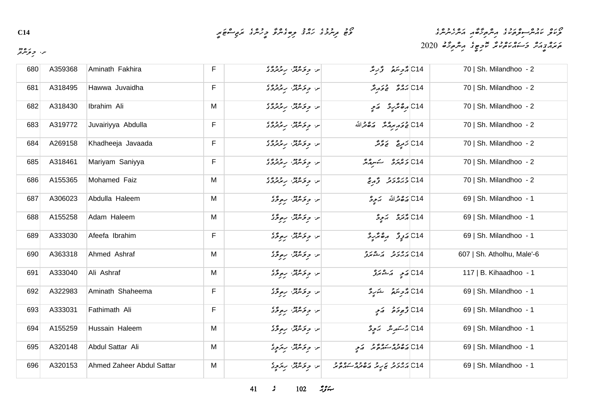*sCw7q7s5w7m< o<n9nOoAw7o< sCq;mAwBoEw7q<m; wBm;vB* م من المرة المرة المرة المرجع المرجع في المركبة 2020<br>مجم*د المريض المربوط المربع المرجع في المراجع المركبة* 

| 680 | A359368 | Aminath Fakhira           | F           | یں وکی بھی ریڈیوں            | C14 مَّ حِ سَعَةٍ مَّ تَرْسِعَتْهِ            | 70   Sh. Milandhoo - 2     |
|-----|---------|---------------------------|-------------|------------------------------|-----------------------------------------------|----------------------------|
| 681 | A318495 | Hawwa Juvaidha            | $\mathsf F$ | ىر. ئەنگەنگە، ئەنگەنگەن      | C14 بَرْدْءٌ ت <sub>َح</sub> ْوَمِ <b>سَّ</b> | 70   Sh. Milandhoo - 2     |
| 682 | A318430 | Ibrahim Ali               | M           | ىر. ئەخسىر، ئەسمەدە ئ        | C14 مەھمىي تەمىيە C14                         | 70   Sh. Milandhoo - 2     |
| 683 | A319772 | Juvairiyya Abdulla        | $\mathsf F$ | ىر. ئەقەتلەر، ئەتەرەپ        | C14 <i>في حَمد بعده مَنْ</i> صَحْدَاللّه      | 70   Sh. Milandhoo - 2     |
| 684 | A269158 | Khadheeja Javaada         | F           | ىر. ئەقەتلەر، ئەتەرەپ        | C14 كَرْمِيعٌ      يَوَمَّرٌ                  | 70   Sh. Milandhoo - 2     |
| 685 | A318461 | Mariyam Saniyya           | $\mathsf F$ |                              | C14 كەبىر كىرىگە ئىس <i>رىگە</i>              | 70   Sh. Milandhoo - 2     |
| 686 | A155365 | Mohamed Faiz              | M           | ىر. ئەقەتلەر، ئەتەرەپ        | C14 <i>جەممى</i> بىر ئەرىج                    | 70   Sh. Milandhoo - 2     |
| 687 | A306023 | Abdulla Haleem            | M           | ىر. جۇشۇقى سەۋكى             | C14 مَەھتراللە تەمرى                          | 69   Sh. Milandhoo - 1     |
| 688 | A155258 | Adam Haleem               | M           | ىر. بەنزىكىز، سەنزى          | C14 مَمَرَد - رَ <sub>حِر</sub> دَ            | 69   Sh. Milandhoo - 1     |
| 689 | A333030 | Afeefa Ibrahim            | $\mathsf F$ | ىر. بەنزىكىز، سەنزى          | C14 رَرٍرٌ م <i>ِ م</i> ُحَمَّدٍ حُ           | 69   Sh. Milandhoo - 1     |
| 690 | A363318 | Ahmed Ashraf              | M           | ىر. بەنزىكىز، سەنزى          | C14 كەبروتى كەشلىر <i>ۇ</i>                   | 607   Sh. Atholhu, Male'-6 |
| 691 | A333040 | Ali Ashraf                | M           | ىر. بەيھەتى، رەپۇقى          | C14 <i>ھَ جِه مَڪْمَرُوْ</i>                  | 117   B. Kihaadhoo - 1     |
| 692 | A322983 | Aminath Shaheema          | F           | ىر. جۇشۇقى سەۋكى             | C14 مَّ حِ سَمَع شَيْرَةَ مَسَ                | 69   Sh. Milandhoo - 1     |
| 693 | A333031 | Fathimath Ali             | $\mathsf F$ | ىر. بەيھەتى، رەپۇقى          | C14 وَج <sub>و</sub> حَمْ صَعِ                | 69   Sh. Milandhoo - 1     |
| 694 | A155259 | Hussain Haleem            | M           | ىر. بەنزىكىز، سەنزى          | C14 پرڪ <sub>م</sub> ريئر ڪي <sub>چ</sub> و   | 69   Sh. Milandhoo - 1     |
| 695 | A320148 | Abdul Sattar Ali          | M           | أأرا وتحارثون راكزونى        | C14 مەھەم مەمۇس مەم                           | 69   Sh. Milandhoo - 1     |
| 696 | A320153 | Ahmed Zaheer Abdul Sattar | M           | ما وِتَحَمَّدُهُ رِيَّزُوْنَ |                                               | 69   Sh. Milandhoo - 1     |

 $41$  **s**  $102$  *n***<sub>s</sub>**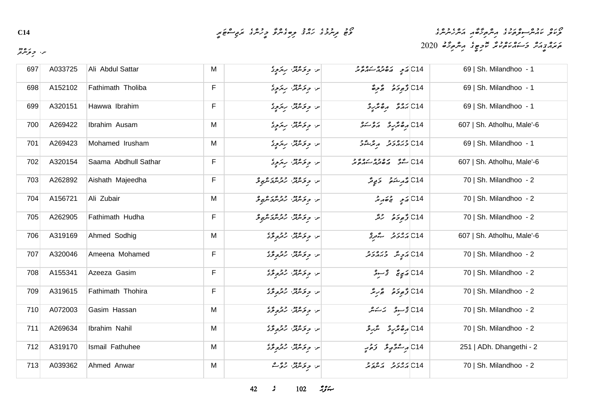*sCw7q7s5w7m< o<n9nOoAw7o< sCq;mAwBoEw7q<m; wBm;vB* م من المرة المرة المرة المرجع المرجع في المركبة 2020<br>مجم*د المريض المربوط المربع المرجع في المراجع المركبة* 

| 697 | A033725 | Ali Abdul Sattar     | M           | مرا تر تر ترکوی استر تر بر              | C14 <i>مكون مەھەرە مەدە</i> تر              | 69   Sh. Milandhoo - 1     |
|-----|---------|----------------------|-------------|-----------------------------------------|---------------------------------------------|----------------------------|
| 698 | A152102 | Fathimath Tholiba    | F           | مرا تو ټولنگرا امریکوی                  | C14 تَ <i>وج</i> دَ تَحْمِرَةُ              | 69   Sh. Milandhoo - 1     |
| 699 | A320151 | Hawwa Ibrahim        | F           | مرا تر تر شرکتر در کرد کرد که           | C14 <i>بَدْهُ وَهُ بَرْبِ</i> دُ            | 69   Sh. Milandhoo - 1     |
| 700 | A269422 | Ibrahim Ausam        | M           | ر ویکروژ، ریزوی                         | C14 مەھەرىرى مەم ئىكى                       | 607   Sh. Atholhu, Male'-6 |
| 701 | A269423 | Mohamed Irusham      | M           | مرا تو ټولنګري سر پرولو کا              | C14 <i>ۋېرو دو م</i> ېرشو                   | 69   Sh. Milandhoo - 1     |
| 702 | A320154 | Saama Abdhull Sathar | $\mathsf F$ | مرا تر تر ترکوی استر مرکز               | C14 جۇ ھە <i>تەر جەمەتە</i>                 | 607   Sh. Atholhu, Male'-6 |
| 703 | A262892 | Aishath Majeedha     | F           | الرا وتحسن المراس والمراجي              | C14 م <i>ەڭ بە</i> شقى كەنب <i>و</i> ند     | 70   Sh. Milandhoo - 2     |
| 704 | A156721 | Ali Zubair           | M           | ىر. ئەخرىكى، ئەفرىكرىمى ئى              | C14 <i>مَجِ جَهَوبِرْ</i>                   | 70   Sh. Milandhoo - 2     |
| 705 | A262905 | Fathimath Hudha      | $\mathsf F$ | ر. وتحسن ووير عربو                      | C14 تُرجوحَمُ 2 شَرَّ                       | 70   Sh. Milandhoo - 2     |
| 706 | A319169 | Ahmed Sodhig         | M           | من تر تر قرم تر تر تر تر تر تر تر تر تر | C14 كەش <b>ەرتە ئىستى</b> مىرتى             | 607   Sh. Atholhu, Male'-6 |
| 707 | A320046 | Ameena Mohamed       | $\mathsf F$ | ر وترمين ژوروژه                         | C14 كەچ ئىگە ئەم <i>1953</i>                | 70   Sh. Milandhoo - 2     |
| 708 | A155341 | Azeeza Gasim         | F           | ر وترمين ژوروژو                         | C14 <i>ھَي</i> چءَ تَخْسِرْ سَنَ            | 70   Sh. Milandhoo - 2     |
| 709 | A319615 | Fathimath Thohira    | F           | ىر. بەنزىكى، رەزەترى                    | C14 تۇ <sub>جو</sub> خۇ ھ <sup>ى</sup> رىتى | 70   Sh. Milandhoo - 2     |
| 710 | A072003 | Gasim Hassan         | M           | ر وترمين ژوروژو                         | C14 تۇسىۋە بە <i>سكى</i> ر                  | 70   Sh. Milandhoo - 2     |
| 711 | A269634 | Ibrahim Nahil        | M           | مر تر تر قرم تر تر تر تر تر تر تر تر تر | C14 <sub>م</sub> ەنگەر ئىگەر ئىگەنى         | 70   Sh. Milandhoo - 2     |
| 712 | A319170 | Ismail Fathuhee      | M           | ر وترمين ژوروژه                         | C14 <sub>مو</sub> ڪو <i>ڻيو ڏوپ</i>         | 251   ADh. Dhangethi - 2   |
| 713 | A039362 | Ahmed Anwar          | M           | ىر. جەنگەنلەر 2.2 ھ                     | C14 كەبروتر كەنىر <i>ى</i> ر                | 70   Sh. Milandhoo - 2     |

*42 sC 102 nNw?mS*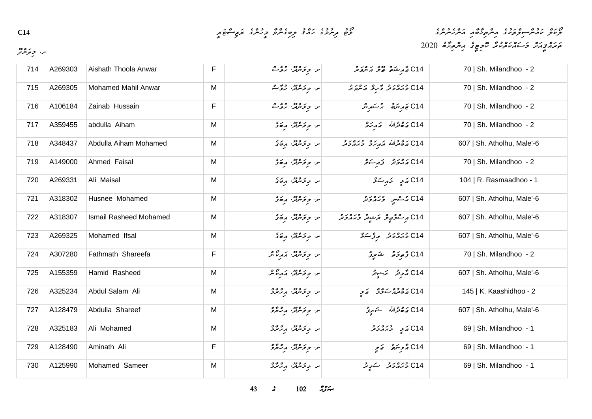*sCw7q7s5w7m< o<n9nOoAw7o< sCq;mAwBoEw7q<m; wBm;vB* م من المرة المرة المرة المرجع المرجع في المركبة 2020<br>مجم*د المريض المربوط المربع المرجع في المراجع المركبة* 

| ر ه دد<br>وبوسرته | ىر. |
|-------------------|-----|
|-------------------|-----|

| 714 | A269303 | Aishath Thoola Anwar          | $\mathsf F$ | ىر. جۇشۇش رۇش          | C14 مەم شەھ بوقر مەسمەس                                   | 70   Sh. Milandhoo - 2     |
|-----|---------|-------------------------------|-------------|------------------------|-----------------------------------------------------------|----------------------------|
| 715 | A269305 | <b>Mohamed Mahil Anwar</b>    | M           | ىر. بەنزىرلىق روش      | C14 ديرورو و دورو د مره د                                 | 70   Sh. Milandhoo - 2     |
| 716 | A106184 | Zainab Hussain                | $\mathsf F$ | ىر. جۇشۇش رۇپ          | C14 ئ <sub>ىم ب</sub> ىرى <i>قە</i> ج <sub>ى</sub> ستىرىش | 70   Sh. Milandhoo - 2     |
| 717 | A359455 | abdulla Aiham                 | M           | ىر. جەڭلىكى، مەھ       | C14 مَ <b>صْ</b> حَراللَّه مَ <i>مْدَدْ</i>               | 70   Sh. Milandhoo - 2     |
| 718 | A348437 | Abdulla Aiham Mohamed         | M           | س و و سر آه آه آه      | C14 مَدْهُ مِّرْ اللَّهُ مَ <i>جْرَدُ وَبِرُودُورُ</i>    | 607   Sh. Atholhu, Male'-6 |
| 719 | A149000 | Ahmed Faisal                  | M           | س و و سر ده مره د      | C14 كەبرى قىر بەر كىلىن ئاراسىيە ئىش                      | 70   Sh. Milandhoo - 2     |
| 720 | A269331 | Ali Maisal                    | M           | ىن ئۆتۈش مەن           | C14 كەير     قەرسەنى                                      | 104   R. Rasmaadhoo - 1    |
| 721 | A318302 | Husnee Mohamed                | M           | ىن بەنگەنگە بەھلى      | C14 برْسْمِسِ     دْبَرْمْدَنْرْ                          | 607   Sh. Atholhu, Male'-6 |
| 722 | A318307 | <b>Ismail Rasheed Mohamed</b> | M           | من تر تو شرقته المركزي | C14 مرشۇم ئى مەسىمە ئەمەم <i>قى</i> ر                     | 607   Sh. Atholhu, Male'-6 |
| 723 | A269325 | Mohamed Ifsal                 | M           | ر و و سرچر، ده د       | C14 <i>3222 مۇسكۇ</i>                                     | 607   Sh. Atholhu, Male'-6 |
| 724 | A307280 | Fathmath Shareefa             | F           | ىر. جۇنگەنگە كەركەنگە  | C14 رَّجِودَةُ شَمَيِرَتَّ                                | 70   Sh. Milandhoo - 2     |
| 725 | A155359 | Hamid Rasheed                 | M           | ىر. جۇنگەنگە كەرتكىگە  | C14 تَرْحِ مْرَ سَمِيْرِ مْرْ                             | 607   Sh. Atholhu, Male'-6 |
| 726 | A325234 | Abdul Salam Ali               | M           | ىر. جەنگىرى مەنگە      | C14 مەھ <i>ىرم شۇۋە م</i> ېر                              | 145   K. Kaashidhoo - 2    |
| 727 | A128479 | Abdulla Shareef               | M           | ىر. جەنگەنگە بەرلىگە   | C14 مَەھْتَراللە شە <i>يوق</i>                            | 607   Sh. Atholhu, Male'-6 |
| 728 | A325183 | Ali Mohamed                   | M           | ىر. جەنگەنگە بەرلىگە   | C14 كەب <sub>چە</sub> تە <i>مەدەت</i> ر                   | 69   Sh. Milandhoo - 1     |
| 729 | A128490 | Aminath Ali                   | F           | ىر. جەنگەنگە بەرلىگە   | C14 مُرْحِبَهُ مَعِ                                       | 69   Sh. Milandhoo - 1     |
| 730 | A125990 | Mohamed Sameer                | M           | ىر. ئەبۇشى مەمگە       | C14 <i>\$222 ئىرى</i> تى                                  | 69   Sh. Milandhoo - 1     |

*43 s 102 <i>n*<sub>s</sub>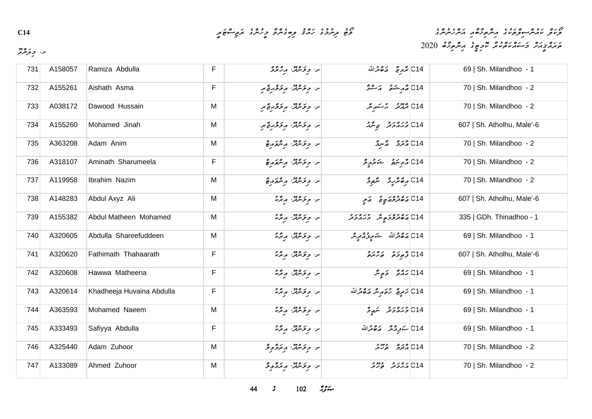*sCw7q7s5w7m< o<n9nOoAw7o< sCq;mAwBoEw7q<m; wBm;vB* م من المرة المرة المرة المرجع المرجع في المركبة 2020<br>مجم*د المريض المربوط المربع المرجع في المراجع المركبة* 

| 731 | A158057 | Ramiza Abdulla            | F         | ر وی گرفته و محمده              | C14 مُحْرَمِ مَنْ مَدَّة مِّرَاللَّه                 | 69   Sh. Milandhoo - 1     |
|-----|---------|---------------------------|-----------|---------------------------------|------------------------------------------------------|----------------------------|
| 732 | A155261 | Aishath Asma              | F         | المستحوض المتحركة والمحمد       | C14 مەم ھەشقىقى مەسكىنى                              | 70   Sh. Milandhoo - 2     |
| 733 | A038172 | Dawood Hussain            | M         | أأأدا وتحاملها أوتحر والمحامر   | C14 مُروس بر سکور مگر                                | 70   Sh. Milandhoo - 2     |
| 734 | A155260 | Mohamed Jinah             | M         | أأأدا وتحافظه أوتحكموهم فالمحمو | C14 <i>وبزوونز بې مگ</i> ر                           | 607   Sh. Atholhu, Male'-6 |
| 735 | A363208 | Adam Anim                 | M         | س وتحسن مستقدة                  | C14 مُحَمَّد مُسْتَد                                 | 70   Sh. Milandhoo - 2     |
| 736 | A318107 | Aminath Sharumeela        | F         | الرا ولخلافة المستقارع          | C14 مَّ <i>حِيدَ مَعْ حَمَّدِي</i> ْرَ               | 70   Sh. Milandhoo - 2     |
| 737 | A119958 | Ibrahim Nazim             | M         | ر و وسره المستقام               | C14 م <i>وڭ بگرى ئىنبۇ ۋ</i>                         | 70   Sh. Milandhoo - 2     |
| 738 | A148283 | Abdul Axyz Ali            | M         | ر وتر شود. مغر                  | C14 كەھە <i>ترى كەنچە ھەي</i>                        | 607   Sh. Atholhu, Male'-6 |
| 739 | A155382 | Abdul Matheen Mohamed     | M         | مرا تر تر شرقه الرحمه           | C14 رەدور مەد دىرەرد                                 | 335   GDh. Thinadhoo - 1   |
| 740 | A320605 | Abdulla Shareefuddeen     | ${\sf M}$ | ما تو تو شرقه الرحمه            | C14 مَەھْتَراللە شەمپۇرمەيپىتر                       | 69   Sh. Milandhoo - 1     |
| 741 | A320620 | Fathimath Thahaarath      | F         | أأرا وتحامدهما أوجرا            | C14 ژ <sub>نجو</sub> ځ په پرمنځم                     | 607   Sh. Atholhu, Male'-6 |
| 742 | A320608 | Hawwa Matheena            | F         | ین وی کرده مرتزر                | C14 <i>بَدْهُمَّ جَمِيشَ</i>                         | 69   Sh. Milandhoo - 1     |
| 743 | A320614 | Khadheeja Huvaina Abdulla | F         | ر ویکروژه رنژه                  | C14 تَرَمِّيعٌ    رَحَ مِ مَّرَّ     رَصُوْرَ اللَّه | 69   Sh. Milandhoo - 1     |
| 744 | A363593 | Mohamed Naeem             | M         | ر ویکروژه رنژه                  | C14 <i>3222 سَمِي</i> و                              | 69   Sh. Milandhoo - 1     |
| 745 | A333493 | Safiyya Abdulla           | F         | ىر. بەنگەنگەر بەنگەنل           | C14 ج <i>وړهگە چەم</i> گ <sup>الله</sup>             | 69   Sh. Milandhoo - 1     |
| 746 | A325440 | Adam Zuhoor               | M         | أأرا ولخاماتها ويمكوه           | C14 گەنىرى مەدىرىيە                                  | 70   Sh. Milandhoo - 2     |
| 747 | A133089 | Ahmed Zuhoor              | M         | ىر: ئەقەتقىقى بەيمەدە ئۇ        | C14 كەبرى قىرىمە                                     | 70   Sh. Milandhoo - 2     |

*44 sC 102 nNw?mS*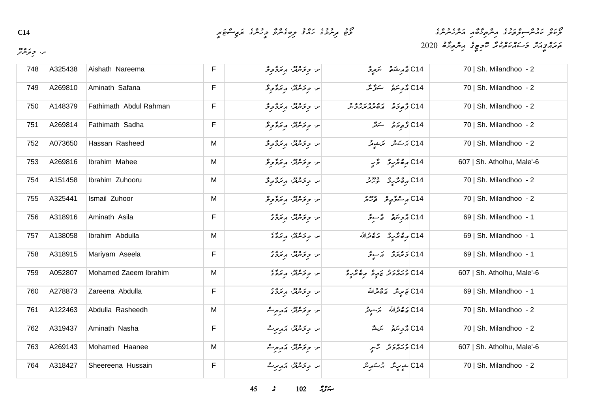*sCw7q7s5w7m< o<n9nOoAw7o< sCq;mAwBoEw7q<m; wBm;vB 2020*<br>*په پوهر وسوډيرونو لومو د موجو د مرمونه* 2020

| 748 | A325438 | Aishath Nareema        | $\mathsf F$ | ىر: ئەقەتلەر بەيرگەنۇ       | C14 مَدْمِسْتَمْ مَسْرِيَّة             | 70   Sh. Milandhoo - 2     |
|-----|---------|------------------------|-------------|-----------------------------|-----------------------------------------|----------------------------|
| 749 | A269810 | Aminath Safana         | F           | س وِدَمَّيْنَ رِبَرَدُّوِدُ | C14 مَرْحِبَتَهُمْ سَنَوَّتَبَر         | 70   Sh. Milandhoo - 2     |
| 750 | A148379 | Fathimath Abdul Rahman | $\mathsf F$ | من الالتحادي المريح و محر   | C14 توجره مصر معدد موجد                 | 70   Sh. Milandhoo - 2     |
| 751 | A269814 | Fathimath Sadha        | F           | أأرا ولاملك ولاؤول          | C14 تۇ <sub>جو</sub> خەر سەن <i>ت</i> ر | 70   Sh. Milandhoo - 2     |
| 752 | A073650 | Hassan Rasheed         | M           | ىن جەنبەت مەنگەنگە          | C14   پزشکس   مخرجویتر                  | 70   Sh. Milandhoo - 2     |
| 753 | A269816 | Ibrahim Mahee          | M           | أأرا ولاملك ولاؤول          | C14 مەمگەر ئ <sup>ى</sup> ر             | 607   Sh. Atholhu, Male'-6 |
| 754 | A151458 | Ibrahim Zuhooru        | M           | ىر: ئەقەتلىقى مەيزۇمۇ ئ     | C14 مەھەمگەپە ھەممىسىسىسى               | 70   Sh. Milandhoo - 2     |
| 755 | A325441 | <b>Ismail Zuhoor</b>   | M           | أأرا وكاللغش وتمكوه         | C14 مرڪو <i>ڻيو پور</i> ير              | 70   Sh. Milandhoo - 2     |
| 756 | A318916 | Aminath Asila          | F           | ىن ئۆتۈشى مەيرى             | C14 مَّ حِسَمَۃ مَّ سِنَّۃَ             | 69   Sh. Milandhoo - 1     |
| 757 | A138058 | Ibrahim Abdulla        | M           | ر ویکری متروی               | C14 م <i>وڭ مگرى</i> ھەممەللە           | 69   Sh. Milandhoo - 1     |
| 758 | A318915 | Mariyam Aseela         | F           | ىن جۇشۇقى مەيردى            | C14 ك <i>ۈچەدى كەسپ</i> ۇ               | 69   Sh. Milandhoo - 1     |
| 759 | A052807 | Mohamed Zaeem Ibrahim  | M           | ىن جۇھەت مەنگەم             | C14 ديرورو رو مقررو                     | 607   Sh. Atholhu, Male'-6 |
| 760 | A278873 | Zareena Abdulla        | $\mathsf F$ | أأرا وتحاملك المبروي        | C14 تج سريٹر     قەقداللە               | 69   Sh. Milandhoo - 1     |
| 761 | A122463 | Abdulla Rasheedh       | M           | أأرا وتحارقها أكهر برائد    | C14 كەھەراللە <del>ك</del> رىشونتر      | 70   Sh. Milandhoo - 2     |
| 762 | A319437 | Aminath Nasha          | $\mathsf F$ | ر و و های مهرس              | C14 مُرْحِ مَرْمَ مَرْسُمُ              | 70   Sh. Milandhoo - 2     |
| 763 | A269143 | Mohamed Haanee         | M           | أأرا وتركادوا أكهرمرك       | C14 <i>دېمه دی گېږ</i>                  | 607   Sh. Atholhu, Male'-6 |
| 764 | A318427 | Sheereena Hussain      | F           | ىر، ئۆتكۈنى، مەم بول        | C14 ڪيپير پرڪ <i>رير</i>                | 70   Sh. Milandhoo - 2     |

بر، <sub>ح</sub>ر توسر <sub>م</sub>

*45 sC 102 nNw?mS*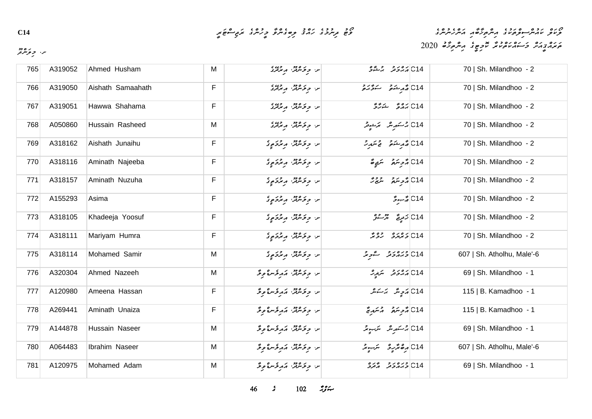*sCw7q7s5w7m< o<n9nOoAw7o< sCq;mAwBoEw7q<m; wBm;vB 2020*<br>*په پوهر وسوډيرونو لومو د موجو د مرمونه* 2020

| 765 | A319052 | Ahmed Husham      | M            | ىر. ئ <sub>ە</sub> ئۇشۇش مەيرى <i>دى</i> | C14  كەبۇر كىمى بىر ئىشكى                                | 70   Sh. Milandhoo - 2     |
|-----|---------|-------------------|--------------|------------------------------------------|----------------------------------------------------------|----------------------------|
| 766 | A319050 | Aishath Samaahath | F            | ر وی گرده. در در                         | C14 مەم شەھ سىنى ئىچە ئەھ                                | 70   Sh. Milandhoo - 2     |
| 767 | A319051 | Hawwa Shahama     | F            | س و توسیق معدوری                         | $5.52 \pm 0.52$ C14                                      | 70   Sh. Milandhoo - 2     |
| 768 | A050860 | Hussain Rasheed   | M            | یں ویکس کر وہ ہ                          | C14 بر سَمبر مَرْ مِرْ مِرْدِ بِرَ                       | 70   Sh. Milandhoo - 2     |
| 769 | A318162 | Aishath Junaihu   | $\mathsf F$  | ر و و سر در بر در ع                      | C14 مَ <sub>ّه م</sub> ِسْنَعْمَى مَحْ سَمَ <i>دِ</i> رَ | 70   Sh. Milandhoo - 2     |
| 770 | A318116 | Aminath Najeeba   | $\mathsf F$  | ىر. ئەنگەنگر، مەنگەنچە                   | C14 مُرْحِسَمُ سَمِعٍ صَّ                                | 70   Sh. Milandhoo - 2     |
| 771 | A318157 | Aminath Nuzuha    | $\mathsf{F}$ | ر. وتوسيق متركز و ع                      | C14 مُ <i>جِسَعَة مُنْ</i> جُمْ                          | 70   Sh. Milandhoo - 2     |
| 772 | A155293 | Asima             | $\mathsf F$  | ىر. جەڭ ھەر ھەر ج                        | $5 - 2$ C14                                              | 70   Sh. Milandhoo - 2     |
| 773 | A318105 | Khadeeja Yoosuf   | F            | ىر. ئەقەتلەر، ئەيزەقمى                   | C14 كَتْمِيعٌ مُرْسَوْرٌ                                 | 70   Sh. Milandhoo - 2     |
| 774 | A318111 | Mariyam Humra     | F            | ىر. ئەخسىنى مەنزۈم ئ                     | C14 كەبەر بەر يەرىجە ئە                                  | 70   Sh. Milandhoo - 2     |
| 775 | A318114 | Mohamed Samir     | M            | ر. وتوسيق مترونوت                        | C14 <i>دېم</i> دېمر مش <i>و</i> لم                       | 607   Sh. Atholhu, Male'-6 |
| 776 | A320304 | Ahmed Nazeeh      | M            | أأرا ولاملاه أمركم مرورهم وللمح          | C14 كەندى قىر سىزىر ئىل                                  | 69   Sh. Milandhoo - 1     |
| 777 | A120980 | Ameena Hassan     | F            | أأرا وكرمريش كمهاكر مراكوكر              | C14 كەچ ئىلە ئەسكەنلەر                                   | 115   B. Kamadhoo - 1      |
| 778 | A269441 | Aminath Unaiza    | F            | أأرا ولاملاه أمركم مرورهم وللمح          | C14 مُتَصِبَعَة مُسَمَّدِيَّ                             | 115   B. Kamadhoo - 1      |
| 779 | A144878 | Hussain Naseer    | M            | أأرا وكاللق أكابر كاللاء وكل             | C14 پر کے مریکہ میں مرکز کے مر                           | 69   Sh. Milandhoo - 1     |
| 780 | A064483 | Ibrahim Naseer    | M            | الرا ولاملاه أمركم مولوكا                | C14 <sub>مر</sub> ھ <i>مگرچ</i> و سمجھ تر                | 607   Sh. Atholhu, Male'-6 |
| 781 | A120975 | Mohamed Adam      | M            | ىر. بەنگەنگە، مەمەئىرى بەنگە             | C14 <i>جەمەدىيە</i> مەمر <i>ە</i>                        | 69   Sh. Milandhoo - 1     |

 $46$  *s*  $102$  *z***<sub>3</sub>**  $\frac{2}{3}$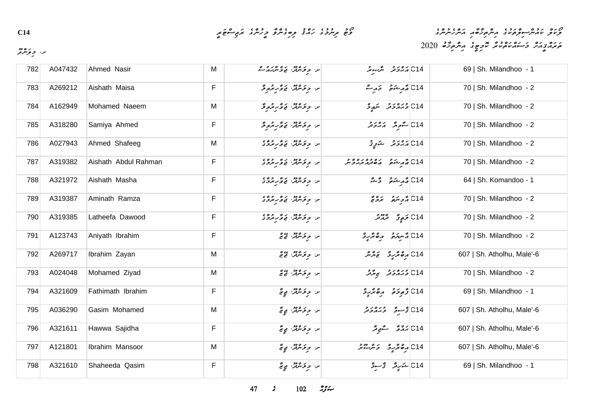*sCw7q7s5w7m< o<n9nOoAw7o< sCq;mAwBoEw7q<m; wBm;vB* م من المرة المرة المرة المرجع المرجع في المركبة 2020<br>مجم*د المريض المربوط المربع المرجع في المراجع المركبة* 

| 782 | A047432 | Ahmed Nasir          | M           | المرا وتحسين الأوسرور في       | C14 <i>مەندى تىر بىر بىر</i>                                                                                                                                        | 69   Sh. Milandhoo - 1     |
|-----|---------|----------------------|-------------|--------------------------------|---------------------------------------------------------------------------------------------------------------------------------------------------------------------|----------------------------|
| 783 | A269212 | Aishath Maisa        | F           | الرا وقرارهما وكالمرتزوق       | C14 مۇم <i>رىشقى خ</i> ورىتە                                                                                                                                        | 70   Sh. Milandhoo - 2     |
| 784 | A162949 | Mohamed Naeem        | M           | الرا وكالكلاء فأكار بروتى      | C14 <i>3222 سَمدِ</i> 5                                                                                                                                             | 70   Sh. Milandhoo - 2     |
| 785 | A318280 | Samiya Ahmed         | $\mathsf F$ | أأرا وقرارهم وكالمحافز وتحركون | C14 شوپۇ مەمەدىر                                                                                                                                                    | 70   Sh. Milandhoo - 2     |
| 786 | A027943 | Ahmed Shafeeg        | M           | المرا وتحسين فأقربهما          | C14 كەندى قىر ئىكتىمى قىتىن ئىكتىن ئىكتار قىلغان.<br>مەنبە ئىكتار ئىكتىن ئىكتار قىلغان قىلغان قىلغان قىلغان قىلغان قىلغان قىلغان قىلغان قىلغان قىلغان قىلغان قىلغان | 70   Sh. Milandhoo - 2     |
| 787 | A319382 | Aishath Abdul Rahman | $\mathsf F$ | ر. وتوكلون فاقر وه و           | C14 مەر ئىسى مەھىرمە مەدە بور                                                                                                                                       | 70   Sh. Milandhoo - 2     |
| 788 | A321972 | Aishath Masha        | F           | ر و وسره ، و و د و و           | C14 مُرمِشَمُ   دُمُّ                                                                                                                                               | 64   Sh. Komandoo - 1      |
| 789 | A319387 | Aminath Ramza        | $\mathsf F$ | ىن ئۆتۈش قەقرىرى               | C14 مُرْحِسَمُ مَرْحَمَّ                                                                                                                                            | 70   Sh. Milandhoo - 2     |
| 790 | A319385 | Latheefa Dawood      | F           | ر و وسرهن نے و دوره د          | C14 كَرْجِوزٌ مُرْمَ <sup>رٍ</sup> دٌ                                                                                                                               | 70   Sh. Milandhoo - 2     |
| 791 | A123743 | Aniyath Ibrahim      | F           | ىر. جەنگىرلىق ئىمى             | C14 مُس <i>ِرَة م</i> ِ صَحَّرِ وَ                                                                                                                                  | 70   Sh. Milandhoo - 2     |
| 792 | A269717 | Ibrahim Zayan        | M           | ر. و توسیق محامح               | C14 مەھە <i>ترى</i> رى ئەرگىر                                                                                                                                       | 607   Sh. Atholhu, Male'-6 |
| 793 | A024048 | Mohamed Ziyad        | M           | ىر. جەنگىرلىقى ئەن             | C14 <i>3222 بې</i> رگىز                                                                                                                                             | 70   Sh. Milandhoo - 2     |
| 794 | A321609 | Fathimath Ibrahim    | $\mathsf F$ | ر و قرانگر، و چ                | C14 ۇ <sub>جو</sub> رۇ مۇمۇرى                                                                                                                                       | 69   Sh. Milandhoo - 1     |
| 795 | A036290 | Gasim Mohamed        | M           | س وِقَرْمُوْرٌ، وِجٌ           | C14 تۇسوق ق <i>ىدە دى</i> ر                                                                                                                                         | 607   Sh. Atholhu, Male'-6 |
| 796 | A321611 | Hawwa Sajidha        | F           | ىر: جەڭرىش، يېڭى               | C14 بَرْدُ حٌ سُّمَ <i>ّهِ مَّ</i>                                                                                                                                  | 607   Sh. Atholhu, Male'-6 |
| 797 | A121801 | Ibrahim Mansoor      | M           | س وِ وَ شَرْتُرٌ، وِ يَحْ      | C14 <sub>م</sub> ەھمَّرٍ ئۇ ئەربىرىمە                                                                                                                               | 607   Sh. Atholhu, Male'-6 |
| 798 | A321610 | Shaheeda Qasim       | F           | ىر: ئۇ ئۇنىڭ ئۇنج              | C14 خىرى <i>گە گ<sup>ې</sup>سو</i> گە                                                                                                                               | 69   Sh. Milandhoo - 1     |

*47 sC 102 nNw?mS*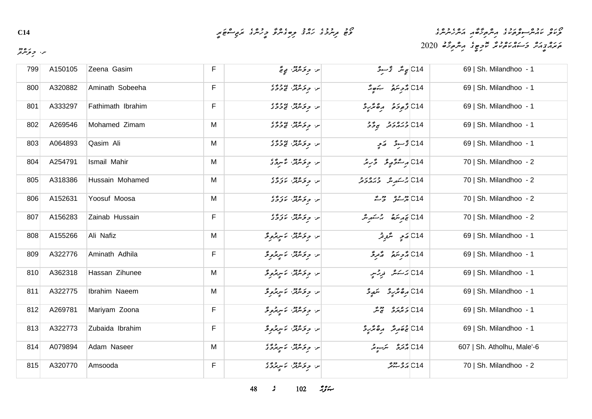*sCw7q7s5w7m< o<n9nOoAw7o< sCq;mAwBoEw7q<m; wBm;vB* م من المرة المرة المرة المرجع المرجع في المركبة 2020<br>مجم*د المريض المربوط المربع المرجع في المراجع المركبة* 

| 799 | A150105 | Zeena Gasim       | F           | ر وترکرده ویچ                     | C14 <sub>مج</sub> يگر گ <sup>و</sup> سبوگر                          | 69   Sh. Milandhoo - 1     |
|-----|---------|-------------------|-------------|-----------------------------------|---------------------------------------------------------------------|----------------------------|
| 800 | A320882 | Aminath Sobeeha   | F           | ر. وتحسن ق دور                    | C14 مُرْحِسَة سَعَ <i>رِّ</i>                                       | 69   Sh. Milandhoo - 1     |
| 801 | A333297 | Fathimath Ibrahim | F           | من المحرم على المعروبي            | C14 ز <sub>گ</sub> وِدَ مِهْ مُرْرِدْ                               | 69   Sh. Milandhoo - 1     |
| 802 | A269546 | Mohamed Zimam     | M           | من تونوکلوری و و و و              | C14 <i>دېمم</i> وتر ب <sub>ې</sub> 55                               | 69   Sh. Milandhoo - 1     |
| 803 | A064893 | Qasim Ali         | M           | ر وتوسيح ووي                      | C14 تخ-دى كەم <u>و</u>                                              | 69   Sh. Milandhoo - 1     |
| 804 | A254791 | Ismail Mahir      | M           | مرا تر تر مرکز می شروع ک          | C14 <sub>م</sub> رىئۇم <sub>ب</sub> ۇ گ <sup>ى</sup> رىز            | 70   Sh. Milandhoo - 2     |
| 805 | A318386 | Hussain Mohamed   | M           | ىن جۇشۇق ئەرەپ                    | C14 ير <i>شهر محد المحمد حاف</i> ر                                  | 70   Sh. Milandhoo - 2     |
| 806 | A152631 | Yoosuf Moosa      | M           | ىن جۇشۇش ئەردە                    | $23$ $32$ $7$ $C14$                                                 | 70   Sh. Milandhoo - 2     |
| 807 | A156283 | Zainab Hussain    | F           | ىن جۇشۇق ئەرەپ                    | C14 يَحدِ سَرَجَ مَسْتَدَمِيسْر                                     | 70   Sh. Milandhoo - 2     |
| 808 | A155266 | Ali Nafiz         | M           | ىر. جەڭلىرى ئاسىرتكرى ئ           | C14 کرم سگرونگر                                                     | 69   Sh. Milandhoo - 1     |
| 809 | A322776 | Aminath Adhila    | F           | ىر. جەنبەت ئاسىرىمى ئە            | C14 مَّ <i>جِ</i> سَع <sub>َمَ</sub> مِّ مَ <sub>ّ</sub> مِرْ حَمَّ | 69   Sh. Milandhoo - 1     |
| 810 | A362318 | Hassan Zihunee    | M           | ىر. جەڭلىرى ئاسىرتكرى ئ           | C14 كەسەنلەر   مەرجىس                                               | 69   Sh. Milandhoo - 1     |
| 811 | A322775 | Ibrahim Naeem     | M           | مرا بالمحرور المعر مسر جريد و محر | C14 مەھمىر ئىستىمبى ئىلگە ئىككىمبى ئىل                              | 69   Sh. Milandhoo - 1     |
| 812 | A269781 | Mariyam Zoona     | F           | ىر. جەڭلىق ئاسىرچرى ئ             | C14 كەبىر بىر يېتىر                                                 | 69   Sh. Milandhoo - 1     |
| 813 | A322773 | Zubaida Ibrahim   | $\mathsf F$ | ىر. جەڭلىرى ئاسىرتكرى ئ           | C14 ت <sub>ح</sub> صَ <i>مِ</i> مَرَّ مِصْغَرِ مِنْ                 | 69   Sh. Milandhoo - 1     |
| 814 | A079894 | Adam Naseer       | M           | من المالوجين الأسترجمي            | C14 مُرْتَزَّةً مُسْتَبِيقًا                                        | 607   Sh. Atholhu, Male'-6 |
| 815 | A320770 | Amsooda           | F           | ىر. ئەخسىن ئاس دەر                | C14 كەبىر بىر بىر                                                   | 70   Sh. Milandhoo - 2     |

*48 sC 102 nNw?mS*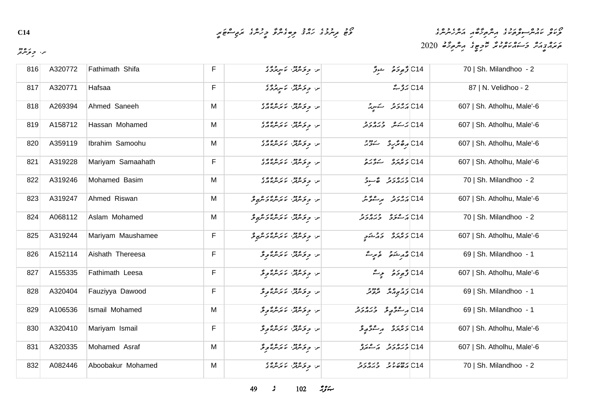*sCw7q7s5w7m< o<n9nOoAw7o< sCq;mAwBoEw7q<m; wBm;vB* م من المرة المرة المرة المرجع المرجع في المركبة 2020<br>مجم*د المريض المربوط المربع المرجع في المراجع المركبة* 

| 816 | A320772 | Fathimath Shifa   | F            | ىر. جەڭ ئەھ ئەس 25                | C14 رَّجِ حَمَّى صَورً          | 70   Sh. Milandhoo - 2     |
|-----|---------|-------------------|--------------|-----------------------------------|---------------------------------|----------------------------|
| 817 | A320771 | Hafsaa            | F            | ىر. ئەخسىر، ئاس دەر               | C14 ئەبۇبى <del>گ</del> ە       | 87   N. Velidhoo - 2       |
| 818 | A269394 | Ahmed Saneeh      | M            | س و وسره ر ره د ده                | C14 كەبۇبۇقىر سەمب <i>ەي</i>    | 607   Sh. Atholhu, Male'-6 |
| 819 | A158712 | Hassan Mohamed    | M            | س و وسرهر الاسره داد              | C14 ئەسەھرى ئەيرە ئەرە          | 607   Sh. Atholhu, Male'-6 |
| 820 | A359119 | Ibrahim Samoohu   | M            | س و وسرهر الاسره داد              | C14 مەھمگەيى ھەمىقىتى بىر       | 607   Sh. Atholhu, Male'-6 |
| 821 | A319228 | Mariyam Samaahath | $\mathsf{F}$ | س و وسر در ۱۳۶۵                   | C14 ئ <i>وبرو خۇنبۇ</i>         | 607   Sh. Atholhu, Male'-6 |
| 822 | A319246 | Mohamed Basim     | M            | س و وسره ر ره د ده                | C14 <i>ۋېزو دې</i> ځ <i>ېسو</i> | 70   Sh. Milandhoo - 2     |
| 823 | A319247 | Ahmed Riswan      | M            | ىر. جەڭلىرى ئاترىلىدىكى ئىلى      | C14 كەبرى بىر مەمۇبىر           | 607   Sh. Atholhu, Male'-6 |
| 824 | A068112 | Aslam Mohamed     | M            | ر وتوسطا المستعمل المستعمل        | C14 كەشقۇق قەيمەد تەر           | 70   Sh. Milandhoo - 2     |
| 825 | A319244 | Mariyam Maushamee | $\mathsf F$  | ىر. جەڭلىكى، ئالاشرىكى بولىغا بول | C14 ك <i>ويركى كەممىتك</i> ى    | 607   Sh. Atholhu, Male'-6 |
| 826 | A152114 | Aishath Thereesa  | F            | ىن جۇش ئائىر ئەرەكتى              | C14 مۇمەيھۇ ھىمپەسىگە           | 69   Sh. Milandhoo - 1     |
| 827 | A155335 | Fathimath Leesa   | F            | ىر. بەنە بەر ئەرەپمۇ              | C14 وَمِودَة بِيسَة             | 607   Sh. Atholhu, Male'-6 |
| 828 | A320404 | Fauziyya Dawood   | $\mathsf F$  | ىر. بەنزىقلار ئايمەتلەرگە ئە      | C14 زَمَّ پرمَدَّ مَرْوَمَر     | 69   Sh. Milandhoo - 1     |
| 829 | A106536 | Ismail Mohamed    | M            | ىر. بەنە بەر ئەرەپمۇ              | C14 م شۇم قى مەدەبىر            | 69   Sh. Milandhoo - 1     |
| 830 | A320410 | Mariyam Ismail    | F            | أأرا وتحاملك الأبراه ومحر         | C14 كەبىر ھەر مەش <i>ۇر بى</i>  | 607   Sh. Atholhu, Male'-6 |
| 831 | A320335 | Mohamed Asraf     | M            | ىر. بەندىق ئابرىق ئەش             | C14 دېرونو تر ش <u>رو</u>       | 607   Sh. Atholhu, Male'-6 |
| 832 | A082446 | Aboobakur Mohamed | M            | س وتحسين متر ولاء                 |                                 | 70   Sh. Milandhoo - 2     |

*49 sC 102 nNw?mS*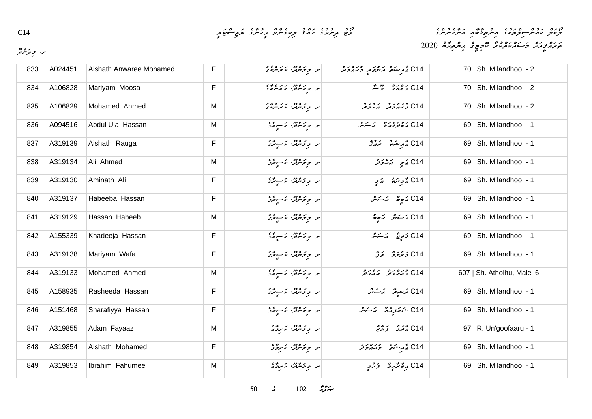*sCw7q7s5w7m< o<n9nOoAw7o< sCq;mAwBoEw7q<m; wBm;vB* م من المرة المرة المرة المرجع المرجع في المركبة 2020<br>مجم*د المريض المربوط المربع المرجع في المراجع المركبة* 

| ر ه دد<br>ىر، ترىرىر |  |
|----------------------|--|
|----------------------|--|

| 833 | A024451 | Aishath Anwaree Mohamed | $\mathsf{F}$ | ر و د ودو ار د و د و و و   | C14 مەم شەم مەمۇم دىمەدەر           | 70   Sh. Milandhoo - 2     |
|-----|---------|-------------------------|--------------|----------------------------|-------------------------------------|----------------------------|
| 834 | A106828 | Mariyam Moosa           | F            | بر و وه دره در             | C14 كەبىر بىر تەسىر                 | 70   Sh. Milandhoo - 2     |
| 835 | A106829 | Mohamed Ahmed           | M            | ر. وتحسن المترجعة          | C14 ورەرو رەرو                      | 70   Sh. Milandhoo - 2     |
| 836 | A094516 | Abdul Ula Hassan        | M            | ىن جۇھەت ئەسىرىمى          | C14 مەھىر <i>ومى بىر شى</i> ر       | 69   Sh. Milandhoo - 1     |
| 837 | A319139 | Aishath Rauga           | $\mathsf F$  | ىن جەنگەنگە ئەسىرىمى       | C14 مەم شەم ئىسىمىتى ئىس            | 69   Sh. Milandhoo - 1     |
| 838 | A319134 | Ali Ahmed               | M            | ىر. بەيھەتكە، ئاسلىقى      | C14 <i>جَرْحِيد مُرْجَ</i> حَدِّرُ  | 69   Sh. Milandhoo - 1     |
| 839 | A319130 | Aminath Ali             | F            | ىر. بەنزىكەن ئاسلىرىمى     | C14 مُتَّحِسَمَةُ صَعِي             | 69   Sh. Milandhoo - 1     |
| 840 | A319137 | Habeeba Hassan          | $\mathsf F$  | ىر، جەنگەنگە ئەسىرىمى      | C14 بَرَصِرَة بَرَسَة مَدْ          | 69   Sh. Milandhoo - 1     |
| 841 | A319129 | Hassan Habeeb           | M            | ىر، ئەنزىقىقى، ئەسپەتتى ئە | C14 بَرَسَ <i>مَّدْ بَرَّصِرَة</i>  | 69   Sh. Milandhoo - 1     |
| 842 | A155339 | Khadeeja Hassan         | $\mathsf F$  | ىر. جەنگەنگە ئەسىيىتى      | C14 كَتَمِيعٌ = بَرْسَتَمَسٌ        | 69   Sh. Milandhoo - 1     |
| 843 | A319138 | Mariyam Wafa            | $\mathsf{F}$ | ىن جۇھەتى ئەسىرىمى         | C14 كۈچر <i>ۇ بۇ</i> ر              | 69   Sh. Milandhoo - 1     |
| 844 | A319133 | Mohamed Ahmed           | M            | ىر، جەنگەنگە ئەسىرىمى      | C14 <i>وبرەرو بەەرە</i>             | 607   Sh. Atholhu, Male'-6 |
| 845 | A158935 | Rasheeda Hassan         | $\mathsf F$  | ىر، جەنگەنگە ئەسىرىمى      | C14 بَرَجوتَر - بَرَسَ <i>مَّر</i>  | 69   Sh. Milandhoo - 1     |
| 846 | A151468 | Sharafiyya Hassan       | $\mathsf{F}$ | ىر. جەنجىلىقى، ئاسىيىتى ئە | C14 خ <i>ەمزو 2.ئەر بەسەنل</i>      | 69   Sh. Milandhoo - 1     |
| 847 | A319855 | Adam Fayaaz             | M            | ىر. بەيھەتلەر ئابرۇق       | C14 گەنىزى ئەترىپى                  | 97   R. Un'goofaaru - 1    |
| 848 | A319854 | Aishath Mohamed         | F            | ىر. جەنگەنىڭ ئەنزىگەنچ     | C14 مەم ئىق ئەم ئەر ئىس             | 69   Sh. Milandhoo - 1     |
| 849 | A319853 | Ibrahim Fahumee         | M            | ىر. دۇشۇش ئايرۇقى          | C14 م <i>وڭ ئۇرقى</i> ئۇر <i>قى</i> | 69   Sh. Milandhoo - 1     |

 $50$  *s*  $102$  *z***<sub>3</sub>**  $\frac{2}{3}$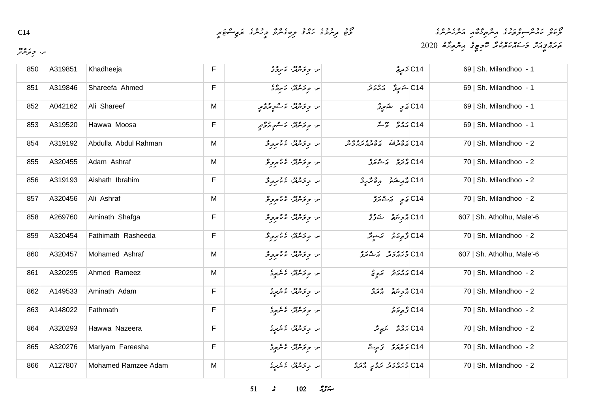*sCw7q7s5w7m< o<n9nOoAw7o< sCq;mAwBoEw7q<m; wBm;vB* م من المرة المرة المرة المرجع المرجع في المركبة 2020<br>مجم*د المريض المربوط المربع المرجع في المراجع المركبة* 

| 850 | A319851 | Khadheeja            | $\mathsf{F}$ | ىر. جەنگەنگە ئابىردى                   | C14 كزميرة.                                       | 69   Sh. Milandhoo - 1     |
|-----|---------|----------------------|--------------|----------------------------------------|---------------------------------------------------|----------------------------|
| 851 | A319846 | Shareefa Ahmed       | $\mathsf F$  | ىر. جەنگەنگە ئايروگى                   | C14 خومبر <i>ڈ مرکو</i> مر                        | 69   Sh. Milandhoo - 1     |
| 852 | A042162 | Ali Shareef          | M            | ىر. جەڭرىق، ئاسەچ بىرەكىي              | C14 كەير شەير <i>ۇ</i>                            | 69   Sh. Milandhoo - 1     |
| 853 | A319520 | Hawwa Moosa          | $\mathsf F$  | ىر، بەنزىكرى، ئاسلەپ بىرەتىر           | $23$ $32$ $\sim$ $014$                            | 69   Sh. Milandhoo - 1     |
| 854 | A319192 | Abdulla Abdul Rahman | M            | ىن جۇنىرلار، ماملىرى ئى                | C14 كەھىراللە كەھ <i>ىرمەترىۋىتر</i>              | 70   Sh. Milandhoo - 2     |
| 855 | A320455 | Adam Ashraf          | M            | ىن جۇنىرلار، ماملىرى ئى                | C14 مەترىق مەشقىرى                                | 70   Sh. Milandhoo - 2     |
| 856 | A319193 | Aishath Ibrahim      | F            | ىر. جەنبەت ئامامبرىدىگ                 | C14 مەم ئىقى مەھەر يە                             | 70   Sh. Milandhoo - 2     |
| 857 | A320456 | Ali Ashraf           | M            | ر وى پەن ئامامبونى                     | C14 <i>جَرِيدِ جَ</i> شْعَ <i>رُوْ</i>            | 70   Sh. Milandhoo - 2     |
| 858 | A269760 | Aminath Shafga       | $\mathsf F$  | ىر. جەنبەتر، ئانا بىرەنچ               | C14 مَّ حِسَمَ مَسَوَّتِّ                         | 607   Sh. Atholhu, Male'-6 |
| 859 | A320454 | Fathimath Rasheeda   | $\mathsf F$  | ر ونومبرو المعجم ومحمد المستجم المستجم | C14 تۇ <sub>جو</sub> خۇ گېرىنې <sub>د</sub> ىتى   | 70   Sh. Milandhoo - 2     |
| 860 | A320457 | Mohamed Ashraf       | M            | ىر. جەنبەت ئامامبەر ئە                 | C14 درەرد كەشىر                                   | 607   Sh. Atholhu, Male'-6 |
| 861 | A320295 | Ahmed Rameez         | M            | ىر، ئۆتۈش، ئاسرىرى                     | C14 <i>مَدْدَ مَدْوِ</i> يْمَ                     | 70   Sh. Milandhoo - 2     |
| 862 | A149533 | Aminath Adam         | F            | ىر، ئۆتۈرگە، ئاسرىرى                   | C14 مُرْحِسَمُ مُسَرَّد                           | 70   Sh. Milandhoo - 2     |
| 863 | A148022 | Fathmath             | $\mathsf F$  | ىر، ئۆتكۈر، ئاتكرىنى كە                | C14 وٌجوحَ <b>م</b> ُ                             | 70   Sh. Milandhoo - 2     |
| 864 | A320293 | Hawwa Nazeera        | $\mathsf F$  | ىر، ئۆتتۈر، ئاتتۈپرى                   | C14 ئەيمۇ سىرىمىگە                                | 70   Sh. Milandhoo - 2     |
| 865 | A320276 | Mariyam Fareesha     | F            | ما أو تو تكرير تم تكرير كا             | C14 <i>5 ترىرى تى تورىش</i>                       | 70   Sh. Milandhoo - 2     |
| 866 | A127807 | Mohamed Ramzee Adam  | M            | ىر، ئۆتتۈر، ئاتتۈپرى                   | C14 وَبَرُمُ دَوْ بِرَوْ بِهِ مُعْرَفِهِ مَسْرَدَ | 70   Sh. Milandhoo - 2     |

 $51$  *s*  $102$  *n***<sub>s</sub>**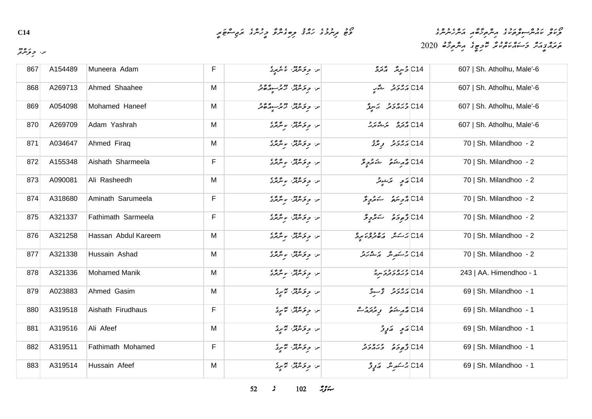*sCw7q7s5w7m< o<n9nOoAw7o< sCq;mAwBoEw7q<m; wBm;vB* م من المرة المرة المرة المرجع المرجع في المركبة 2020<br>مجم*د المريض المربوط المربع المرجع في المراجع المركبة* 

| 867 | A154489 | Muneera Adam         | $\mathsf F$ | ىر، جەڭلىرى ئائىرىرى        | C14 دڻبير گھرو                                            | 607   Sh. Atholhu, Male'-6 |
|-----|---------|----------------------|-------------|-----------------------------|-----------------------------------------------------------|----------------------------|
| 868 | A269713 | Ahmed Shaahee        | M           | الرا وتحارقها المحرسورة و   | C14 كەبۇ ئەقرىيەت ئىقى <i>ر</i>                           | 607   Sh. Atholhu, Male'-6 |
| 869 | A054098 | Mohamed Haneef       | M           | الرا وتحسرهما المحرس المعاد | C14 <i>35222 كەيدى</i>                                    | 607   Sh. Atholhu, Male'-6 |
| 870 | A269709 | Adam Yashrah         | M           | الرا و کرندگی الانترنزی     | C14 يۇتر <i>ە ب</i> رىش <i>ەتر</i> ىر                     | 607   Sh. Atholhu, Male'-6 |
| 871 | A034647 | Ahmed Firaq          | M           | ر وی کرده رسمبر             | C14 كەش <b>ەتر ب</b> ويىتى                                | 70   Sh. Milandhoo - 2     |
| 872 | A155348 | Aishath Sharmeela    | $\mathsf F$ | یں ویکنڈنی باشریزی          | C14 مُەرىسَىمْ ھۇمگەرچ <b>گ</b>                           | 70   Sh. Milandhoo - 2     |
| 873 | A090081 | Ali Rasheedh         | M           | ىر. جەنگەنىڭ ئابىرىكرى      | C14 <i>ھَ۔</i> بَرَش <sub>و</sub> مَرُ                    | 70   Sh. Milandhoo - 2     |
| 874 | A318680 | Aminath Sarumeela    | $\mathsf F$ | الرا و کرندگی الانترنزی     | C14 مَرْحِبَتَهُمْ سَنَتَمْر <sub>َ</sub> حَرَّ           | 70   Sh. Milandhoo - 2     |
| 875 | A321337 | Fathimath Sarmeela   | F           | مزا تر تر شرح مرکزی         | C14 ۇ <sub>جو</sub> رَى <sub>م</sub> سەئر <sub>ى</sub> رۇ | 70   Sh. Milandhoo - 2     |
| 876 | A321258 | Hassan Abdul Kareem  | M           | ىر. بەنزىق بەشكە            | C14 ئەسەمىر بەھ <i>مەھ بىر بى</i> رى                      | 70   Sh. Milandhoo - 2     |
| 877 | A321338 | Hussain Ashad        | M           | ىن جۇشۇش ئەشرىمى            | C14 يُرْسَمَ مِيْتَ مَرْشَرْسَرَ                          | 70   Sh. Milandhoo - 2     |
| 878 | A321336 | <b>Mohamed Manik</b> | M           | ىر. جەنگەنى، ئابىرىگەنى     | C14 <i>ۋېزو دو</i> رتو سربر                               | 243   AA. Himendhoo - 1    |
| 879 | A023883 | Ahmed Gasim          | M           | ر وی شهر اسره               | C14 <i>مَدْوَمْہ ڈ</i> ُسِیْ                              | 69   Sh. Milandhoo - 1     |
| 880 | A319518 | Aishath Firudhaus    | F           | ین وی گروژه اندازی          | C14 مەمرىشى <i>ق دېمىتىدى</i> گ                           | 69   Sh. Milandhoo - 1     |
| 881 | A319516 | Ali Afeef            | M           | ر وی عرض عمره               | C14 کړې ک <i>ې پ</i> وژ                                   | 69   Sh. Milandhoo - 1     |
| 882 | A319511 | Fathimath Mohamed    | F           | مرا تر تو تر تر محمد م      | C14 تۇ <sub>ج</sub> وخۇ مە <i>مەم</i> ەتر                 | 69   Sh. Milandhoo - 1     |
| 883 | A319514 | Hussain Afeef        | M           | ىر. جەنگەنگە ئايرى          | C14 جرشر م <i>مو</i> و                                    | 69   Sh. Milandhoo - 1     |

 $52$  *s*  $102$  *n***<sub>s</sub>** $\frac{2}{3}$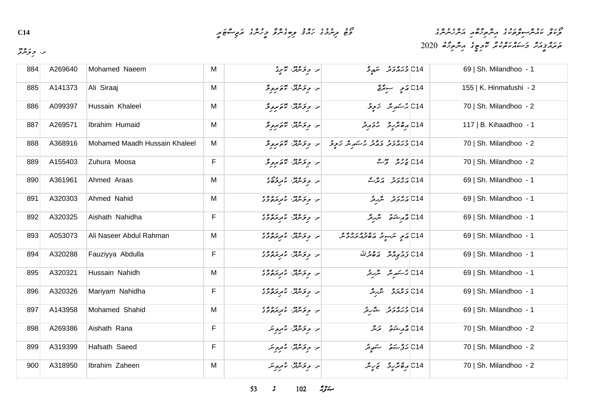*sCw7q7s5w7m< o<n9nOoAw7o< sCq;mAwBoEw7q<m; wBm;vB* م من المرة المرة المرة المرجع المرجع في المركبة 2020<br>مجم*د المريض المربوط المربع المرجع في المراجع المركبة* 

| 884 | A269640 | Mohamed Naeem                 | M            | أأرا وتحاكماتها المعموري    | C14 <i>25222 سَمِي</i> ۇ                                                | 69   Sh. Milandhoo - 1  |
|-----|---------|-------------------------------|--------------|-----------------------------|-------------------------------------------------------------------------|-------------------------|
| 885 | A141373 | Ali Siraaj                    | M            | ر و ده ده سرورگ             | C14 <i>أەكىيە</i> سى <i>مدىقى</i>                                       | 155   K. Hinmafushi - 2 |
| 886 | A099397 | Hussain Khaleel               | M            | بر وتوسط المعروف            | C14 پژ <i>ے <sub>پر</sub>یں زی</i> چو                                   | 70   Sh. Milandhoo - 2  |
| 887 | A269571 | Ibrahim Humaid                | M            | من تر تر مرد بعد بر مرد بحر | C14 مەھمگىر <i>2 مۇم</i> رىتر                                           | 117   B. Kihaadhoo - 1  |
| 888 | A368916 | Mohamed Maadh Hussain Khaleel | M            |                             | 014 <i>ويرو</i> وتر وكاتر برسكونكر رقع في الملا وتحسن الله المعامر وتحر | 70   Sh. Milandhoo - 2  |
| 889 | A155403 | Zuhura Moosa                  | $\mathsf F$  | س جەنبەت سىمبوگە            | $23$ $22$ C14                                                           | 70   Sh. Milandhoo - 2  |
| 890 | A361961 | Ahmed Araas                   | M            | ر و ده ده و ده و د          | C14 كەبروتىر كەيگرىشە                                                   | 69   Sh. Milandhoo - 1  |
| 891 | A320303 | Ahmed Nahid                   | M            | بر وتحسين الإيرادي          | C14 كەبرى قىر س <i>گرى</i> قر                                           | 69   Sh. Milandhoo - 1  |
| 892 | A320325 | Aishath Nahidha               | F            | ر و وسرفر، نافر بره و ،     | C14 م <i>ەُم</i> مىش <i>ەق مەڭرى</i> تە                                 | 69   Sh. Milandhoo - 1  |
| 893 | A053073 | Ali Naseer Abdul Rahman       | M            | ا در وجود دره در در         | C14 كەبچە ئىزىبوش كەھ <i>ەرگە بويى</i> گە ئەر                           | 69   Sh. Milandhoo - 1  |
| 894 | A320288 | Fauziyya Abdulla              | $\mathsf F$  | ر. د کرمروژ، رامبربروژی     | C14 <i>قەقىم قىرى ھەقى</i> راللە                                        | 69   Sh. Milandhoo - 1  |
| 895 | A320321 | Hussain Nahidh                | M            | بر وتحسين الإيرادي          | C14 پرڪ <i>مب</i> ھر گھريھر                                             | 69   Sh. Milandhoo - 1  |
| 896 | A320326 | Mariyam Nahidha               | F            | بر وتحسين الإيرادي          | C14 كەبىر بىر ئىگە بىر ئىرىدىگە                                         | 69   Sh. Milandhoo - 1  |
| 897 | A143958 | Mohamed Shahid                | M            | بر وتحسين الإيرادي          | C14 <i>\$ ئەۋەقى</i> ش <i>ۇرى</i> ر                                     | 69   Sh. Milandhoo - 1  |
| 898 | A269386 | Aishath Rana                  | $\mathsf{F}$ | ر وتحسن تمروش               | C14 مەم ئىقىمە ئىمىگر                                                   | 70   Sh. Milandhoo - 2  |
| 899 | A319399 | Hafsath Saeed                 | $\mathsf F$  | ىر. جەنگەنگە ئاتىرەپىك      | C14 ئەۋىبتى <i>ق سەمەيت</i> ر                                           | 70   Sh. Milandhoo - 2  |
| 900 | A318950 | Ibrahim Zaheen                | M            | یں ویکروڑ، راموریکر         | C14  م <i>ەھتۇر بىغ ئارى</i> تىر                                        | 70   Sh. Milandhoo - 2  |

 $53$  *s*  $102$  *n***<sub>s</sub>** $\frac{2}{3}$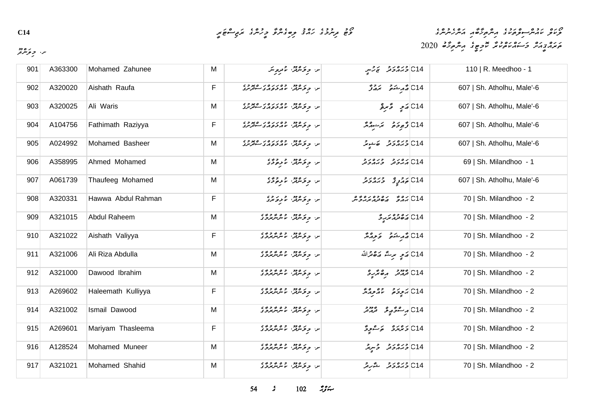*sCw7q7s5w7m< o<n9nOoAw7o< sCq;mAwBoEw7q<m; wBm;vB* م من المرة المرة المرة المرجع المرجع في المركبة 2020<br>مجم*د المريض المربوط المربع المرجع في المراجع المركبة* 

| 901 | A363300 | Mohamed Zahunee    | M | یں ویکن کی تقویم ک                                                      | C14  <i>32,325 ج ج</i> سر                  | 110   R. Meedhoo - 1       |
|-----|---------|--------------------|---|-------------------------------------------------------------------------|--------------------------------------------|----------------------------|
| 902 | A320020 | Aishath Raufa      | F | مز ترمود 2011 وه ده ده ده ده در دارد.<br>مز ترموس در بوار ده در سوترمرد | C14 مەم شەم ئىمەتى                         | 607   Sh. Atholhu, Male'-6 |
| 903 | A320025 | Ali Waris          | M | در وجو ده ده در ده د و د و د و د<br>در ونژین د د برنو و د ی سوترس       | C14] رَمٍ - قَ <sup>م</sup> رِهُ           | 607   Sh. Atholhu, Male'-6 |
| 904 | A104756 | Fathimath Raziyya  | F | مز ترمود 2011 وه ده ده ده ده در دارد.<br>مز ترموس در بوار ده در سوترمرد | C14 وَجوحَعْ مَمَسِّمْہُمْ                 | 607   Sh. Atholhu, Male'-6 |
| 905 | A024992 | Mohamed Basheer    | M | د ه دود وه درده د ه دود.<br>د و توسیل امروه د ستربرد                    | C14 <i>جەمگە قىرىقى</i> ھەش <sub>ى</sub> ر | 607   Sh. Atholhu, Male'-6 |
| 906 | A358995 | Ahmed Mohamed      | M | یں ونخس کا دورہ                                                         | C14 كەبرە مەمەدە بەر                       | 69   Sh. Milandhoo - 1     |
| 907 | A061739 | Thaufeeg Mohamed   | M | یں بے مردود کے دوری                                                     | C14 <i>2707 في 2707 قر</i>                 | 607   Sh. Atholhu, Male'-6 |
| 908 | A320331 | Hawwa Abdul Rahman | F | بر وتوسيق المتوجات                                                      | C14 كەم مەمەم مەم بولىرى بىر               | 70   Sh. Milandhoo - 2     |
| 909 | A321015 | Abdul Raheem       | M | ىر. جەنبەت 2009-200<br>س. جانبەتلەر، ئاسرىلەتلەرد                       | C14 كەھىر <i>مەير</i> ي                    | 70   Sh. Milandhoo - 2     |
| 910 | A321022 | Aishath Valiyya    | F | ر و وسربر، اسر شهروان                                                   | C14 مەم ھەم ھەم بورگە ئىل                  | 70   Sh. Milandhoo - 2     |
| 911 | A321006 | Ali Riza Abdulla   | M | س و وسره و و و و و و و                                                  | C14]صَعِ مِرْتَّہ صَرْهُ قُرْاللَّه        | 70   Sh. Milandhoo - 2     |
| 912 | A321000 | Dawood Ibrahim     | M | بر وتوسط المستخدم                                                       | C14 مُرەم مەھمَّرِ ئ                       | 70   Sh. Milandhoo - 2     |
| 913 | A269602 | Haleemath Kulliyya | F | برا و و ده ده و ده و ده                                                 | C14 كەمچە <i>خەم ئەمغەم</i> گە             | 70   Sh. Milandhoo - 2     |
| 914 | A321002 | Ismail Dawood      | M | ر و وسربر، اسر شهروان                                                   | C14 م سے وَّم <i>دٍ فَرَمَّہُ مَ</i>       | 70   Sh. Milandhoo - 2     |
| 915 | A269601 | Mariyam Thasleema  | F | بر و و ده د و و د و د و                                                 | C14 <i>وَجْهَرُوْ بِهُ حَبُّوِدُ</i> ّ     | 70   Sh. Milandhoo - 2     |
| 916 | A128524 | Mohamed Muneer     | M | برا و و ده ده و ده و ده                                                 | C14 <i>\$222 \$1.5 \$1.</i>                | 70   Sh. Milandhoo - 2     |
| 917 | A321021 | Mohamed Shahid     | M | س و کرمرل اسر مرده د                                                    | C14 <i>\$ بەدە بىر ئىشىرىتى</i>            | 70   Sh. Milandhoo - 2     |

 $54$  *s*  $102$  *n***<sub>s</sub>** $\frac{2}{3}$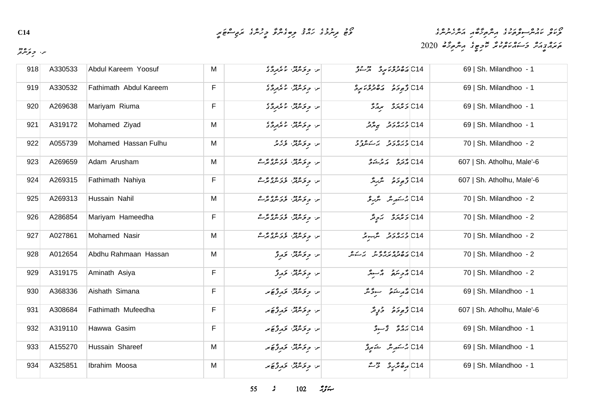*sCw7q7s5w7m< o<n9nOoAw7o< sCq;mAwBoEw7q<m; wBm;vB* م من المرة المرة المرة المرجع المرجع في المركبة 2020<br>مجم*د المريض المربوط المربع المرجع في المراجع المركبة* 

| 918 | A330533 | Abdul Kareem Yoosuf    | M            | ر وتر وده وی دی           | C14 كەھەر <i>جو</i> مبر قەر مەر يومبر      | 69   Sh. Milandhoo - 1     |
|-----|---------|------------------------|--------------|---------------------------|--------------------------------------------|----------------------------|
| 919 | A330532 | Fathimath Abdul Kareem | F            | ر وترکاه د ترکیزد و       | C14 ۇ <sub>جو</sub> رى مەھىر <i>ومى</i> رو | 69   Sh. Milandhoo - 1     |
| 920 | A269638 | Mariyam Riuma          | F            | ر وتر وده وی دی           | C14 <i>كا بروگر مروگر</i>                  | 69   Sh. Milandhoo - 1     |
| 921 | A319172 | Mohamed Ziyad          | M            | ر و ده ده و و و و و       | C14 <i>2522 م پر گ</i> ر                   | 69   Sh. Milandhoo - 1     |
| 922 | A055739 | Mohamed Hassan Fulhu   | M            | ىر. بەنگەنگە، ئۇرىمە      | C14 <i>322 كى بىر مىش قى</i> رى            | 70   Sh. Milandhoo - 2     |
| 923 | A269659 | Adam Arusham           | M            | ىر. جەنبەتلەر مەمەم ئە    | C14 مُحَمَّد مَعْرَ شَدَّرَ                | 607   Sh. Atholhu, Male'-6 |
| 924 | A269315 | Fathimath Nahiya       | $\mathsf{F}$ | ر و وسربر، و ده و ده و    | C14 رَّج <i>وحَةْ</i> مَ <i>دَبِ</i> رَّ   | 607   Sh. Atholhu, Male'-6 |
| 925 | A269313 | Hussain Nahil          | M            | ر و وسرچر، و ده وه ده.    | C14 پرڪ <i>ير بل سگري</i> و                | 70   Sh. Milandhoo - 2     |
| 926 | A286854 | Mariyam Hameedha       | $\mathsf F$  | ىر. بەنزىكى، ئەرەرە بەر   | C14 ك <i>ۈچۈك بەي ق</i>                    | 70   Sh. Milandhoo - 2     |
| 927 | A027861 | Mohamed Nasir          | M            | بر و وسره ، د ۱۵۵۰ ه      | C14 <i>ۋېزود تو</i> س <i>رگې</i> دند       | 70   Sh. Milandhoo - 2     |
| 928 | A012654 | Abdhu Rahmaan Hassan   | M            | من تر تر شرقه تر تر تر    | C14 مەھ <i>رمىدى</i> ھىرىمىس بىر           | 70   Sh. Milandhoo - 2     |
| 929 | A319175 | Aminath Asiya          | $\mathsf F$  | أأرا وقرارين قررو         | C14 مَرْحِ سَعَةً مَنْ مَسِيقً             | 70   Sh. Milandhoo - 2     |
| 930 | A368336 | Aishath Simana         | $\mathsf F$  | أأرا وتحاملها تحدثوهما    | C14 مەم ئىسىم ئىس سىرى ئىگر                | 69   Sh. Milandhoo - 1     |
| 931 | A308684 | Fathimath Mufeedha     | F            | الرا وكرمين كرروكالر      | C14 <i>وَّجِوَدَةْ</i> وَرِيْدَ            | 607   Sh. Atholhu, Male'-6 |
| 932 | A319110 | Hawwa Gasim            | $\mathsf F$  | المرا وتحاملها المروكاتين | $3 - 3$ $3/2$ $C14$                        | 69   Sh. Milandhoo - 1     |
| 933 | A155270 | Hussain Shareef        | M            | أأرا وتحاملها المروكاتر   | C14 پرستمبر شریق منظم برو                  | 69   Sh. Milandhoo - 1     |
| 934 | A325851 | Ibrahim Moosa          | M            | ىر: ئەقرىق ئۇرۇغ بىر      | C14 <sub>م</sub> ەنگەر 3- 3-               | 69   Sh. Milandhoo - 1     |

 $55$  *s*  $102$  *n***<sub>s</sub>** $\frac{2}{3}$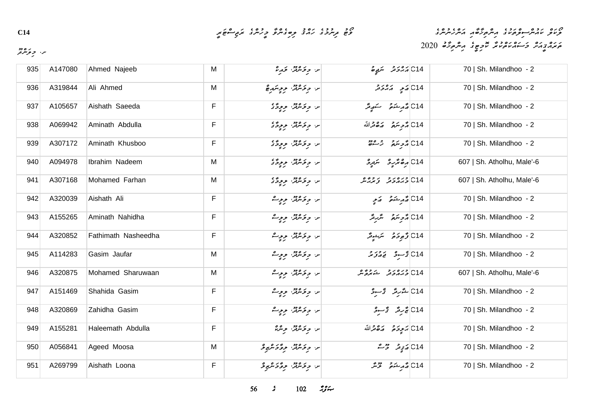*sCw7q7s5w7m< o<n9nOoAw7o< sCq;mAwBoEw7q<m; wBm;vB* م من المرة المرة المرة المرجع المرجع في المركبة 2020<br>مجم*د المريض المربوط المربع المرجع في المراجع المركبة* 

| 935 | A147080 | Ahmed Najeeb        | M | ىر. جەڭرى قەرش                    | C14 كەش <sup>ى</sup> ر قىر سى <i>زىي ھ</i> | 70   Sh. Milandhoo - 2     |
|-----|---------|---------------------|---|-----------------------------------|--------------------------------------------|----------------------------|
| 936 | A319844 | Ali Ahmed           | M | ىر. د ئەرەپر، دېرىش ھ             | C14 <i>جَرِي حَدْوَ</i> مَّرُ              | 70   Sh. Milandhoo - 2     |
| 937 | A105657 | Aishath Saeeda      | F | ىر. بەنگەنگە، بەبەدگەنگە          | C14 مەم ئىستىم سىكىم يىتىر                 | 70   Sh. Milandhoo - 2     |
| 938 | A069942 | Aminath Abdulla     | F | ر ویکری ووژی                      | C14 مُرْحِسَمُ مَصْعَدِ اللّه              | 70   Sh. Milandhoo - 2     |
| 939 | A307172 | Aminath Khusboo     | F | من تر تر شرقه العراقری            | C14 مُوسَع جمعة                            | 70   Sh. Milandhoo - 2     |
| 940 | A094978 | Ibrahim Nadeem      | M | مر تر تر شرح تر تر تر تر تر تر تر |                                            | 607   Sh. Atholhu, Male'-6 |
| 941 | A307168 | Mohamed Farhan      | M | ىر. دېگىرلىقى مورگەنى             | C14 <i>دېم</i> دې کې تر شر                 | 607   Sh. Atholhu, Male'-6 |
| 942 | A320039 | Aishath Ali         | F | ىر. بەيگەنگە، بەيدىش              | C14 مُگرمشَمُ مَعِ                         | 70   Sh. Milandhoo - 2     |
| 943 | A155265 | Aminath Nahidha     | F | ىر. بەيگەنگە، بەيدىشە             | C14 مُرْحِسَة مُسْرِسٌر                    | 70   Sh. Milandhoo - 2     |
| 944 | A320852 | Fathimath Nasheedha | F | ىر. بەيگەنگە، بەيدىشە             | C14 تۇ <sub>جو</sub> رَى مەسىر ئىگە ئىشىر  | 70   Sh. Milandhoo - 2     |
| 945 | A114283 | Gasim Jaufar        | M | الرا وتحاكمة الوويثة              | C14 تۇسى <i>ۋە خەق تى</i>                  | 70   Sh. Milandhoo - 2     |
| 946 | A320875 | Mohamed Sharuwaan   | M | الرا وترتدثة الووث                | C14 <i>درەر دېمبرگې</i> ر                  | 607   Sh. Atholhu, Male'-6 |
| 947 | A151469 | Shahida Gasim       | F | ىر. بەيگەنگە، بويۇن،              | C14 ڪُريگر گ <sup>و</sup> سوگر             | 70   Sh. Milandhoo - 2     |
| 948 | A320869 | Zahidha Gasim       | F | ر ووکرټر، ووت                     | C14 يُحرِمَّدُ گَوَّسِرْدُ                 | 70   Sh. Milandhoo - 2     |
| 949 | A155281 | Haleemath Abdulla   | F | ىر. بەنگەنگە، بولىرىما            | C14 كەمچە <i>5 ھ. ھ</i> ەمراللە            | 70   Sh. Milandhoo - 2     |
| 950 | A056841 | Ageed Moosa         | M | ىر. بەندىق بەقەتلىرى              | C14 كەن <sub>چ</sub> ىتر ئ <sup>و</sup> شە | 70   Sh. Milandhoo - 2     |
| 951 | A269799 | Aishath Loona       | F | ىر. بەنگەنگەر بەنگەنلىرى ئى       | C14 مۇم <i>رىشق</i> و قۇيتر                | 70   Sh. Milandhoo - 2     |

 $56$  *s*  $102$  *z***<sub>3</sub>**  $\frac{2}{3}$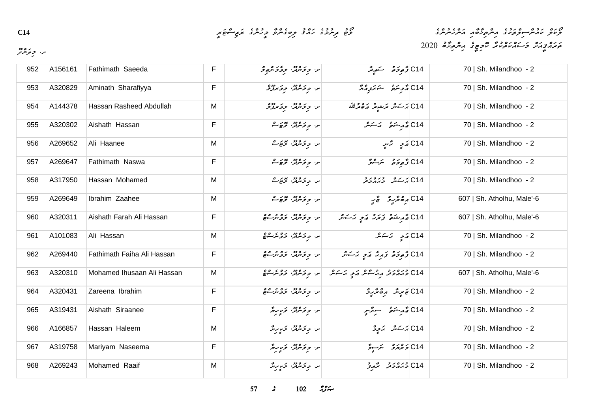*sCw7q7s5w7m< o<n9nOoAw7o< sCq;mAwBoEw7q<m; wBm;vB* م من المرة المرة المرة المرجع المرجع في المركبة 2020<br>مجم*د المريض المربوط المربع المرجع في المراجع المركبة* 

| 952 | A156161 | Fathimath Saeeda           | $\mathsf F$ | ىر. بەنزىكى، بەنزىرىمى ئى                                                                          | C14 رَّ <sub>جو</sub> حَۃ سَم <i>ہ</i> ِۃً           | 70   Sh. Milandhoo - 2     |
|-----|---------|----------------------------|-------------|----------------------------------------------------------------------------------------------------|------------------------------------------------------|----------------------------|
| 953 | A320829 | Aminath Sharafiyya         | F           | أأرا وتحامله ووتمردو                                                                               | C14 مَّ حِ سَمَّعَ حَسَنَ مِنْ مِنْ مَشَرِ مِنْ مِنْ | 70   Sh. Milandhoo - 2     |
| 954 | A144378 | Hassan Rasheed Abdullah    | M           | ىر. بەندىق بەندىق                                                                                  | C14 تركت ترشوتر ك <i>ەھ</i> تراللە                   | 70   Sh. Milandhoo - 2     |
| 955 | A320302 | Aishath Hassan             | F           | ىر. بە ئەشقە ئەنجىق شە                                                                             | C14 م <i>ەمبەھقەسىكەنل</i> ە                         | 70   Sh. Milandhoo - 2     |
| 956 | A269652 | Ali Haanee                 | M           | ىر. بەنزىكىلىكى ئۇيغات                                                                             | C14 کھیے گے میں                                      | 70   Sh. Milandhoo - 2     |
| 957 | A269647 | Fathimath Naswa            | F           | ىر. بەنزىكى ئۇنغاش                                                                                 | C14 تۇ <sub>ج</sub> وخۇ سى <i>رشۇ</i>                | 70   Sh. Milandhoo - 2     |
| 958 | A317950 | Hassan Mohamed             | M           | ىر. بەنزىكىلى ئۇنغاگ                                                                               | C14 ئەسەھرى <i>دىنەدەت</i> ر                         | 70   Sh. Milandhoo - 2     |
| 959 | A269649 | Ibrahim Zaahee             | M           | ىر. بەنزىكى ئۇنجاش                                                                                 | C14 مەھەمگە <i>پە</i> تەربە                          | 607   Sh. Atholhu, Male'-6 |
| 960 | A320311 | Aishath Farah Ali Hassan   | F           | ر د ده ده ده ده وه وه و                                                                            | C14 مەم شەھ كەيمەتر مەم بەسەش                        | 607   Sh. Atholhu, Male'-6 |
| 961 | A101083 | Ali Hassan                 | M           | بر وتوسير بره عروه                                                                                 | C14] ر <sub>َم</sub> ح برسکر                         | 70   Sh. Milandhoo - 2     |
| 962 | A269440 | Fathimath Faiha Ali Hassan | F           | من المحر والمحمد المحرم والمحمد المحر والمحرم المحرم المحرم المحرم المحرم المحرم المحرم المحرم الم | C14 رَّجِوَة وَرِبَّ مَعِ رَسَةً                     | 70   Sh. Milandhoo - 2     |
| 963 | A320310 | Mohamed Ihusaan Ali Hassan | M           | الرا وتوسيل تووس وه                                                                                | C14  <i>وبرەود <sub>م</sub>ېرگىنگە مەي بەسكىل</i>    | 607   Sh. Atholhu, Male'-6 |
| 964 | A320431 | Zareena Ibrahim            | $\mathsf F$ | ىن ئەقەدە بەرە ئەھ                                                                                 | C14 ئ <sub>ى</sub> رىد مەھرىر 2                      | 70   Sh. Milandhoo - 2     |
| 965 | A319431 | Aishath Siraanee           | F           | من تر تر شرقه الكرمار مر                                                                           | C14 مۇمەيشقىق سىرتى <i>گە</i> س                      | 70   Sh. Milandhoo - 2     |
| 966 | A166857 | Hassan Haleem              | M           | ىر. بەنگەنگە، ئۇيۇرىگە                                                                             | C14 يزيە ئەرە                                        | 70   Sh. Milandhoo - 2     |
| 967 | A319758 | Mariyam Naseema            | F           | أأرا وقراريش قرباراتر                                                                              | C14 كى <i>بىرى ئى سىرس</i> وگ                        | 70   Sh. Milandhoo - 2     |
| 968 | A269243 | Mohamed Raaif              | M           | ىر. بەنگەنگە، ئۇيارىد                                                                              | C14 <i>3222 مگهر</i> و                               | 70   Sh. Milandhoo - 2     |

 $57$  *s*  $102$  *z***<sub>3</sub>**  $\frac{2}{3}$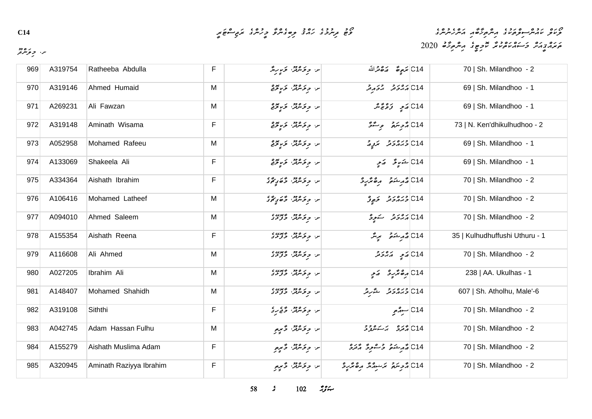*sCw7q7s5w7m< o<n9nOoAw7o< sCq;mAwBoEw7q<m; wBm;vB* م من المرة المرة المرة المرجع المرجع في المركبة 2020<br>مجم*د المريض المربوط المربع المرجع في المراجع المركبة* 

| 969 | A319754 | Ratheeba Abdulla        | $\mathsf F$ | ىر، بەق شەھ كەرلىر                   | C14 <i>مَدْمِرةَ مَدْهَ</i> قْدَاللّه      | 70   Sh. Milandhoo - 2         |
|-----|---------|-------------------------|-------------|--------------------------------------|--------------------------------------------|--------------------------------|
| 970 | A319146 | Ahmed Humaid            | M           | ىر. بەنزىكى ئۇيانچىقى                | C14 كەندى ئەرگىرىد                         | 69   Sh. Milandhoo - 1         |
| 971 | A269231 | Ali Fawzan              | M           | ىر. جۇشۇش كەنزىقى                    | C14 <i>ڇَجِ وَوُچَ</i> ش                   | 69   Sh. Milandhoo - 1         |
| 972 | A319148 | Aminath Wisama          | F           | ىر. بەنزىكى، ئايدىق                  | C14 مَّ <i>جِسَمَّةَ</i> وِسَّعَّ          | 73   N. Ken'dhikulhudhoo - 2   |
| 973 | A052958 | Mohamed Rafeeu          | M           | ىر. جۇشۇش كەنزىقى                    | C14 <i>\$ ئەۋەقرىتوم</i>                   | 69   Sh. Milandhoo - 1         |
| 974 | A133069 | Shakeela Ali            | $\mathsf F$ | ىر. بەنزىتى، ئۇيوقىچ                 | C14 ڪنڀرڱ <i>ھي</i>                        | 69   Sh. Milandhoo - 1         |
| 975 | A334364 | Aishath Ibrahim         | $\mathsf F$ | ىن ئەخرىكى ئەھمىگە                   | C14 مەم ئىسىم مەھەرد                       | 70   Sh. Milandhoo - 2         |
| 976 | A106416 | Mohamed Latheef         | M           | ر و وه ده و و و و و                  | C14 <i>جەممىرى خېرى</i>                    | 70   Sh. Milandhoo - 2         |
| 977 | A094010 | Ahmed Saleem            | M           | ىر. ئەنھەتلەر ئەيدە ئ                | C14 <i>2524 سكو</i> د                      | 70   Sh. Milandhoo - 2         |
| 978 | A155354 | Aishath Reena           | F           | ىر. ئەنگەرى ئەنگەنى<br>سەر ئەنگەرى ئ | C14 م <i>ۇم شۇم</i> مېرى <i>گ</i>          | 35   Kulhudhuffushi Uthuru - 1 |
| 979 | A116608 | Ali Ahmed               | M           | ىر. ئەنھەتلەر ئەيدە ئ                | C14 كەبىي كەندى قىل                        | 70   Sh. Milandhoo - 2         |
| 980 | A027205 | Ibrahim Ali             | M           | ر. وترکوه په دوره                    | C14 مەھم <i>گىي</i> ى ھېچ                  | 238   AA. Ukulhas - 1          |
| 981 | A148407 | Mohamed Shahidh         | M           | بر وتحسن ودره                        | C14 <i>2222 مىڭرى</i> تر                   | 607   Sh. Atholhu, Male'-6     |
| 982 | A319108 | Siththi                 | $\mathsf F$ | ىر: ئەنگەنىڭ، ئۇقىرى                 | C14 سو <i>هو</i>                           | 70   Sh. Milandhoo - 2         |
| 983 | A042745 | Adam Hassan Fulhu       | M           | ب وتوسين ومره                        | C14 كەنىۋە بەيئەتلىرى ئ                    | 70   Sh. Milandhoo - 2         |
| 984 | A155279 | Aishath Muslima Adam    | $\mathsf F$ | الرا وإقرارهما الأمرامي              | C14 مُمبِسَمَّة وَسَمْعِةً مُعَرَّد        | 70   Sh. Milandhoo - 2         |
| 985 | A320945 | Aminath Raziyya Ibrahim | F           | مرا تر تر مرَّ تر تر مريدٍ           | C14 مُجمِعَهُم مَن مِهْدٌ مِنْ مُحَمَّدِهِ | 70   Sh. Milandhoo - 2         |

 $58$  *s*  $\cancel{102}$  *n***<sub>3</sub>** *n*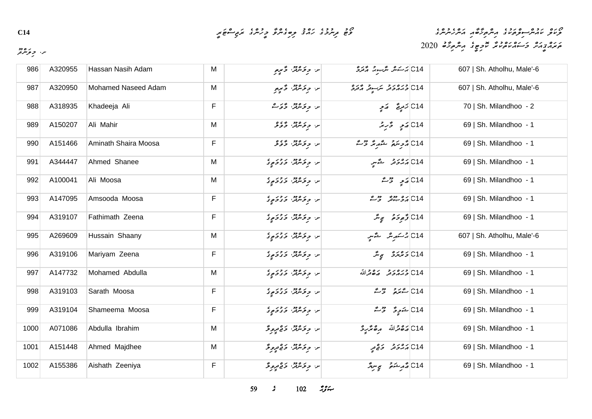*sCw7q7s5w7m< o<n9nOoAw7o< sCq;mAwBoEw7q<m; wBm;vB* م من المرة المرة المرة المرجع المرجع في المركبة 2020<br>مجم*د المريض المربوط المربع المرجع في المراجع المركبة* 

| 986  | A320955 | Hassan Nasih Adam    | M           | أأرا وإقرارهم ومجرم                            | C14 كەسكەش م <i>ەكتەر مەندى</i>                  | 607   Sh. Atholhu, Male'-6 |
|------|---------|----------------------|-------------|------------------------------------------------|--------------------------------------------------|----------------------------|
| 987  | A320950 | Mohamed Naseed Adam  | M           | مرا تر تر مرَّ تر تر مريدٍ                     | C14 ويرورو كرسونر م <i>ركز</i> و                 | 607   Sh. Atholhu, Male'-6 |
| 988  | A318935 | Khadeeja Ali         | $\mathsf F$ | ىر. جۇشۇش ۋەپ                                  | C14 كَتَمِيعٌ – مَدَمٍّ –                        | 70   Sh. Milandhoo - 2     |
| 989  | A150207 | Ali Mahir            | M           | ر وترتريز، دون                                 | C14 کمبر څريمه                                   | 69   Sh. Milandhoo - 1     |
| 990  | A151466 | Aminath Shaira Moosa | F           | ما تر تر شرقال المحافظ المحمد المحمد           | C14 مَّ حِسَمَ حَسَّمَ حَسَّ                     | 69   Sh. Milandhoo - 1     |
| 991  | A344447 | Ahmed Shanee         | M           | ر وتومين ودور ،                                | C14 كەبۇبۇقر ئىقتىر                              | 69   Sh. Milandhoo - 1     |
| 992  | A100041 | Ali Moosa            | M           | ىر، ئۆتلۈر، ئەن ئەھمىي                         | C14] <sub>تم</sub> و حي شگ                       | 69   Sh. Milandhoo - 1     |
| 993  | A147095 | Amsooda Moosa        | F           | ىر، ئەخسىر، ئەن ئەھمى<br>ئەن ئەخسىر            | C14 كەبىر تەشقە ئەستە                            | 69   Sh. Milandhoo - 1     |
| 994  | A319107 | Fathimath Zeena      | F           | ر وترميم ودور ۽                                | C14 <i>وَّجوح</i> قو سمِ مَدَّ                   | 69   Sh. Milandhoo - 1     |
| 995  | A269609 | Hussain Shaany       | M           | ر وترميم ودور ۽                                | C14 پرڪ <sub>م</sub> ريئر ڪ <sub>م</sub> بر      | 607   Sh. Atholhu, Male'-6 |
| 996  | A319106 | Mariyam Zeena        | $\mathsf F$ | من توفر علم الله وتحديد ع                      | C14 كۈچ <i>رى يې</i> تر                          | 69   Sh. Milandhoo - 1     |
| 997  | A147732 | Mohamed Abdulla      | M           | ر وتوسين ورور ،                                | C14 وَبَرْهُ حَرَّمٌ مَدَّهْ مِّدَاللَّه         | 69   Sh. Milandhoo - 1     |
| 998  | A319103 | Sarath Moosa         | $\mathsf F$ | ر وتوسين ورور ،                                | C14 گەنزۇ بىر ئىستىر                             | 69   Sh. Milandhoo - 1     |
| 999  | A319104 | Shameema Moosa       | F           | ر و وه دور و                                   | C14 ڪوچ وچي                                      | 69   Sh. Milandhoo - 1     |
| 1000 | A071086 | Abdulla Ibrahim      | M           | من المالوجين المحافظ مع المحرج و تحرير المحركة | C14 مَدْهْتَراللَّهُ مِنْ مَحْرِدْ               | 69   Sh. Milandhoo - 1     |
| 1001 | A151448 | Ahmed Majdhee        | M           | ىر. ئەقەتلەر كەنگە ئەرەپ                       | C14   كەش <sup>ى</sup> قىر قىم قىلغان قىلغان بىر | 69   Sh. Milandhoo - 1     |
| 1002 | A155386 | Aishath Zeeniya      | F           | أأرا وتحاريق وكالروتخ                          | C14 مەم شىقى سېمبىرىگە                           | 69   Sh. Milandhoo - 1     |

 $59$  *s*  $102$  *z***<sub>3</sub>**  $\frac{2}{3}$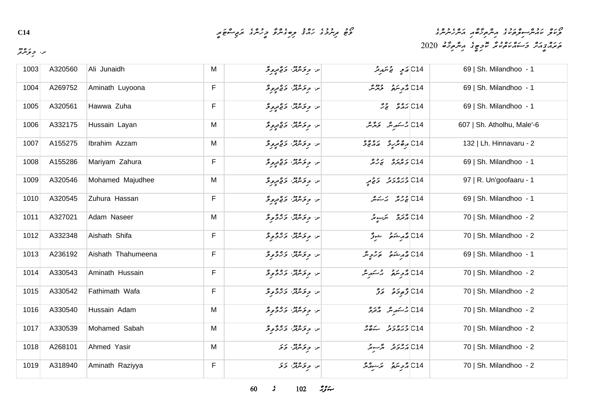*sCw7q7s5w7m< o<n9nOoAw7o< sCq;mAwBoEw7q<m; wBm;vB* م من المرة المرة المرة المرجع المرجع في المركبة 2020<br>مجم*د المريض المربوط المربع المرجع في المراجع المركبة* 

| 1003 | A320560 | Ali Junaidh        | M            |                                                                                                    | C14 <i>مَيْ - في مَدب</i> قر                                                                       | 69   Sh. Milandhoo - 1     |
|------|---------|--------------------|--------------|----------------------------------------------------------------------------------------------------|----------------------------------------------------------------------------------------------------|----------------------------|
| 1004 | A269752 | Aminath Luyoona    | $\mathsf{F}$ | من توقريني، أوقي توجونتى                                                                           | C14 مُتَّحِسَمَةً مَسَرَّسَ                                                                        | 69   Sh. Milandhoo - 1     |
| 1005 | A320561 | Hawwa Zuha         | $\mathsf F$  | ر. وتحسن وقانوه تحريد الم                                                                          | $\mathcal{Z}_{\mathcal{E}}^{\mathcal{E}} \quad \mathcal{Z}_{\mathcal{A}}^{\mathcal{E}} \subset 14$ | 69   Sh. Milandhoo - 1     |
| 1006 | A332175 | Hussain Layan      | M            | من الموقع بين المحقوق و المحمد المحمد المحمد المحمد المحمد المحمد المحمد المحمد المحمد المحمد المح | C14 ير <i>شهر مثر مؤمر بن</i>                                                                      | 607   Sh. Atholhu, Male'-6 |
| 1007 | A155275 | Ibrahim Azzam      | M            | من الموقع بين المحقوق و المحمد المحمد المحمد المحمد المحمد المحمد المحمد المحمد المحمد المحمد المح | C14 مەھم <i>گىرى مەممۇ</i>                                                                         | 132   Lh. Hinnavaru - 2    |
| 1008 | A155286 | Mariyam Zahura     | $\mathsf F$  | أأرا وتحاريق وكالروتخ                                                                              | C14 كەبىر <i>بىر ئى</i> رتىگە                                                                      | 69   Sh. Milandhoo - 1     |
| 1009 | A320546 | Mohamed Majudhee   | M            | من الموقع في المحرج والمحرج والمحر                                                                 | C14 <i>3222 كى قى</i> ر                                                                            | 97   R. Un'goofaaru - 1    |
| 1010 | A320545 | Zuhura Hassan      | $\mathsf F$  | ر. وتحسن وقع موجو                                                                                  | C14 ج ح مجر سے پر شر                                                                               | 69   Sh. Milandhoo - 1     |
| 1011 | A327021 | Adam Naseer        | M            | ما أو توسيق أو تروح تو                                                                             | C14 مُرْمَرْدْ سَرَسِيمْر                                                                          | 70   Sh. Milandhoo - 2     |
| 1012 | A332348 | Aishath Shifa      | F            | من المادود المركزة وتحريج                                                                          | C14 مُدمِسْمَة سْبِرً                                                                              | 70   Sh. Milandhoo - 2     |
| 1013 | A236192 | Aishath Thahumeena | $\mathsf F$  | ما أو توسيق أو تروح تو                                                                             | C14 مۇم <i>رىشۇ ھۇرم</i> چە ئىر                                                                    | 69   Sh. Milandhoo - 1     |
| 1014 | A330543 | Aminath Hussain    | F            | ما أو توسيق أو تروح تو                                                                             | C14 مَرْحِ سَمَعَ مَرْسَورِ سَرْ                                                                   | 70   Sh. Milandhoo - 2     |
| 1015 | A330542 | Fathimath Wafa     | $\mathsf F$  | ىر. ئەقەبلەر، ئەزگەنگە                                                                             | C14 و <i>ُّجِ حَقَّ</i> حَوَّ                                                                      | 70   Sh. Milandhoo - 2     |
| 1016 | A330540 | Hussain Adam       | M            | ما أو توسيق أو تروح تو                                                                             | C14 بڑے <i>مہ</i> شہر محمد محمد اللہ اللہ ا                                                        | 70   Sh. Milandhoo - 2     |
| 1017 | A330539 | Mohamed Sabah      | M            | ما أو توميزي أو د د د و تو                                                                         | $222 - 222$                                                                                        | 70   Sh. Milandhoo - 2     |
| 1018 | A268101 | Ahmed Yasir        | M            | من تر تر ترکی کرکی                                                                                 | C14 كەبرى قىلى بۇسىدىنى ئىس                                                                        | 70   Sh. Milandhoo - 2     |
| 1019 | A318940 | Aminath Raziyya    | F            | أأرا وقرارهما أوتو                                                                                 | C14 مَّ حِسَمَ مَنْ مِنْ مِنْ مِنْ مِنْ مِنْ                                                       | 70   Sh. Milandhoo - 2     |

 $60$  *s*  $102$  *n***<sub>s</sub>** $\frac{2}{3}$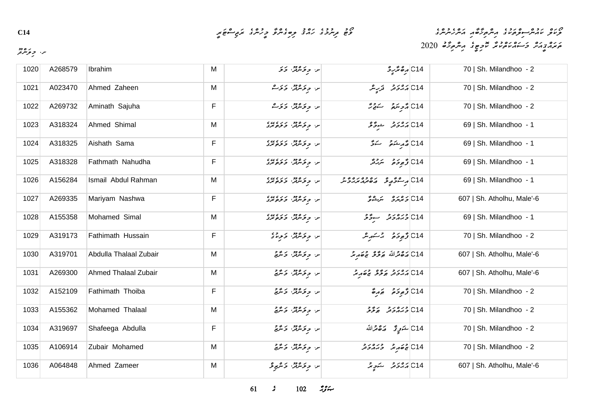*sCw7q7s5w7m< o<n9nOoAw7o< sCq;mAwBoEw7q<m; wBm;vB* م من المرة المرة المرة المرجع المرجع في المركبة 2020<br>مجم*د المريض المربوط المربع المرجع في المراجع المركبة* 

| 1020 | A268579 | Ibrahim                     | M            | ىر، بەنزىلگە، ئەت                                 | C14 مەھم <i>گى</i> رۇ                              | 70   Sh. Milandhoo - 2     |
|------|---------|-----------------------------|--------------|---------------------------------------------------|----------------------------------------------------|----------------------------|
| 1021 | A023470 | Ahmed Zaheen                | M            | ىر. بەنزىكە: ئەنزىك                               | C14 كەبۇ قىزىرىگە                                  | 70   Sh. Milandhoo - 2     |
| 1022 | A269732 | Aminath Sajuha              | F            | أأرا وتحاملك وتؤك                                 | C14 مَّ حِبَّمَةٌ مَسْتَعَبَّ                      | 70   Sh. Milandhoo - 2     |
| 1023 | A318324 | Ahmed Shimal                | M            | ىر. ئەخرىق ئەرەپ ئە                               | C14 <i>مَدْدَ</i> مَرَ سِوَّرْ                     | 69   Sh. Milandhoo - 1     |
| 1024 | A318325 | Aishath Sama                | F            | در ه دو در دره در<br>در جنوبهلر، خنوج برد         | C14 مەم ئىسقىم كىنى ئىس                            | 69   Sh. Milandhoo - 1     |
| 1025 | A318328 | Fathmath Nahudha            | $\mathsf F$  | بر وتحسين وتوجد                                   | C14 رَّج <i>وحَمْ مَرَكْتَر</i> ُ                  | 69   Sh. Milandhoo - 1     |
| 1026 | A156284 | Ismail Abdul Rahman         | M            | در ودو کرده در د                                  | C14 مِــْمُوَّمِهِ مِـُ مَصْرُمْ مِرْدِوَّ مِّر    | 69   Sh. Milandhoo - 1     |
| 1027 | A269335 | Mariyam Nashwa              | $\mathsf F$  | ىر. ئەخرىرى يەر 2002.<br>س. ئەخرىرلىر، ئەخرى يىرى | C14 ك <i>ر برگ برگوگ</i>                           | 607   Sh. Atholhu, Male'-6 |
| 1028 | A155358 | Mohamed Simal               | M            | ر ده ده کرده دره ده                               | C14 <i>جەمگەنىڭ سىۋ</i> تۇ                         | 69   Sh. Milandhoo - 1     |
| 1029 | A319173 | Fathimath Hussain           | $\mathsf{F}$ | ىر. بەنزىكى كەبرى                                 | C14 ۇ <sub>جو</sub> رۇ ئەسەر ش                     | 70   Sh. Milandhoo - 2     |
| 1030 | A319701 | Abdulla Thalaal Zubair      | M            | ىر. جۇنگۇنى كەنگى                                 | C14 مَەھْرَاللە مَحَرَّقَ مَى مَدىمَّ              | 607   Sh. Atholhu, Male'-6 |
| 1031 | A269300 | <b>Ahmed Thalaal Zubair</b> | M            | ىر. جۇشۇش كەشق                                    | C14 גלכת הכב הסתיל                                 | 607   Sh. Atholhu, Male'-6 |
| 1032 | A152109 | Fathimath Thoiba            | $\mathsf F$  | ىر، بەنزىكەن، كەنگىج                              | C14 تُهِ <i>حَق بَوْدِهُ</i> ّ                     | 70   Sh. Milandhoo - 2     |
| 1033 | A155362 | Mohamed Thalaal             | M            | ىر. جۇنگۇنى كەنگى                                 | C14 <i>3222 بروفر</i><br>به استر <i>د 15 بروگر</i> | 70   Sh. Milandhoo - 2     |
| 1034 | A319697 | Shafeega Abdulla            | $\mathsf F$  | ىر. جۇشۇش كەشق                                    | C14 شَمَوِيَّة     مَرْهُ مِّرْاللَّه              | 70   Sh. Milandhoo - 2     |
| 1035 | A106914 | Zubair Mohamed              | M            | ىر. جۇشۇش كەشتى                                   | C14 يحقه بر حمد دور                                | 70   Sh. Milandhoo - 2     |
| 1036 | A064848 | Ahmed Zameer                | M            | ىر. بەقتىرلىقى، كەشپەق                            | C14 كەبۇ <i>ئەڭ ئىنچە ئ</i> ە                      | 607   Sh. Atholhu, Male'-6 |

 $61$  *s*  $102$  *n***<sub>s</sub>**  $\frac{2}{3}$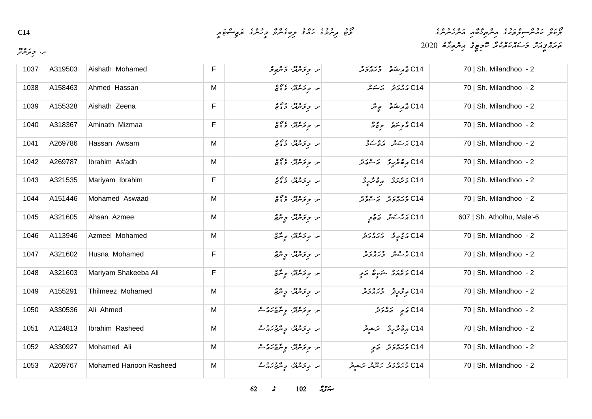*sCw7q7s5w7m< o<n9nOoAw7o< sCq;mAwBoEw7q<m; wBm;vB 2020*<br>*په پوهر وسوړ پاره ولايت موسي اوسر پر شمېر شه* 

| 1037 | A319503 | Aishath Mohamed        | F | أأرا وقريرهما والرياقر                                                                                                                                                                                                                                                                                              | C14 مەم ئىق ئەم ئەر ئەر ئ           | 70   Sh. Milandhoo - 2     |
|------|---------|------------------------|---|---------------------------------------------------------------------------------------------------------------------------------------------------------------------------------------------------------------------------------------------------------------------------------------------------------------------|-------------------------------------|----------------------------|
| 1038 | A158463 | Ahmed Hassan           | M | بر وترکردی وه و                                                                                                                                                                                                                                                                                                     |                                     | 70   Sh. Milandhoo - 2     |
| 1039 | A155328 | Aishath Zeena          | F | بر و د شود. ۹۵۷                                                                                                                                                                                                                                                                                                     | C14 مۇمەيئىق <sub>ە ئى</sub> چە ئىر | 70   Sh. Milandhoo - 2     |
| 1040 | A318367 | Aminath Mizmaa         | F | ر و د شود. وه و                                                                                                                                                                                                                                                                                                     | C14 مُوسَع <sub>َد</sub> ويحدُّ     | 70   Sh. Milandhoo - 2     |
| 1041 | A269786 | Hassan Awsam           | M | ر و و شرقه و ۵۵۰                                                                                                                                                                                                                                                                                                    | C14 ئەسەبىر مەھ <i>ەسۇ</i>          | 70   Sh. Milandhoo - 2     |
| 1042 | A269787 | Ibrahim As'adh         | M | ر و و شرقه و ۵۵۰                                                                                                                                                                                                                                                                                                    | C14 مەھەمگەيدى كەسىمەتىر            | 70   Sh. Milandhoo - 2     |
| 1043 | A321535 | Mariyam Ibrahim        | F | ر وتوسط وه وه و                                                                                                                                                                                                                                                                                                     | C14 كرمركر مقتربة                   | 70   Sh. Milandhoo - 2     |
| 1044 | A151446 | Mohamed Aswaad         | M | $\frac{1}{6}$ $\frac{1}{6}$ $\frac{1}{6}$ $\frac{1}{6}$ $\frac{1}{6}$ $\frac{1}{6}$ $\frac{1}{6}$ $\frac{1}{6}$ $\frac{1}{6}$ $\frac{1}{6}$ $\frac{1}{6}$ $\frac{1}{6}$ $\frac{1}{6}$ $\frac{1}{6}$ $\frac{1}{6}$ $\frac{1}{6}$ $\frac{1}{6}$ $\frac{1}{6}$ $\frac{1}{6}$ $\frac{1}{6}$ $\frac{1}{6}$ $\frac{1}{6}$ | C14 <i>ۋېرو دې مرگ مو</i> تر        | 70   Sh. Milandhoo - 2     |
| 1045 | A321605 | Ahsan Azmee            | M | الرا و قر شرقش و شرج                                                                                                                                                                                                                                                                                                | C14 كەبىر <i>شەھ بەيج</i> رىيە      | 607   Sh. Atholhu, Male'-6 |
| 1046 | A113946 | Azmeel Mohamed         | M | س تر تر شرقز، الر شرج                                                                                                                                                                                                                                                                                               | C14 كەنج يەر ئەزگە ئەرەپىر          | 70   Sh. Milandhoo - 2     |
| 1047 | A321602 | Husna Mohamed          | F | ىر. بە ئەشقۇ، بەشقى                                                                                                                                                                                                                                                                                                 |                                     | 70   Sh. Milandhoo - 2     |
| 1048 | A321603 | Mariyam Shakeeba Ali   | F | س و قرمرټر، و مرَّج                                                                                                                                                                                                                                                                                                 | C14 كەبۇر ئۇم كەم كەم               | 70   Sh. Milandhoo - 2     |
| 1049 | A155291 | Thilmeez Mohamed       | M | ىر. جۇشۇش جەشھ                                                                                                                                                                                                                                                                                                      | C14 موقويتر - <i>3 جوم</i> وتر      | 70   Sh. Milandhoo - 2     |
| 1050 | A330536 | Ali Ahmed              | M | الرا وتحارقها والرجاحة                                                                                                                                                                                                                                                                                              | C14 كەمچە كەبىرى قىر                | 70   Sh. Milandhoo - 2     |
| 1051 | A124813 | Ibrahim Rasheed        | M | ىر. جەنگەنگە جەنگەنگەنگ                                                                                                                                                                                                                                                                                             | C14 <sub>م</sub> ەمگرىي كىيەم       | 70   Sh. Milandhoo - 2     |
| 1052 | A330927 | Mohamed Ali            | M | من تر تو شرق به تر در ه ت                                                                                                                                                                                                                                                                                           | C14 <i>وَبَهُ وَمَرْ مَ</i> عِ      | 70   Sh. Milandhoo - 2     |
| 1053 | A269767 | Mohamed Hanoon Rasheed | M | س توڅسرن تو سرچ تار د ه                                                                                                                                                                                                                                                                                             | C14 ويرە روپە بەر بەر بەر           | 70   Sh. Milandhoo - 2     |

 $62$  *s*  $102$  *n***<sub>s</sub>** $\frac{2}{3}$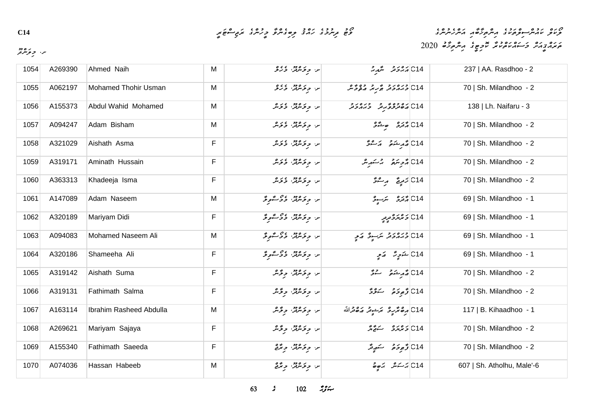*sCw7q7s5w7m< o<n9nOoAw7o< sCq;mAwBoEw7q<m; wBm;vB* م من المسجد المسجد المسجد المسجد المسجد العام 2020<br>مسجد المسجد المسجد المسجد المسجد المسجد المسجد المسجد المسجد ال

| 1054 | A269390 | Ahmed Naih                  | M           | ىر. بەنزىرلىق، ئەرىجە  | C14 كەبرى قىر شەرقە                              | 237   AA. Rasdhoo - 2      |
|------|---------|-----------------------------|-------------|------------------------|--------------------------------------------------|----------------------------|
| 1055 | A062197 | <b>Mohamed Thohir Usman</b> | M           | مر بەندىقى ئەربى       | C14 <i>دېزو دو</i> څريز مقوم ش                   | 70   Sh. Milandhoo - 2     |
| 1056 | A155373 | Abdul Wahid Mohamed         | M           | ىر. جۇنگەنگە كەتكەر    | C14 رەۋە ئەرەر دىرەرد                            | 138   Lh. Naifaru - 3      |
| 1057 | A094247 | Adam Bisham                 | M           | ىر. جۇنگەنگە كەتكەر    | C14 <i>مُقرَّة م</i> ُشَوَّر                     | 70   Sh. Milandhoo - 2     |
| 1058 | A321029 | Aishath Asma                | $\mathsf F$ | ىر. جۇنگەنگە كەتكە     | C14 مەم شىم مەرمۇ                                | 70   Sh. Milandhoo - 2     |
| 1059 | A319171 | Aminath Hussain             | F           | ىر. جۇنگەنگە كەتكەر    | C14 مَّ <i>جِيئرِي جُسَدِينَ</i> ر               | 70   Sh. Milandhoo - 2     |
| 1060 | A363313 | Khadeeja Isma               | F           | ىر. بەنزىكەن، ئانزىكە  | C14] نَرْمِيعٌ      مِرْ سُرَّحَّ                | 70   Sh. Milandhoo - 2     |
| 1061 | A147089 | Adam Naseem                 | M           | ىر. بەندىق، ئەممى ئەم  | C14 يۇتر <sup>ى س</sup> رسى <i>بى</i>            | 69   Sh. Milandhoo - 1     |
| 1062 | A320189 | Mariyam Didi                | F           | ىر. بەندىق، ئەممىسىمۇ  | C14 كەبۇرگ <sub>ۇ توپ</sub> ىر                   | 69   Sh. Milandhoo - 1     |
| 1063 | A094083 | Mohamed Naseem Ali          | M           | پر برودو وي گروگر      | C14 <i>وُټرونو سَرَ-وِوْ مَ</i> يَ               | 69   Sh. Milandhoo - 1     |
| 1064 | A320186 | Shameeha Ali                | F           | ىر. بەندىق، ئەھرىقى ئە | C14  ڪتوبر گيمي                                  | 69   Sh. Milandhoo - 1     |
| 1065 | A319142 | Aishath Suma                | F           | ىر. دۇشقۇ، دۇش         | C14 مەم ئىم ئىم                                  | 70   Sh. Milandhoo - 2     |
| 1066 | A319131 | Fathimath Salma             | $\mathsf F$ | أأرا وقاتلك وقرش       | C14 تۇم <sub>ب</sub> وخ <sup>ى</sup> سىۋۇ        | 70   Sh. Milandhoo - 2     |
| 1067 | A163114 | Ibrahim Rasheed Abdulla     | M           | أأرا وتخامين وقرمر     | C14 مِرْحَمَّرِ مِنْ مَسْبِعْرِ مَرْحَمْدَاللَّه | 117   B. Kihaadhoo - 1     |
| 1068 | A269621 | Mariyam Sajaya              | $\mathsf F$ | ىر. دۇشتى، دۇش         | C14 كەبىر بىر ئىس ئىق                            | 70   Sh. Milandhoo - 2     |
| 1069 | A155340 | Fathimath Saeeda            | F           | الرا و و کرکر او برگ   | C14 ۇ <sub>جو</sub> رَة ئەرەتە                   | 70   Sh. Milandhoo - 2     |
| 1070 | A074036 | Hassan Habeeb               | M           | ىر. ئۇ ئەنگەنى ئەنگەنى | C14 ئەسەمىش ئەھ <i>م</i>                         | 607   Sh. Atholhu, Male'-6 |

 $63$  *s*  $102$  *n***<sub>s</sub>** $\frac{2}{3}$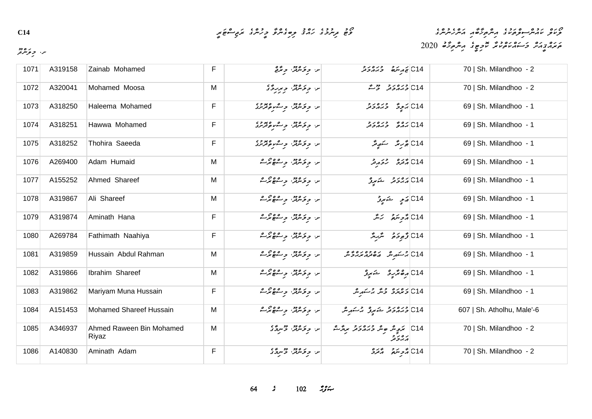*sCw7q7s5w7m< o<n9nOoAw7o< sCq;mAwBoEw7q<m; wBm;vB 2020<sup>, م</sup>وجدة المصرورة المجموعة المستورجة والم*جموعة والمجموعة والمجموعة والمجموعة والمجموعة والمجموعة والمجموعة

| 1071 | A319158 | Zainab Mohamed                    | F           | الرا و و کرکرا و برگ                      | C14 تج م سَرَة مستقرح من                                          | 70   Sh. Milandhoo - 2     |
|------|---------|-----------------------------------|-------------|-------------------------------------------|-------------------------------------------------------------------|----------------------------|
| 1072 | A320041 | Mohamed Moosa                     | M           | أأرا وكرمرض وبررومى                       | C14 دىرە دىر تەرىئە                                               | 70   Sh. Milandhoo - 2     |
| 1073 | A318250 | Haleema Mohamed                   | F           | الزا وتحسن وسماء وترارد                   | C14 بَرْمِرَدَّ - دَبَرْدُدَتْر                                   | 69   Sh. Milandhoo - 1     |
| 1074 | A318251 | Hawwa Mohamed                     | $\mathsf F$ | ىر. ئەنجەش ئەسەم ئەھمەدە                  | C14 بروی <sub>ر</sub> وبرویر                                      | 69   Sh. Milandhoo - 1     |
| 1075 | A318252 | Thohira Saeeda                    | F           | الرا وتحسن وبالمعاه ولايره                | C14 ۾ <i>سرشڪ سڪوپينگ</i> ر                                       | 69   Sh. Milandhoo - 1     |
| 1076 | A269400 | Adam Humaid                       | M           | الرا و د کردن و شوه تر شو                 | C14 مەنزى ئەدەپىر                                                 | 69   Sh. Milandhoo - 1     |
| 1077 | A155252 | Ahmed Shareef                     | M           | الرا وتحسن وبشق والم                      | C14 كەش <sup>ى</sup> قىر سى <i>كەين</i> ى                         | 69   Sh. Milandhoo - 1     |
| 1078 | A319867 | Ali Shareef                       | M           | الرا و د مردون و سان مرگ                  | C14 <i>۾َ جِ</i> ڪَمِرِڙ                                          | 69   Sh. Milandhoo - 1     |
| 1079 | A319874 | Aminath Hana                      | F           | الرا و د کردن و شوه تر شو                 | C14 مَرْحِبِيَّتِهِ كَتَبَرَّ                                     | 69   Sh. Milandhoo - 1     |
| 1080 | A269784 | Fathimath Naahiya                 | $\mathsf F$ | ر و در دور و ۵۵۵ و                        | C14 ۇ <sub>ج</sub> وخ <sup>ى</sup> مۇرى <i>گ</i>                  | 69   Sh. Milandhoo - 1     |
| 1081 | A319859 | Hussain Abdul Rahman              | M           | ر و درود و ۹۵۵۰ و                         | C14 يُرْسَمْ مِنْ مَصْغَرْ مُسْتَمَدَّة مِنْ                      | 69   Sh. Milandhoo - 1     |
| 1082 | A319866 | Ibrahim Shareef                   | M           | الرا و و سره و سره مرگ                    | C14 مەھەرىپى ھەمپى<br>                                            | 69   Sh. Milandhoo - 1     |
| 1083 | A319862 | Mariyam Muna Hussain              | $\mathsf F$ | ر و در دور و ۵۵۵ و                        | C14 كەبۇر ئەنگەر ب <sup>ە</sup> سكەبلار                           | 69   Sh. Milandhoo - 1     |
| 1084 | A151453 | <b>Mohamed Shareef Hussain</b>    | M           | من تر تر وره تر من من هم در استر استر است | C14 <i>ڈیز ڈی ڈی پو</i> ڈ بڑے ہر ش                                | 607   Sh. Atholhu, Male'-6 |
| 1085 | A346937 | Ahmed Raween Bin Mohamed<br>Riyaz | M           | من و توسيق و سرگانو                       | C14 <i>بَرَمٍ مَّنْ وَسَهْدَ وَبَرْ وَدَ بِرِمَّ</i> تْ<br>بروبرد | 70   Sh. Milandhoo - 2     |
| 1086 | A140830 | Aminath Adam                      | F           | أأرا وتحارقها والردمى                     | C14 مَّ <i>جِسَعَۃ م</i> ُعَرَف                                   | 70   Sh. Milandhoo - 2     |

 $64$  *s*  $102$  *z***<sub>3</sub>**  $\frac{2}{3}$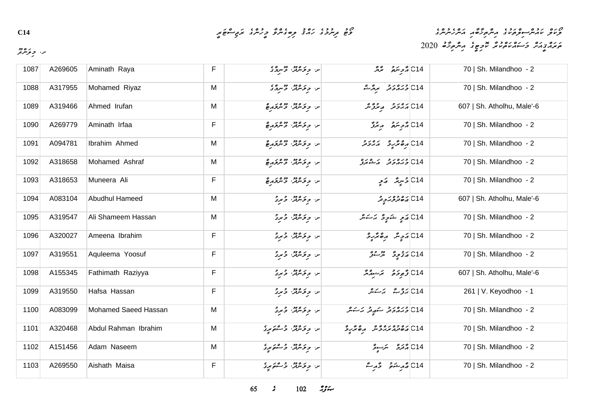*sCw7q7s5w7m< o<n9nOoAw7o< sCq;mAwBoEw7q<m; wBm;vB* م من المرة المرة المرة المرجع المرجع في المركبة 2020<br>مجم*د المريض المربوط المربع المرجع في المراجع المركبة* 

| 1087 | A269605 | Aminath Raya         | F           | ما تر تو شرق و شرق و  | C14 مُجِسَعَةً مُحَمَّدً                   | 70   Sh. Milandhoo - 2     |
|------|---------|----------------------|-------------|-----------------------|--------------------------------------------|----------------------------|
| 1088 | A317955 | Mohamed Riyaz        | M           | أأرا وتحارقها والردوي | C14 <i>2222 بروڭ</i>                       | 70   Sh. Milandhoo - 2     |
| 1089 | A319466 | Ahmed Irufan         | M           | ر و و دور و دره د     | C14 <i>مەندى ھەمدۇ</i> نىر                 | 607   Sh. Atholhu, Male'-6 |
| 1090 | A269779 | Aminath Irfaa        | F           | ر و د ده دور و        | C14 مُرْحِسَمَ مِعْرَفَ                    | 70   Sh. Milandhoo - 2     |
| 1091 | A094781 | Ibrahim Ahmed        | M           | ر و د ده دور و        | C14 مەھ <i>مگىرى مەدە</i> م                | 70   Sh. Milandhoo - 2     |
| 1092 | A318658 | Mohamed Ashraf       | M           | ر وتحسن وسرترم        | C14 درەرو كەشىر <i>ۇ</i>                   | 70   Sh. Milandhoo - 2     |
| 1093 | A318653 | Muneera Ali          | $\mathsf F$ | ر و د ده ده در ه      |                                            | 70   Sh. Milandhoo - 2     |
| 1094 | A083104 | Abudhul Hameed       | M           | أأرا وتحارقها ومرو    | C14 كەھەرىجە <i>جە</i> ر                   | 607   Sh. Atholhu, Male'-6 |
| 1095 | A319547 | Ali Shameem Hassan   | M           | ر وتحكيمي ويرو        | C14] ر <sub>َجَ</sub> پِي ڪُمُ ڪِ پُر ڪمبر | 70   Sh. Milandhoo - 2     |
| 1096 | A320027 | Ameena Ibrahim       | $\mathsf F$ | أأرا وتحارقها ومرو    | C14 كەچ ئىگە مەھ ئ <i>ۇر</i> 2             | 70   Sh. Milandhoo - 2     |
| 1097 | A319551 | Aquleema Yoosuf      | $\mathsf F$ | أأرا وتحارقها ومرو    | C14 <sub>مەتم</sub> وق بۇ يوم              | 70   Sh. Milandhoo - 2     |
| 1098 | A155345 | Fathimath Raziyya    | F           | أأرا وإقرارهما ومرو   | C14 ۇ <sub>جو</sub> رى ئەسى <i>مەش</i>     | 607   Sh. Atholhu, Male'-6 |
| 1099 | A319550 | Hafsa Hassan         | F           | أأرا وتحارقها ومروا   | C14 كەنۇبىگە كەسكەنل <i>ى</i>              | 261   V. Keyodhoo - 1      |
| 1100 | A083099 | Mohamed Saeed Hassan | M           | ر وتومريز، ويرو       | C14 <i>دېمگ</i> ونگر شمېر تر شکر           | 70   Sh. Milandhoo - 2     |
| 1101 | A320468 | Abdul Rahman Ibrahim | M           | در دوده و دور د       | C14 مەھ <i>ىرم مەدە</i> مەھك <i>رى</i>     | 70   Sh. Milandhoo - 2     |
| 1102 | A151456 | Adam Naseem          | M           | بر وتوسين ومصري       | C14 مُحَمَّدٌ سَرَ-وڤ                      | 70   Sh. Milandhoo - 2     |
| 1103 | A269550 | Aishath Maisa        | F           | در بره دور در استرات  | C14 مُەم شەم ئىم شە                        | 70   Sh. Milandhoo - 2     |

 $65$  *s*  $102$  *n***<sub>3</sub>** *n*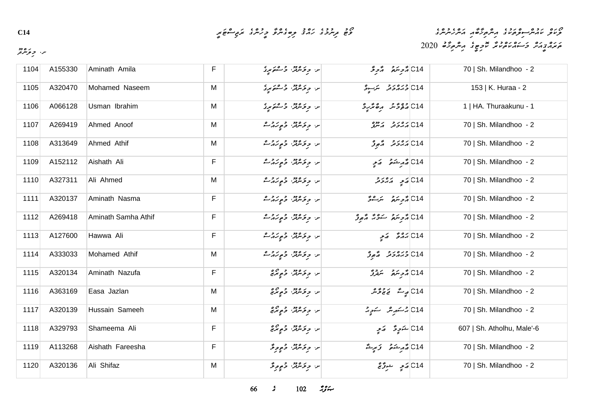*sCw7q7s5w7m< o<n9nOoAw7o< sCq;mAwBoEw7q<m; wBm;vB* م من المرة المرة المرة المرجع المرجع في المركبة 2020<br>مجم*د المريض المربوط المربع المرجع في المراجع المركبة* 

| 1104<br>A155330 | Aminath Amila                                                                                                                | F            |                           |                                            |                            |
|-----------------|------------------------------------------------------------------------------------------------------------------------------|--------------|---------------------------|--------------------------------------------|----------------------------|
|                 |                                                                                                                              |              | من ترتوفين والمنصوبين     | C14 مُرْحِسَمُ مُرْحِدً                    | 70   Sh. Milandhoo - 2     |
| A320470         | Mohamed Naseem                                                                                                               | M            | المرا وتحسير والمحاربين   | C14 <i>دېمم</i> ونه ترېدو                  | 153   K. Huraa - 2         |
| A066128         | Usman Ibrahim                                                                                                                | M            | ىر، ئۆتىرلىر، ئۇستەھ بىرى | C14 مەۋرىتىر ب <i>ەھترى</i> رى             | 1   HA. Thuraakunu - 1     |
| A269419         | Ahmed Anoof                                                                                                                  | M            | ىر. ئەخرىكى ئەمەر ئەر     | C14 كەبرى بىر بەردە                        | 70   Sh. Milandhoo - 2     |
| A313649         | Ahmed Athif                                                                                                                  | M            | ىر. جەنگىرى ئەر ئەر ئ     | C14 كەندى قىرىم قىلغان ئى                  | 70   Sh. Milandhoo - 2     |
| A152112         | Aishath Ali                                                                                                                  | $\mathsf F$  | ر و وسربر، وه در و ه      | C14 م <i>مَّم</i> رِ شَمَّع مَدَمٍ         | 70   Sh. Milandhoo - 2     |
| A327311         | Ali Ahmed                                                                                                                    | M            | ىر. بەلگەن ئەمەر ئەھ      | C14 كەمچە كەبىرى قىل                       | 70   Sh. Milandhoo - 2     |
| A320137         | Aminath Nasma                                                                                                                | $\mathsf F$  | ىر. ئەخسىلەر ئەم ئەرقى    | C14 مُ <i>جِسَعْهِ مَدَ</i> ّقَةٌ          | 70   Sh. Milandhoo - 2     |
| A269418         | Aminath Samha Athif                                                                                                          | $\mathsf{F}$ | ىر. ئەنگەن ئەقرىر ئەر     | C14 مَ <i>جِي سَعْرَ شَعِي</i> رُ مَصْحَفَ | 70   Sh. Milandhoo - 2     |
| A127600         | Hawwa Ali                                                                                                                    | F            | ىر. جەنگلەر، جەم ئەرج     | C14 يَرْدُمَّ صَعِ                         | 70   Sh. Milandhoo - 2     |
| A333033         | Mohamed Athif                                                                                                                | M            | ر و وسربر، وه در و ه      | C14 <i>جەممى ھەم</i> ۇ                     | 70   Sh. Milandhoo - 2     |
| A320134         | Aminath Nazufa                                                                                                               | $\mathsf F$  | ر. و د سرچر، و مړی        | C14 مُرْحِسَمُ مَسْتَرَبَّرُ               | 70   Sh. Milandhoo - 2     |
| A363169         | Easa Jazlan                                                                                                                  | M            | ىر. جەنگەنگە، جەمجەنىي    | C14 <sub>مو</sub> ت نے پچ ٹویٹر            | 70   Sh. Milandhoo - 2     |
| A320139         | Hussain Sameeh                                                                                                               | M            | ىر. ئەنھەتلەر 2 ئەرەپ     | C14 برسەر بىر سەرچە ج                      | 70   Sh. Milandhoo - 2     |
| A329793         | Shameema Ali                                                                                                                 | F            | ىر. ئەقەشقۇر قەم بىرى     | C14 خوچ ک <i>ي پ</i>                       | 607   Sh. Atholhu, Male'-6 |
| A113268         | Aishath Fareesha                                                                                                             | $\mathsf F$  | ىر. بەنگەنلگەن قەھ بەق    | C14 صَّمَرِ حَسَمَتْ وَمَرِ حَتَّ          | 70   Sh. Milandhoo - 2     |
| A320136         | Ali Shifaz                                                                                                                   | M            | ىر. بەنگەنگە، قەممۇمۇ     | C14 <i>ھَ جِ</i> سُو <i>رَ</i> ج           | 70   Sh. Milandhoo - 2     |
|                 | 1105<br>1106<br>1107<br>1108<br>1109<br>1110<br>1111<br>1112<br>1113<br>1114<br>1115<br>1116<br>1117<br>1118<br>1119<br>1120 |              |                           |                                            |                            |

 $66$  *s*  $102$  *n***<sub>s</sub>** $\frac{2}{3}$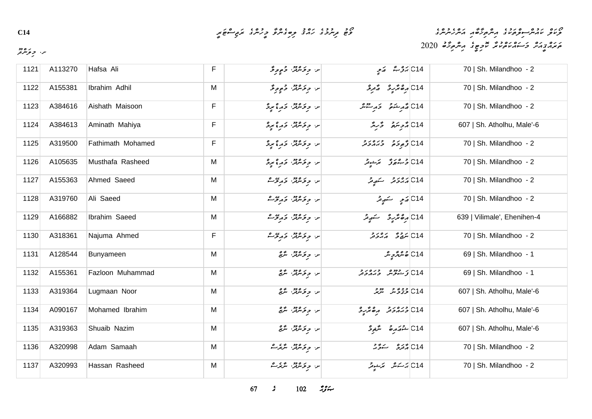*sCw7q7s5w7m< o<n9nOoAw7o< sCq;mAwBoEw7q<m; wBm;vB* م من المرة المرة المرة المرجع المرجع في المركبة 2020<br>مجم*د المريض المربوط المربع المرجع في المراجع المركبة* 

| 1121 | A113270 | Hafsa Ali         | $\mathsf F$ | الرا وتخليثن وتمووق     | C14 ټر <sup>و</sup> بته <sub>ځم</sub> و     | 70   Sh. Milandhoo - 2      |
|------|---------|-------------------|-------------|-------------------------|---------------------------------------------|-----------------------------|
| 1122 | A155381 | Ibrahim Adhil     | M           | أأرا وترتكري وتمووتر    | C14 م <i>وڭ تۈرى ھەم</i> رى ئىل             | 70   Sh. Milandhoo - 2      |
| 1123 | A384616 | Aishath Maisoon   | $\mathsf F$ | ر وتوسيق وَرِ؟ مِرة     | C14 مەم ئىقق خەرىشىش                        | 70   Sh. Milandhoo - 2      |
| 1124 | A384613 | Aminath Mahiya    | F           | أأرا وتحارقها أوربا مرو | C14 مُتَعِسَعُ تَحْرِيمٌ                    | 607   Sh. Atholhu, Male'-6  |
| 1125 | A319500 | Fathimath Mohamed | $\mathsf F$ | ر و و مرده در امره      | C14 تۇ <sub>ج</sub> وخى خەتمەد تەر          | 70   Sh. Milandhoo - 2      |
| 1126 | A105635 | Musthafa Rasheed  | M           | أأرا وتحاملها أوربا مرو | C14 ترجيمۇس ئىرسى <i>م</i> ىتىر             | 70   Sh. Milandhoo - 2      |
| 1127 | A155363 | Ahmed Saeed       | M           | أأرا وترجين وكربي       | C14 كەبۇ <i>52 كەم</i> وتىر                 | 70   Sh. Milandhoo - 2      |
| 1128 | A319760 | Ali Saeed         | M           | ىر. ئەنگەش كەرگەش       | C14 کھ جو سکھیے تھ                          | 70   Sh. Milandhoo - 2      |
| 1129 | A166882 | Ibrahim Saeed     | M           | أأرا وترمين وكربي       | C14 مەھەمگەيە ئەھمەتىر                      | 639   Vilimale', Ehenihen-4 |
| 1130 | A318361 | Najuma Ahmed      | F           | أيرا وإقراشي كروبخيث    | C14 يترة حج محمد تركيب                      | 70   Sh. Milandhoo - 2      |
| 1131 | A128544 | Bunyameen         | M           | ىر. جۇشۇش شى            | C14 غەنگەچە بىر                             | 69   Sh. Milandhoo - 1      |
| 1132 | A155361 | Fazloon Muhammad  | M           | ىر. جەنگەش ئىلى         | C14 كۈن يوجو ھەر جەم بور بور ئاس            | 69   Sh. Milandhoo - 1      |
| 1133 | A319364 | Lugmaan Noor      | M           | ىر. جەنگەش ئىلى         | C14 كَرْتَوْكُسْ سْرَبْرُ                   | 607   Sh. Atholhu, Male'-6  |
| 1134 | A090167 | Mohamed Ibrahim   | M           | ر وترميز، شيم           | C14 <i>جُهُدُونَ مِ</i> هْتَرِ وُ           | 607   Sh. Atholhu, Male'-6  |
| 1135 | A319363 | Shuaib Nazim      | M           | ر وترميز، شيم           | C14 ش <i>ەمەم مى</i> تىرى                   | 607   Sh. Atholhu, Male'-6  |
| 1136 | A320998 | Adam Samaah       | M           | ىر. جۇشۇش شەرھ          | C14 مەمترى سىۋىر                            | 70   Sh. Milandhoo - 2      |
| 1137 | A320993 | Hassan Rasheed    | M           | ىر. بەيھەتچى، ئىگرىشە   | C14   بَرْسَة مَثْرَ مِيْرَ مَرْسِيْرِ مِرْ | 70   Sh. Milandhoo - 2      |

 $67$  *s*  $102$  *i*<sub>s</sub>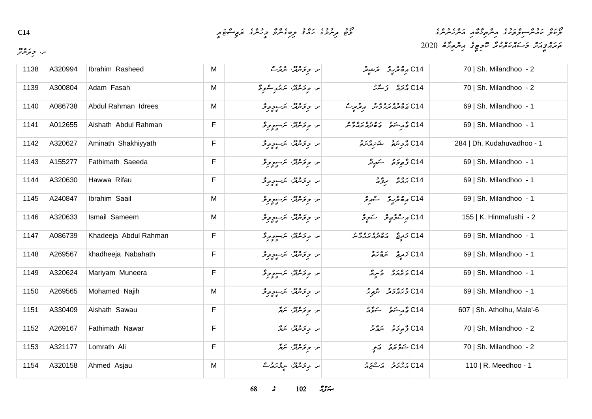*sCw7q7s5w7m< o<n9nOoAw7o< sCq;mAwBoEw7q<m; wBm;vB 2020<sup>, م</sup>وسوق المسجد التحقيق وسرمونية والم*جمع المسجد المسجد المسجد المسجد المسجد المسجد المسجد المسجد المسجد ال

| 1138 | A320994 | Ibrahim Rasheed       | M | س بەئەتلەش ئىگەنلە           | C14  م <i>ەھەتگەپ</i> ۇ - ئىكسىمىتى           | 70   Sh. Milandhoo - 2     |
|------|---------|-----------------------|---|------------------------------|-----------------------------------------------|----------------------------|
| 1139 | A300804 | Adam Fasah            | M | الرا وكرمايل الكريمي والموكل | C14 جەنزى تەش <sup>ىر</sup>                   | 70   Sh. Milandhoo - 2     |
| 1140 | A086738 | Abdul Rahman Idrees   | M | ألا وقائلة الكرسووق          | C14 مەھ <i>ىرم مەمۇسى مەمەمب</i>              | 69   Sh. Milandhoo - 1     |
| 1141 | A012655 | Aishath Abdul Rahman  | F | ألا وقائده: الكرسووة في      | C14 مەم شەھ مەھەرە بور                        | 69   Sh. Milandhoo - 1     |
| 1142 | A320627 | Aminath Shakhiyyath   | F | ألا وقاهض الكسوووقى          | C14 مُرْحِسَمَة حَسَنِ مِهْرَمَ <sub>ةِ</sub> | 284   Dh. Kudahuvadhoo - 1 |
| 1143 | A155277 | Fathimath Saeeda      | F | ىر. بەنگەنگە، ئىزىسىر بەش    | C14 تۇموقەقە سىم <sub>و</sub> مۇ              | 69   Sh. Milandhoo - 1     |
| 1144 | A320630 | Hawwa Rifau           | F | ىر. بەنگەنگە، ئىگەسپەت بەنگە | C14 بَرْدُمَّ مِرَّدَّةَ                      | 69   Sh. Milandhoo - 1     |
| 1145 | A240847 | Ibrahim Saail         | M | ىر. بەنگەنگە، ئىزىسىر بەنگە  | C14 مەھەمگەر ئەھمىسىسى ئىل                    | 69   Sh. Milandhoo - 1     |
| 1146 | A320633 | Ismail Sameem         | M | ألا وقائلة الكرسووق          | C14 <sub>م</sub> رےد <i>ؤر</i> ی کے چ         | 155   K. Hinmafushi - 2    |
| 1147 | A086739 | Khadeeja Abdul Rahman | F | أىرا وكرمايش لكرسوووكل       | C14 كرىرى ھەممەر <i>مەيدى</i> ر               | 69   Sh. Milandhoo - 1     |
| 1148 | A269567 | khadheeja Nabahath    | F | ىر. بەقەشقۇ، سۇسىربەرگە      | C14 كَتَعْرِيقٌ مُتَمَدَّةٌ مُنْ              | 69   Sh. Milandhoo - 1     |
| 1149 | A320624 | Mariyam Muneera       | F | ىر. بەنگەنى، ئەسپەن بەرگە    | C14 كەنگەنى ئەرىگە                            | 69   Sh. Milandhoo - 1     |
| 1150 | A269565 | Mohamed Najih         | M | ىر. بەندىق، ئىزىسىر بەنگە    | C14 <i>وبروبرو</i> سگھ بر                     | 69   Sh. Milandhoo - 1     |
| 1151 | A330409 | Aishath Sawau         | F | الرا و قرارهن الرامج         | C14 مەمرىش <i>ەر سىۋە</i>                     | 607   Sh. Atholhu, Male'-6 |
| 1152 | A269167 | Fathimath Nawar       | F | ىر: جەنگەش سەنگە             | C14 ۇ <sub>جو</sub> رۇ ئىرگەنز                | 70   Sh. Milandhoo - 2     |
| 1153 | A321177 | Lomrath Ali           | F | ىر: جەنگەش سەنگە             | C14 ينەۋىز <sub>ە م</sub> ەر                  | 70   Sh. Milandhoo - 2     |
| 1154 | A320158 | Ahmed Asjau           | M | ىر. بەندىق، سرورىرق          | C14 كەبروتر كەسىم كە                          | 110   R. Meedhoo - 1       |

 $68$  *s*  $102$  *n***<sub>s</sub>** $\frac{2}{3}$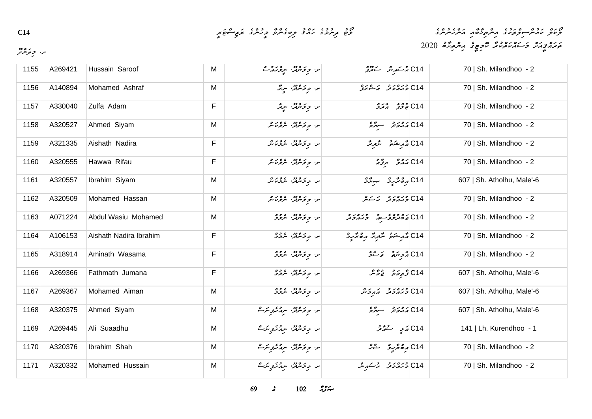*sCw7q7s5w7m< o<n9nOoAw7o< sCq;mAwBoEw7q<m; wBm;vB 2020*<br>*په ټومن د سوم پوره پورې پر سوم د سره پره و*لا

| 1155 | A269421 | Hussain Saroof         | M           | ر. د د سرد. سرور بر م      | C14 برسەمەت ئىستى <i>رد</i>         | 70   Sh. Milandhoo - 2     |
|------|---------|------------------------|-------------|----------------------------|-------------------------------------|----------------------------|
| 1156 | A140894 | Mohamed Ashraf         | M           | الرا وكاللائل الريمل       | C14 <i>وبرە دو مەشىرۇ</i>           | 70   Sh. Milandhoo - 2     |
| 1157 | A330040 | Zulfa Adam             | $\mathsf F$ | الرا وكرمرين الريم         | C14 يحوٌق مُحَمَّرٌ                 | 70   Sh. Milandhoo - 2     |
| 1158 | A320527 | Ahmed Siyam            | M           | ىر. جەنبەتى، ئىروناش       | $3.525$ C14                         | 70   Sh. Milandhoo - 2     |
| 1159 | A321335 | Aishath Nadira         | F           | أأرا وتحاملا الكرونالل     | C14 م <i>ۇم ھۇم قىتىبىرىگە</i>      | 70   Sh. Milandhoo - 2     |
| 1160 | A320555 | Hawwa Rifau            | $\mathsf F$ | ىر. جەنبەتى، ئىروناش       | C14 يَدْرُمَّ بِرَرَّ <i>مَ</i>     | 70   Sh. Milandhoo - 2     |
| 1161 | A320557 | Ibrahim Siyam          | M           | ىر. جۇنىرىق ئىرونانل       | C14 مەھمىر بىر سىزدىكى              | 607   Sh. Atholhu, Male'-6 |
| 1162 | A320509 | Mohamed Hassan         | M           | من تر تر قرق المربور من    | C14 <i>ۋېزو دې برخپر</i>            | 70   Sh. Milandhoo - 2     |
| 1163 | A071224 | Abdul Wasiu Mohamed    | M           | من تر تر شروع المحرور      | C14 رەدەر - درەرد                   | 70   Sh. Milandhoo - 2     |
| 1164 | A106153 | Aishath Nadira Ibrahim | F           | ما تو تو شرق شرقرو         | C14 مەم شىم ئىرىگە م <i>ەھگرى</i> 3 | 70   Sh. Milandhoo - 2     |
| 1165 | A318914 | Aminath Wasama         | $\mathsf F$ | ر. وتحسن معروف             | C14 مَّ <i>جِينَهُ</i> وَسَنَّقَ    | 70   Sh. Milandhoo - 2     |
| 1166 | A269366 | Fathmath Jumana        | $\mathsf F$ | سر تر تر تروی مربود        | C14 تۇ <sub>جو</sub> خەر يىگە       | 607   Sh. Atholhu, Male'-6 |
| 1167 | A269367 | Mohamed Aiman          | M           | ر وترکرده کرده             | C14 <i>جُهُدُونَ مَدِوَنَتْ</i>     | 607   Sh. Atholhu, Male'-6 |
| 1168 | A320375 | Ahmed Siyam            | M           | الرا وكرمري البررويولكرف   | C14 كەبرى قىر سىزگە                 | 607   Sh. Atholhu, Male'-6 |
| 1169 | A269445 | Ali Suaadhu            | M           | ىر، جەڭلىرى، سەر ئويكرىش   | C14 <sub>ه</sub> ُ جو سگھر          | 141   Lh. Kurendhoo - 1    |
| 1170 | A320376 | Ibrahim Shah           | M           | الرا وكرمري البررويولكرك   | C14 مەھمگەر ئىسىمبى                 | 70   Sh. Milandhoo - 2     |
| 1171 | A320332 | Mohamed Hussain        | M           | الر. وتحاملاتى سرور و مكرك | C14 <i>ۋرۇۋۇ بى</i> شىرى <i>گ</i>   | 70   Sh. Milandhoo - 2     |

 $69$  *s*  $102$  *z***<sub>3</sub>** *z***<sub>3</sub>** 

مر، *و توس*عه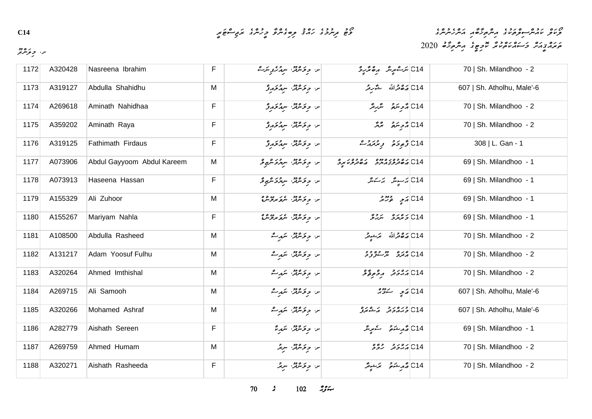*sCw7q7s5w7m< o<n9nOoAw7o< sCq;mAwBoEw7q<m; wBm;vB* م من المرة المرة المرة المرجع المرجع في المركبة 2020<br>مجم*د المريض المربوط المربع المرجع في المراجع المركبة* 

| 1172 | A320428 | Nasreena Ibrahim           | F           | الرا وكاللثمة البرراز والرك                        | C14 ىزىشمېرى <i>گە مەھەتگەي</i> ى                      | 70   Sh. Milandhoo - 2     |
|------|---------|----------------------------|-------------|----------------------------------------------------|--------------------------------------------------------|----------------------------|
| 1173 | A319127 | Abdulla Shahidhu           | M           | ر. و دهمه. سرگرورو                                 | C14 مَەھْتَراللە مەمَّرىتر                             | 607   Sh. Atholhu, Male'-6 |
| 1174 | A269618 | Aminath Nahidhaa           | $\mathsf F$ | ر. وتحكمه سرگرور                                   | C14 مَّ حِسَمَ مَّ سَّ سِنَّة مَّ                      | 70   Sh. Milandhoo - 2     |
| 1175 | A359202 | Aminath Raya               | F           | ر و وسره سرگروژ                                    | C14 مُحرِسَعُ مَمَ <i>مَّ</i>                          | 70   Sh. Milandhoo - 2     |
| 1176 | A319125 | <b>Fathimath Firdaus</b>   | F           | ر و وهند سرگروژ                                    | C14 ۇ <sub>جو</sub> رۇ ب <sub>و</sub> يرىزە م          | 308   L. Gan - 1           |
| 1177 | A073906 | Abdul Gayyoom Abdul Kareem | M           | مرا بر برگذری استرکز شهر به                        | C14 كەھەرەمە مەمەرەر بەرە<br>214 كەھەرىرى مەھەرىر بىرى | 69   Sh. Milandhoo - 1     |
| 1178 | A073913 | Haseena Hassan             | F           | الرا وكرمرين البراز مريد و                         | C14 كەسپەنگە كەسكەنلە                                  | 69   Sh. Milandhoo - 1     |
| 1179 | A155329 | Ali Zuhoor                 | M           | ىر. بەل 2009-يەل مەدەبە<br>س-بەلۇش بىر ئىس ئىس ئىس | C14 کم په و <i>ده پ</i>                                | 69   Sh. Milandhoo - 1     |
| 1180 | A155267 | Mariyam Nahla              | F           | ر و دود ، د ده وه                                  | C14 كەبىر بىر ئىرىدىگە                                 | 69   Sh. Milandhoo - 1     |
| 1181 | A108500 | Abdulla Rasheed            | M           | ىر. جۇشۇش سىرگ                                     | C14 مَەھْتَراللە مَرْسْبِقْر                           | 70   Sh. Milandhoo - 2     |
| 1182 | A131217 | Adam Yoosuf Fulhu          | M           | ىر. جۇشۇش سىرگ                                     | C14 څرمو د ده وه د                                     | 70   Sh. Milandhoo - 2     |
| 1183 | A320264 | Ahmed Imthishal            | M           | ىر. بەيھەتكە سىمەت                                 | C14  مرجوحر المرقوم فحمد محمد                          | 70   Sh. Milandhoo - 2     |
| 1184 | A269715 | Ali Samooh                 | M           | ىن بە ئەشقى سەت                                    | C14 <i>جَرْمٍ</i> سُ <i>وت</i> ُ                       | 607   Sh. Atholhu, Male'-6 |
| 1185 | A320266 | Mohamed Ashraf             | M           | ىر. بەيھەتكە سىرگ                                  | C14 <i>32023</i> كەش <i>ەيرو</i>                       | 607   Sh. Atholhu, Male'-6 |
| 1186 | A282779 | Aishath Sereen             | F           | أأرا وتحارثون الكهالا                              | C14 مۇم ئىشقى ئىشمىرى <i>ش</i>                         | 69   Sh. Milandhoo - 1     |
| 1187 | A269759 | Ahmed Humam                | M           | الرا وكرمرين الربر                                 | $332$ $332/$ $C14$                                     | 70   Sh. Milandhoo - 2     |
| 1188 | A320271 | Aishath Rasheeda           | F           | الرا وكرمريش للربر                                 | C14 م <i>ەم ھەم مەھبى</i> ر                            | 70   Sh. Milandhoo - 2     |

 $70$  *s*  $102$  *z***<sub>3</sub>**  $\frac{2}{3}$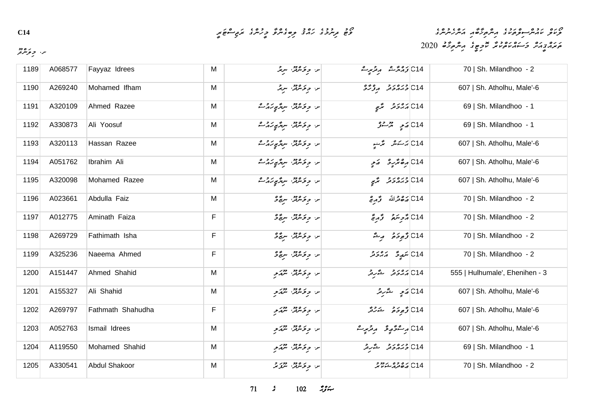*sCw7q7s5w7m< o<n9nOoAw7o< sCq;mAwBoEw7q<m; wBm;vB* م من المرة المرة المرة المرجع المرجع في المركبة 2020<br>مجم*د المريض المربوط المربع المرجع في المراجع المركبة* 

| 1189 | A068577 | Fayyaz Idrees        | M           | الرا وكرمريش الربر       |                                                 | 70   Sh. Milandhoo - 2         |
|------|---------|----------------------|-------------|--------------------------|-------------------------------------------------|--------------------------------|
| 1190 | A269240 | Mohamed Ifham        | M           | الرا وكرمريش الرير       | C14 <i>3222 بورد</i> و                          | 607   Sh. Atholhu, Male'-6     |
| 1191 | A320109 | Ahmed Razee          | M           | ىر. جۇنگەنگر، سرگەپرىكەت | C14 كەش <b>رىقى</b> ر مىگىيى                    | 69   Sh. Milandhoo - 1         |
| 1192 | A330873 | Ali Yoosuf           | M           | ىر. جۇنگەنگر، سرگەپرىكەت | C14 <sub>ه</sub> رم وحرمو                       | 69   Sh. Milandhoo - 1         |
| 1193 | A320113 | Hassan Razee         | M           | ىر. جۇنگەنگر، سرگەپرىكەت | C14   پرسٹر گرسی <sub>ے</sub>                   | 607   Sh. Atholhu, Male'-6     |
| 1194 | A051762 | Ibrahim Ali          | M           | ىر. جەڭ ئىرگە سىگى ئەرگ  | C14 مەھمىر <i>3 مۇم</i>                         | 607   Sh. Atholhu, Male'-6     |
| 1195 | A320098 | Mohamed Razee        | M           | ىر. جۇنگەنگر، سرگەپرىكەت | C14 <i>3222 تى</i> ي                            | 607   Sh. Atholhu, Male'-6     |
| 1196 | A023661 | Abdulla Faiz         | M           | ىر. جۇشۇق سەڭ ج          | C14 مَ <b>صْ</b> قَرْاللّه قُرْمِ مِحْ          | 70   Sh. Milandhoo - 2         |
| 1197 | A012775 | Aminath Faiza        | F           | ىر. بە ئەشرىقى سىنى ئ    | C14 مُرْحِسَمُ قَرْمِ مِّ                       | 70   Sh. Milandhoo - 2         |
| 1198 | A269729 | Fathimath Isha       | $\mathsf F$ | الرا و قر عربی استراحی   | C14 وَج <i>وحَ</i> هُ مِثَّۃٌ                   | 70   Sh. Milandhoo - 2         |
| 1199 | A325236 | Naeema Ahmed         | F           | ىر. بەيھەتقى، سېڭاۋ      |                                                 | 70   Sh. Milandhoo - 2         |
| 1200 | A151447 | Ahmed Shahid         | M           | ىر. ئەقەتلەرگە ئىگەنج    | C14   كەش <sup>ى</sup> كەنى ھەر بىر             | 555   Hulhumale', Ehenihen - 3 |
| 1201 | A155327 | Ali Shahid           | M           | ىر. بەنگەنگە: ئىمگەنچە   | C14 كەمچە ھە <i>مبەن</i> گە                     | 607   Sh. Atholhu, Male'-6     |
| 1202 | A269797 | Fathmath Shahudha    | $\mathsf F$ | أأرا وإقرارهم والمرتجر   | C14 تَ <i>جِ حَقَّ</i> شَمَ <sup>ر</sup> ْتَمَّ | 607   Sh. Atholhu, Male'-6     |
| 1203 | A052763 | Ismail Idrees        | M           | أأرا وإذارهم والمتمد     | C14 <sub>م</sub> رےدو چ <sup>و</sup> میں پر پر  | 607   Sh. Atholhu, Male'-6     |
| 1204 | A119550 | Mohamed Shahid       | M           | مرا تر قر مرکز مرکز مر   | C14 <i>وُبَرُوْدَ تَدْ حُدِيرٌ</i>              | 69   Sh. Milandhoo - 1         |
| 1205 | A330541 | <b>Abdul Shakoor</b> | M           | ىر. بەيجەنگەر 27% كىل    | C14 كەھەر كەنتەن بور                            | 70   Sh. Milandhoo - 2         |

 $71$  *s*  $102$  *i*<sub>s</sub>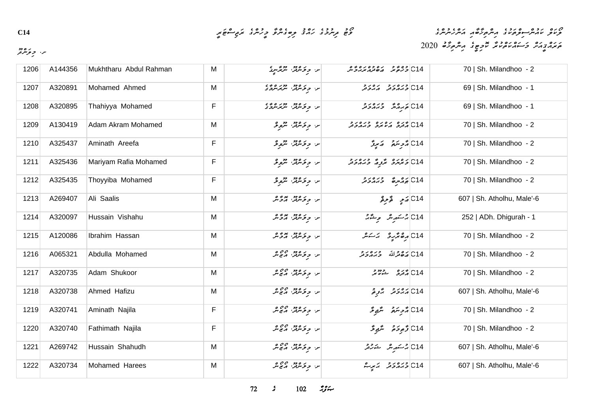*sCw7q7s5w7m< o<n9nOoAw7o< sCq;mAwBoEw7q<m; wBm;vB* م من المرة المرة المرة المرجع المرجع في المركبة 2020<br>مجم*د المريض المربوط المربع المرجع في المراجع المركبة* 

| 1206 | A144356 | Mukhtharu Abdul Rahman | M            | الرا وكرمرين الرغر موج                     | C14 <i>جوه چې د محمد جوړې پر چې</i>           | 70   Sh. Milandhoo - 2     |
|------|---------|------------------------|--------------|--------------------------------------------|-----------------------------------------------|----------------------------|
| 1207 | A320891 | Mohamed Ahmed          | M            | ر و وهر دوره و د                           | C14 <i>وبرە دە بەەر د</i>                     | 69   Sh. Milandhoo - 1     |
| 1208 | A320895 | Thahiyya Mohamed       | F            | در ه دو دوره وديد.<br>در جانومبرد سرپرسرور | C14 <i>خ برونژ حدم دو</i> ر                   | 69   Sh. Milandhoo - 1     |
| 1209 | A130419 | Adam Akram Mohamed     | M            | الرا و د کرکر کا انگرو ل                   | C14 جُنْرَى جَرْءَ بَرَ جَرَ جَرَ جَنْ        | 70   Sh. Milandhoo - 2     |
| 1210 | A325437 | Aminath Areefa         | $\mathsf{F}$ | أأرا وإذاذة المتفوقر                       | C14 مُرْحِسَمُ مَسِرَّ                        | 70   Sh. Milandhoo - 2     |
| 1211 | A325436 | Mariyam Rafia Mohamed  | F            | ىر. بەيھەتكە، ئىزەق                        | C14 كوجريرى بحرير محد مرد و                   | 70   Sh. Milandhoo - 2     |
| 1212 | A325435 | Thoyyiba Mohamed       | F            | ىر. جۇنگۇنى، ئىز قى                        | C14 برومرة وبروبرد                            | 70   Sh. Milandhoo - 2     |
| 1213 | A269407 | Ali Saalis             | M            | ىر. جۇنگەنگە ئەۋىگە                        | C14 <i>۾َ ڇِ ڏُوِڍُ</i>                       | 607   Sh. Atholhu, Male'-6 |
| 1214 | A320097 | Hussain Vishahu        | M            | ىر. جەڭرىقى بىر ئەھ                        | C14 بزستمبریش م <sub>و</sub> حدَّثر           | 252   ADh. Dhigurah - 1    |
| 1215 | A120086 | Ibrahim Hassan         | M            | ىر. جەڭرىقى ئەق ھ                          | C14 <sub>م</sub> ەھ <i>گرى</i> دە كەسكەر      | 70   Sh. Milandhoo - 2     |
| 1216 | A065321 | Abdulla Mohamed        | M            | ىر. جۇنگۇنى مىھىگە                         | C14 مَەھْتَراللە ئەمەدىر                      | 70   Sh. Milandhoo - 2     |
| 1217 | A320735 | Adam Shukoor           | M            | ىر. جۇشۇق مەھ                              | C14 مەترى ھەدىمى                              | 70   Sh. Milandhoo - 2     |
| 1218 | A320738 | Ahmed Hafizu           | M            | ىر. جۇشۇق مىم ھ                            | C14 كەش <sup>ى</sup> رىقى س <sup>ە</sup> رىقى | 607   Sh. Atholhu, Male'-6 |
| 1219 | A320741 | Aminath Najila         | F            | ىر. جۇنگۇن كەنج ش                          | C14 مٌ <i>وِ مَنْهُ</i> مُتَّبِعٍ مُّ         | 70   Sh. Milandhoo - 2     |
| 1220 | A320740 | Fathimath Najila       | $\mathsf F$  | ر و و په ۹۵۵ کې ه                          | C14 ۇ <sub>ج</sub> ودۇ ش <sub>ج</sub> ۇ       | 70   Sh. Milandhoo - 2     |
| 1221 | A269742 | Hussain Shahudh        | M            | مرا بر تر مرکزی از می ش                    | C14 ير سىر مەر ئىن ئىشرىتىلەر بىر C14         | 607   Sh. Atholhu, Male'-6 |
| 1222 | A320734 | Mohamed Harees         | M            | من تر قر شرح من ه م                        | C14  <i>32,352 برمي</i> گ                     | 607   Sh. Atholhu, Male'-6 |

 $72$  *s*  $102$  *z***<sub>3</sub>**  $\frac{2}{3}$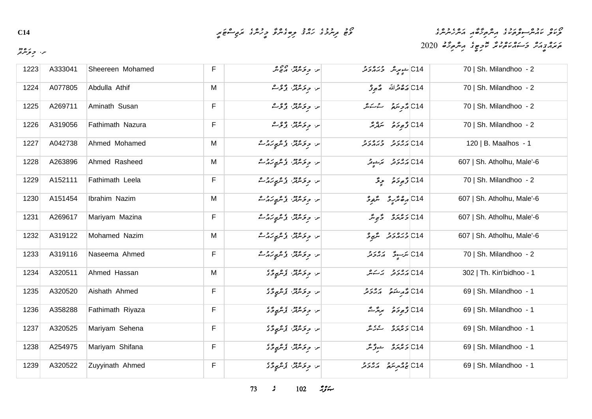*sCw7q7s5w7m< o<n9nOoAw7o< sCq;mAwBoEw7q<m; wBm;vB* م من المرة المرة المرة المرجع المرجع في المركبة 2020<br>مجم*د المريض المربوط المربع المرجع في المراجع المركبة* 

| 1223 | A333041 | Sheereen Mohamed | F | ر وی شود می ش                       | C14 ح <sub>ج</sub> يرين و <i>تذوون</i> ر      | 70   Sh. Milandhoo - 2     |
|------|---------|------------------|---|-------------------------------------|-----------------------------------------------|----------------------------|
| 1224 | A077805 | Abdulla Athif    | M | مر بالا عرض بوعات المحمد            | C14 مَ <b>ـُ</b> عْمَراللّه مَّ مِرْمَ        | 70   Sh. Milandhoo - 2     |
| 1225 | A269711 | Aminath Susan    | F | مر بالا تروم بالانجام العالمية      | C14 مُ <sub>ح</sub> سِبَعْدِ حَسِبَةَ مِ      | 70   Sh. Milandhoo - 2     |
| 1226 | A319056 | Fathimath Nazura | F | مر بالا تركوب بركوب                 | C14 تۇ <sub>جو</sub> خ <sup>ى</sup> سىنىرىتى  | 70   Sh. Milandhoo - 2     |
| 1227 | A042738 | Ahmed Mohamed    | M | الرا و و مريزا بر مريز رقم ك        | C14 كەبرو دىرەرو                              | 120   B. Maalhos - 1       |
| 1228 | A263896 | Ahmed Rasheed    | M |                                     | C14 <i>مَہُدُوَمَۃ مَرَحِ</i> یَۃ <i>د</i>    | 607   Sh. Atholhu, Male'-6 |
| 1229 | A152111 | Fathimath Leela  | F | مرا بر ترتيب بر ترتيب شهر سنة السنة | C14 وَم <i>ُجِحَمَّةَ جِ</i> حَّ              | 70   Sh. Milandhoo - 2     |
| 1230 | A151454 | Ibrahim Nazim    | M | سر تر تر قره بر كار كرد كرد ك       |                                               | 607   Sh. Atholhu, Male'-6 |
| 1231 | A269617 | Mariyam Mazina   | F | ما بالا بالا توسط بالا محمد السا    | C14 ك <i>ۈچەدى ئى بىگ</i> ە                   | 607   Sh. Atholhu, Male'-6 |
| 1232 | A319122 | Mohamed Nazim    | M | س تر تر مردور ، بر مرد مرد ع        | C14 <i>وَبَدُوْوَتَوْ</i> سَمَّعِ وَ <i>ّ</i> | 607   Sh. Atholhu, Male'-6 |
| 1233 | A319116 | Naseema Ahmed    | F | الرا و د مرده از مرحوف ا            | C14 <sub>مكرسو</sub> ى كەبرى قىر              | 70   Sh. Milandhoo - 2     |
| 1234 | A320511 | Ahmed Hassan     | M | مرا بر بر عرض بر کره کرد که         | C14 كەبروتى ئەسكىلى                           | 302   Th. Kin'bidhoo - 1   |
| 1235 | A320520 | Aishath Ahmed    | F | ر و ده ده و شيود و                  | C14 مەم ئىقتى مەمدىرىتىر                      | 69   Sh. Milandhoo - 1     |
| 1236 | A358288 | Fathimath Riyaza | F | مرا تر تر شرق بر شرح د ک            | C14 <i>وُّجِودَة</i> بِرِيْرَ يَّة            | 69   Sh. Milandhoo - 1     |
| 1237 | A320525 | Mariyam Sehena   | F | ر. وتركيبي وكريم وت                 | C14 كى ئىرتىر ئىسى ئىرگىز                     | 69   Sh. Milandhoo - 1     |
| 1238 | A254975 | Mariyam Shifana  | F | مر بر بر عرض بر عربر عربي بر تر بر  | C14 <i>5 تەرىر ئى ھەرگەنگ</i> ە               | 69   Sh. Milandhoo - 1     |
| 1239 | A320522 | Zuyyinath Ahmed  | F | مرا تر تر شرق بر شرح د ک            | C14 يح مر مرضى مر بر دىنى مى                  | 69   Sh. Milandhoo - 1     |

 $73$  *s*  $\cancel{002}$  *n***<sub>3</sub>** *n*<sub>1</sub>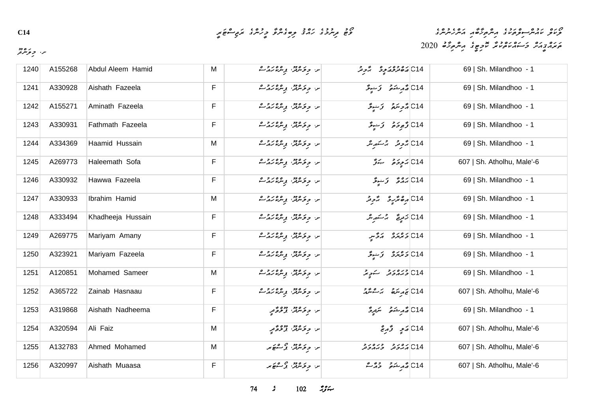*sCw7q7s5w7m< o<n9nOoAw7o< sCq;mAwBoEw7q<m; wBm;vB 2020<sup>, م</sup>وسر در مدد مدرج به مدرم مقرم قرار 2020*<br>موسر المستقرم المستقرم المستقرم المستقرم المستقرم المستقرم المستقرم المستقرم المستقرم المستقرم المستقرم المستقر

| 1240 | A155268 | Abdul Aleem Hamid | M | ىر. جەنگىرى بولىرىدىك          | C14 مَەھىر <i>ومۇچ</i> ۇ گ <sub>ەچ</sub> ىر | 69   Sh. Milandhoo - 1     |
|------|---------|-------------------|---|--------------------------------|---------------------------------------------|----------------------------|
| 1241 | A330928 | Aishath Fazeela   | F | ىن جەنبەتلەر ھەرج ھ            | C14 مەمەشقى تۇسى <b>ت</b> ى                 | 69   Sh. Milandhoo - 1     |
| 1242 | A155271 | Aminath Fazeela   | F | ىن جەنبەتلەر ھەرج ھ            | C14 مٌ <i>وِسَعْهِ • وَسِعِ</i> عٌ          | 69   Sh. Milandhoo - 1     |
| 1243 | A330931 | Fathmath Fazeela  | F | ىن جەنبەتلەر ھەرد ھ            | C14 وَمِوَمَة وَسِعَة                       | 69   Sh. Milandhoo - 1     |
| 1244 | A334369 | Haamid Hussain    | M | ىر. ئەخرىرى بولىرىما ئەربىي    | C14 جۇمۇس ئەسكە <i>ر</i> ىگە                | 69   Sh. Milandhoo - 1     |
| 1245 | A269773 | Haleemath Sofa    | F | ىر. جەنگىرى بوللىرىمات كە      | C14 بزموقى مەزى                             | 607   Sh. Atholhu, Male'-6 |
| 1246 | A330932 | Hawwa Fazeela     | F | ىر. جەنگىرى بوللىرىمات كە      | C14 بَرْدُوَّ كَرْسِوَّدَ                   | 69   Sh. Milandhoo - 1     |
| 1247 | A330933 | Ibrahim Hamid     | M | ىر. جەنبەرى بولىرىماندە ئ      | C14 م <i>وڭ ئۇچ</i> ۇ سىمبىقى               | 69   Sh. Milandhoo - 1     |
| 1248 | A333494 | Khadheeja Hussain | F | ىن ئۆتۈشلىق بۇش <i>لارلا</i> گ | C14] زَمرٍ جٌ کَمَ کَمَ مِرْ مُرْ           | 69   Sh. Milandhoo - 1     |
| 1249 | A269775 | Mariyam Amany     | F | ىر. جەنگىرى بوللىرىمات كە      | C14 ك <i>رېگىرى م</i> گرىپ                  | 69   Sh. Milandhoo - 1     |
| 1250 | A323921 | Mariyam Fazeela   | F | ىر. جەنگىرى بوللەرگىرگى        | C14 كەبىر كى تەرىپى كىل                     | 69   Sh. Milandhoo - 1     |
| 1251 | A120851 | Mohamed Sameer    | M | ىر. جەنگىرى بوللىرىمات كە      | C14 <i>دېمم</i> وتر س <i>کوبر</i>           | 69   Sh. Milandhoo - 1     |
| 1252 | A365722 | Zainab Hasnaau    | F | ىن ئۆتۈشلىق بۇش <i>لارلا</i> گ | C14 ئىمرىئى <i>ڭ بىر شىئىد</i>              | 607   Sh. Atholhu, Male'-6 |
| 1253 | A319868 | Aishath Nadheema  | F | ىر: ئ <i>و قەھەر 1993 ب</i> ر  | C14 مَەرىسە ھ <sub>ەس</sub> رىتى ئىر        | 69   Sh. Milandhoo - 1     |
| 1254 | A320594 | Ali Faiz          | M | برا ويحترمنى بوقومي            | C14 <i>جَرِج</i> تَ <i>وُدِج</i>            | 607   Sh. Atholhu, Male'-6 |
| 1255 | A132783 | Ahmed Mohamed     | M | ىر. بەنزىرلىق، ئۇسقۇم          | C14 كەبرو مەمەمە                            | 607   Sh. Atholhu, Male'-6 |
| 1256 | A320997 | Aishath Muaasa    | F | ىر، بەنزىرىق، بۇسقۇم           | C14 مەم ئىقتىمە ئەرگە شە                    | 607   Sh. Atholhu, Male'-6 |

 $74$  *s*  $102$  *i*<sub>s</sub>

مر، *و توس*م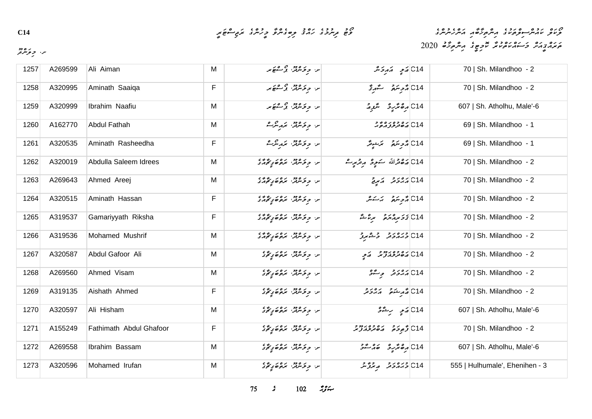*sCw7q7s5w7m< o<n9nOoAw7o< sCq;mAwBoEw7q<m; wBm;vB* م من المرة المرة المرة المرجع المرجع في المركبة 2020<br>مجم*د المريض المربوط المربع المرجع في المراجع المركبة* 

| 1257 | A269599 | Ali Aiman               | M           | ر. بە ئەرەتقى، ئۇستۇم        | C14 <i>ڇَجِ - مَهِ حَ</i> مَّ                                | 70   Sh. Milandhoo - 2         |
|------|---------|-------------------------|-------------|------------------------------|--------------------------------------------------------------|--------------------------------|
| 1258 | A320995 | Aminath Saaiqa          | F           | من تركوفري برك عضمه          | C14 مَّ حِ سَمَعَ مُسَمَّدِيَّ                               | 70   Sh. Milandhoo - 2         |
| 1259 | A320999 | Ibrahim Naafiu          | M           | الرا وتوسرين الوسطى          | C14 مەھەمگەيى ھەمىقى ئىلگە                                   | 607   Sh. Atholhu, Male'-6     |
| 1260 | A162770 | Abdul Fathah            | M           | ىر. جۇشقى ئىرىشى             | C14 كەھەردە مەد                                              | 69   Sh. Milandhoo - 1         |
| 1261 | A320535 | Aminath Rasheedha       | F           | س تر تو شرقه المر بر مرکز شر | C14 مُرْحِ مَرَى مَنْ مِنْ مِنْ مِنْ                         | 69   Sh. Milandhoo - 1         |
| 1262 | A320019 | Abdulla Saleem Idrees   | M           | ر و و سرمر مرد ده            | C14 مَەھْتَراللە سَو <sub>ْ</sub> دِرْ مِعْ <i>زْمِ</i> رْ م | 70   Sh. Milandhoo - 2         |
| 1263 | A269643 | Ahmed Areej             | M           | ر و و سرچر مرد در در         | C14 كەندى قىر كەرىمى قىلغان بىر                              | 70   Sh. Milandhoo - 2         |
| 1264 | A320515 | Aminath Hassan          | $\mathsf F$ | س و و سرمر اور در در         | C14 مۇجەنىي ئەسكەنلە                                         | 70   Sh. Milandhoo - 2         |
| 1265 | A319537 | Gamariyyath Riksha      | F           | س و ځسرن مره و ده.           | C14 ئۈخ <i>بىر مەرقى ھې</i> رىشگە                            | 70   Sh. Milandhoo - 2         |
| 1266 | A319536 | Mohamed Mushrif         | M           | ر و د مرد ده د د د د         | C14 <i>ۋېرە دە</i> ر ئەشمىر                                  | 70   Sh. Milandhoo - 2         |
| 1267 | A320587 | Abdul Gafoor Ali        | M           | س و وسرهر اس ده د            | C14 رەپرەدىس ھېر                                             | 70   Sh. Milandhoo - 2         |
| 1268 | A269560 | Ahmed Visam             | M           | ر و وسربر، بروه د د ،        | C14 كەبرى قىر موسى <i>گى</i>                                 | 70   Sh. Milandhoo - 2         |
| 1269 | A319135 | Aishath Ahmed           | $\mathsf F$ | ر و و ده ده ده د ده د        | C14 مەم ئەرەر دەرد                                           | 70   Sh. Milandhoo - 2         |
| 1270 | A320597 | Ali Hisham              | M           | ر و وسربر، بروه د د .        | C14] ر <sub>َم</sub> ح رِحْوْ                                | 607   Sh. Atholhu, Male'-6     |
| 1271 | A155249 | Fathimath Abdul Ghafoor | F           | در جو مرور مرد ده در در در د | C14 تۇموم ھەھەدەد د                                          | 70   Sh. Milandhoo - 2         |
| 1272 | A269558 | Ibrahim Bassam          | M           | ر و وده ده در ده             | C14 مەھمەر ئەھەر يىچى                                        | 607   Sh. Atholhu, Male'-6     |
| 1273 | A320596 | Mohamed Irufan          | M           | ر و وسربر، بره و پر          | C14 <i>ۋېرەدى مەيزۇ</i> تىر                                  | 555   Hulhumale', Ehenihen - 3 |

 $75$  *s*  $102$  *z***<sub>3</sub>**  $\frac{2}{3}$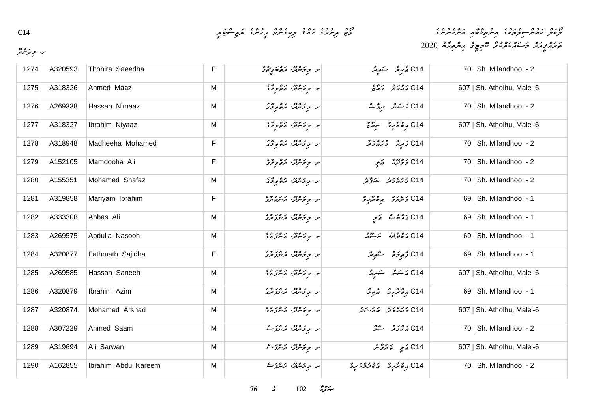*sCw7q7s5w7m< o<n9nOoAw7o< sCq;mAwBoEw7q<m; wBm;vB* م من المرة المرة المرة المرجع المرجع في المركبة 2020<br>مجم*د المريض المربوط المربع المرجع في المراجع المركبة* 

| ر ه دد<br>ىر، ترىرىر |  |
|----------------------|--|
|----------------------|--|

| 1274 | A320593 | Thohira Saeedha      | F            | س و وسره بره د د د             | C14 ۾ پڻ س <i>ندي</i> ش                          | 70   Sh. Milandhoo - 2     |
|------|---------|----------------------|--------------|--------------------------------|--------------------------------------------------|----------------------------|
| 1275 | A318326 | Ahmed Maaz           | M            | ىر. ئەنگەش ئۇھ ئەتمى           | C14 كەبرى <i>قىرىنى</i>                          | 607   Sh. Atholhu, Male'-6 |
| 1276 | A269338 | Hassan Nimaaz        | M            | ىر بەللەر بەلەرە               | C14 كەسكە ئىرگە بىر                              | 70   Sh. Milandhoo - 2     |
| 1277 | A318327 | Ibrahim Niyaaz       | M            | بر وتوسيق بره وي               | C14 م <i>وھنڑر بوتر میں تھ</i>                   | 607   Sh. Atholhu, Male'-6 |
| 1278 | A318948 | Madheeha Mohamed     | $\mathsf F$  | بر وتوسيق بره وي               | C14 ك <sup>ۆ</sup> مەرن <sup>ى</sup> كەندىكەتلىر | 70   Sh. Milandhoo - 2     |
| 1279 | A152105 | Mamdooha Ali         | $\mathsf{F}$ | ىر. بەنزىللىقى، ئىرەنمۇ ئۇنج   | C14 كەنزىر كەي <sub>ج</sub>                      | 70   Sh. Milandhoo - 2     |
| 1280 | A155351 | Mohamed Shafaz       | M            | ىر. ئەنگەش ئۇھ ئەتمى           | C14 <i>ۋېرونو خوت</i> ۇنر                        | 70   Sh. Milandhoo - 2     |
| 1281 | A319858 | Mariyam Ibrahim      | $\mathsf F$  | بن وتحسين برسمي                | C14 كەبرىرى مەھم <i>گى</i> رى                    | 69   Sh. Milandhoo - 1     |
| 1282 | A333308 | Abbas Ali            | M            | برا بالمحصوص برهار ولا         | C14 مەمۇشىش مەمب <i>ە</i>                        | 69   Sh. Milandhoo - 1     |
| 1283 | A269575 | Abdulla Nasooh       | M            | بر و و ده بر وړه ده.           | C14 مَەقراللە مَرْجْع                            | 69   Sh. Milandhoo - 1     |
| 1284 | A320877 | Fathmath Sajidha     | F            | بر و و ده بر وړه ده.           | C14 رَّجوحَة مُصَّ <sup>م</sup> َّة مَّتَّ       | 69   Sh. Milandhoo - 1     |
| 1285 | A269585 | Hassan Saneeh        | M            | بر وتوسط برمرده                | C14   پرستہ س <i>ٹہ سرم</i> قر                   | 607   Sh. Atholhu, Male'-6 |
| 1286 | A320879 | Ibrahim Azim         | M            | بر وتحسن برمزين                | C14 مەھىرىپى ھەج                                 | 69   Sh. Milandhoo - 1     |
| 1287 | A320874 | Mohamed Arshad       | M            | ىر. ئەن ھەر دەر دە             | C14 درەرو كەرشەتر                                | 607   Sh. Atholhu, Male'-6 |
| 1288 | A307229 | Ahmed Saam           | M            | ىر. ئەترىقرى ئەسترىس           | C14 كەبەد بىر ئىش                                | 70   Sh. Milandhoo - 2     |
| 1289 | A319694 | Ali Sarwan           | M            | المزاح والمروض المرتكز والمحمد | C14 <i>ھَ۔ پہ مُحمَّد ش</i>                      | 607   Sh. Atholhu, Male'-6 |
| 1290 | A162855 | Ibrahim Abdul Kareem | M            | ىر. ئەندىق ئەسمەت              | C14 مەھزىرى مەمىرى برە                           | 70   Sh. Milandhoo - 2     |

 $76$  *s*  $102$  *z*  $25$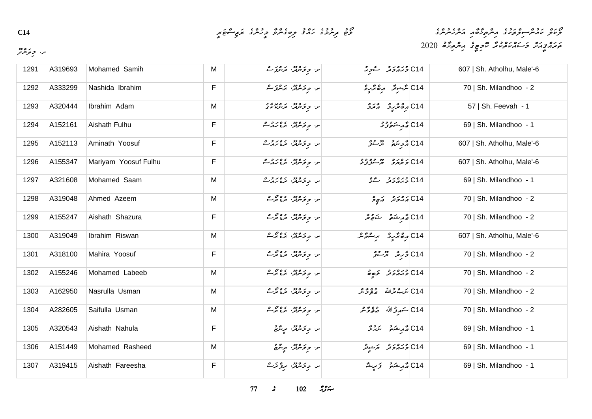*sCw7q7s5w7m< o<n9nOoAw7o< sCq;mAwBoEw7q<m; wBm;vB* م من المرة المرة المرة المرجع المرجع في المركبة 2020<br>مجم*د المريض المربوط المربع المرجع في المراجع المركبة* 

| 1291 | A319693 | Mohamed Samih        | M | ىر. ئەخرىرى ئەركەت كە          | C14 <i>3222 مگون</i> ژ                    | 607   Sh. Atholhu, Male'-6 |
|------|---------|----------------------|---|--------------------------------|-------------------------------------------|----------------------------|
| 1292 | A333299 | Nashida Ibrahim      | F | المزاح والمروض المرتكز والمحمد | C14 مَّرْسُومَّر ب <i>رەڭرى</i> رۇ        | 70   Sh. Milandhoo - 2     |
| 1293 | A320444 | Ibrahim Adam         | M | بر و ده بر ویده و              | C14 مەھمىرى مەمەد                         | 57   Sh. Feevah - 1        |
| 1294 | A152161 | Aishath Fulhu        | F | س وتوسطا مع رواه               | C14 مەم شەھ بورى                          | 69   Sh. Milandhoo - 1     |
| 1295 | A152113 | Aminath Yoosuf       | F | المس وتحسين المرور المستحدث    | C14 مرم مرضو من من المستقر                | 607   Sh. Atholhu, Male'-6 |
| 1296 | A155347 | Mariyam Yoosuf Fulhu | F | س و وسرهن می در د ه            | C14 كەبىر ھەر يوروپە                      | 607   Sh. Atholhu, Male'-6 |
| 1297 | A321608 | Mohamed Saam         | M | س و وسرفر، برورو ه             | C14 <i>جەنەم جىر</i> مەش                  | 69   Sh. Milandhoo - 1     |
| 1298 | A319048 | Ahmed Azeem          | M | س وتوسيق بروم و                | C14 كەبرى <i>قىي ئى</i>                   | 70   Sh. Milandhoo - 2     |
| 1299 | A155247 | Aishath Shazura      | F | بر وتوسطا الرابع المراجع       | C14 م <i>ەڭرىشكىقى</i> شى <i>كى تى</i> گە | 70   Sh. Milandhoo - 2     |
| 1300 | A319049 | Ibrahim Riswan       | M | ىن جۇشھەر مەم ھ                | C14 مەھەردى بىر مەھەر                     | 607   Sh. Atholhu, Male'-6 |
| 1301 | A318100 | Mahira Yoosuf        | F | س جۇشقۇر، ئۇيمىسى              | C14 دېمبر هم جنور                         | 70   Sh. Milandhoo - 2     |
| 1302 | A155246 | Mohamed Labeeb       | M | ىر. جۇشقۇ، ئوقمىش              | C14 دېرونر خ <sub>ص</sub> م               | 70   Sh. Milandhoo - 2     |
| 1303 | A162950 | Nasrulla Usman       | M | ىر. جۇشقۇ، ئوقمىش              | C14 ىتربە چ <sub>ىللى</sub> چەم ئىرى      | 70   Sh. Milandhoo - 2     |
| 1304 | A282605 | Saifulla Usman       | M | ىر. جەنگەنگە ئەقەم ھ           | C14 كمرىر الله مەندى ش                    | 70   Sh. Milandhoo - 2     |
| 1305 | A320543 | Aishath Nahula       | F | مرا تر قریبر تر مریکریم        | C14 مەم يىقى ئىرگەنتى                     | 69   Sh. Milandhoo - 1     |
| 1306 | A151449 | Mohamed Rasheed      | M | مرا تر قریبر تر مریکرچ         | C14 <i>وَبَرُوْدَوْ</i> كَرَسُوِيْرُ      | 69   Sh. Milandhoo - 1     |
| 1307 | A319415 | Aishath Fareesha     | F | ىر. بەير ھەر بىرو بۇ ب         | C14 م <i>ۇمەشقى ق</i> ويىقە               | 69   Sh. Milandhoo - 1     |

*77 sC 102 nNw?mS*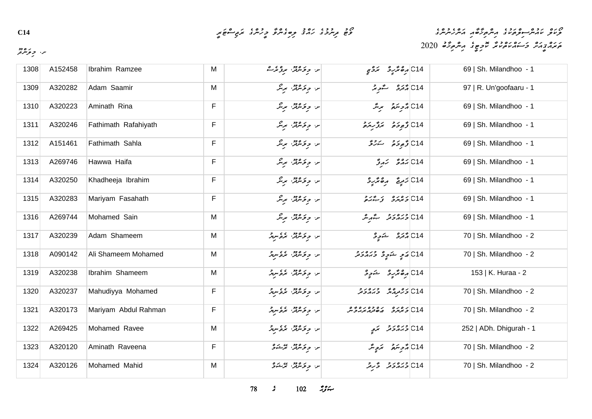*sCw7q7s5w7m< o<n9nOoAw7o< sCq;mAwBoEw7q<m; wBm;vB* م من المرة المرة المرة المرجع المرجع في المركبة 2020<br>مجم*د المريض المربوط المربع المرجع في المراجع المركبة* 

| 1308 | A152458 | Ibrahim Ramzee       | M | ىر. بەيھەتقى، بىروتكەت     | C14 م <i>وڭ ئۇچ</i> ئىرقىي                   | 69   Sh. Milandhoo - 1  |
|------|---------|----------------------|---|----------------------------|----------------------------------------------|-------------------------|
| 1309 | A320282 | Adam Saamir          | M | الرا و و کرکری الریکل      | C14 مرتمر محمد مستعربتر                      | 97   R. Un'goofaaru - 1 |
| 1310 | A320223 | Aminath Rina         | F | ىر. جۇنگۇنى ئېرىگە         | C14 مَرْحِ سَمَعْ مَسِسَّر                   | 69   Sh. Milandhoo - 1  |
| 1311 | A320246 | Fathimath Rafahiyath | F | الرا و و کرکری الریکل      | C14 ۇ <sub>جو</sub> رۇ ئىرگەردۇ              | 69   Sh. Milandhoo - 1  |
| 1312 | A151461 | Fathimath Sahla      | F | برا و و کرده برنگر         | C14 رَّ <sub>ج</sub> وَۃ شرَرْدَ             | 69   Sh. Milandhoo - 1  |
| 1313 | A269746 | Hawwa Haifa          | F | من تر تر شریحی است میکند   | C14 يَرْدُوَّ رَبْرُوَّ                      | 69   Sh. Milandhoo - 1  |
| 1314 | A320250 | Khadheeja Ibrahim    | F | بر وی شرقی مرش             | C14 كَتَعِيقٌ مِنْ صُغَّرِ فِي               | 69   Sh. Milandhoo - 1  |
| 1315 | A320283 | Mariyam Fasahath     | F | ىر. جۇنگۇنى ئېرىگە         | C14 كەبىر بەر ئەسىر بەر ج                    | 69   Sh. Milandhoo - 1  |
| 1316 | A269744 | Mohamed Sain         | M | من تر تر تر تر تر تر تر تر | C14 <i>ۋېزودى بەق</i> رى <i>ش</i>            | 69   Sh. Milandhoo - 1  |
| 1317 | A320239 | Adam Shameem         | M | س <i>و قرارود ، برؤ</i> سر | C14 مُحَمَّدٌ حَمَوِدٌ                       | 70   Sh. Milandhoo - 2  |
| 1318 | A090142 | Ali Shameem Mohamed  | M | ر و وسر ده ده م            | C14 كمبر حكوفة المحدد وروبر المحمد           | 70   Sh. Milandhoo - 2  |
| 1319 | A320238 | Ibrahim Shameem      | M | س بەنە ئەرەم بىرە بىر      | C14 <sub>مر</sub> ھ مگرے مشموری              | 153   K. Huraa - 2      |
| 1320 | A320237 | Mahudiyya Mohamed    | F | یں ویکرمیں بروکیور         | C14 كرىرونى دىرەرد                           | 70   Sh. Milandhoo - 2  |
| 1321 | A320173 | Mariyam Abdul Rahman | F | س <i>و قرارود ، برؤ</i> سر |                                              | 70   Sh. Milandhoo - 2  |
| 1322 | A269425 | Mohamed Ravee        | M | س <i>و قرارود ، برؤ</i> سر | C14 <i>وُبَرُوُوَتَرْ بَرْمٍ</i>             | 252   ADh. Dhigurah - 1 |
| 1323 | A320120 | Aminath Raveena      | F | ر وترتريز، ترخره           | C14 مَرْحِ سَمَعَ مَسَجِ سَّرَ               | 70   Sh. Milandhoo - 2  |
| 1324 | A320126 | Mohamed Mahid        | M | ىر. ئەقەھەر ئەسىم          | C14 <i>وُبَدُوُوَنَّةَ</i> وَ <i>ُرِيْرُ</i> | 70   Sh. Milandhoo - 2  |

 $78$  *s*  $102$  *z***<sub>3</sub>** $\approx$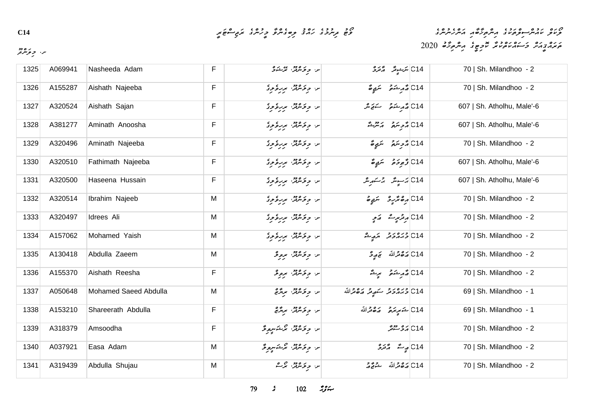*sCw7q7s5w7m< o<n9nOoAw7o< sCq;mAwBoEw7q<m; wBm;vB* م من المرة المرة المرة المرجع المرجع في المركبة 2020<br>مجم*د المريض المربوط المربع المرجع في المراجع المركبة* 

| 1325 | A069941 | Nasheeda Adam         | F | ر. وِ وَسْرَتْرُ، سَرْشَوْ            | C14 سَرَشِيعَد مَرْتَدَرْ \$                      | 70   Sh. Milandhoo - 2     |
|------|---------|-----------------------|---|---------------------------------------|---------------------------------------------------|----------------------------|
| 1326 | A155287 | Aishath Najeeba       | F | أأرا وتحاكماتها المرباع ولمحالج       | C14 مُدمِسْنَة مِنْ سَرْمٍ صَّ                    | 70   Sh. Milandhoo - 2     |
| 1327 | A320524 | Aishath Sajan         | F | ما أو توسيق المرسوعي                  | C14 م <i>ەمبەشقى سىق مى</i> ر                     | 607   Sh. Atholhu, Male'-6 |
| 1328 | A381277 | Aminath Anoosha       | F | ر وتحسن برروون                        | C14 مَرْحِبَ مَعْ مَسْرَسْتَهُ                    | 607   Sh. Atholhu, Male'-6 |
| 1329 | A320496 | Aminath Najeeba       | F | ىر. ئەنگەنگە، ئەربەللەي               | C14 مُرْحِسَمُ مَسْجِرَةٌ                         | 70   Sh. Milandhoo - 2     |
| 1330 | A320510 | Fathimath Najeeba     | F | ىر دۇشۇر ئېرىۋىرگە                    | C14 تَ <i>وجوح</i> مُ سَمَعٍ صَّ                  | 607   Sh. Atholhu, Male'-6 |
| 1331 | A320500 | Haseena Hussain       | F | أأرا ووكلوني الرباعوى                 | C14 بَرَسِيعٌ مَرْسَمَ <i>رِيمْ</i>               | 607   Sh. Atholhu, Male'-6 |
| 1332 | A320514 | Ibrahim Najeeb        | M | أأرا وتحارقني الإرتكافية              | C14 م <i>وڭ ئۈچ</i> س <i>رى<sub>م</sub>ى</i>      | 70   Sh. Milandhoo - 2     |
| 1333 | A320497 | Idrees Ali            | M | ما أو توسيق المرسوعي                  | C14 مرتزمي <sup>ر</sup> مركب                      | 70   Sh. Milandhoo - 2     |
| 1334 | A157062 | Mohamed Yaish         | M | مر تر تر شرکتر استفرانی به این مرد که | C14 <i>دېمم</i> وتر ن <i>زم</i> يش                | 70   Sh. Milandhoo - 2     |
| 1335 | A130418 | Abdulla Zaeem         | M | أأرا وقرمرين الروقى                   | C14 مَەھىراللە ت <sub>ەھي</sub> ۇ                 | 70   Sh. Milandhoo - 2     |
| 1336 | A155370 | Aishath Reesha        | F | أأرا وتحاكماتها الروفى                | C14 م <i>ۇم شۇم</i> م <sub>ې</sub> ش              | 70   Sh. Milandhoo - 2     |
| 1337 | A050648 | Mohamed Saeed Abdulla | M | ر. و د کره بروگا                      | C14 <i>وُبَرُوْدُوَ سَهِيعْهِ مَ</i> هُ مَرْاللّه | 69   Sh. Milandhoo - 1     |
| 1338 | A153210 | Shareerath Abdulla    | F | ىر. بەنگەنگە، ئېروگى                  | C14 ڪ <sub>ت</sub> ومي <i>ريمرچ ھ</i> ڪ قرالله    | 69   Sh. Milandhoo - 1     |
| 1339 | A318379 | Amsoodha              | F | الرا وتحاملها المحاشر وتح             | C14 كەبىر مەيتىر                                  | 70   Sh. Milandhoo - 2     |
| 1340 | A037921 | Easa Adam             | M | ىر. بەندىق، ئۇخەسرە ئ                 |                                                   | 70   Sh. Milandhoo - 2     |
| 1341 | A319439 | Abdulla Shujau        | M | س بەنزىرلىق ئىزىسى                    | C14 مَرْدُّقْرَاللَّهُ شَوْقَ <sub>هُ</sub>       | 70   Sh. Milandhoo - 2     |

*79 sC 102 nNw?mS*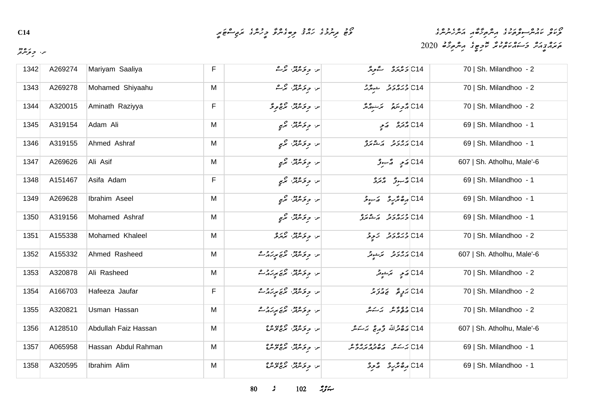*sCw7q7s5w7m< o<n9nOoAw7o< sCq;mAwBoEw7q<m; wBm;vB* م من المرة المرة المرة المرجع المرجع في المركبة 2020<br>مجم*د المريض المربوط المربع المرجع في المراجع المركبة* 

| 1342 | A269274 | Mariyam Saaliya      | F | ىر. بەيجەنلەش، ئۈگ                              | C14 كى <i>جەمدى ئىستى</i> جەم <i>گ</i> | 70   Sh. Milandhoo - 2     |
|------|---------|----------------------|---|-------------------------------------------------|----------------------------------------|----------------------------|
| 1343 | A269278 | Mohamed Shiyaahu     | M | ىر. بەنزىقلاش كۈپ                               | C14 <i>3222 مىشترى</i>                 | 70   Sh. Milandhoo - 2     |
| 1344 | A320015 | Aminath Raziyya      | F | ىر. جۇنترىق بىر ج جۇ                            | C14 مَّ حِسَمَةٌ سَمَسُومَةٌ           | 70   Sh. Milandhoo - 2     |
| 1345 | A319154 | Adam Ali             | M | من تو و شرقها المربع                            | C14 مُحَمَّدٌ صَعِ                     | 69   Sh. Milandhoo - 1     |
| 1346 | A319155 | Ahmed Ashraf         | M | ىر، ئۆتۈشتى، ئىچ                                | C14 كەبر <i>ە بىر كەشلىق</i> ۇ         | 69   Sh. Milandhoo - 1     |
| 1347 | A269626 | Ali Asif             | M | ىر، ئۆتۈشتى، ئىچ                                | C14 <i>ڇَي ڇُ</i> -بو                  | 607   Sh. Atholhu, Male'-6 |
| 1348 | A151467 | Asifa Adam           | F | ىر، ئۆتۈشى ئىسى                                 | C14 م <sup>ح</sup> ب سوتر محمد ترک     | 69   Sh. Milandhoo - 1     |
| 1349 | A269628 | Ibrahim Aseel        | M | ىر، ئۆتۈشى ئىسى                                 | C14 مەھەر بىر كەسپىتى                  | 69   Sh. Milandhoo - 1     |
| 1350 | A319156 | Mohamed Ashraf       | M | من تو تو مارچ مربع                              | C14 <i>وبرە دو</i> كەشى <i>رۇ</i>      | 69   Sh. Milandhoo - 1     |
| 1351 | A155338 | Mohamed Khaleel      | M | ىر. جەنگەرى ئەرە                                | C14] <i>وُبَرُوُدَوْ</i> کَمِوِتْرَ    | 70   Sh. Milandhoo - 2     |
| 1352 | A155332 | Ahmed Rasheed        | M | ىن ئەنھەسى ئەرەر ئە                             | C14  كەبۇ <i>كىمى تىرىشى قە</i> ر      | 607   Sh. Atholhu, Male'-6 |
| 1353 | A320878 | Ali Rasheed          | M | ىن جەنجىلىكى ئىن ئېرىكەن ھ                      | C14 كەمچە كەش <sub>ت</sub> وتر         | 70   Sh. Milandhoo - 2     |
| 1354 | A166703 | Hafeeza Jaufar       | F | ىن جەنجىلىكى ئىن ئېرىكەن ھ                      | C14 بَرَمٍ حَمَّى مَعْ مِنْ مِرْكَبِ   | 70   Sh. Milandhoo - 2     |
| 1355 | A320821 | Usman Hassan         | M | ىر. جەنجىلىق، ئىرىم ئېرىرلار ق                  | C14 مەۋرىمىس ئەسەئىر                   | 70   Sh. Milandhoo - 2     |
| 1356 | A128510 | Abdullah Faiz Hassan | M | ر و د وو مه ده ده و و                           | C14 كەھىراللە ئ <i>ۇم</i> ى ئەسەمىر    | 607   Sh. Atholhu, Male'-6 |
| 1357 | A065958 | Hassan Abdul Rahman  | M | ر و وسربر، برج و من                             | C14 ئەسەش مەھ <i>مەمەمەر قى</i> ر      | 69   Sh. Milandhoo - 1     |
| 1358 | A320595 | Ibrahim Alim         | M | ىر. ئەخرىرى ئەمەمەم<br>مەس ئۇسىرىس ئىرىم ئۇسىيە | C14 مەھم <i>تى</i> پى ھە <i>م</i> وق   | 69   Sh. Milandhoo - 1     |

 $80$  *s*  $102$  *n***<sub>s</sub>**  $\frac{2}{3}$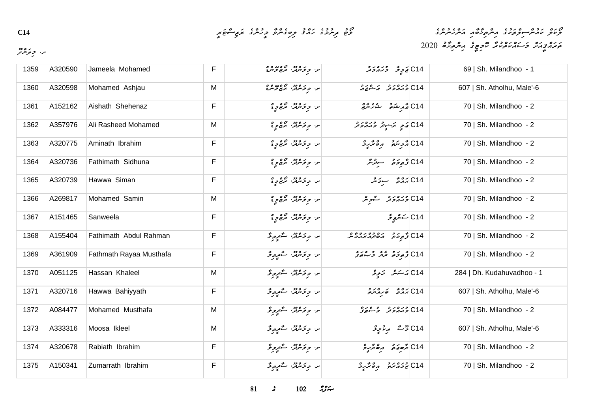*sCw7q7s5w7m< o<n9nOoAw7o< sCq;mAwBoEw7q<m; wBm;vB* م من المسجد المسجد المسجد المسجد المسجد العام 2020<br>مسجد المسجد المسجد المسجد المسجد المسجد المسجد المسجد المسجد ال

| 1359 | A320590 | Jameela Mohamed         | F           | بر و ده مهمومو                               | C14 ق <sub>َ</sub> حِرِ حَدَّ دَمَدَ مَدَّ | 69   Sh. Milandhoo - 1     |
|------|---------|-------------------------|-------------|----------------------------------------------|--------------------------------------------|----------------------------|
| 1360 | A320598 | Mohamed Ashjau          | M           | ر و و موجود می مورد و د                      | C14 ويرەرو كەشقەر                          | 607   Sh. Atholhu, Male'-6 |
| 1361 | A152162 | Aishath Shehenaz        | F           | مرا جا تر جريم جريم جريم ا                   | C14 مەم ئەھقىم ئىش <i>ەر ئىرى</i> ج        | 70   Sh. Milandhoo - 2     |
| 1362 | A357976 | Ali Rasheed Mohamed     | M           | سر تر تر مربع تر ع                           | C14 كەي ترىنېدۇ دېرەرد                     | 70   Sh. Milandhoo - 2     |
| 1363 | A320775 | Aminath Ibrahim         | F           | ما المحافظة المحافظة المحمدة المحمدة المحمدة | C14 مَّحِسَمَ مِنْ مِحْرِ وَ               | 70   Sh. Milandhoo - 2     |
| 1364 | A320736 | Fathimath Sidhuna       | F           | بر و و سور می و ؟                            | C14 تۇ <sub>جو</sub> خۇ سونى <i>گ</i> ە    | 70   Sh. Milandhoo - 2     |
| 1365 | A320739 | Hawwa Siman             | F           | بر و و شهر می و ه                            | C14 <i>بَدْهُمَّ</i> سِحَسْ                | 70   Sh. Milandhoo - 2     |
| 1366 | A269817 | Mohamed Samin           | M           | الرا و توسطین استان و ه                      | C14 <i>22825 گونگ</i> ر                    | 70   Sh. Milandhoo - 2     |
| 1367 | A151465 | Sanweela                | F           | الرا و توسرين الرج و ۽                       | C14 سەنئى <sub>ھو</sub> تۇ                 | 70   Sh. Milandhoo - 2     |
| 1368 | A155404 | Fathimath Abdul Rahman  | F           | مرا بر تر هولار مستوره تر                    | C14 ژ <sub>ج</sub> وده ده ده ده ده د       | 70   Sh. Milandhoo - 2     |
| 1369 | A361909 | Fathmath Rayaa Musthafa | F           | من بر تر عرض مستجد مربع تر                   | C14 ز <sub>ىم</sub> ونى ئىگە دىنبوز        | 70   Sh. Milandhoo - 2     |
| 1370 | A051125 | Hassan Khaleel          | M           | الرا ولائين السكوه بحر                       | C14] يَرْسَسْ تَرْمِوْ \$                  | 284   Dh. Kudahuvadhoo - 1 |
| 1371 | A320716 | Hawwa Bahiyyath         | F           | الرا بالموجود المستحورة وتحر                 | $5,20,6$ $5,7$ $\sim$ $0.14$               | 607   Sh. Atholhu, Male'-6 |
| 1372 | A084477 | Mohamed Musthafa        | M           | س بر تر دهن گرم دیگر                         | C14 ديروبر ومبرد                           | 70   Sh. Milandhoo - 2     |
| 1373 | A333316 | Moosa Ikleel            | M           | مر بر وجه در مشهور و تحریر و تح              | C14 چينځ په مقبوبی                         | 607   Sh. Atholhu, Male'-6 |
| 1374 | A320678 | Rabiath Ibrahim         | F           | مر بر تر ډيل گه سگه پر بر تر                 | C14 <i>مُزْھِھُو مُ</i> ھُمُّرِدُّ         | 70   Sh. Milandhoo - 2     |
| 1375 | A150341 | Zumarrath Ibrahim       | $\mathsf F$ | ىر. بەنزىكەن، سەپرەتۇ.                       | C14 يحدّر مع م م محمّر د                   | 70   Sh. Milandhoo - 2     |

 $81$  *s*  $102$  *n***<sub>s</sub>**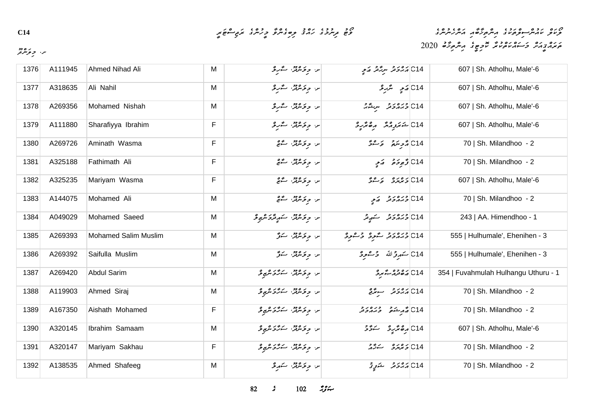*sCw7q7s5w7m< o<n9nOoAw7o< sCq;mAwBoEw7q<m; wBm;vB 2020<sup>, م</sup>وسود المدون المجموعة المستوجدة والمجموعة والم*جموعة والمجموعة والمجموعة والمجموعة والمجموعة والمجموعة وا

70 | Sh. Milandhoo - 2

| 1376 | A111945 | Ahmed Nihad Ali             | M | ىر. بەيجەنلەر، سەربى           | C14 كەبرى قىر بىرىگە ئەير                                                                                             | 607   Sh. Atholhu, Male'-6           |
|------|---------|-----------------------------|---|--------------------------------|-----------------------------------------------------------------------------------------------------------------------|--------------------------------------|
| 1377 | A318635 | Ali Nahil                   | M | ىر. جۇنگەنگە سەربۇ             | C14] رَمِ - سَرَرِ وَ                                                                                                 | 607   Sh. Atholhu, Male'-6           |
| 1378 | A269356 | Mohamed Nishah              | M | مر برنورژی گرو                 | C14 <i>3223 مرڪم</i> گ                                                                                                | 607   Sh. Atholhu, Male'-6           |
| 1379 | A111880 | Sharafiyya Ibrahim          | F | ىر. بەنزىرلاش سەربۇ            | C14 ڪئر <i>و ۾ هر هوري</i> و                                                                                          | 607   Sh. Atholhu, Male'-6           |
| 1380 | A269726 | Aminath Wasma               | F | ىر. جەنگەنلەر مەنق             | C14 مُجِسَع <sub>ة ع</sub> َسْرَةً                                                                                    | 70   Sh. Milandhoo - 2               |
| 1381 | A325188 | Fathimath Ali               | F | ىر. جۇ ئۆلگەن سەنج             | C14 و <i>گ</i> ور کار کار کرد کرد که این کار به این کار به کار کرد که این این این کار این کار این کار این کار این کار | 70   Sh. Milandhoo - 2               |
| 1382 | A325235 | Mariyam Wasma               | F | ىر. بەير ئەلگەن ئىسىم          | C14 كاندىرى كەشى <del>ر</del>                                                                                         | 607   Sh. Atholhu, Male'-6           |
| 1383 | A144075 | Mohamed Ali                 | M | ىر. بەنزىرلاش سەنج             | C14 <i>وَبَرْدْدَوْدْ مَ</i> حِ                                                                                       | 70   Sh. Milandhoo - 2               |
| 1384 | A049029 | Mohamed Saeed               | M | الرا وتخليل التهرير وكرواهي    | C14 <i>\$222 كوفر</i>                                                                                                 | 243   AA. Himendhoo - 1              |
| 1385 | A269393 | <b>Mohamed Salim Muslim</b> | M | مز تر ترکش کرگر                | C14  <i>وبروبرو سُعود و</i> سُعود                                                                                     | 555   Hulhumale', Ehenihen - 3       |
| 1386 | A269392 | Saifulla Muslim             | M | ىر، بەنزىقى، سەۋ               | C14 كمهرتر الله - 3 محدود                                                                                             | 555   Hulhumale', Ehenihen - 3       |
| 1387 | A269420 | <b>Abdul Sarim</b>          | M | ىر، بەنگەنگە، سەرگەنگەنلى ئى   | 2, 2, 3, 6, 6                                                                                                         | 354   Fuvahmulah Hulhangu Uthuru - 1 |
| 1388 | A119903 | Ahmed Siraj                 | M | أأرا وتحارقها استركر تكريم فحر | C14 <i>مەمەدى بىر سومۇ</i> ھ                                                                                          | 70   Sh. Milandhoo - 2               |
| 1389 | A167350 | Aishath Mohamed             | F | ما بە ئەرەق سەرىمە ئەرە        | C14 مُەمِسْمَى ئەمەدىر                                                                                                | 70   Sh. Milandhoo - 2               |
| 1390 | A320145 | Ibrahim Samaam              | M | ىر. بەندىق، سەرئەش ئى          | C14 مەھەرىرى سى <i>ۋ</i> ۇ                                                                                            | 607   Sh. Atholhu, Male'-6           |
| 1391 | A320147 | Mariyam Sakhau              | F | ىر. ئەنگەش سەرئەر ھەمى         | C14 كربرو كرميز                                                                                                       | 70   Sh. Milandhoo - 2               |

1392 A138535 Ahmed Shafeeg M *cliaws ,Udcnwlim .S uqIfwx udwmcHwa* C14

*82 sC 102 nNw?mS*

مر. *و تو*مر<sub>قر</sub>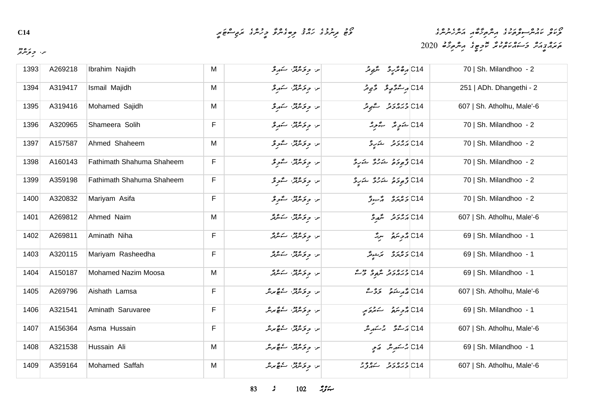*sCw7q7s5w7m< o<n9nOoAw7o< sCq;mAwBoEw7q<m; wBm;vB* م من المسجد المسجد المسجد المسجد المسجد العام 2020<br>مسجد المسجد المسجد المسجد المسجد المسجد المسجد المسجد المسجد ال

| 1393 | A269218 | Ibrahim Najidh             | M           | ىر. بەيجەنگە، سەرگە          | C14 م <i>رڈ مُڈرِ ڈی مُڈوِمْر</i>                | 70   Sh. Milandhoo - 2     |
|------|---------|----------------------------|-------------|------------------------------|--------------------------------------------------|----------------------------|
| 1394 | A319417 | Ismail Majidh              | M           | ىر. بەيجەنلىق، سەمەنى        | C14 مرڪو <i>گھي</i> گھي گھي جي                   | 251   ADh. Dhangethi - 2   |
| 1395 | A319416 | Mohamed Sajidh             | M           | أىر: وِيَوْسُوْنُ سَهُونُوْ. | C14 <i>5 تەۋە ئەقى</i> ئىستى <i>مى</i> ئىر       | 607   Sh. Atholhu, Male'-6 |
| 1396 | A320965 | Shameera Solih             | F           | ىر، بەنزىكەن، سەرىۋ          | C14 ڪوپٽر گوپر                                   | 70   Sh. Milandhoo - 2     |
| 1397 | A157587 | Ahmed Shaheem              | M           | مرا تر ترکیبر محمد مشروعی    | C14 <i>252, حَدِي</i> رُ                         | 70   Sh. Milandhoo - 2     |
| 1398 | A160143 | Fathimath Shahuma Shaheem  | $\mathsf F$ | الرا و تونديش كرونو          | C14 رَّجِ <i>جَرْمْ</i> شَرْرَدَّ شَرِرْدَ       | 70   Sh. Milandhoo - 2     |
| 1399 | A359198 | Fathimath Shahuma Shaheem  | F           | مرا بر تر ترکیبر دیگر دیگر   | C14 تَ <i>ْجِعَةَ</i> حَدَثَّ حَدَرِدَّ          | 70   Sh. Milandhoo - 2     |
| 1400 | A320832 | Mariyam Asifa              | F           | ما تو تو شرقه الشرقر و       | C14 <i>خىرى ئىبو</i> گە                          | 70   Sh. Milandhoo - 2     |
| 1401 | A269812 | Ahmed Naim                 | M           | ىر. جۇشۇش، سەشەر             | C14 <i>مُدْدَوْرْ مُتَّه</i> ِ وُ                | 607   Sh. Atholhu, Male'-6 |
| 1402 | A269811 | Aminath Niha               | F           | ىر. بەنزىلۇق سەئىرلار        | C14 مُرْحِسَةً مِنْ مِنْ                         | 69   Sh. Milandhoo - 1     |
| 1403 | A320115 | Mariyam Rasheedha          | F           | الرا و ئوشۇنى سەشرىگر        | C14 <i>وَجْهَزَ</i> وْ - <sub>مَرْشِوِتْرُ</sub> | 69   Sh. Milandhoo - 1     |
| 1404 | A150187 | <b>Mohamed Nazim Moosa</b> | M           | ىر. بەنزىقى، سەئىرىگە        | C14 دبره در گرو و محمد شد                        | 69   Sh. Milandhoo - 1     |
| 1405 | A269796 | Aishath Lamsa              | F           | ىر. بەلبەت ئەھمىش            | C14 مۇم ئىشقى ئىمى ئىشكىت                        | 607   Sh. Atholhu, Male'-6 |
| 1406 | A321541 | Aminath Saruvaree          | F           | الرا بالمحموض المحفظ مرس     | C14 مۇجەمئى <i>نىڭ سەنىۋى</i> ر                  | 69   Sh. Milandhoo - 1     |
| 1407 | A156364 | Asma Hussain               | F           | من تر تر ودور المعظم مرتكز   | C14 كەشق ئەسكەپ                                  | 607   Sh. Atholhu, Male'-6 |
| 1408 | A321538 | Hussain Ali                | M           | الرا ولمحمدها المحيض المحمد  | C14 پرڪ <i>مبرنگھ چ</i> ئو                       | 69   Sh. Milandhoo - 1     |
| 1409 | A359164 | Mohamed Saffah             | M           | ىر. بەنجەش سەھىرىش           | C14 دېرونو شه دي.                                | 607   Sh. Atholhu, Male'-6 |

*83 sC 102 nNw?mS*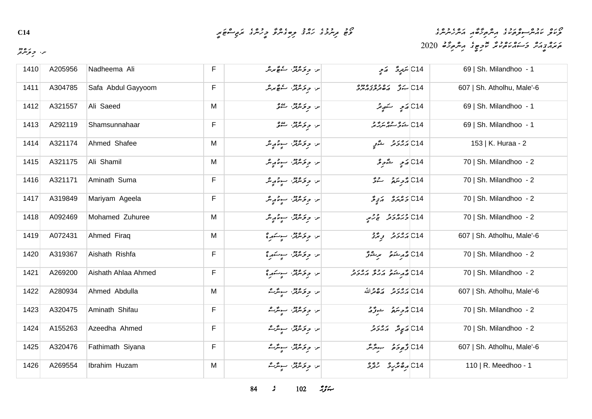*sCw7q7s5w7m< o<n9nOoAw7o< sCq;mAwBoEw7q<m; wBm;vB* م من المرة المرة المرة المرجع المرجع في المركبة 2020<br>مجم*د المريض المربوط المربع المرجع في المراجع المركبة* 

| ر ه دد<br>ىر. ترىرىرتە |  |
|------------------------|--|
|------------------------|--|

| 1410 | A205956 | Nadheema Ali        | $\mathsf{F}$ | الرا وتوسيق الشقى برس      | C14] سَمِرِیَّ – صَرِ                            | 69   Sh. Milandhoo - 1     |
|------|---------|---------------------|--------------|----------------------------|--------------------------------------------------|----------------------------|
| 1411 | A304785 | Safa Abdul Gayyoom  | F            | الرا وتوسيل الكفي لاسر     | C14 يىۋە مەھ <i>ورەددە</i>                       | 607   Sh. Atholhu, Male'-6 |
| 1412 | A321557 | Ali Saeed           | M            | بر وتوسعه بيره             | C14 <i>ھَ۔</i> سَم <i>وِمَّہ</i>                 | 69   Sh. Milandhoo - 1     |
| 1413 | A292119 | Shamsunnahaar       | F            | ىر. جەنگەنلەر يەھ          | C14 خەۋىسە <i>مەر شەرى</i> تىر                   | 69   Sh. Milandhoo - 1     |
| 1414 | A321174 | Ahmed Shafee        | M            | ر و درود. سوړینه           | C14] رَيْرَوْتْرَ _ شَّرْرٍ                      | 153   K. Huraa - 2         |
| 1415 | A321175 | Ali Shamil          | M            | ین ویکروژه سورو پر         | C14 کړې څو <u>گ</u> و                            | 70   Sh. Milandhoo - 2     |
| 1416 | A321171 | Aminath Suma        | F            | یں وقیدوں ہوا ہے           | C14 مُ <i>جِسَعْهِ</i> مُسْتَرَّ                 | 70   Sh. Milandhoo - 2     |
| 1417 | A319849 | Mariyam Ageela      | $\mathsf F$  | ىر. جەھەتىر، سومايەش       | C14 ك <i>ۈچرى كەنچ</i> ىگە                       | 70   Sh. Milandhoo - 2     |
| 1418 | A092469 | Mohamed Zuhuree     | M            | یں وقیدوں ہے میں مگ        | C14 <i>2282 جي حيد م</i> ح                       | 70   Sh. Milandhoo - 2     |
| 1419 | A072431 | Ahmed Firaq         | M            | الرا وتحاكماتها المسيسكيرة | C14 كەندى قىرىمىتى ئى                            | 607   Sh. Atholhu, Male'-6 |
| 1420 | A319367 | Aishath Rishfa      | $\mathsf F$  | یں وکی میں سوسکار ؟        | C14 مَەمەشقى ھەيشۇ ئى                            | 70   Sh. Milandhoo - 2     |
| 1421 | A269200 | Aishath Ahlaa Ahmed | F            | الرا وتحاكماتها الباسيكيرة | C14 مەم شىم كەردىگە كەردىتى                      | 70   Sh. Milandhoo - 2     |
| 1422 | A280934 | Ahmed Abdulla       | M            | ىر. بەيجەنلەش سېرىگە       | C14 مَ <i>مْدَوْمْه مَ</i> هْمْراللّه            | 607   Sh. Atholhu, Male'-6 |
| 1423 | A320475 | Aminath Shifau      | F            | ىر. بەيجەنلۇق سونلاپ       | C14 مَرْحِبَتَهُ ۖ سُوَرَّهُ ۖ                   | 70   Sh. Milandhoo - 2     |
| 1424 | A155263 | Azeedha Ahmed       | F            | س بەئەتلەش سەئىرگ          | C14 كەيپەتر كەبرى قىر                            | 70   Sh. Milandhoo - 2     |
| 1425 | A320476 | Fathimath Siyana    | $\mathsf F$  | الر. برىگەنگە، سونگرىشە    | C14 ۇ <sub>جو</sub> رَمْ س <sub>و</sub> مَرْمَّر | 607   Sh. Atholhu, Male'-6 |
| 1426 | A269554 | Ibrahim Huzam       | M            | س بر تورگرده می سویدگر     | C14 <sub>مر</sub> ھ <i>مُرْرِدْ ۔ رُوْدُ</i>     | 110   R. Meedhoo - 1       |

 $84$  *s*  $\cancel{002}$  *n***<sub>s</sub>**  $\cancel{0.5}$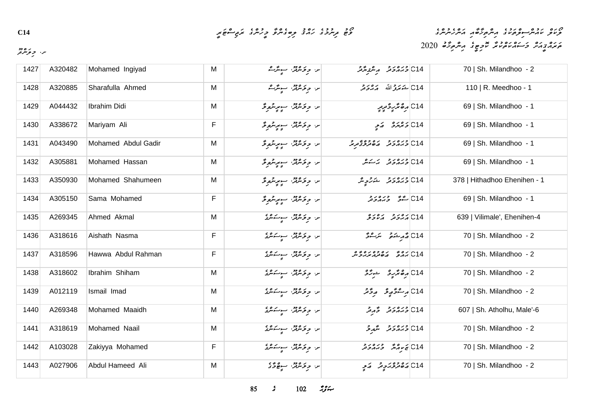*sCw7q7s5w7m< o<n9nOoAw7o< sCq;mAwBoEw7q<m; wBm;vB* م من المرة المرة المرة المرجع المرجع في المركبة 2020<br>مجم*د المريض المربوط المربع المرجع في المراجع المركبة* 

| 1427 | A320482 | Mohamed Ingiyad     | M           | ا د و توروژ، سویژگ       | C14 <i>22,25 م بنزونگ</i> ر                   | 70   Sh. Milandhoo - 2       |
|------|---------|---------------------|-------------|--------------------------|-----------------------------------------------|------------------------------|
| 1428 | A320885 | Sharafulla Ahmed    | M           | ىر. بەيجەنگە، سونگرىشە   | C14 خَدَمَرَتِیْ اللّه کَ بَرْحَ مَرْ         | 110   R. Meedhoo - 1         |
| 1429 | A044432 | Ibrahim Didi        | M           | ر ویکروژ، سوپرشوی        | C14 مەھ ئۇر دىيە يە                           | 69   Sh. Milandhoo - 1       |
| 1430 | A338672 | Mariyam Ali         | F           | ىر. بەندىق، سەيرىترىدىگ  | C14 ك <i>ر برگرى م</i> ې تو                   | 69   Sh. Milandhoo - 1       |
| 1431 | A043490 | Mohamed Abdul Gadir | M           | الرا وكرمين سيرشوكر      | C14 <i>3282 مەھەرى قىرى</i> ر                 | 69   Sh. Milandhoo - 1       |
| 1432 | A305881 | Mohamed Hassan      | M           | ر ووکرټر، سوپرسرونو      | C14 <i>ۋېروپو برخپ</i> ر                      | 69   Sh. Milandhoo - 1       |
| 1433 | A350930 | Mohamed Shahumeen   | M           | ر و درود سورشود          | C14 دېم دي. هغه ديگر د شرح                    | 378   Hithadhoo Ehenihen - 1 |
| 1434 | A305150 | Sama Mohamed        | $\mathsf F$ | ىر. وتۇش سىرشوق          | C14 گۇ <i>دېم</i> ۇتر                         | 69   Sh. Milandhoo - 1       |
| 1435 | A269345 | Ahmed Akmal         | M           | الرا وتحافظها الباسوسكين | C14 كەبروتر كەندى ئى                          | 639   Vilimale', Ehenihen-4  |
| 1436 | A318616 | Aishath Nasma       | F           | المزا وتحاملك المسيسكين  | C14 مەم شەم ئىر ئىسى ئىل                      | 70   Sh. Milandhoo - 2       |
| 1437 | A318596 | Hawwa Abdul Rahman  | $\mathsf F$ | یں ویکروژہ سوشروی        | C14 بروء بره ده بره ده.                       | 70   Sh. Milandhoo - 2       |
| 1438 | A318602 | Ibrahim Shiham      | M           | الرا وتحافظه الباسيكسى   | C14  م <i>ەھترى</i> دۇ ھو <i>ڭ</i> ۇ          | 70   Sh. Milandhoo - 2       |
| 1439 | A012119 | Ismail Imad         | M           | ىر. ئەقەتلەر، سوسەتلەر   | C14 <sub>م</sub> رشۇم <sub>ۇ</sub> ئىمى مەدىر | 70   Sh. Milandhoo - 2       |
| 1440 | A269348 | Mohamed Maaidh      | M           | ىر. ئەقەتلەر سوسەتلىكى   | C14 <i>جەنگە خۇم</i> قر                       | 607   Sh. Atholhu, Male'-6   |
| 1441 | A318619 | Mohamed Naail       | M           | الرا وتحافظها الباسيكس   | C14 <i>3222 سُمَدِ تَى</i>                    | 70   Sh. Milandhoo - 2       |
| 1442 | A103028 | Zakiyya Mohamed     | $\mathsf F$ | الرا وتحافظها الباسوسكين | C14 يج برور وبرورو                            | 70   Sh. Milandhoo - 2       |
| 1443 | A027906 | Abdul Hameed Ali    | M           | ىر. بەيجەنگە، سوھىدى     | C14 مَ@مَرْحْدَرِمْرَ      مَعِ               | 70   Sh. Milandhoo - 2       |

 $85$  *s*  $\cancel{5}$  **102** *n***<sub>s</sub>**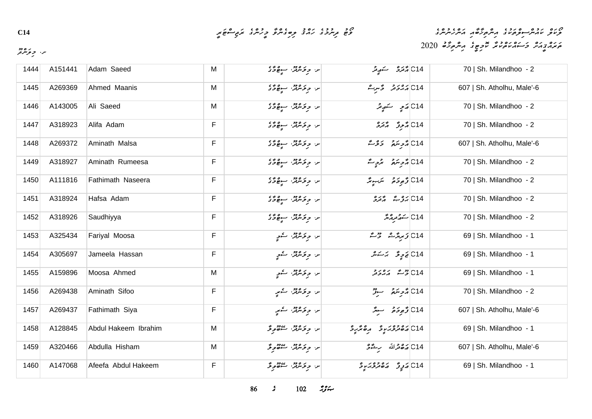*sCw7q7s5w7m< o<n9nOoAw7o< sCq;mAwBoEw7q<m; wBm;vB* م من المرة المرة المرة المرجع المرجع في المركبة 2020<br>مجم*د المريض المربوط المربع المرجع في المراجع المركبة* 

| ر ه دد<br>ىر، ترىرىز |  |
|----------------------|--|
|----------------------|--|

| 1444 | A151441 | Adam Saeed           | M | ر وتوسرين سوھ دي             | C14 مُرتمرد مسک <i>می</i> تر                               | 70   Sh. Milandhoo - 2     |
|------|---------|----------------------|---|------------------------------|------------------------------------------------------------|----------------------------|
| 1445 | A269369 | Ahmed Maanis         | M | ر وتومين سوء د               | C14 كەبۇ <i>15 - ئەيرى</i>                                 | 607   Sh. Atholhu, Male'-6 |
| 1446 | A143005 | Ali Saeed            | M | ىر. بەنگەنگە، سەھىرى         | C14 کھ جو سکھیے تھ                                         | 70   Sh. Milandhoo - 2     |
| 1447 | A318923 | Alifa Adam           | F | ىر. بەنزىرلىقى سوھىمى        | C14 مَّعِوَّ مَسَرَّد                                      | 70   Sh. Milandhoo - 2     |
| 1448 | A269372 | Aminath Malsa        | F | ر. د د په د ۲۶۵              | C14 مَّ <i>جِسَعَةَ</i> حَكَّثَ                            | 607   Sh. Atholhu, Male'-6 |
| 1449 | A318927 | Aminath Rumeesa      | F | ىر. بەنزىقلىقى سوھىمى        | C14 مَرْحِبَنَ مِنْ مَرْحِبَّةَ                            | 70   Sh. Milandhoo - 2     |
| 1450 | A111816 | Fathimath Naseera    | F | ر وتومين سوء د               | C14 ۇ <sub>جو</sub> رَى <sub>م</sub> سَر <sub>ْس</sub> ېرَ | 70   Sh. Milandhoo - 2     |
| 1451 | A318924 | Hafsa Adam           | F | ىر. بەنگەنگە، سەھىرى         | C14 بَرُوْبَۃُ مُقَرَّدٌ                                   | 70   Sh. Milandhoo - 2     |
| 1452 | A318926 | Saudhiyya            | F | ىر. بەنگەنگە، سەھىمى         | C14 سەرچىرىدىگە                                            | 70   Sh. Milandhoo - 2     |
| 1453 | A325434 | Fariyal Moosa        | F | ىر، بەيجەنلەش، سكىي          | C14 ئ <i>ۈيىدىڭ ق<sup>ىم</sup>ى</i> گە                     | 69   Sh. Milandhoo - 1     |
| 1454 | A305697 | Jameela Hassan       | F | ىر، بەيجەنلەش، سكىي          | C14 <sub>قىچى</sub> ۇ بەس <i>تەن</i> ر                     | 69   Sh. Milandhoo - 1     |
| 1455 | A159896 | Moosa Ahmed          | M | ىر. بەيھەتكەر كەي            | C14 چينه پرچوټر                                            | 69   Sh. Milandhoo - 1     |
| 1456 | A269438 | Aminath Sifoo        | F | ىر، بەيجەنلەش، سەيپ          | C14 مُرْحِسَمُ مِسِنْرٌ                                    | 70   Sh. Milandhoo - 2     |
| 1457 | A269437 | Fathimath Siya       | F | ر وتومريز، سکيږ              | C14 رَّ <sub>جو</sub> حَمَّةَ سِيتَرَ                      | 607   Sh. Atholhu, Male'-6 |
| 1458 | A128845 | Abdul Hakeem Ibrahim | M | ر. د د سره سوه د څ           | C14 مەھەرى <i>رىدە مەمگرى</i> د                            | 69   Sh. Milandhoo - 1     |
| 1459 | A320466 | Abdulla Hisham       | M | من تر قرمبرين المستطاه و محر | C14 مَەمْرَاللە بِ <del>شَ</del> وْ                        | 607   Sh. Atholhu, Male'-6 |
| 1460 | A147068 | Afeefa Abdul Hakeem  | F | ىر. بەرگەش، سەھەرگە          | C14 <i>مَرٍوٌ مَــُّ مَدْوَيَـَ بِ</i> وْ                  | 69   Sh. Milandhoo - 1     |

 $86$  *s*  $102$  *n***<sub>s</sub>**  $\frac{2}{3}$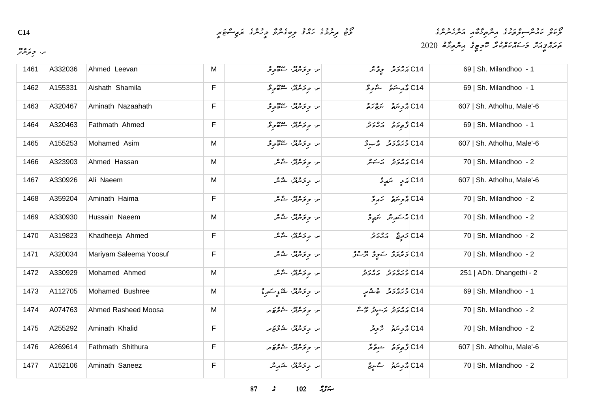*sCw7q7s5w7m< o<n9nOoAw7o< sCq;mAwBoEw7q<m; wBm;vB* م من المرة المرة المرة المرجع المرجع في المركبة 2020<br>مجم*د المريض المربوط المربع المرجع في المراجع المركبة* 

| 1461 | A332036 | Ahmed Leevan               | M           | ىر. بەير ئىزگە ئۇيغۇ      | C14 <i>مَدْدَوَنْتْ جِرَّنْتْ</i> ر         | 69   Sh. Milandhoo - 1     |
|------|---------|----------------------------|-------------|---------------------------|---------------------------------------------|----------------------------|
| 1462 | A155331 | Aishath Shamila            | F           | یں وفرماتی ہے وقت         | C14 مَەرشەتر شەرىخ                          | 69   Sh. Milandhoo - 1     |
| 1463 | A320467 | Aminath Nazaahath          | $\mathsf F$ | ىر. بەنزىتىرى سىھەتى      | C14 مُ <i>جِي مَبْعِ مَدَّةٍ حَ</i>         | 607   Sh. Atholhu, Male'-6 |
| 1464 | A320463 | Fathmath Ahmed             | $\mathsf F$ | بر و وده سعود ع           | C14 وَجِعَة مَدَوَمَّر                      | 69   Sh. Milandhoo - 1     |
| 1465 | A155253 | Mohamed Asim               | M           | بر و وده سعود ع           | C14 <i>جەممى ھىبدۇ</i>                      | 607   Sh. Atholhu, Male'-6 |
| 1466 | A323903 | Ahmed Hassan               | M           | ىر. بەيھەتچى، ئىگەنگر     | C14 كەبر <i>ۇقى بەسكىل</i>                  | 70   Sh. Milandhoo - 2     |
| 1467 | A330926 | Ali Naeem                  | M           | ىر. ئۇ ئوتتۇتى ئىشكە      | C14 <i>جَرِي سَمِي</i> وْ                   | 607   Sh. Atholhu, Male'-6 |
| 1468 | A359204 | Aminath Haima              | $\mathsf F$ | بر وتوسيق ڪس              | C14 مَّ <i>جِسَعَةَ</i> سَ <i>مِ</i> دَّ    | 70   Sh. Milandhoo - 2     |
| 1469 | A330930 | Hussain Naeem              | M           | ىر. ئۇ ئوتتۇتى ئىشكە      | C14 ترىكىرىش ئى <i>ترى</i>                  | 70   Sh. Milandhoo - 2     |
| 1470 | A319823 | Khadheeja Ahmed            | F           | س بەتەئىللەش ئىگەش        | C14 كَتَعِيقَ - <i>مُكْ</i> حَقِّدُ         | 70   Sh. Milandhoo - 2     |
| 1471 | A320034 | Mariyam Saleema Yoosuf     | $\mathsf F$ | ىر. جۇنگەنگە ئىشكە        | C14 كەبۇرگە سەببەر مەسىر                    | 70   Sh. Milandhoo - 2     |
| 1472 | A330929 | Mohamed Ahmed              | M           | ىر. بەيھەتچە، ئەشكە       | C14 <i>ڈیرورو برورو</i>                     | 251   ADh. Dhangethi - 2   |
| 1473 | A112705 | Mohamed Bushree            | M           | ىر. ئەقەش سىم ئەسىم ئ     | C14 <i>وبروبرة</i> صفيمي                    | 69   Sh. Milandhoo - 1     |
| 1474 | A074763 | <b>Ahmed Rasheed Moosa</b> | M           | أأرا وتركيبها المشوكاتين  | C14 كەندى قىم ئەسىر قارىگە                  | 70   Sh. Milandhoo - 2     |
| 1475 | A255292 | Aminath Khalid             | $\mathsf F$ | أأرا وترمريش الشوكانج برا | C14 مَّ <i>جِسَعَةَ</i> شَعِقَّہُ           | 70   Sh. Milandhoo - 2     |
| 1476 | A269614 | Fathmath Shithura          | F           | أأرا وترمريش الشوكانج برا | C14 تۇ <sub>ج</sub> وڭ ئ <sub>ۇ</sub> مۇنتر | 607   Sh. Atholhu, Male'-6 |
| 1477 | A152106 | Aminath Saneez             | F           | ىر. ئۇ ئوقۇ، شەرىئى       | C14 مَرْحِبَتَهُمْ مَسَّتِيَّةً             | 70   Sh. Milandhoo - 2     |

*87 sC 102 nNw?mS*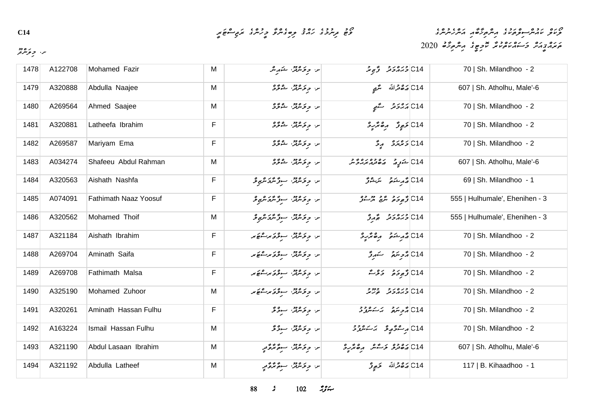*sCw7q7s5w7m< o<n9nOoAw7o< sCq;mAwBoEw7q<m; wBm;vB* م من المرة المرة المرة المرجع المرجع في المركبة 2020<br>مجم*د المريض المربوط المربع المرجع في المراجع المركبة* 

| 1478 | A122708 | Mohamed Fazir                | M | ىر. ئۇ ئوقۇش شەرىئى             | C14 <i>5225 ق ق پ</i> ر                                | 70   Sh. Milandhoo - 2         |
|------|---------|------------------------------|---|---------------------------------|--------------------------------------------------------|--------------------------------|
| 1479 | A320888 | Abdulla Naajee               | M | ىر. بەنزىق شۇۋە                 | C14 مَەقدَاللە م <b>ى</b> تو                           | 607   Sh. Atholhu, Male'-6     |
| 1480 | A269564 | Ahmed Saajee                 | M | ىن بەنگەنىڭ شۇنى                | C14 كەنزىر قىرىمىتى ئىستىم                             | 70   Sh. Milandhoo - 2         |
| 1481 | A320881 | Latheefa Ibrahim             | F | ىر. جۇشۇش شۇڭرى                 | C14 كۇم <sub>ۇ</sub> تى مەھمگەر 2                      | 70   Sh. Milandhoo - 2         |
| 1482 | A269587 | Mariyam Ema                  | F | ىن بەنگەنىڭ شۇنى                | C14 كەنگەنى مەڭ                                        | 70   Sh. Milandhoo - 2         |
| 1483 | A034274 | Shafeeu Abdul Rahman         | M | ر وتوسيق شووه                   | C14 خوړ ده ده ره د د                                   | 607   Sh. Atholhu, Male'-6     |
| 1484 | A320563 | Aishath Nashfa               | F | ىر. بەنزىتى، سۆگىتى ھىيى ئى     | C14 م <i>ەً مەشقى سىشۇق</i>                            | 69   Sh. Milandhoo - 1         |
| 1485 | A074091 | <b>Fathimath Naaz Yoosuf</b> | F | ىر. جەنگەنگە، سوڭ ئىرچە ئىرى ئى | C14 ۇ <sub>جو</sub> خ <sub>ەم</sub> شى مەسىر           | 555   Hulhumale', Ehenihen - 3 |
| 1486 | A320562 | Mohamed Thoif                | M | ىر. بەنگەنگە، سوۋىگەنگەنلىرى ئى | C14 <i>جنہ جو چ</i> مو                                 | 555   Hulhumale', Ehenihen - 3 |
| 1487 | A321184 | Aishath Ibrahim              | F | ىر. بەنزىرى سىۋە برسىۋىر        | C14 مەم ئىقى مەھەر يە                                  | 70   Sh. Milandhoo - 2         |
| 1488 | A269704 | Aminath Saifa                | F | ىر. بەنزىرى سىۋە برسىۋىر        | C14 مَرْحِ سَوَ سَورتَرُ                               | 70   Sh. Milandhoo - 2         |
| 1489 | A269708 | Fathimath Malsa              | F | ر وترمين سوتر مرسم م            | C14 تَ <i>مِوحَمْ حَ</i> حْثُ                          | 70   Sh. Milandhoo - 2         |
| 1490 | A325190 | Mohamed Zuhoor               | M | ر وترسرس سوتر مرسوم مر          | C14 <i>ڊيرونر ورو</i> ر                                | 70   Sh. Milandhoo - 2         |
| 1491 | A320261 | Aminath Hassan Fulhu         | F | ىر. بەيگەنگە، سەۋگە             | C14 مەجەنىھە ئەسەملەر بىر                              | 70   Sh. Milandhoo - 2         |
| 1492 | A163224 | Ismail Hassan Fulhu          | M | ما ترى مەردىقى سىرى ئى          | C14 <sub>م</sub> رےد <i>ۇ<sub>م</sub>ىۋە ئەستىرى</i> ز | 70   Sh. Milandhoo - 2         |
| 1493 | A321190 | Abdul Lasaan Ibrahim         | M | من و د ۶۶۵ - مۇنىرگەير          | C14 مەھىرى ئەسەمە بەھ <i>ەر ب</i>                      | 607   Sh. Atholhu, Male'-6     |
| 1494 | A321192 | Abdulla Latheef              | M | ىر. بە ئەنگەنى سوڭەتكەتلىر      | C14 مَەھىراللە   خ <sub>ى</sub> موتر                   | 117   B. Kihaadhoo - 1         |

*88 sC 102 nNw?mS*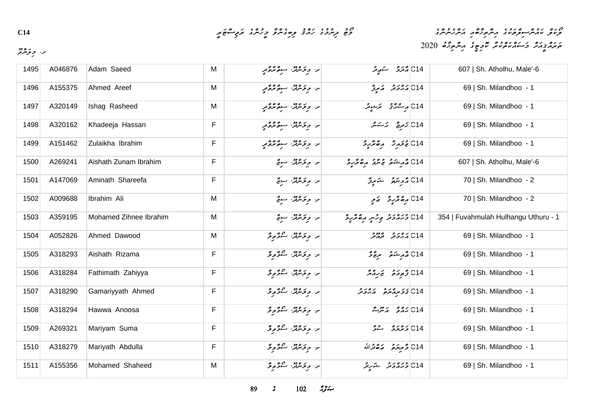*sCw7q7s5w7m< o<n9nOoAw7o< sCq;mAwBoEw7q<m; wBm;vB* م من المرة المرة المرة المرجع المرجع في المركبة 2020<br>مجم*د المريض المربوط المربع المرجع في المراجع المركبة* 

607 | Sh. Atholhu, Male'-6

| ىر. بە ئوشرى <sub>قە</sub> |         |             |   |                           |                                 | ∼ |
|----------------------------|---------|-------------|---|---------------------------|---------------------------------|---|
| 1495                       | A046876 | Adam Saeed  | M | مرا بر تر شریف سره برگرور | C14 مرترد مست <i>م</i> برتر     |   |
| 1496                       | A155375 | Ahmed Areef | M | مرا بر تر شریف سره برگرور | C14   <i>مەندى قىلى ئەتى</i> رى |   |

| 1496 | A155375 | Ahmed Areef            | M           | من ترتوين سوء بروير              | C14 كەندى قىر كىلىنى ئىل                | 69   Sh. Milandhoo - 1               |
|------|---------|------------------------|-------------|----------------------------------|-----------------------------------------|--------------------------------------|
| 1497 | A320149 | Ishag Rasheed          | M           | من ترتوين سوء بروير              |                                         | 69   Sh. Milandhoo - 1               |
| 1498 | A320162 | Khadeeja Hassan        | F           | من ترتوين سوء بروير              | C14 زَمِرةَ - بَرَسَ <i>مَدٌ</i>        | 69   Sh. Milandhoo - 1               |
| 1499 | A151462 | Zulaikha Ibrahim       | F           | من تر قریبل مستقر تر قریب        | C14 تح تحمد <sup>ي</sup> گ مرڪ تمريڪ    | 69   Sh. Milandhoo - 1               |
| 1500 | A269241 | Aishath Zunam Ibrahim  | F           | مرا تو تو مادهی اسوالی           | C14 مەم شەم سى مەم بىر مەمگە بىر        | 607   Sh. Atholhu, Male'-6           |
| 1501 | A147069 | Aminath Shareefa       | $\mathsf F$ | مرا تر تو تکریمی اسوالح          | C14 مَرْحِ سَمَّ سَمَ سِرَّرَ           | 70   Sh. Milandhoo - 2               |
| 1502 | A009688 | Ibrahim Ali            | M           | مر تر تر ترجی اسوالح             | C14 مەھم <i>گىي</i> ى ھەمچە             | 70   Sh. Milandhoo - 2               |
| 1503 | A359195 | Mohamed Zihnee Ibrahim | M           | الرا و و کرکر است کے             | C14 دېرو دي پر سي مرگانگر دي.           | 354   Fuvahmulah Hulhangu Uthuru - 1 |
| 1504 | A052826 | Ahmed Dawood           | M           | ر و دەبىر ئىگەنگە                | C14 كەرجەتر ئ <i>وم</i> ەتر             | 69   Sh. Milandhoo - 1               |
| 1505 | A318293 | Aishath Rizama         | F           | ىر. بەنزىرلىقى سۇئابۇ            | C14 مەم شىقى مىيىتى ئى                  | 69   Sh. Milandhoo - 1               |
| 1506 | A318284 | Fathimath Zahiyya      | F           | مر بر بر عرض سرگرم برگ           | C14 وَجوحَع بِمَ يَرْمَدُّ              | 69   Sh. Milandhoo - 1               |
| 1507 | A318290 | Gamariyyath Ahmed      | $\mathsf F$ | ر ویژهن کرویو                    | C14 تۈك <i>ۈپرەتكى مەد</i> كەر          | 69   Sh. Milandhoo - 1               |
| 1508 | A318294 | Hawwa Anoosa           | F           | ىر. بەنزىرلىقى سۇئابۇ            | $2.72$ $2.2$ $\sim$ C14                 | 69   Sh. Milandhoo - 1               |
| 1509 | A269321 | Mariyam Suma           | F           | س تر تر ترو تر تر تر تر تر تر تر | $52$ $525$ C14                          | 69   Sh. Milandhoo - 1               |
| 1510 | A318279 | Mariyath Abdulla       | F           | مر بر تر قریبر تر شرکتر تر       | C14 دَّ <i>مِرمَرَّة – مَ</i> 9قَراللّه | 69   Sh. Milandhoo - 1               |
| 1511 | A155356 | Mohamed Shaheed        | M           | س تر تر مرد پر مسترج تر          | C14  <i>وټرونو خړیو</i>                 | 69   Sh. Milandhoo - 1               |

 $89$  *s*  $102$  *n***<sub>s</sub>** $\frac{2}{5}$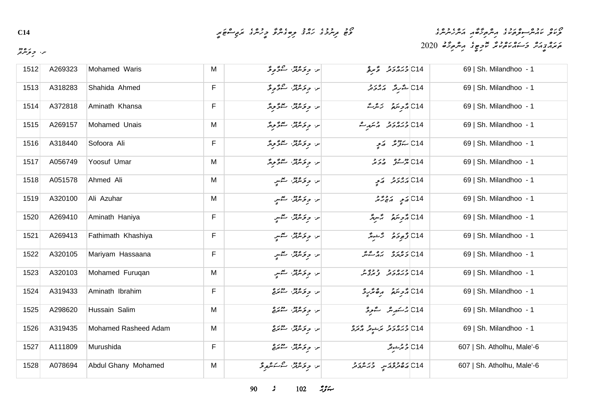*sCw7q7s5w7m< o<n9nOoAw7o< sCq;mAwBoEw7q<m; wBm;vB 2020<sup>, م</sup>وسر حسوم موجدة العراق وسرمونية* 2020

69 | Sh. Milandhoo - 1

69 | Sh. Milandhoo - 1

| ىر، جۇنبرىز |         |                |   |                       |                                |  |
|-------------|---------|----------------|---|-----------------------|--------------------------------|--|
| 1512        | A269323 | Mohamed Waris  | M | ىر. بەندىق سۇئابۇ     | C14 ديرورو گري <sub>د</sub> هي |  |
| 1513        | A318283 | Shahida Ahmed  | F | ىر. ئەنەشقان سىزگەنى  | C14 شەرى <i>گە بەيدۇنى</i>     |  |
| 1514        | A372818 | Aminath Khansa | F | ىر، ئەخسىر، سىۋىرەگە  | C14 مەمەتىھ ئەيرىشە            |  |
| 1515        | A269157 | Mohamed Unais  | M | ىر. دىھىرى مەنزىر     | C14 <i>جەممەت مىتم</i> ەت      |  |
| 1516        | A318440 | Sofoora Ali    | F | ىر. بەندىق سىۋىرەگە   | C14 بەرىپى كەم <u>ە</u>        |  |
| 1517        | A056749 | Yoosuf Umar    | M | ىر. ئەخسىلى، سىۋىرەگە | C14 جزيرة مردية                |  |
| 1518        | A051578 | Ahmed Ali      | M | ىر، بەكرىگۇنى، سىمبىر | C14  كەندى كە ئىچ              |  |
| 1519        | A320100 | Ali Azuhar     | M | ىر. بەيھەتىقى سىمىر   | C14 <i>مَجِ مَیْ دُمَّ</i>     |  |
| 1520        | A269410 | Aminath Haniya | F | ىر. بە ئەنگەش سىمبىر  | C14 مُرْحِسَة بِمُسِدَّر       |  |
|             |         |                |   |                       |                                |  |

| 1514 | A372818 | Aminath Khansa       | F           | یں وفرمانی سے وقومہ           | C14 مٌ <i>وِ مَنْعْ</i> كَسْرَسْةَ                                  | 69   Sh. Milandhoo - 1     |
|------|---------|----------------------|-------------|-------------------------------|---------------------------------------------------------------------|----------------------------|
| 1515 | A269157 | Mohamed Unais        | M           | ىر. ئەترىق سىۋىرىگە           | C14 <i>جەمەدىيە</i> م <i>ىتم</i> ەت                                 | 69   Sh. Milandhoo - 1     |
| 1516 | A318440 | Sofoora Ali          | $\mathsf F$ | ىر، بەندىيەن سىۋېر            | C14 بەرىپى كەم <u>و</u>                                             | 69   Sh. Milandhoo - 1     |
| 1517 | A056749 | Yoosuf Umar          | M           | ىر، بەندىيەن سىۋېر            | C14 جو مەدىر                                                        | 69   Sh. Milandhoo - 1     |
| 1518 | A051578 | Ahmed Ali            | M           | ىر. بەيجەنگەن ئىقس            | C14 كەندى قىلىقى قىلىپ قىلىپ بىر                                    | 69   Sh. Milandhoo - 1     |
| 1519 | A320100 | Ali Azuhar           | M           | ىر. بەيھەتكە، سىمىي           | C14 <i>مَجِ مَیْ دُمَّ</i>                                          | 69   Sh. Milandhoo - 1     |
| 1520 | A269410 | Aminath Haniya       | F           | الرا بالمحارثين المتعهل       | C14 مُ <i>جِسَعْهِ بِ</i> مُسِعَّر                                  | 69   Sh. Milandhoo - 1     |
| 1521 | A269413 | Fathimath Khashiya   | $\mathsf F$ | الرا وكرمروج المعمل           | C14 تُرجوحَة كَـْ شِيقَر                                            | 69   Sh. Milandhoo - 1     |
| 1522 | A320105 | Mariyam Hassaana     | F           | الرا و قرنگرفتن کشمس          | C14 كەبىر بەرگە ئەرگە ئىگەنگە                                       | 69   Sh. Milandhoo - 1     |
| 1523 | A320103 | Mohamed Furuqan      | M           | ىر، بەيھەتكە، ئەسمىر          | C14 <i>ۋېرو دو وېرتى</i> تر                                         | 69   Sh. Milandhoo - 1     |
| 1524 | A319433 | Aminath Ibrahim      | F           | ىر. ئەترىشى ئىسىرى<br>س       | C14 مَّحِسَمَ مِعْمَدِ مَنْ                                         | 69   Sh. Milandhoo - 1     |
| 1525 | A298620 | Hussain Salim        | M           | ىر. جەنگەنگە، سىنجى           | C14 يُرْسَم <i>ُ بِعَدْ سُتَجَ</i> رْدُ                             | 69   Sh. Milandhoo - 1     |
| 1526 | A319435 | Mohamed Rasheed Adam | M           | یں وی کرائی کے معرفے          | C14 <i>وُبَرُهُ وَبَرْ</i> بَرَ <sub>ْسُوِ</sub> تْرَ   ثَرَتَرَدَّ | 69   Sh. Milandhoo - 1     |
| 1527 | A111809 | Murushida            | F           | بر وتوسره معمره               | C14 و ترجد تر                                                       | 607   Sh. Atholhu, Male'-6 |
| 1528 | A078694 | Abdul Ghany Mohamed  | M           | ىر. بەنزىرلار، سىرسكىرلىرى ئى | C14 كەھەترى <i>جەتىر دېمبرى</i> تىر                                 | 607   Sh. Atholhu, Male'-6 |
|      |         |                      |             | ښېږمه ک<br>ءُ<br>90<br>102    |                                                                     |                            |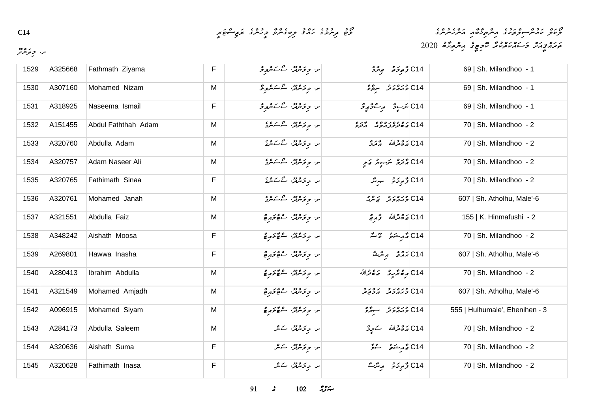*sCw7q7s5w7m< o<n9nOoAw7o< sCq;mAwBoEw7q<m; wBm;vB* م من المرة المرة المرة المرجع المرجع في المركبة 2020<br>مجم*د المريض المربوط المربع المرجع في المراجع المركبة* 

| 1529 | A325668 | Fathmath Ziyama     | F            | ىر. بەندىق سەسكىرىمۇ ئ        | C14 تۇم <sub>ۇ</sub> خۇ بېرىگە               | 69   Sh. Milandhoo - 1         |
|------|---------|---------------------|--------------|-------------------------------|----------------------------------------------|--------------------------------|
| 1530 | A307160 | Mohamed Nizam       | M            | ىر. بەنزىرى سىرسىر ئىگەنگەنگە | C14 <i>جەنگە ئىرقى بىرقۇ</i>                 | 69   Sh. Milandhoo - 1         |
| 1531 | A318925 | Naseema Ismail      | $\mathsf F$  |                               | C14 مَرَسِوءٌ مِ سُوَّمِيوْ ِ                | 69   Sh. Milandhoo - 1         |
| 1532 | A151455 | Abdul Faththah Adam | M            | ر و د وده کرده و د            | C14 كەھ <i>قرىۋى ھۇق ھۇترى</i>               | 70   Sh. Milandhoo - 2         |
| 1533 | A320760 | Abdulla Adam        | M            | ىر. جەنبەتق سىگە ئىلگەنگە     | C14 مَرْدُورْ اللّه مُرْمَرْدُ               | 70   Sh. Milandhoo - 2         |
| 1534 | A320757 | Adam Naseer Ali     | M            | ىر. ئەخرىرى سىر ئەسىر         | C14   گەتىرى - سىب - ئىم كەمچە - 19          | 70   Sh. Milandhoo - 2         |
| 1535 | A320765 | Fathimath Sinaa     | F            | ىر. بەير ھەر سىم ئىسكەنلەي ب  | C14 ۇ <sub>جو</sub> رۇ بېرىگە                | 70   Sh. Milandhoo - 2         |
| 1536 | A320761 | Mohamed Janah       | M            | الرا و د مروه ره مشکل د       | C14 دېم دې د توپگر                           | 607   Sh. Atholhu, Male'-6     |
| 1537 | A321551 | Abdulla Faiz        | M            | س وتوسين سقوقه                | C14 مَەھىراللە <i>ۋ</i> ەبى                  | 155   K. Hinmafushi - 2        |
| 1538 | A348242 | Aishath Moosa       | F            | ىر. جۇس بىر مەنتى ئۇ ئۇرغ     | C14 مۇم ھۇم قوش                              | 70   Sh. Milandhoo - 2         |
| 1539 | A269801 | Hawwa Inasha        | F            | ر و وسربر، سوځ ورځ            | C14 <i>بَدْهُدَّ</i> مِسَّرْشَ               | 607   Sh. Atholhu, Male'-6     |
| 1540 | A280413 | Ibrahim Abdulla     | M            | الرا وتحسن المقومة            | C14 م <i>وڭ مگرى</i> ھەممەللە                | 70   Sh. Milandhoo - 2         |
| 1541 | A321549 | Mohamed Amjadh      | $\mathsf{M}$ | ر و و مرود ده شوه و ده        | C14 <i>32822 مۇق</i> قر                      | 607   Sh. Atholhu, Male'-6     |
| 1542 | A096915 | Mohamed Siyam       | M            | ر و و مرود ده شوه و ده        | $5.722$ $2.22$ $2.14$                        | 555   Hulhumale', Ehenihen - 3 |
| 1543 | A284173 | Abdulla Saleem      | M            | ىر. بەيجەنلەش، سەنل           | C14 مَەھْتَراللە سَمَوِرْ                    | 70   Sh. Milandhoo - 2         |
| 1544 | A320636 | Aishath Suma        | $\mathsf F$  | ىر، جەنگەنلەر، سەنگە          | C14 مۇم شۇ مەشىر                             | 70   Sh. Milandhoo - 2         |
| 1545 | A320628 | Fathimath Inasa     | F            | ىر، جەنگەنلەر، سەنگە          | C14 ۇ <sub>جو</sub> رَمْ پەش <sup>ىم</sup> ە | 70   Sh. Milandhoo - 2         |

 $91$  **s**  $102$  *n***<sub>s</sub>**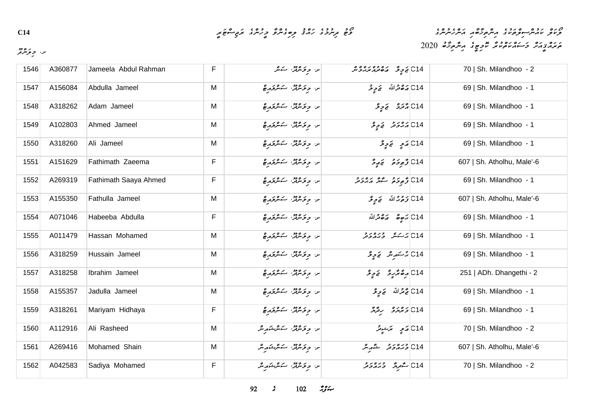*sCw7q7s5w7m< o<n9nOoAw7o< sCq;mAwBoEw7q<m; wBm;vB* م من المرة المرة المرة المرجع المرجع في المركبة 2020<br>مجم*د المريض المربوط المربع المرجع في المراجع المركبة* 

| 1546 | A360877 | Jameela Abdul Rahman  | F | ر وی گرفتن کرک              | C14 كۈچ قەرەپر <i>ىر بەلەر</i>                      | 70   Sh. Milandhoo - 2     |
|------|---------|-----------------------|---|-----------------------------|-----------------------------------------------------|----------------------------|
| 1547 | A156084 | Abdulla Jameel        | M | ر. وتوسيق سكرتوريج          | C14 مَەھتراللە     قويۇ                             | 69   Sh. Milandhoo - 1     |
| 1548 | A318262 | Adam Jameel           | M | ىر. بەندىقر، سەئىرى ئەھ     | C14 مُمَترِّدٌ ت <sub>َح</sub> وِثْرُ               | 69   Sh. Milandhoo - 1     |
| 1549 | A102803 | Ahmed Jameel          | M | ىر. بەندىقر، سەئىرى ئەھ     | C14 <i>مَدْدَوْرٌ</i> مَحَ <i>وِ</i> عْر            | 69   Sh. Milandhoo - 1     |
| 1550 | A318260 | Ali Jameel            | M | ىر. ئەخرىرى سەئىر ئەھم      | C14] ر <sub>َم</sub> حٍ کے <i>ج</i> و               | 69   Sh. Milandhoo - 1     |
| 1551 | A151629 | Fathimath Zaeema      | F | ىر. ئەخرىرى سەئىر ئەھ       | C14 تَ <i>جوحَمْ بَحَمٍ</i> حً                      | 607   Sh. Atholhu, Male'-6 |
| 1552 | A269319 | Fathimath Saaya Ahmed | F | ىر. بەندىق سەھرىمى ھ        | C14 زُ <sub>جو</sub> دَ ۾ سُنگ م <i>زد</i> ور       | 69   Sh. Milandhoo - 1     |
| 1553 | A155350 | Fathulla Jameel       | M | ىر. بەندىقر، سەئىرى ئەھ     | C14 وَحَدِّرَ اللّه     وَحِرْثَرَ                  | 607   Sh. Atholhu, Male'-6 |
| 1554 | A071046 | Habeeba Abdulla       | F | ىر. بەندىقر، سەئىرى ئەھ     |                                                     | 69   Sh. Milandhoo - 1     |
| 1555 | A011479 | Hassan Mohamed        | M | ر وتحسين كالرقابع           | C14 ټريىش د <i>جره د و</i> ر                        | 69   Sh. Milandhoo - 1     |
| 1556 | A318259 | Hussain Jameel        | M | ىر. ئەخرىرى سىركىرى         | C14 پرڪوپر <sub>قم</sub> وٍو                        | 69   Sh. Milandhoo - 1     |
| 1557 | A318258 | Ibrahim Jameel        | M | ىر. بەنزىرى سەئىرى بەھ      | C14 <sub>مر</sub> ھ <i>مگرچ</i> کے م <sub>ح</sub> و | 251   ADh. Dhangethi - 2   |
| 1558 | A155357 | Jadulla Jameel        | M | ىر. بەندىقر، سەئىرى ئەھ     |                                                     | 69   Sh. Milandhoo - 1     |
| 1559 | A318261 | Mariyam Hidhaya       | F | ىر. بەنزىرى سەئىرى بەھ      | C14 <i>5 مُدْمَرْ \$ بِ</i> مُّدَمَّر               | 69   Sh. Milandhoo - 1     |
| 1560 | A112916 | Ali Rasheed           | M | ىر، بالارتقاق سەھرىشەرلىر   | C14 کھ پر مگر میں پر مقبوط کر ا                     | 70   Sh. Milandhoo - 2     |
| 1561 | A269416 | Mohamed Shain         | M | الر. ئۇ ئوقۇر، سەئۇرىشى بول | C14ج <i>جروج بو</i> مشمر شده                        | 607   Sh. Atholhu, Male'-6 |
| 1562 | A042583 | Sadiya Mohamed        | F | ىر. بەنگەنگەر سەھرىشەر بىر  | C14 گەرى <i>گە ئەمگەن</i> د                         | 70   Sh. Milandhoo - 2     |

*92 sC 102 nNw?mS*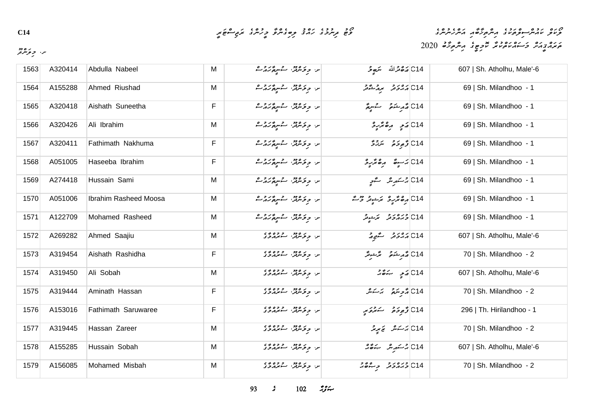*sCw7q7s5w7m< o<n9nOoAw7o< sCq;mAwBoEw7q<m; wBm;vB* م من المرة المرة المرة المرجع المرجع في المركبة 2020<br>مجم*د المريض المربوط المربع المرجع في المراجع المركبة* 

| 1563 | A320414 | Abdulla Nabeel        | M | المزا و و مرير الشريع مرد الم                  | C14 مَەقراللە سَەقِ                                  | 607   Sh. Atholhu, Male'-6 |
|------|---------|-----------------------|---|------------------------------------------------|------------------------------------------------------|----------------------------|
| 1564 | A155288 | Ahmed Riushad         | M | ىر. جۇ ئوق سىس ئەركى                           | C14 <i>م. دو د بر م</i> شور                          | 69   Sh. Milandhoo - 1     |
| 1565 | A320418 | Aishath Suneetha      | F | ىر. جۇ ئوق سىس ئەركى                           | C14 مەم ئىقتىمە سىقىسى <i>گە</i>                     | 69   Sh. Milandhoo - 1     |
| 1566 | A320426 | Ali Ibrahim           | M | ىر. جۇ ئوق سىس ئەركى                           | C14 <i>مَج م</i> ِ صَمَّرِ وَ                        | 69   Sh. Milandhoo - 1     |
| 1567 | A320411 | Fathimath Nakhuma     | F | ىر. جۇ ئولۇق سۇسۇرىم كى                        | C14 <i>وَّجِ دَمَّةَ</i> سَر <i>َدْ</i> دَّ          | 69   Sh. Milandhoo - 1     |
| 1568 | A051005 | Haseeba Ibrahim       | F | ىر. جەنبەرى سىر ئەرجى ھ                        | C14 بَرَسِ <sub>وَ</sub> هُ م <i>ِهْ بَدْرٍ دُ</i>   | 69   Sh. Milandhoo - 1     |
| 1569 | A274418 | Hussain Sami          | M | ىر. جۇ ئوق سىس ئەركى                           | C14 بڑے پر شہ سے مح                                  | 69   Sh. Milandhoo - 1     |
| 1570 | A051006 | Ibrahim Rasheed Moosa | M | ىر. جۇ ئوق سىس ئەركى                           | C14 مەھەرىرى ئىر شوما ق <sup>ىم</sup>                | 69   Sh. Milandhoo - 1     |
| 1571 | A122709 | Mohamed Rasheed       | M | ىر. دۇس ئىس ئەرمى                              | C14  <i>وټرو څو</i> ترخينو                           | 69   Sh. Milandhoo - 1     |
| 1572 | A269282 | Ahmed Saajiu          | M | س و وسربر، سوپروی                              | C14 كەبرى قىر سىگە يەرگە                             | 607   Sh. Atholhu, Male'-6 |
| 1573 | A319454 | Aishath Rashidha      | F | بن و و ده ده ده ده د                           | C14 مُدِيشَة مُحْسَنة مُدَّ                          | 70   Sh. Milandhoo - 2     |
| 1574 | A319450 | Ali Sobah             | M | س و و ده ده ده ده                              | C14 <i>جَرْمٍ جَهُنَّ</i>                            | 607   Sh. Atholhu, Male'-6 |
| 1575 | A319444 | Aminath Hassan        | F | ىر، جەنبەتلەر 2009.<br>س جەنبەتلەر             | C14 مَ <sub>ح</sub> رِ مَرَ <sub>مَ</sub> سَرَ مَشَر | 70   Sh. Milandhoo - 2     |
| 1576 | A153016 | Fathimath Saruwaree   | F | ىر. ئەخرىرى ئەسەمدەرى<br>مەن ئەخرىرى           | C14 ۇ <sub>جو</sub> رَة <sub>ُ</sub> سَىرْدَىرِ      | 296   Th. Hirilandhoo - 1  |
| 1577 | A319445 | Hassan Zareer         | M | ىر. ئەخرىكى ئەسەمدەرى<br>مەن ئەخرىكى ئىسىمدەرى | C14 ئەستەنلەر ئىم <i>م</i> ويتى                      | 70   Sh. Milandhoo - 2     |
| 1578 | A155285 | Hussain Sobah         | M | بن و و وه و وه و و                             | C14 بر <i>شهر شهر بنده ب</i> ر                       | 607   Sh. Atholhu, Male'-6 |
| 1579 | A156085 | Mohamed Misbah        | M | س و وسربر، دوه ده.<br>س و وسربر، سه دوه د      | C14 درەرو مەھد                                       | 70   Sh. Milandhoo - 2     |

*93 sC 102 nNw?mS*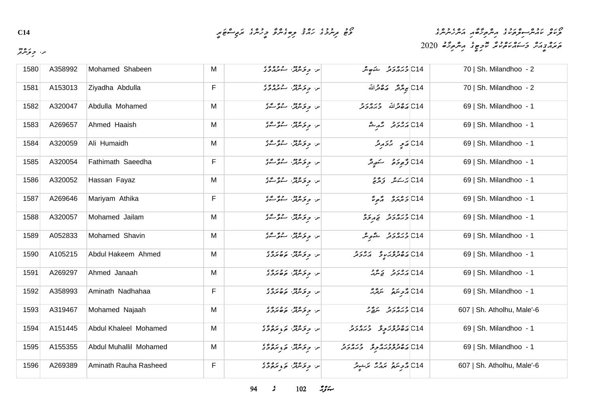*sCw7q7s5w7m< o<n9nOoAw7o< sCq;mAwBoEw7q<m; wBm;vB* م من المرة المرة المرة المرجع المرجع في المركبة 2020<br>مجم*د المريض المربوط المربع المرجع في المراجع المركبة* 

| 1580 | A358992 | Mohamed Shabeen        | M | ر و وهري سوروده و د                | C14 <i>3222 مىنەھ</i> ر                                      | 70   Sh. Milandhoo - 2     |
|------|---------|------------------------|---|------------------------------------|--------------------------------------------------------------|----------------------------|
| 1581 | A153013 | Ziyadha Abdulla        | F | س و وسربو.<br>س و وسربو، سه در و د | C14 سِرتَرْتَدَ    مَرْكَ قَدْاللّه                          | 70   Sh. Milandhoo - 2     |
| 1582 | A320047 | Abdulla Mohamed        | M | ىر بەللەر 22 كەن                   | C14 مَەھْتَراللە ئەمەم ئ                                     | 69   Sh. Milandhoo - 1     |
| 1583 | A269657 | Ahmed Haaish           | M | ىر بەللەر ئەرگە                    | C14 كەندى قىم شەھ                                            | 69   Sh. Milandhoo - 1     |
| 1584 | A320059 | Ali Humaidh            | M | ىن ئەنھەسى ئەرەپ كەر               | C14 كەي ئەقەبەتر                                             | 69   Sh. Milandhoo - 1     |
| 1585 | A320054 | Fathimath Saeedha      | F | ىر، ئەنەھەر ئەھمىسى                | C14 رَّ <sub>ج</sub> وحَ <sup>م</sup> َ سَمَ <i>دٍ مَدَّ</i> | 69   Sh. Milandhoo - 1     |
| 1586 | A320052 | Hassan Fayaz           | M | ىر، ئەخرىرى، سەھەسىرى              | C14 ئەسەئەشەھەتى ئەرگەنىي                                    | 69   Sh. Milandhoo - 1     |
| 1587 | A269646 | Mariyam Athika         | F | ىر بەللەر 22 كەن                   | C14 كەبىر <i>مىشى ئى</i> ر                                   | 69   Sh. Milandhoo - 1     |
| 1588 | A320057 | Mohamed Jailam         | M | ىن ئەنھەسى ئەرەپ كەر               | C14 <i>وُبَهُ وَمَدْ</i> مَح <i>مِ وَمَ</i>                  | 69   Sh. Milandhoo - 1     |
| 1589 | A052833 | Mohamed Shavin         | M | بر وتوسري روه وه                   | C14 <i>ۋېزودى ئىق</i> وش                                     | 69   Sh. Milandhoo - 1     |
| 1590 | A105215 | Abdul Hakeem Ahmed     | M | در و ده در دره د                   | C14 كەھىرى بەر مەدەر                                         | 69   Sh. Milandhoo - 1     |
| 1591 | A269297 | Ahmed Janaah           | M |                                    | C14 كەبر <sub>ى</sub> كەنى ئىگەنىڭ 2014                      | 69   Sh. Milandhoo - 1     |
| 1592 | A358993 | Aminath Nadhahaa       | F |                                    | C14 مُرْحِسَة مَسَرَّرَبَّہُ                                 | 69   Sh. Milandhoo - 1     |
| 1593 | A319467 | Mohamed Najaah         | M | در و ده در دره د                   | C14 <i>جەممى تەرىخ</i>                                       | 607   Sh. Atholhu, Male'-6 |
| 1594 | A151445 | Abdul Khaleel Mohamed  | M | بن و وسرفر، نوع برووی              | C14 كەھەترى <i>دىنەدەر د</i>                                 | 69   Sh. Milandhoo - 1     |
| 1595 | A155355 | Abdul Muhallil Mohamed | M | ر و وسرفر المعجم و مرکز            | C14 مەھ <i>مەدە جەرە جەم</i> ەم د                            | 69   Sh. Milandhoo - 1     |
| 1596 | A269389 | Aminath Rauha Rasheed  | F | ر و وسربر، نوع مروری               | C14 مُرحِسَمَةً مَمَمَّدٌ مَنْ مِنْ مِنْ                     | 607   Sh. Atholhu, Male'-6 |

*94 sC 102 nNw?mS*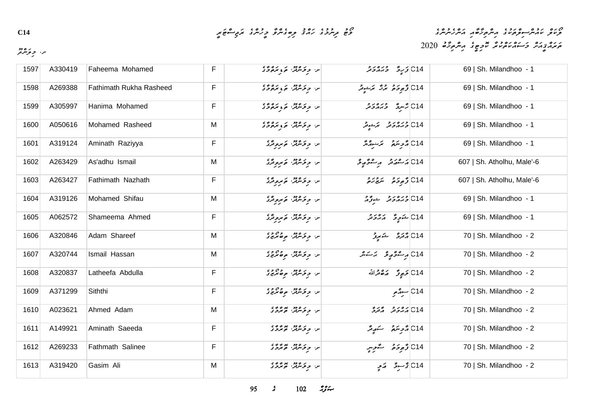*sCw7q7s5w7m< o<n9nOoAw7o< sCq;mAwBoEw7q<m; wBm;vB 2020<sup>, م</sup>وسوق المسجد التحقيق وسرمونية والم*جمع المسجد المسجد المسجد المسجد المسجد المسجد المسجد المسجد المسجد ال

| 1597 | A330419 | Faheema Mohamed         | $\mathsf F$ | بن و وسرفر، نوع مرورو د                          | C14 تۇرپى ئەممىقىلىر                          | 69   Sh. Milandhoo - 1     |
|------|---------|-------------------------|-------------|--------------------------------------------------|-----------------------------------------------|----------------------------|
| 1598 | A269388 | Fathimath Rukha Rasheed | F           | ر و و مرد و ده و د                               | C14 <i>وَّجِ وَحَمَّ مَ</i> نْزَ مَرَسُوِثْرَ | 69   Sh. Milandhoo - 1     |
| 1599 | A305997 | Hanima Mohamed          | $\mathsf F$ | ر و ده دو.<br>د و د سربل کا با برد و د           | C14 رَّسِعَ حَمَدُومَر                        | 69   Sh. Milandhoo - 1     |
| 1600 | A050616 | Mohamed Rasheed         | M           | برا و وسرفرا او داده داده داد                    | C14 <i>وُبَرُوْدَ تَرَ</i> حُومُرُ            | 69   Sh. Milandhoo - 1     |
| 1601 | A319124 | Aminath Raziyya         | F           | ر وتر وده کم موجود د                             | C14 مَّ حِسَمَةً سَمَسُومَّةً                 | 69   Sh. Milandhoo - 1     |
| 1602 | A263429 | As'adhu Ismail          | M           | ىر: ئۆتىرلىر: ئەمرەپ ئە                          | C14 كەسىھەتىر بەيدىنى ئەرىپى                  | 607   Sh. Atholhu, Male'-6 |
| 1603 | A263427 | Fathimath Nazhath       | F           | ىر: ئەقەتلەر: ئەمرەتگە                           | C14 ژ <sub>ېم</sub> وکړې سرچ <i>ده</i>        | 607   Sh. Atholhu, Male'-6 |
| 1604 | A319126 | Mohamed Shifau          | M           | ىر: ئەقەتلەر: ئەمرەتگە                           | C14 <i>جەمگەنى</i> سى <i>رگە</i>              | 69   Sh. Milandhoo - 1     |
| 1605 | A062572 | Shameema Ahmed          | $\mathsf F$ | ر وتر وده کم موجود د                             | C14 ختويۇ كەندى قىر                           | 69   Sh. Milandhoo - 1     |
| 1606 | A320846 | Adam Shareef            | M           | ر و وسربر و و و و و                              | C14 مُرْمَرْد شَمَعِيقْ                       | 70   Sh. Milandhoo - 2     |
| 1607 | A320744 | Ismail Hassan           | M           | ر د ده ده ده ده د د                              | C14 <sub>مو</sub> ستر <i>ۇرى بەستى</i> ر      | 70   Sh. Milandhoo - 2     |
| 1608 | A320837 | Latheefa Abdulla        | F           | در و ده.<br>در و توسربر، و <i>ه بر</i> ی د       | C14 كَرْجِوتْر   مَرْكَ مَدَاللّه             | 70   Sh. Milandhoo - 2     |
| 1609 | A371299 | Siththi                 | F           | د و ترمرور و ۵۶۵<br>د و ترمرور، و ۱۵۶۵ و         | C14 سبرمبر                                    | 70   Sh. Milandhoo - 2     |
| 1610 | A023621 | Ahmed Adam              | M           | ىر. ئەنھەتلەر بەلەيدى<br>ئەن ئەنھەتلەر ئەنھەتلەر | C14 كەبر <i>ۇنى مەندۇ</i>                     | 70   Sh. Milandhoo - 2     |
| 1611 | A149921 | Aminath Saeeda          | $\mathsf F$ | ر وتوسط ودوء                                     | C14 مَرْحِ سَوَ سَنَ سَرِ مِرَّ               | 70   Sh. Milandhoo - 2     |
| 1612 | A269233 | Fathmath Salinee        | F           | در او دو بدود و                                  | C14 ر <sub>گ</sub> و5ۇ شوپر                   | 70   Sh. Milandhoo - 2     |
| 1613 | A319420 | Gasim Ali               | M           | ىر. ئەنگەرى ئەھ بەدە ئ                           | C14 ٿ <sup>ج</sup> –رف <i>ت</i> – پير         | 70   Sh. Milandhoo - 2     |

بر، <sub>ح</sub>ر توسر <sub>م</sub>

*95 sC 102 nNw?mS*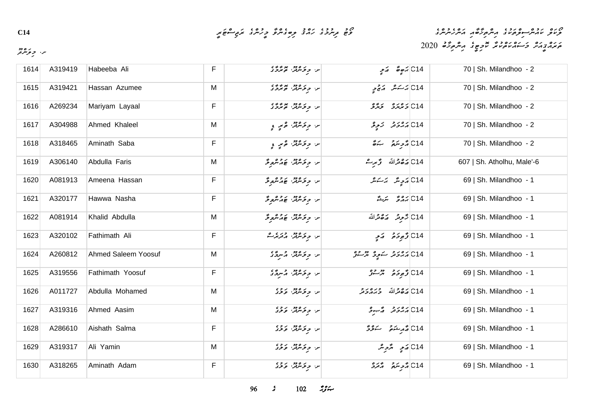*sCw7q7s5w7m< o<n9nOoAw7o< sCq;mAwBoEw7q<m; wBm;vB* م من المرة المرة المرة المرجع المرجع في المركبة 2020<br>مجم*د المريض المربوط المربع المرجع في المراجع المركبة* 

| ر ه دد<br>ىر، بەلومىزىر |
|-------------------------|
|-------------------------|

| 1614 | A319419 | Habeeba Ali         | $\mathsf F$ | ىر. ئەترىكى ئەلەي       | C14 <i>أَبَيْرِةُ <sub>م</sub>ُ</i> جِ      | 70   Sh. Milandhoo - 2     |
|------|---------|---------------------|-------------|-------------------------|---------------------------------------------|----------------------------|
| 1615 | A319421 | Hassan Azumee       | M           | س پر حوش پر دره د       | C14 ئەسەمىشە <b>م</b> ەيھى ج                | 70   Sh. Milandhoo - 2     |
| 1616 | A269234 | Mariyam Layaal      | $\mathsf F$ | بر و و سور بروده        | C14 كەبەر ئەمگە                             | 70   Sh. Milandhoo - 2     |
| 1617 | A304988 | Ahmed Khaleel       | M           | ىر. ئۇ ئوقۇر، ئۇمرا بار | C14 كەندى تىمبى                             | 70   Sh. Milandhoo - 2     |
| 1618 | A318465 | Aminath Saba        | F           | ىر. بەي ئەرەم بەر بەر   | C14 مُرْحِسَمُ جَمَّةَ                      | 70   Sh. Milandhoo - 2     |
| 1619 | A306140 | Abdulla Faris       | M           | ىر. بەنەش ھەر ئىھار     | C14 مَەھْتَراللە     تَرْمَرْ ـ ْ           | 607   Sh. Atholhu, Male'-6 |
| 1620 | A081913 | Ameena Hassan       | F           | ىر. ئەقەس ھەر شھەتى     | C14 كەچ ئىر بەسەنل <i>ى</i> ر               | 69   Sh. Milandhoo - 1     |
| 1621 | A320177 | Hawwa Nasha         | $\mathsf F$ | ىر. بەلبەر ئەدىھەتى     | C14 كَ <i>مُرْمَّى مَرْ</i> حَدَّ           | 69   Sh. Milandhoo - 1     |
| 1622 | A081914 | Khalid Abdulla      | M           | ىر. ئەخسىر، ھەشھەق      | C14 تَرْمِيْتْرَ صَ <b>صْرَ</b> اللَّه      | 69   Sh. Milandhoo - 1     |
| 1623 | A320102 | Fathimath Ali       | $\mathsf F$ | ىر. جەنگەنگە ئەتەتكەت   | C14 و <i>گيوخي ه</i> َ په                   | 69   Sh. Milandhoo - 1     |
| 1624 | A260812 | Ahmed Saleem Yoosuf | M           | ىر. جۇشۇق مەيدۇكى       | C14 كەبۇر قىر مەمرىكى مەسىر <i>ۇ</i>        | 69   Sh. Milandhoo - 1     |
| 1625 | A319556 | Fathimath Yoosuf    | F           | ىر. ئەقەشى ئەسردى       | C14 ۇ <sub>جو</sub> رَمْ م <sup>و</sup> ستۇ | 69   Sh. Milandhoo - 1     |
| 1626 | A011727 | Abdulla Mohamed     | M           | بر وترتريش ووه          | C14 مَەھْتَراللە <i>مەم</i> خىر             | 69   Sh. Milandhoo - 1     |
| 1627 | A319316 | Ahmed Aasim         | M           | ىن ئەترىكى ئەلىمى       | C14 <i>مَدْدَوْرْ مُ</i> ْسِوْ              | 69   Sh. Milandhoo - 1     |
| 1628 | A286610 | Aishath Salma       | $\mathsf F$ | ىن ئەترىكى ئەدە         | C14 مەمەشقى سىۋۇ                            | 69   Sh. Milandhoo - 1     |
| 1629 | A319317 | Ali Yamin           | M           | ىر. ئەترىشى ئەدە        | C14] رَمِ گ <sub>ُ</sub> وِيْر              | 69   Sh. Milandhoo - 1     |
| 1630 | A318265 | Aminath Adam        | F           | ىر. ئەنگەشى ئەۋى        | C14 مُتَّحِسَمُ مُتَمَرَّدُ                 | 69   Sh. Milandhoo - 1     |

 $96$  *s*  $102$  *n***<sub>3</sub>** *n*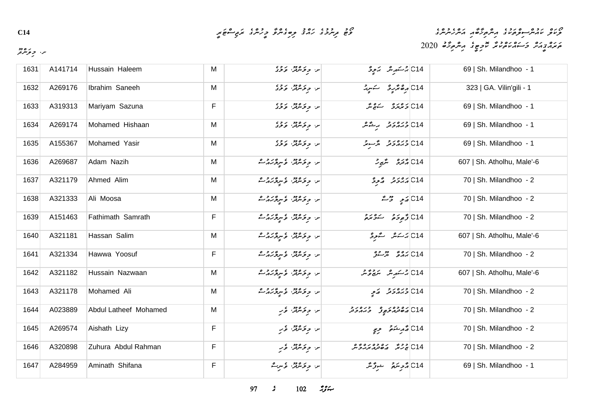*sCw7q7s5w7m< o<n9nOoAw7o< sCq;mAwBoEw7q<m; wBm;vB* م من المرة المرة المرة المرجع المرجع في المركبة 2020<br>مجم*د المريض المربوط المربع المرجع في المراجع المركبة* 

| 1631 | A141714 | Hussain Haleem        | M           | من تر تر وړي کروي        | C14 پرستمبر تر پر ترچ                       | 69   Sh. Milandhoo - 1     |
|------|---------|-----------------------|-------------|--------------------------|---------------------------------------------|----------------------------|
| 1632 | A269176 | Ibrahim Saneeh        | M           | ىر. بەنزىكىلى، ئەبەر     | C14 م <i>وڭ ئۇر</i> بۇ سەمب <i>ەت</i>       | 323   GA. Vilin'gili - 1   |
| 1633 | A319313 | Mariyam Sazuna        | $\mathsf F$ | ر وتوسيق دوه             | C14 كەندىر ئەسىئەتىر                        | 69   Sh. Milandhoo - 1     |
| 1634 | A269174 | Mohamed Hishaan       | M           | ر وترمین دوه             | C14 <i>\$222 برخى</i> تر                    | 69   Sh. Milandhoo - 1     |
| 1635 | A155367 | Mohamed Yasir         | M           | یں بے ترکیٹری کے بڑی     | C14 <i>32828 مركسين</i> گر                  | 69   Sh. Milandhoo - 1     |
| 1636 | A269687 | Adam Nazih            | M           | ىر. بەنزىرى ئەستەر ئەھ   | C14 مُرْمَرْد مُسْرِرْ -                    | 607   Sh. Atholhu, Male'-6 |
| 1637 | A321179 | Ahmed Alim            | M           | ىر. جەنگىرى ئەسترىكىدىك  | C14 <i>مَدْدَوْرْ مُ</i> ْحِرْ              | 70   Sh. Milandhoo - 2     |
| 1638 | A321333 | Ali Moosa             | M           | الرا وتحسن وسيرتمنده     | C14 کی تیج شگ                               | 70   Sh. Milandhoo - 2     |
| 1639 | A151463 | Fathimath Samrath     | F           | س تر تر وده علم عرض ده م | C14 ز <sub>ىم</sub> ورى <sub>م</sub> سەدىمە | 70   Sh. Milandhoo - 2     |
| 1640 | A321181 | Hassan Salim          | M           | ىن جەنگەنى ئەسپرىمىگە    | C14   پرسترس سگ <sub>ی</sub> وی             | 607   Sh. Atholhu, Male'-6 |
| 1641 | A321334 | Hawwa Yoosuf          | F           | ىر. بەنزىرى ئەستەر ئەھ   | C14 بَرْدْءٌ بِرْ- <i>وَ</i>                | 70   Sh. Milandhoo - 2     |
| 1642 | A321182 | Hussain Nazwaan       | M           | الرا وتحسن وسيرتمنده     | C14 بر سەر شەھ ئىش                          | 607   Sh. Atholhu, Male'-6 |
| 1643 | A321178 | Mohamed Ali           | M           |                          | C14 <i>وُبَدُودَوْ مَ</i> حٍ                | 70   Sh. Milandhoo - 2     |
| 1644 | A023889 | Abdul Latheef Mohamed | M           | ىر. جەنگەنگە، ئاپ        | C14 كەھىرم جومۇ ھەممىدى                     | 70   Sh. Milandhoo - 2     |
| 1645 | A269574 | Aishath Lizy          | F           | الرا و تورودا الحرب      | C14 مُرمِشَمُ مِي                           | 70   Sh. Milandhoo - 2     |
| 1646 | A320898 | Zuhura Abdul Rahman   | F           | اللا ويحامده وكالر       | C14 يوجو بره ده بره ده و                    | 70   Sh. Milandhoo - 2     |
| 1647 | A284959 | Aminath Shifana       | F           | ىر، بەي ئەرىپى ئاسرىس    | C14 مٌرجِسَمُ مُصِرَّسٌ                     | 69   Sh. Milandhoo - 1     |

*97 sC 102 nNw?mS*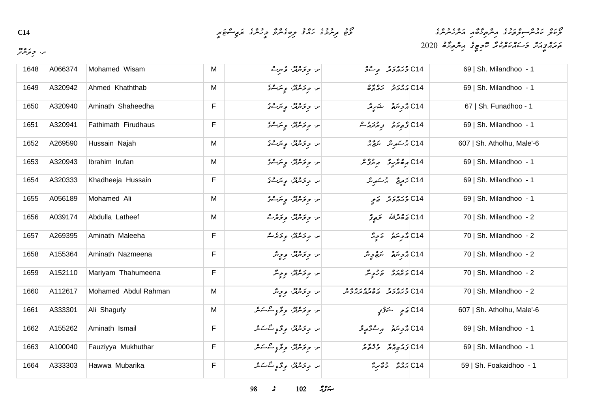*sCw7q7s5w7m< o<n9nOoAw7o< sCq;mAwBoEw7q<m; wBm;vB* م من المرة المرة المرة المرجع المرجع في المركبة 2020<br>مجم*د المريض المربوط المربع المرجع في المراجع المركبة* 

| 1648 | A066374 | Mohamed Wisam        | M            | ىر. بەيھەتكە، ئۇسرىس                                                                               | C14 <i>5223 وسگ</i> و                                        | 69   Sh. Milandhoo - 1     |
|------|---------|----------------------|--------------|----------------------------------------------------------------------------------------------------|--------------------------------------------------------------|----------------------------|
| 1649 | A320942 | Ahmed Khaththab      | M            | یں ویکروڑ، ویکر کے ع                                                                               | $6502$ $222$ $\sim$ $014$                                    | 69   Sh. Milandhoo - 1     |
| 1650 | A320940 | Aminath Shaheedha    | F            | أأرا وتحارقني ويترسى                                                                               | C14 مَرْحِبَتَهُمْ مَسَنَّبِيَّتَهُ                          | 67   Sh. Funadhoo - 1      |
| 1651 | A320941 | Fathimath Firudhaus  | $\mathsf{F}$ | ىر. بەنۇشۇش بەيترىسى                                                                               | C14 ۇ <sub>جو</sub> چۇ ب <sub>و</sub> يرىزى <sub>د</sub> ىشە | 69   Sh. Milandhoo - 1     |
| 1652 | A269590 | Hussain Najah        | M            | من تر تر مرکز می شود.<br>  من الراح تر تر مرکز می                                                  | C14 يُرْسَمَ مِنْ مَدَّةٍ بِرْ                               | 607   Sh. Atholhu, Male'-6 |
| 1653 | A320943 | Ibrahim Irufan       | M            | یں ونخس و سرگروی                                                                                   | C14مەھ ئۇر بۇ مەمۇمىتىس                                      | 69   Sh. Milandhoo - 1     |
| 1654 | A320333 | Khadheeja Hussain    | $\mathsf{F}$ | ر. وتركيز، ويترسن                                                                                  | C14] تزميرتج = جر شر شر                                      | 69   Sh. Milandhoo - 1     |
| 1655 | A056189 | Mohamed Ali          | M            | ىر. بەنزىكرى، بەيترىسى                                                                             | C14 <i>جەنەدى مۇ</i> ر                                       | 69   Sh. Milandhoo - 1     |
| 1656 | A039174 | Abdulla Latheef      | M            | ىر. بەنزىكەن، بەنزىكەش                                                                             | C14 مَەھْتَراللە ك <sub>ەت</sub> وتْر                        | 70   Sh. Milandhoo - 2     |
| 1657 | A269395 | Aminath Maleeha      | F            | أيرا وقرمرهن وقرارهم                                                                               | C14 مَّ <i>جِسَمَ</i> حَمِيدً                                | 70   Sh. Milandhoo - 2     |
| 1658 | A155364 | Aminath Nazmeena     | F            | این وی گرفتن و ویگر                                                                                | C14 مَّ حِسَمَة مَسَّمَّ حِسَّ                               | 70   Sh. Milandhoo - 2     |
| 1659 | A152110 | Mariyam Thahumeena   | $\mathsf{F}$ | این وی گرفتن و ویگر                                                                                | C14 ك <i>ر بروتر مرد ب</i> ر                                 | 70   Sh. Milandhoo - 2     |
| 1660 | A112617 | Mohamed Abdul Rahman | M            | الرا وقرمريش وويثر                                                                                 | C14 درورد ره ده دره ده د                                     | 70   Sh. Milandhoo - 2     |
| 1661 | A333301 | Ali Shagufy          | M            | ىر. بەنگەنگە، بەنگەچ سىمىسكەش                                                                      | C14 <i>ڇَڇِ حَوَّمٍ</i>                                      | 607   Sh. Atholhu, Male'-6 |
| 1662 | A155262 | Aminath Ismail       | $\mathsf{F}$ | ىر. بەنزىتىر، بەنزوگىيەسكىر                                                                        | C14 مَّ <i>جِينَهُ بِهِ حُوَّمٍ فَ</i>                       | 69   Sh. Milandhoo - 1     |
| 1663 | A100040 | Fauziyya Mukhuthar   | $\mathsf{F}$ | من تر تر عربش تر تحر سكر سكر مثل السكر السكر السكر السكر السكر السكر السكر السكر السكر السكر السكر | C14 زَمَّ عِهْدٌ حَرْمُوَمَّد                                | 69   Sh. Milandhoo - 1     |
| 1664 | A333303 | Hawwa Mubarika       | $\mathsf F$  | ىن برىگەنى بوڭرىشىكىش                                                                              | C14 بَرْدَةُ حَقَّىبِيَّةَ                                   | 59   Sh. Foakaidhoo - 1    |

*98 sC 102 nNw?mS*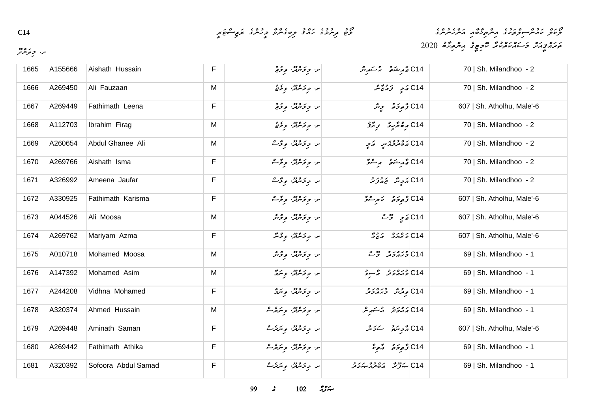*sCw7q7s5w7m< o<n9nOoAw7o< sCq;mAwBoEw7q<m; wBm;vB*  $2020$  *مُحَمَّدَةٍ مَثَرَّ حَسَوْمَ مُحَمَّدٍ مُحَمَّدٍ فَقَ* 

70 | Sh. Milandhoo - 2

70 | Sh. Milandhoo - 2

607 | Sh. Atholhu, Male'-6

70 | Sh. Milandhoo - 2

70 | Sh. Milandhoo - 2

70 | Sh. Milandhoo - 2

| ىر. جەنزىيرى <sub>م</sub> |         |                   |              |                         |                                    |
|---------------------------|---------|-------------------|--------------|-------------------------|------------------------------------|
| 1665                      | A155666 | Aishath Hussain   | F            | من تر تو شرقتر، المحرقي | C14 مۇم شەھ ب <sub>ى</sub> شەمبەشر |
| 1666                      | A269450 | Ali Fauzaan       | M            | ىر. جەنگەنلى، جەنجى     | C14 <i>جَجِدٍ وَجَهَّةٌ</i>        |
| 1667                      | A269449 | Fathimath Leena   | F            | ىر، ئۆتۈرگە، ئۆقى       | C14 وَج <i>وحَ</i> هِم مِسَّر      |
| 1668                      | A112703 | Ibrahim Firag     | М            | ىر، جەنگەنىڭ، جەنجىقى   | C14 مەھەمگەيە ئەسىمىتى 3.          |
| 1669                      | A260654 | Abdul Ghanee Ali  | M            | ىر. جۇشقى، جۇش          | C14 كەھىر <i>3 كىرى</i> كەر        |
| 1670                      | A269766 | Aishath Isma      | F            | ىر. بەيھەتلەر بەرگەش    | C14 مەم يىسىم قىم يىلىدۇ           |
| 1671                      | A326992 | Ameena Jaufar     | F            | ىر. جەنگەنلىقى جەنگەشكە | C14 مَرِيمٌ يَمْ وَرَبْر           |
| 1672                      | A330925 | Fathimath Karisma | F            | ىر. جۇشقۇ، جۇش          | C14 ۇ <sub>ج</sub> وڭ ئىمرىشۇ      |
| 1673                      | A044526 | Ali Moosa         | M            | ىر. جەنگەنگە، جەنگە     | C14 کمتو تی شگ                     |
| 1674                      | A269762 | Mariyam Azma      | $\mathsf{F}$ | ىر. جەنگەنگە، جەنگە     | C14 كەبىر بىر يەرىخ                |
| 1675                      | A010718 | Mohamed Moosa     | M            | ىر. جەنگەنگە، جەنگە     | C14 دېم دي حقيقة                   |
| 1676                      | A147392 | Mohamed Asim      | M            | ىر. جەنگەنلى جەنگە      | C14 <i>جەنگە جۇسى</i> ر            |
| 1677                      | A244208 | Vidhna Mohamed    | F            | ىر: ئەنزىتىرى ئەسىرى    | C14 <sub>ج</sub> وټر څرمه د د      |
|                           |         |                   |              |                         |                                    |

| 1671 | A326992 | Ameena Jaufar       | F | ىر. بەنزىكەن، بەنزىك     | C14 كەچ <sup>ىگ</sup> جۇمۇتمە           | 70   Sh. Milandhoo - 2     |
|------|---------|---------------------|---|--------------------------|-----------------------------------------|----------------------------|
| 1672 | A330925 | Fathimath Karisma   | F | مرا جۇ ئوگە ئە ئۇ ئە     | C14 تۇ <sub>جۇ</sub> ر ئىم ئىسىۋ        | 607   Sh. Atholhu, Male'-6 |
| 1673 | A044526 | Ali Moosa           | M | ىر. بەنزىكرى بەقەش       | C14] <sub>تم</sub> و حي حي              | 607   Sh. Atholhu, Male'-6 |
| 1674 | A269762 | Mariyam Azma        | F | ىر. بەنزىكىز، بەبزىگ     | $551$ $555$ $C14$                       | 607   Sh. Atholhu, Male'-6 |
| 1675 | A010718 | Mohamed Moosa       | M | مرا تر تر شرکته او تر شر | $23.555$ C14                            | 69   Sh. Milandhoo - 1     |
| 1676 | A147392 | Mohamed Asim        | M | ىر. جەڭلەش جانىڭ         | C14 <i>جن</i> م <i>جنر م</i> ج سو       | 69   Sh. Milandhoo - 1     |
| 1677 | A244208 | Vidhna Mohamed      | F | س وقرمرين ويترة          | C14 <i>و</i> ترىتر ب <i>ەردى</i> ر      | 69   Sh. Milandhoo - 1     |
| 1678 | A320374 | Ahmed Hussain       | M | ىر. بەنجەنگەر بەنگەرگ    | C14 كەبرىقر ب <sub>ە</sub> شىرىش        | 69   Sh. Milandhoo - 1     |
| 1679 | A269448 | Aminath Saman       | F | ىر. جەنگەنگە جەنگەنگە    | C14 گەجەتتى <i>تى</i> سە <i>خەت</i> تىر | 607   Sh. Atholhu, Male'-6 |
| 1680 | A269442 | Fathimath Athika    | F | ىر. بەنجەنگە، بەنگەرگ    | C14 وَج <sub>و</sub> حَة قَدَّمِةً      | 69   Sh. Milandhoo - 1     |
| 1681 | A320392 | Sofoora Abdul Samad | F | برا ويحترش ويترتكب       | C14 بىزدە ئەھەرە بىردو                  | 69   Sh. Milandhoo - 1     |
|      |         |                     |   |                          |                                         |                            |

*99 sC 102 nNw?mS*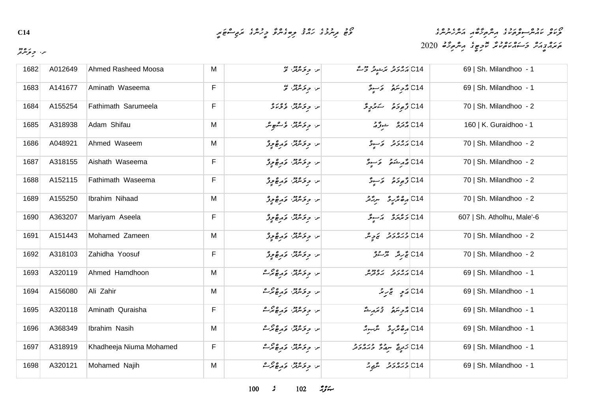*sCw7q7s5w7m< o<n9nOoAw7o< sCq;mAwBoEw7q<m; wBm;vB* م من المرة المرة المرة المرجع المرجع في المركبة 2020<br>مجم*د المريض المربوط المربع المرجع في المراجع المركبة* 

| ر ه دد<br>ىر، ترىرىز |  |
|----------------------|--|
|----------------------|--|

| 1682 | A012649 | <b>Ahmed Rasheed Moosa</b> | M           | ر وتوسيق ب              | C14 كەبرى قر ئىزىيەتر   خ <sup>ە</sup> شە            | 69   Sh. Milandhoo - 1     |
|------|---------|----------------------------|-------------|-------------------------|------------------------------------------------------|----------------------------|
| 1683 | A141677 | Aminath Waseema            | $\mathsf F$ | یں وقی میں ہے           | C14 مَّ <i>حِيدَة ف</i> َ حَسِيحَ                    | 69   Sh. Milandhoo - 1     |
| 1684 | A155254 | Fathimath Sarumeela        | $\mathsf F$ | بر وتحسير، وتوره        | C14 رَّجوحَة مُسَتَمَرِّعَة                          | 70   Sh. Milandhoo - 2     |
| 1685 | A318938 | Adam Shifau                | M           | بر بالمعرض وكسي الله    | C14 مُرترد مورٌ مُ                                   | 160   K. Guraidhoo - 1     |
| 1686 | A048921 | Ahmed Waseem               | M           | ر وترمين قهقون          | C14 <i>مَدْدَوْرْ وَسِ</i> وْ                        | 70   Sh. Milandhoo - 2     |
| 1687 | A318155 | Aishath Waseema            | $\mathsf F$ | ر و و مرده و موقوفه     | C14 مەم ھەسىرىتى ھەسىرىتى                            | 70   Sh. Milandhoo - 2     |
| 1688 | A152115 | Fathimath Waseema          | F           | ر وترمين ورھور          | C14 تۇ <sub>جۇ</sub> خۇ ق <sup>ى</sup> سو <i>م</i> ۇ | 70   Sh. Milandhoo - 2     |
| 1689 | A155250 | Ibrahim Nihaad             | M           | ر وترمين قهقون          | C14 م <i>وڭ پڙچھ سرگ<sup>و</sup>گ</i> ر              | 70   Sh. Milandhoo - 2     |
| 1690 | A363207 | Mariyam Aseela             | F           | ر وترمين قهقون          | C14 <i>5 تەيرى ھىمب</i> وگ                           | 607   Sh. Atholhu, Male'-6 |
| 1691 | A151443 | Mohamed Zameen             | M           | ر وترمين ورھور          | C14 <i>5222 نام چې</i> ش                             | 70   Sh. Milandhoo - 2     |
| 1692 | A318103 | Zahidha Yoosuf             | F           | ر و و مرده و موقوفه     | C14 يُح بير ميش تريشو في                             | 70   Sh. Milandhoo - 2     |
| 1693 | A320119 | Ahmed Hamdhoon             | M           | ىر. ئەخسىلى، ئەرەپمى    | C14 كەبرو بەھ بولىدىن                                | 69   Sh. Milandhoo - 1     |
| 1694 | A156080 | Ali Zahir                  | M           | ىر. بە ئەرەپرى ئەرەپرىش | C14 کھ پہ گار پر                                     | 69   Sh. Milandhoo - 1     |
| 1695 | A320118 | Aminath Quraisha           | F           | ىر. ئەخسىلى، ئەرەپمى    | C14 مَّ <i>حِ سَمَعْ</i> تَحْسَرِ مِسَّمَّ           | 69   Sh. Milandhoo - 1     |
| 1696 | A368349 | Ibrahim Nasih              | M           | ر و وسره و ده ده        | C14 <sub>م</sub> ەممَرى <sub>چ</sub> مىمب            | 69   Sh. Milandhoo - 1     |
| 1697 | A318919 | Khadheeja Niuma Mohamed    | $\mathsf F$ | ر و درود و ده در        | C14 كَتَمْرِيعٌ سَمْدَةٌ وَبَرْدُونَدْ               | 69   Sh. Milandhoo - 1     |
| 1698 | A320121 | Mohamed Najih              | M           | ىر. ئەخسىلە، ئەرەپمى    | C14 <i>وَبَرْدُوَنْوَ</i> سَمَّهِ بِرُّ              | 69   Sh. Milandhoo - 1     |

 $100$  *s*  $102$  *n***<sub>s</sub>** $\frac{2}{5}$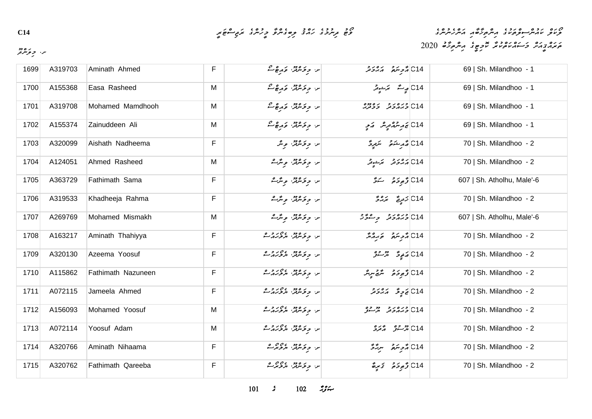*sCw7q7s5w7m< o<n9nOoAw7o< sCq;mAwBoEw7q<m; wBm;vB* م من المرة المرة المرة المرجع المرجع في المركبة 2020<br>مجم*د المريض المربوط المربع المرجع في المراجع المركبة* 

| 1699 | A319703 | Aminath Ahmed      | F           | ر وتوسيق تمده عليه               | C14 مُرْحِسَمُ مَرْحَدَّ                               | 69   Sh. Milandhoo - 1     |
|------|---------|--------------------|-------------|----------------------------------|--------------------------------------------------------|----------------------------|
| 1700 | A155368 | Easa Rasheed       | M           | س جۇشقۇ، ھەھ ج                   | C14 مرتحہ تم <i>زش</i> وتر                             | 69   Sh. Milandhoo - 1     |
| 1701 | A319708 | Mohamed Mamdhooh   | M           | ىر. جۇشقى قەمۋىگە                | C14 ورەرو رەپىر                                        | 69   Sh. Milandhoo - 1     |
| 1702 | A155374 | Zainuddeen Ali     | M           | ىر. ئەترىكىز، ئۇرغاش             | C14 ئ <sub>ىم مى</sub> رگەمدىگە بەر يە                 | 69   Sh. Milandhoo - 1     |
| 1703 | A320099 | Aishath Nadheema   | $\mathsf F$ | ىر، ئۆتۈرلىقى، ئۆس               | C14 مُگرِيشَۃ کو سَرَمَزِيَّۃ                          | 70   Sh. Milandhoo - 2     |
| 1704 | A124051 | Ahmed Rasheed      | M           | الرا و قرمرتش و مرَّث            | C14   كەش <sup>ى</sup> ر كىمى تىرىش <sub>ىي</sub> ەتتى | 70   Sh. Milandhoo - 2     |
| 1705 | A363729 | Fathimath Sama     | F           | ىر. بەيجەنگەن بەيگەش             | C14 رَّج <i>وح</i> ق سَدَّدَّ                          | 607   Sh. Atholhu, Male'-6 |
| 1706 | A319533 | Khadheeja Rahma    | F           | ىر. بەيھەتلەر بەيدىش             | C14 كَتَعِيقٌ - <i>مَدْ بُ</i> دَّدَّ                  | 70   Sh. Milandhoo - 2     |
| 1707 | A269769 | Mohamed Mismakh    | M           | سا جا جر جر جر شرح ا             | C14ء <i>جمہونز ویسوڈڈ</i>                              | 607   Sh. Atholhu, Male'-6 |
| 1708 | A163217 | Aminath Thahiyya   | F           | س تو شروره المورد مع             | C14 مُرْحِسَةً مَ بِرْمُدَّ                            | 70   Sh. Milandhoo - 2     |
| 1709 | A320130 | Azeema Yoosuf      | F           | ر و و مهر ده ده ده               | C14 كەنب <i>وڭ تۈشتۈ</i>                               | 70   Sh. Milandhoo - 2     |
| 1710 | A115862 | Fathimath Nazuneen | F           | ىر. ئەنگەرى مەردە ئ              | C14 ۇ <sub>جو</sub> رۇ مەسىم س <sub>ى</sub> رىگە       | 70   Sh. Milandhoo - 2     |
| 1711 | A072115 | Jameela Ahmed      | F           | ىر. ئەترىقرى بىر مەر ئ           | C14 ف <sub>َ</sub> حِرِ حَدَّ مَدَّدَمَّرَ             | 70   Sh. Milandhoo - 2     |
| 1712 | A156093 | Mohamed Yoosuf     | M           | ر و د ورو و د و د و              | C14 <i>جي محمد جي جي جي</i>                            | 70   Sh. Milandhoo - 2     |
| 1713 | A072114 | Yoosuf Adam        | M           | س تو توسيره المرور المحمد المسلم | C14 تېريىق ئەنبر <i>ە</i>                              | 70   Sh. Milandhoo - 2     |
| 1714 | A320766 | Aminath Nihaama    | F           | ىر. جۇشۇر، مۇمۇسە                | C14 مُرْحِسَمُ مِنْ مِنْ مِنْ الْمَسْتَمَرِ            | 70   Sh. Milandhoo - 2     |
| 1715 | A320762 | Fathimath Qareeba  | F           | س و وسرور مروره ه                | C14 تۇ <sub>م</sub> وخۇ ت <sub>ى</sub> رى <i>م</i>     | 70   Sh. Milandhoo - 2     |

*101 sC 102 nNw?mS*